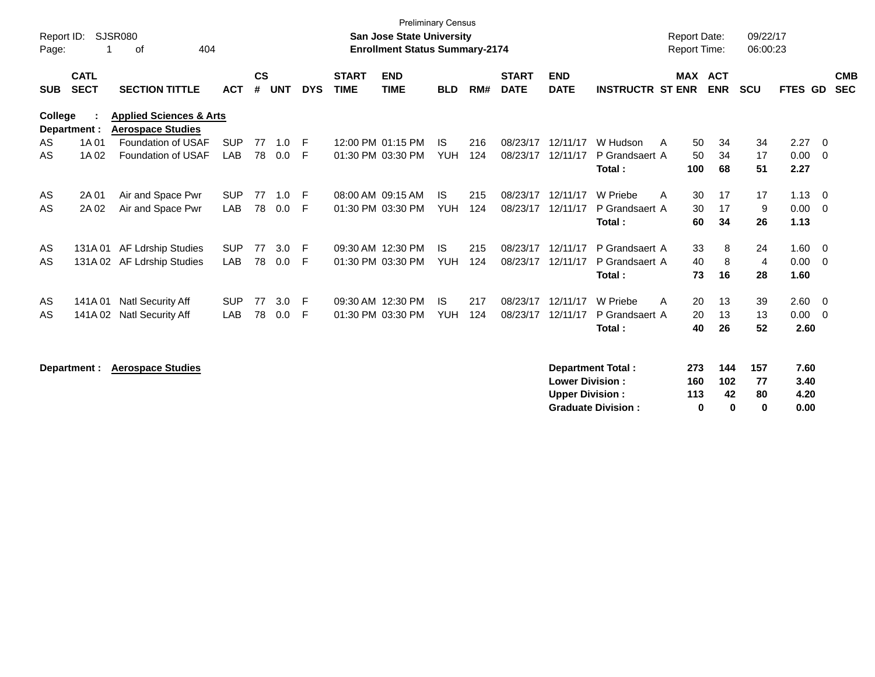| Report ID:<br>Page: | 1                          | <b>SJSR080</b><br>404<br>οf                                    |            |                    |            |            |                             | <b>San Jose State University</b><br><b>Enrollment Status Summary-2174</b> | <b>Preliminary Census</b> |     |                             |                           |                          | <b>Report Date:</b><br><b>Report Time:</b> |            | 09/22/17<br>06:00:23 |         |                          |                          |
|---------------------|----------------------------|----------------------------------------------------------------|------------|--------------------|------------|------------|-----------------------------|---------------------------------------------------------------------------|---------------------------|-----|-----------------------------|---------------------------|--------------------------|--------------------------------------------|------------|----------------------|---------|--------------------------|--------------------------|
| <b>SUB</b>          | <b>CATL</b><br><b>SECT</b> | <b>SECTION TITTLE</b>                                          | <b>ACT</b> | $\mathsf{cs}$<br># | <b>UNT</b> | <b>DYS</b> | <b>START</b><br><b>TIME</b> | <b>END</b><br><b>TIME</b>                                                 | <b>BLD</b>                | RM# | <b>START</b><br><b>DATE</b> | <b>END</b><br><b>DATE</b> | <b>INSTRUCTR ST ENR</b>  | <b>MAX ACT</b>                             | <b>ENR</b> | <b>SCU</b>           | FTES GD |                          | <b>CMB</b><br><b>SEC</b> |
| <b>College</b>      | Department :               | <b>Applied Sciences &amp; Arts</b><br><b>Aerospace Studies</b> |            |                    |            |            |                             |                                                                           |                           |     |                             |                           |                          |                                            |            |                      |         |                          |                          |
| AS                  | 1A 01                      | Foundation of USAF                                             | <b>SUP</b> | 77                 | 1.0        | -F         |                             | 12:00 PM 01:15 PM                                                         | <b>IS</b>                 | 216 | 08/23/17                    | 12/11/17                  | W Hudson                 | 50<br>A                                    | 34         | 34                   | 2.27    | $\overline{0}$           |                          |
| AS                  | 1A 02                      | Foundation of USAF                                             | LAB        | 78                 | 0.0        | F          |                             | 01:30 PM 03:30 PM                                                         | <b>YUH</b>                | 124 | 08/23/17                    | 12/11/17                  | P Grandsaert A           | 50                                         | 34         | 17                   | 0.00    | $\overline{0}$           |                          |
|                     |                            |                                                                |            |                    |            |            |                             |                                                                           |                           |     |                             |                           | Total:                   | 100                                        | 68         | 51                   | 2.27    |                          |                          |
| AS                  | 2A 01                      | Air and Space Pwr                                              | <b>SUP</b> | 77                 | 1.0        | F          |                             | 08:00 AM 09:15 AM                                                         | <b>IS</b>                 | 215 | 08/23/17                    | 12/11/17                  | W Priebe                 | 30<br>A                                    | 17         | 17                   | 1.13    | $\overline{\mathbf{0}}$  |                          |
| AS                  | 2A 02                      | Air and Space Pwr                                              | LAB        | 78                 | 0.0        | F          |                             | 01:30 PM 03:30 PM                                                         | <b>YUH</b>                | 124 | 08/23/17                    | 12/11/17                  | P Grandsaert A           | 30                                         | 17         | 9                    | 0.00    | $\overline{\mathbf{0}}$  |                          |
|                     |                            |                                                                |            |                    |            |            |                             |                                                                           |                           |     |                             |                           | Total:                   | 60                                         | 34         | 26                   | 1.13    |                          |                          |
| AS                  | 131A 01                    | AF Ldrship Studies                                             | <b>SUP</b> | 77                 | 3.0        | F          |                             | 09:30 AM 12:30 PM                                                         | <b>IS</b>                 | 215 | 08/23/17                    | 12/11/17                  | P Grandsaert A           | 33                                         | 8          | 24                   | 1.60    | $\overline{\mathbf{0}}$  |                          |
| AS                  |                            | 131A 02 AF Ldrship Studies                                     | LAB        | 78                 | 0.0        | F          |                             | 01:30 PM 03:30 PM                                                         | <b>YUH</b>                | 124 | 08/23/17                    | 12/11/17                  | P Grandsaert A           | 40                                         | 8          | $\overline{4}$       | 0.00    | $\overline{0}$           |                          |
|                     |                            |                                                                |            |                    |            |            |                             |                                                                           |                           |     |                             |                           | Total:                   | 73                                         | 16         | 28                   | 1.60    |                          |                          |
| AS                  |                            | 141A 01 Natl Security Aff                                      | <b>SUP</b> | 77                 | 3.0        | E          |                             | 09:30 AM 12:30 PM                                                         | <b>IS</b>                 | 217 | 08/23/17                    | 12/11/17                  | W Priebe                 | 20<br>A                                    | 13         | 39                   | 2.60    | $\overline{\mathbf{0}}$  |                          |
| AS                  | 141A 02                    | <b>Natl Security Aff</b>                                       | LAB        | 78                 | 0.0        | F          |                             | 01:30 PM 03:30 PM                                                         | <b>YUH</b>                | 124 | 08/23/17                    | 12/11/17                  | P Grandsaert A           | 20                                         | 13         | 13                   | 0.00    | $\overline{\phantom{0}}$ |                          |
|                     |                            |                                                                |            |                    |            |            |                             |                                                                           |                           |     |                             |                           | Total:                   | 40                                         | 26         | 52                   | 2.60    |                          |                          |
|                     |                            |                                                                |            |                    |            |            |                             |                                                                           |                           |     |                             |                           |                          |                                            |            |                      |         |                          |                          |
|                     | Department :               | <b>Aerospace Studies</b>                                       |            |                    |            |            |                             |                                                                           |                           |     |                             |                           | <b>Department Total:</b> | 273                                        | 144        | 157                  | 7.60    |                          |                          |
|                     |                            |                                                                |            |                    |            |            |                             |                                                                           |                           |     |                             | <b>Lower Division:</b>    |                          | 160                                        | 102        | 77                   | 3.40    |                          |                          |

**Upper Division : 113 42 80 4.20 Graduate Division : 0 0 0 0.00**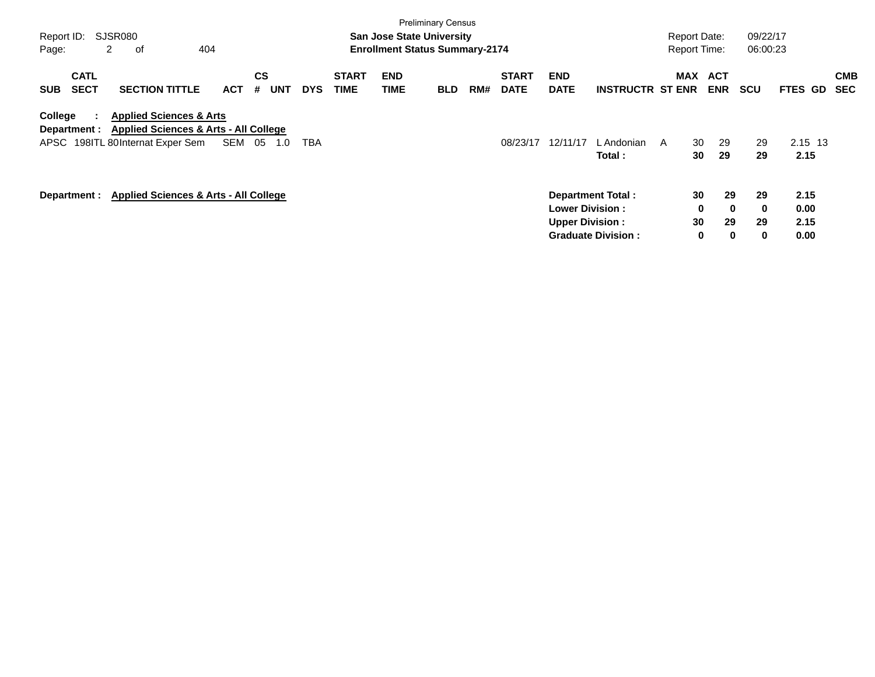| Report ID:<br>Page: | 2                          | SJSR080<br>οf                                                                                                              | 404        |                       |            |                             | <b>San Jose State University</b><br><b>Enrollment Status Summary-2174</b> | <b>Preliminary Census</b> |     |                             |                                                   |                                                       | <b>Report Date:</b><br><b>Report Time:</b> |                                     | 09/22/17<br>06:00:23      |                              |                          |
|---------------------|----------------------------|----------------------------------------------------------------------------------------------------------------------------|------------|-----------------------|------------|-----------------------------|---------------------------------------------------------------------------|---------------------------|-----|-----------------------------|---------------------------------------------------|-------------------------------------------------------|--------------------------------------------|-------------------------------------|---------------------------|------------------------------|--------------------------|
| <b>SUB</b>          | <b>CATL</b><br><b>SECT</b> | <b>SECTION TITTLE</b>                                                                                                      | <b>ACT</b> | CS<br><b>UNT</b><br># | <b>DYS</b> | <b>START</b><br><b>TIME</b> | <b>END</b><br><b>TIME</b>                                                 | <b>BLD</b>                | RM# | <b>START</b><br><b>DATE</b> | <b>END</b><br><b>DATE</b>                         | <b>INSTRUCTR ST ENR</b>                               | <b>MAX</b>                                 | <b>ACT</b><br><b>ENR</b>            | <b>SCU</b>                | FTES GD                      | <b>CMB</b><br><b>SEC</b> |
| College             | Department :               | <b>Applied Sciences &amp; Arts</b><br><b>Applied Sciences &amp; Arts - All College</b><br>APSC 198ITL 80Internat Exper Sem | SEM        | 05<br>1.0             | <b>TBA</b> |                             |                                                                           |                           |     | 08/23/17                    | 12/11/17                                          | L Andonian<br>Total :                                 | 30<br>- A<br>30                            | 29<br>29                            | 29<br>29                  | 2.15 13<br>2.15              |                          |
|                     | Department :               | <b>Applied Sciences &amp; Arts - All College</b>                                                                           |            |                       |            |                             |                                                                           |                           |     |                             | <b>Lower Division :</b><br><b>Upper Division:</b> | <b>Department Total:</b><br><b>Graduate Division:</b> | 30<br>30                                   | 29<br>0<br>$\bf{0}$<br>29<br>0<br>0 | 29<br>$\bf{0}$<br>29<br>0 | 2.15<br>0.00<br>2.15<br>0.00 |                          |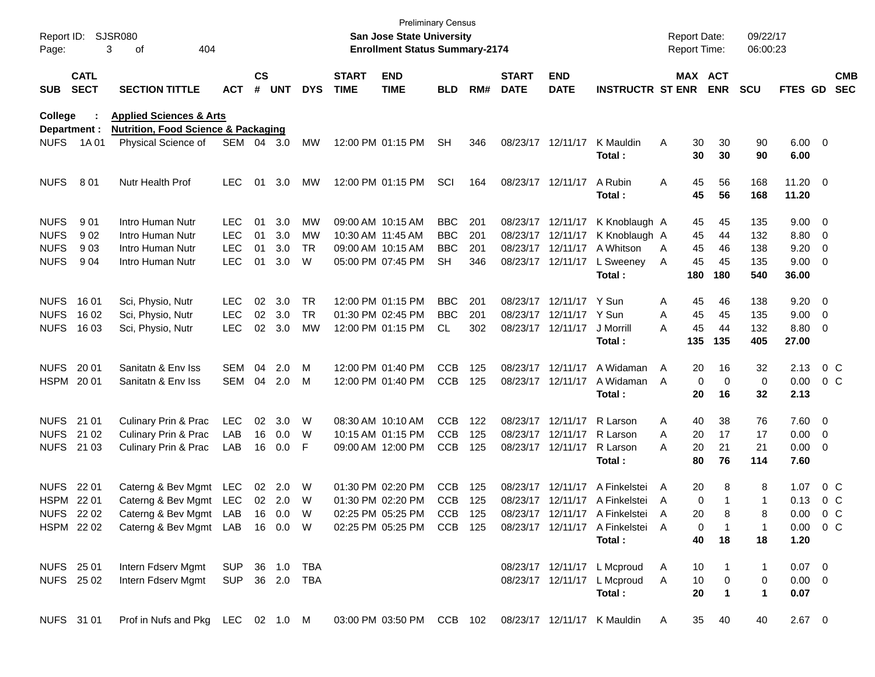| Page:       | Report ID: SJSR080         | 404<br>3<br>οf                                                                                        |            |                    |            |            |                             | San Jose State University<br><b>Enrollment Status Summary-2174</b> | <b>Preliminary Census</b> |     |                             |                           |                                  |              | <b>Report Date:</b><br><b>Report Time:</b> |                       | 09/22/17<br>06:00:23 |                        |                          |
|-------------|----------------------------|-------------------------------------------------------------------------------------------------------|------------|--------------------|------------|------------|-----------------------------|--------------------------------------------------------------------|---------------------------|-----|-----------------------------|---------------------------|----------------------------------|--------------|--------------------------------------------|-----------------------|----------------------|------------------------|--------------------------|
| <b>SUB</b>  | <b>CATL</b><br><b>SECT</b> | <b>SECTION TITTLE</b>                                                                                 | <b>ACT</b> | $\mathsf{cs}$<br># | <b>UNT</b> | <b>DYS</b> | <b>START</b><br><b>TIME</b> | <b>END</b><br><b>TIME</b>                                          | <b>BLD</b>                | RM# | <b>START</b><br><b>DATE</b> | <b>END</b><br><b>DATE</b> | <b>INSTRUCTR ST ENR</b>          |              |                                            | MAX ACT<br><b>ENR</b> | <b>SCU</b>           | <b>FTES GD</b>         | <b>CMB</b><br><b>SEC</b> |
| College     |                            | <b>Applied Sciences &amp; Arts</b>                                                                    |            |                    |            |            |                             |                                                                    |                           |     |                             |                           |                                  |              |                                            |                       |                      |                        |                          |
|             | Department :               | <b>Nutrition, Food Science &amp; Packaging</b>                                                        |            |                    |            |            |                             |                                                                    |                           |     |                             |                           |                                  |              |                                            |                       |                      |                        |                          |
| <b>NUFS</b> | 1A 01                      | Physical Science of                                                                                   | SEM 04 3.0 |                    |            | MW         |                             | 12:00 PM 01:15 PM                                                  | <b>SH</b>                 | 346 |                             | 08/23/17 12/11/17         | K Mauldin<br>Total:              | A            | 30<br>30                                   | 30<br>30              | 90<br>90             | $6.00 \quad 0$<br>6.00 |                          |
| <b>NUFS</b> | 801                        | Nutr Health Prof                                                                                      | <b>LEC</b> | 01                 | 3.0        | МW         |                             | 12:00 PM 01:15 PM                                                  | SCI                       | 164 |                             | 08/23/17 12/11/17         | A Rubin<br>Total:                | Α            | 45<br>45                                   | 56<br>56              | 168<br>168           | $11.20 \t 0$<br>11.20  |                          |
| <b>NUFS</b> | 901                        | Intro Human Nutr                                                                                      | <b>LEC</b> | 01                 | 3.0        | MW         |                             | 09:00 AM 10:15 AM                                                  | <b>BBC</b>                | 201 |                             |                           | 08/23/17 12/11/17 K Knoblaugh A  |              | 45                                         | 45                    | 135                  | $9.00 \t 0$            |                          |
| <b>NUFS</b> | 902                        | Intro Human Nutr                                                                                      | <b>LEC</b> | 01                 | 3.0        | MW         |                             | 10:30 AM 11:45 AM                                                  | <b>BBC</b>                | 201 |                             | 08/23/17 12/11/17         | K Knoblaugh A                    |              | 45                                         | 44                    | 132                  | 8.80 0                 |                          |
| <b>NUFS</b> | 903                        | Intro Human Nutr                                                                                      | <b>LEC</b> | 01                 | 3.0        | <b>TR</b>  |                             | 09:00 AM 10:15 AM                                                  | <b>BBC</b>                | 201 |                             | 08/23/17 12/11/17         | A Whitson                        | A            | 45                                         | 46                    | 138                  | $9.20 \ 0$             |                          |
| <b>NUFS</b> | 904                        | Intro Human Nutr                                                                                      | <b>LEC</b> | 01                 | 3.0        | W          |                             | 05:00 PM 07:45 PM                                                  | <b>SH</b>                 | 346 |                             | 08/23/17 12/11/17         | L Sweeney                        | A            | 45                                         | 45                    | 135                  | 9.00 0                 |                          |
|             |                            |                                                                                                       |            |                    |            |            |                             |                                                                    |                           |     |                             |                           | Total:                           |              | 180                                        | 180                   | 540                  | 36.00                  |                          |
| <b>NUFS</b> | 16 01                      | Sci, Physio, Nutr                                                                                     | <b>LEC</b> | 02                 | 3.0        | <b>TR</b>  |                             | 12:00 PM 01:15 PM                                                  | <b>BBC</b>                | 201 |                             | 08/23/17 12/11/17 Y Sun   |                                  | A            | 45                                         | 46                    | 138                  | $9.20 \ 0$             |                          |
| <b>NUFS</b> | 16 02                      | Sci, Physio, Nutr                                                                                     | <b>LEC</b> | 02                 | 3.0        | <b>TR</b>  |                             | 01:30 PM 02:45 PM                                                  | <b>BBC</b>                | 201 |                             | 08/23/17 12/11/17 Y Sun   |                                  | A            | 45                                         | 45                    | 135                  | $9.00 \t 0$            |                          |
| <b>NUFS</b> | 16 03                      | Sci, Physio, Nutr                                                                                     | <b>LEC</b> |                    | 02 3.0     | МW         |                             | 12:00 PM 01:15 PM                                                  | CL                        | 302 |                             | 08/23/17 12/11/17         | J Morrill                        | A            | 45                                         | 44                    | 132                  | 8.80 0                 |                          |
|             |                            |                                                                                                       |            |                    |            |            |                             |                                                                    |                           |     |                             |                           | Total:                           |              | 135                                        | 135                   | 405                  | 27.00                  |                          |
| NUFS 2001   |                            | Sanitatn & Env Iss                                                                                    | SEM        | 04                 | 2.0        | M          |                             | 12:00 PM 01:40 PM                                                  | <b>CCB</b>                | 125 |                             | 08/23/17 12/11/17         | A Widaman                        | A            | 20                                         | 16                    | 32                   | 2.13                   | $0\,$ C                  |
| HSPM 20 01  |                            | Sanitatn & Env Iss                                                                                    | SEM        |                    | 04 2.0     | M          |                             | 12:00 PM 01:40 PM                                                  | <b>CCB</b>                | 125 |                             | 08/23/17 12/11/17         | A Widaman                        | A            | $\mathbf 0$                                | $\mathbf 0$           | 0                    | $0.00 \t 0 C$          |                          |
|             |                            |                                                                                                       |            |                    |            |            |                             |                                                                    |                           |     |                             |                           | Total:                           |              | 20                                         | 16                    | 32                   | 2.13                   |                          |
| NUFS 21 01  |                            | Culinary Prin & Prac                                                                                  | <b>LEC</b> | 02 <sub>o</sub>    | 3.0        | W          |                             | 08:30 AM 10:10 AM                                                  | <b>CCB</b>                | 122 |                             | 08/23/17 12/11/17         | R Larson                         | A            | 40                                         | 38                    | 76                   | 7.60 0                 |                          |
|             | NUFS 21 02                 | Culinary Prin & Prac                                                                                  | LAB        |                    | 16 0.0     | W          |                             | 10:15 AM 01:15 PM                                                  | <b>CCB</b>                | 125 |                             | 08/23/17 12/11/17         | R Larson                         | A            | 20                                         | 17                    | 17                   | $0.00 \t 0$            |                          |
|             | NUFS 21 03                 | Culinary Prin & Prac                                                                                  | LAB        |                    | 16 0.0     | F          |                             | 09:00 AM 12:00 PM                                                  | <b>CCB</b>                | 125 |                             | 08/23/17 12/11/17         | R Larson                         | A            | 20                                         | 21                    | 21                   | $0.00 \t 0$            |                          |
|             |                            |                                                                                                       |            |                    |            |            |                             |                                                                    |                           |     |                             |                           | Total:                           |              | 80                                         | 76                    | 114                  | 7.60                   |                          |
| NUFS 22 01  |                            | Caterng & Bev Mgmt                                                                                    | LEC        |                    | 02 2.0     | W          |                             | 01:30 PM 02:20 PM                                                  | <b>CCB</b>                | 125 |                             | 08/23/17 12/11/17         | A Finkelstei                     | A            | 20                                         | 8                     | 8                    | 1.07                   | $0\,$ C                  |
| HSPM 22 01  |                            | Caterng & Bev Mgmt LEC                                                                                |            |                    | 02 2.0     | W          |                             | 01:30 PM 02:20 PM                                                  | <b>CCB</b>                | 125 |                             |                           | 08/23/17 12/11/17 A Finkelstei   | A            | $\mathbf 0$                                |                       | $\mathbf{1}$         | $0.13 \quad 0 \quad C$ |                          |
|             | NUFS 22 02                 | Caterng & Bev Mgmt LAB 16 0.0 W                                                                       |            |                    |            |            | 02:25 PM 05:25 PM           |                                                                    | CCB 125                   |     |                             |                           | 08/23/17 12/11/17 A Finkelstei A |              | 20                                         | 8                     | 8                    | $0.00 \t 0 C$          |                          |
|             |                            | HSPM 22 02 Caterng & Bev Mgmt LAB 16 0.0 W 02:25 PM 05:25 PM CCB 125 08/23/17 12/11/17 A Finkelstei A |            |                    |            |            |                             |                                                                    |                           |     |                             |                           |                                  |              | 0                                          | $\overline{1}$        | $\mathbf{1}$         | $0.00 \t 0 C$          |                          |
|             |                            |                                                                                                       |            |                    |            |            |                             |                                                                    |                           |     |                             |                           | Total:                           |              | 40                                         | 18                    | 18                   | 1.20                   |                          |
|             | NUFS 25 01                 | Intern Fdserv Mgmt SUP 36 1.0 TBA                                                                     |            |                    |            |            |                             |                                                                    |                           |     |                             |                           | 08/23/17 12/11/17 L Mcproud      | A            | 10                                         | $\mathbf{1}$          | 1                    | $0.07 \quad 0$         |                          |
|             | NUFS 25 02                 | Intern Fdserv Mgmt SUP 36 2.0 TBA                                                                     |            |                    |            |            |                             |                                                                    |                           |     |                             |                           | 08/23/17 12/11/17 L Mcproud      | $\mathsf{A}$ | 10                                         | $\overline{0}$        | 0                    | $0.00 \quad 0$         |                          |
|             |                            |                                                                                                       |            |                    |            |            |                             |                                                                    |                           |     |                             |                           | Total:                           |              | 20                                         | $\blacksquare$        | $\mathbf 1$          | 0.07                   |                          |
|             | NUFS 31 01                 | Prof in Nufs and Pkg LEC 02 1.0 M 03:00 PM 03:50 PM CCB 102 08/23/17 12/11/17 K Mauldin               |            |                    |            |            |                             |                                                                    |                           |     |                             |                           |                                  | $\mathsf{A}$ |                                            | 35 40                 | 40                   | $2.67$ 0               |                          |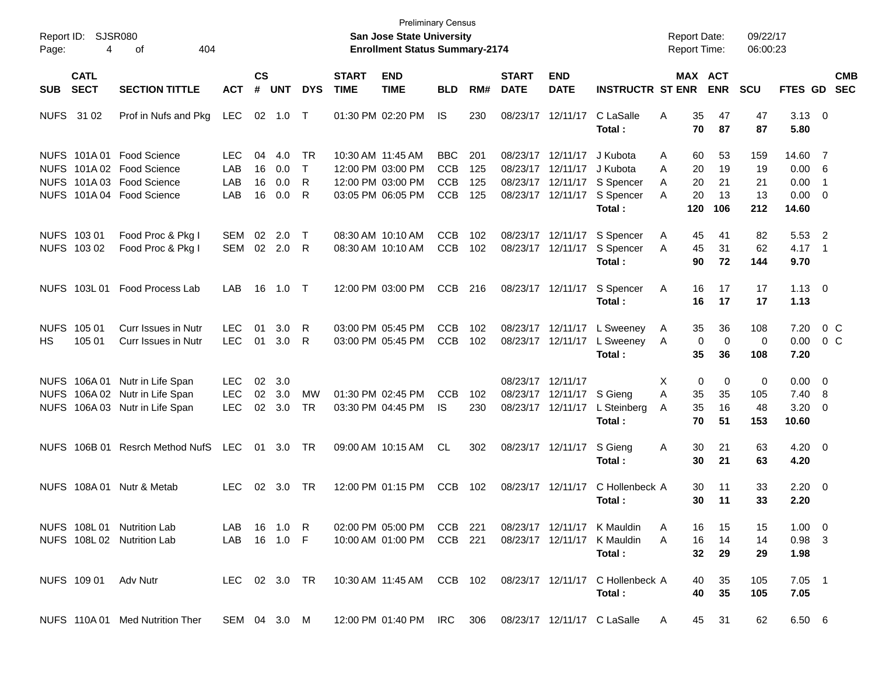| Page: | Report ID: SJSR080<br>4    | 404<br>οf                                                                                          |                                 |                      |                          |                        |                             | <b>San Jose State University</b><br><b>Enrollment Status Summary-2174</b>        | <b>Preliminary Census</b>                            |                          |                             |                                                                |                                                                      | <b>Report Date:</b><br><b>Report Time:</b> |                                                      | 09/22/17<br>06:00:23   |                                           |                          |                |
|-------|----------------------------|----------------------------------------------------------------------------------------------------|---------------------------------|----------------------|--------------------------|------------------------|-----------------------------|----------------------------------------------------------------------------------|------------------------------------------------------|--------------------------|-----------------------------|----------------------------------------------------------------|----------------------------------------------------------------------|--------------------------------------------|------------------------------------------------------|------------------------|-------------------------------------------|--------------------------|----------------|
| SUB   | <b>CATL</b><br><b>SECT</b> | <b>SECTION TITTLE</b>                                                                              | <b>ACT</b>                      | $\mathsf{cs}$<br>#   | <b>UNT</b>               | <b>DYS</b>             | <b>START</b><br><b>TIME</b> | <b>END</b><br><b>TIME</b>                                                        | <b>BLD</b>                                           | RM#                      | <b>START</b><br><b>DATE</b> | <b>END</b><br><b>DATE</b>                                      | <b>INSTRUCTR ST ENR</b>                                              |                                            | MAX ACT<br><b>ENR</b>                                | <b>SCU</b>             | FTES GD SEC                               |                          | <b>CMB</b>     |
|       | NUFS 31 02                 | Prof in Nufs and Pkg                                                                               | LEC                             |                      | 02 1.0                   | $\top$                 |                             | 01:30 PM 02:20 PM                                                                | IS                                                   | 230                      | 08/23/17                    | 12/11/17                                                       | C LaSalle<br>Total:                                                  | A                                          | 35<br>47<br>87<br>70                                 | 47<br>87               | $3.13 \ 0$<br>5.80                        |                          |                |
|       | NUFS 101A01                | Food Science<br>NUFS 101A 02 Food Science<br>NUFS 101A03 Food Science<br>NUFS 101A 04 Food Science | LEC.<br>LAB<br>LAB<br>LAB       | 04<br>16<br>16<br>16 | 4.0<br>0.0<br>0.0<br>0.0 | TR<br>$\top$<br>R<br>R |                             | 10:30 AM 11:45 AM<br>12:00 PM 03:00 PM<br>12:00 PM 03:00 PM<br>03:05 PM 06:05 PM | <b>BBC</b><br><b>CCB</b><br><b>CCB</b><br><b>CCB</b> | 201<br>125<br>125<br>125 | 08/23/17<br>08/23/17        | 12/11/17<br>12/11/17<br>08/23/17 12/11/17<br>08/23/17 12/11/17 | J Kubota<br>J Kubota<br>S Spencer<br>S Spencer                       | A<br>A<br>A<br>A                           | 53<br>60<br>20<br>19<br>20<br>21<br>20<br>13         | 159<br>19<br>21<br>13  | 14.60 7<br>0.00 6<br>0.00<br>$0.00 \t 0$  | $\overline{\phantom{1}}$ |                |
|       | NUFS 103 01<br>NUFS 103 02 | Food Proc & Pkg I<br>Food Proc & Pkg I                                                             | <b>SEM</b><br>SEM               | 02                   | 2.0<br>02 2.0            | $\mathsf{T}$<br>R      |                             | 08:30 AM 10:10 AM<br>08:30 AM 10:10 AM                                           | <b>CCB</b><br><b>CCB</b>                             | 102<br>102               |                             | 08/23/17 12/11/17<br>08/23/17 12/11/17                         | Total:<br>S Spencer<br>S Spencer<br>Total :                          | 120<br>A<br>A                              | 106<br>41<br>45<br>45<br>31<br>90<br>72              | 212<br>82<br>62<br>144 | 14.60<br>5.53 2<br>$4.17 \quad 1$<br>9.70 |                          |                |
|       | NUFS 103L 01               | <b>Food Process Lab</b>                                                                            | LAB                             | 16                   | 1.0 T                    |                        |                             | 12:00 PM 03:00 PM                                                                | <b>CCB</b>                                           | 216                      |                             | 08/23/17 12/11/17                                              | S Spencer<br>Total :                                                 | Α                                          | 16<br>17<br>16<br>17                                 | 17<br>17               | $1.13 \ 0$<br>1.13                        |                          |                |
| HS.   | NUFS 105 01<br>105 01      | <b>Curr Issues in Nutr</b><br>Curr Issues in Nutr                                                  | LEC.<br><b>LEC</b>              | 01<br>01             | 3.0<br>3.0               | R<br>R                 |                             | 03:00 PM 05:45 PM<br>03:00 PM 05:45 PM                                           | <b>CCB</b><br><b>CCB</b>                             | 102<br>102               |                             | 08/23/17 12/11/17<br>08/23/17 12/11/17                         | L Sweeney<br>L Sweeney<br>Total :                                    | A<br>A                                     | 36<br>35<br>$\mathbf 0$<br>$\mathbf 0$<br>35<br>36   | 108<br>0<br>108        | 7.20<br>$0.00 \t 0 C$<br>7.20             |                          | 0 <sup>o</sup> |
|       | NUFS 106A01                | Nutr in Life Span<br>NUFS 106A 02 Nutr in Life Span<br>NUFS 106A 03 Nutr in Life Span              | <b>LEC</b><br>LEC<br><b>LEC</b> | 02<br>02<br>02       | 3.0<br>3.0<br>3.0        | <b>MW</b><br>TR        |                             | 01:30 PM 02:45 PM<br>03:30 PM 04:45 PM                                           | <b>CCB</b><br><b>IS</b>                              | 102<br>230               |                             | 08/23/17 12/11/17<br>08/23/17 12/11/17<br>08/23/17 12/11/17    | S Gieng<br>L Steinberg<br>Total :                                    | X<br>A<br>A                                | 0<br>$\mathbf 0$<br>35<br>35<br>35<br>16<br>70<br>51 | 0<br>105<br>48<br>153  | $0.00 \t 0$<br>$7.40\ 8$<br>3.20<br>10.60 | $\overline{\phantom{0}}$ |                |
|       | <b>NUFS 106B 01</b>        | <b>Resrch Method NufS</b>                                                                          | LEC                             | 01                   | 3.0 TR                   |                        |                             | 09:00 AM 10:15 AM                                                                | CL.                                                  | 302                      |                             | 08/23/17 12/11/17                                              | S Gieng<br>Total :                                                   | A                                          | 30<br>21<br>30<br>21                                 | 63<br>63               | $4.20 \ 0$<br>4.20                        |                          |                |
|       | <b>NUFS 108A01</b>         | Nutr & Metab                                                                                       | LEC.                            | 02                   | 3.0                      | TR                     |                             | 12:00 PM 01:15 PM                                                                | <b>CCB</b>                                           | 102                      |                             | 08/23/17 12/11/17                                              | C Hollenbeck A<br>Total :                                            |                                            | 30<br>11<br>30<br>11                                 | 33<br>33               | $2.20 \ 0$<br>2.20                        |                          |                |
|       |                            | NUFS 108L 01 Nutrition Lab<br>NUFS 108L 02 Nutrition Lab                                           | LAB 16 1.0 R<br>LAB 16 1.0 F    |                      |                          |                        |                             | 02:00 PM 05:00 PM CCB 221<br>10:00 AM 01:00 PM                                   | CCB 221                                              |                          |                             |                                                                | 08/23/17 12/11/17 K Mauldin<br>08/23/17 12/11/17 K Mauldin<br>Total: | A<br>A                                     | 16<br>15<br>16<br>14<br>32<br>29                     | 15<br>14<br>29         | $1.00 \t 0$<br>$0.98$ 3<br>1.98           |                          |                |
|       |                            | NUFS 109 01 Adv Nutr                                                                               | LEC 02 3.0 TR                   |                      |                          |                        |                             | 10:30 AM_11:45 AM  CCB 102                                                       |                                                      |                          |                             |                                                                | 08/23/17 12/11/17 C Hollenbeck A<br>Total:                           |                                            | 40<br>35<br>40<br>35                                 | 105<br>105             | $7.05$ 1<br>7.05                          |                          |                |
|       |                            | NUFS 110A 01 Med Nutrition Ther                                                                    |                                 |                      |                          |                        |                             | SEM 04 3.0 M 12:00 PM 01:40 PM IRC 306 08/23/17 12/11/17 C LaSalle               |                                                      |                          |                             |                                                                |                                                                      | $\mathsf{A}$                               | 45<br>-31                                            | 62                     | 6.50 6                                    |                          |                |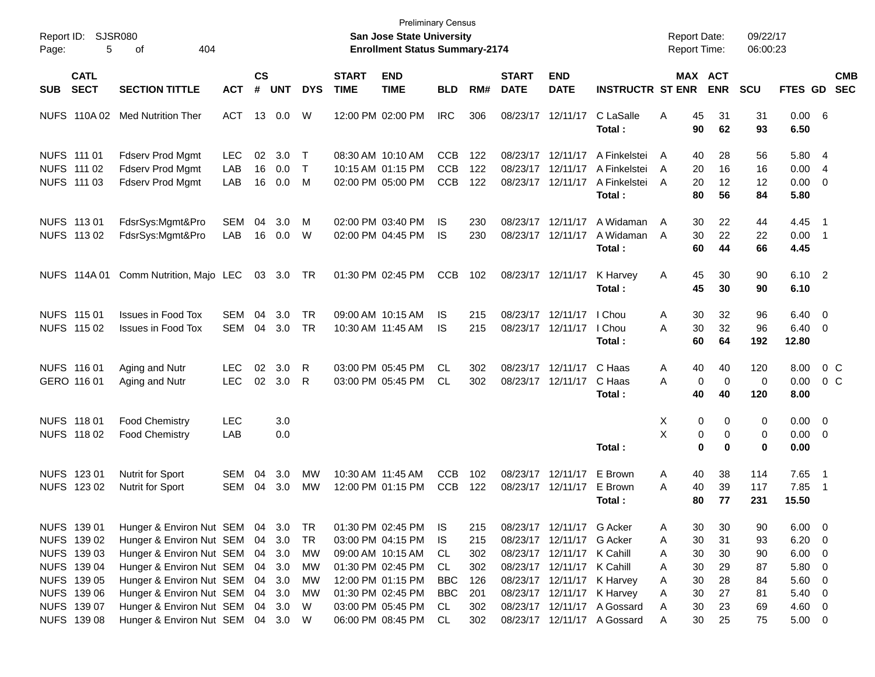| Report ID:<br>Page: | 5                                                                       | <b>SJSR080</b><br>404<br>οf                                                                                                                     |                          |                |                                      |                                   |                             | <b>Preliminary Census</b><br><b>San Jose State University</b><br><b>Enrollment Status Summary-2174</b> |                                        |                                 |                                           |                                                                                                            |                                                                                          |                       |                            | <b>Report Date:</b><br>Report Time: | 09/22/17<br>06:00:23       |                                      |                                             |                          |
|---------------------|-------------------------------------------------------------------------|-------------------------------------------------------------------------------------------------------------------------------------------------|--------------------------|----------------|--------------------------------------|-----------------------------------|-----------------------------|--------------------------------------------------------------------------------------------------------|----------------------------------------|---------------------------------|-------------------------------------------|------------------------------------------------------------------------------------------------------------|------------------------------------------------------------------------------------------|-----------------------|----------------------------|-------------------------------------|----------------------------|--------------------------------------|---------------------------------------------|--------------------------|
| <b>SUB</b>          | <b>CATL</b><br><b>SECT</b>                                              | <b>SECTION TITTLE</b>                                                                                                                           | <b>ACT</b>               | <b>CS</b><br># | <b>UNT</b>                           | <b>DYS</b>                        | <b>START</b><br><b>TIME</b> | <b>END</b><br><b>TIME</b>                                                                              | <b>BLD</b>                             | RM#                             | <b>START</b><br><b>DATE</b>               | <b>END</b><br><b>DATE</b>                                                                                  | <b>INSTRUCTR ST ENR</b>                                                                  |                       |                            | MAX ACT<br><b>ENR</b>               | SCU                        | FTES GD                              |                                             | <b>CMB</b><br><b>SEC</b> |
|                     | <b>NUFS 110A02</b>                                                      | <b>Med Nutrition Ther</b>                                                                                                                       | <b>ACT</b>               | 13             | 0.0                                  | W                                 |                             | 12:00 PM 02:00 PM                                                                                      | <b>IRC</b>                             | 306                             | 08/23/17 12/11/17                         |                                                                                                            | C LaSalle<br>Total:                                                                      | Α                     | 45<br>90                   | 31<br>62                            | 31<br>93                   | 0.00 6<br>6.50                       |                                             |                          |
|                     | NUFS 111 01<br>NUFS 111 02<br>NUFS 111 03                               | <b>Fdserv Prod Mgmt</b><br><b>Fdserv Prod Mgmt</b><br><b>Fdserv Prod Mgmt</b>                                                                   | <b>LEC</b><br>LAB<br>LAB | 02<br>16<br>16 | 3.0<br>0.0<br>0.0                    | $\mathsf{T}$<br>$\mathsf{T}$<br>M |                             | 08:30 AM 10:10 AM<br>10:15 AM 01:15 PM<br>02:00 PM 05:00 PM                                            | <b>CCB</b><br><b>CCB</b><br><b>CCB</b> | 122<br>122<br>122               | 08/23/17<br>08/23/17<br>08/23/17 12/11/17 | 12/11/17<br>12/11/17                                                                                       | A Finkelstei<br>A Finkelstei<br>A Finkelstei<br>Total:                                   | A<br>A<br>A           | 40<br>20<br>20<br>80       | 28<br>16<br>$12 \,$<br>56           | 56<br>16<br>12<br>84       | 5.80<br>0.00<br>0.00<br>5.80         | $\overline{4}$<br>$\overline{4}$<br>0       |                          |
|                     | NUFS 113 01<br>NUFS 113 02                                              | FdsrSys:Mgmt&Pro<br>FdsrSys:Mgmt&Pro                                                                                                            | <b>SEM</b><br>LAB        | 04<br>16       | 3.0<br>0.0                           | м<br>W                            |                             | 02:00 PM 03:40 PM<br>02:00 PM 04:45 PM                                                                 | IS<br><b>IS</b>                        | 230<br>230                      | 08/23/17<br>08/23/17                      | 12/11/17<br>12/11/17                                                                                       | A Widaman<br>A Widaman<br>Total:                                                         | A<br>A                | 30<br>30<br>60             | 22<br>22<br>44                      | 44<br>22<br>66             | 4.45<br>0.00<br>4.45                 | $\overline{\phantom{1}}$<br>$\overline{1}$  |                          |
|                     | <b>NUFS 114A01</b>                                                      | Comm Nutrition, Majo LEC                                                                                                                        |                          | 03             | 3.0                                  | TR                                |                             | 01:30 PM 02:45 PM                                                                                      | <b>CCB</b>                             | 102                             | 08/23/17 12/11/17                         |                                                                                                            | K Harvey<br>Total:                                                                       | Α                     | 45<br>45                   | 30<br>30                            | 90<br>90                   | 6.10 2<br>6.10                       |                                             |                          |
|                     | NUFS 115 01<br>NUFS 115 02                                              | <b>Issues in Food Tox</b><br><b>Issues in Food Tox</b>                                                                                          | <b>SEM</b><br><b>SEM</b> | 04<br>04       | 3.0<br>3.0                           | TR<br><b>TR</b>                   |                             | 09:00 AM 10:15 AM<br>10:30 AM 11:45 AM                                                                 | IS<br>IS                               | 215<br>215                      | 08/23/17 12/11/17<br>08/23/17 12/11/17    |                                                                                                            | I Chou<br>I Chou<br>Total:                                                               | Α<br>A                | 30<br>30<br>60             | 32<br>32<br>64                      | 96<br>96<br>192            | 6.40<br>6.40<br>12.80                | $\overline{0}$<br>$\overline{0}$            |                          |
|                     | NUFS 116 01<br>GERO 116 01                                              | Aging and Nutr<br>Aging and Nutr                                                                                                                | <b>LEC</b><br><b>LEC</b> | 02<br>02       | 3.0<br>3.0                           | R<br>$\mathsf{R}$                 |                             | 03:00 PM 05:45 PM<br>03:00 PM 05:45 PM                                                                 | CL<br>CL                               | 302<br>302                      | 08/23/17 12/11/17<br>08/23/17 12/11/17    |                                                                                                            | C Haas<br>C Haas<br>Total:                                                               | Α<br>A                | 40<br>0<br>40              | 40<br>$\overline{0}$<br>40          | 120<br>0<br>120            | 8.00<br>0.00<br>8.00                 | 0 <sup>o</sup><br>$0\,C$                    |                          |
|                     | NUFS 118 01<br>NUFS 118 02                                              | <b>Food Chemistry</b><br><b>Food Chemistry</b>                                                                                                  | <b>LEC</b><br>LAB        |                | 3.0<br>0.0                           |                                   |                             |                                                                                                        |                                        |                                 |                                           |                                                                                                            | Total:                                                                                   | X<br>X                | 0<br>0<br>0                | 0<br>$\mathbf 0$<br>0               | 0<br>0<br>$\bf{0}$         | 0.00<br>0.00<br>0.00                 | $\overline{0}$<br>$\overline{0}$            |                          |
|                     | NUFS 123 01<br>NUFS 123 02                                              | <b>Nutrit for Sport</b><br><b>Nutrit for Sport</b>                                                                                              | <b>SEM</b><br><b>SEM</b> | 04<br>04       | 3.0<br>3.0                           | MW<br>MW                          | 10:30 AM 11:45 AM           | 12:00 PM 01:15 PM                                                                                      | <b>CCB</b><br><b>CCB</b>               | 102<br>122                      | 08/23/17 12/11/17<br>08/23/17 12/11/17    |                                                                                                            | E Brown<br>E Brown<br>Total:                                                             | Α<br>A                | 40<br>40<br>80             | 38<br>39<br>77                      | 114<br>117<br>231          | 7.65<br>7.85<br>15.50                | $\overline{1}$<br>$\overline{1}$            |                          |
|                     | NUFS 139 01<br>NUFS 139 02<br>NUFS 139 03<br>NUFS 139 04<br>NUFS 139 05 | Hunger & Environ Nut SEM 04 3.0<br>Hunger & Environ Nut SEM<br>Hunger & Environ Nut SEM<br>Hunger & Environ Nut SEM<br>Hunger & Environ Nut SEM |                          |                | 04 3.0<br>04 3.0<br>04 3.0<br>04 3.0 | TR<br><b>TR</b><br>МW<br>МW<br>MW |                             | 01:30 PM 02:45 PM<br>03:00 PM 04:15 PM<br>09:00 AM 10:15 AM<br>01:30 PM 02:45 PM<br>12:00 PM 01:15 PM  | IS.<br>IS.<br>CL<br>CL<br><b>BBC</b>   | 215<br>215<br>302<br>302<br>126 |                                           | 08/23/17 12/11/17 G Acker<br>08/23/17 12/11/17<br>08/23/17 12/11/17 K Cahill<br>08/23/17 12/11/17 K Cahill | G Acker<br>08/23/17 12/11/17 K Harvey                                                    | A<br>Α<br>A<br>A<br>A | 30<br>30<br>30<br>30<br>30 | 30<br>31<br>30<br>29<br>28          | 90<br>93<br>90<br>87<br>84 | 6.00<br>6.20<br>6.00<br>5.80<br>5.60 | $\overline{\mathbf{0}}$<br>0<br>0<br>0<br>0 |                          |
|                     | NUFS 139 06<br>NUFS 139 07<br>NUFS 139 08                               | Hunger & Environ Nut SEM<br>Hunger & Environ Nut SEM<br>Hunger & Environ Nut SEM                                                                |                          |                | 04 3.0<br>04 3.0<br>04 3.0 W         | МW<br>W                           |                             | 01:30 PM 02:45 PM<br>03:00 PM 05:45 PM<br>06:00 PM 08:45 PM                                            | <b>BBC</b><br>CL<br>CL                 | 201<br>302<br>302               |                                           |                                                                                                            | 08/23/17 12/11/17 K Harvey<br>08/23/17 12/11/17 A Gossard<br>08/23/17 12/11/17 A Gossard | A<br>A<br>A           | 30<br>30<br>30             | 27<br>23<br>25                      | 81<br>69<br>75             | 5.40<br>4.60<br>$5.00 \t 0$          | 0<br>0                                      |                          |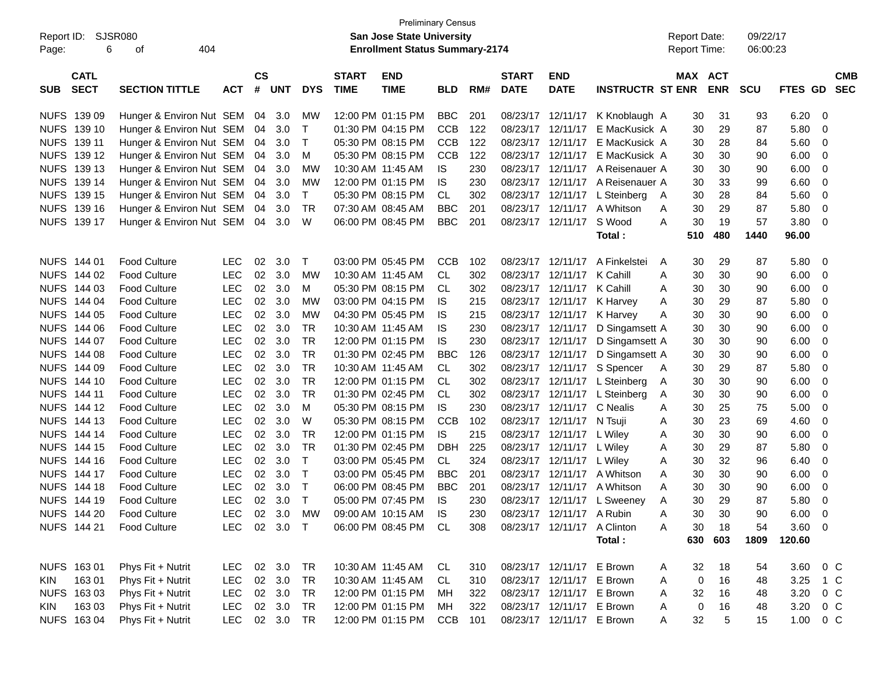| Report ID:<br>Page: | <b>SJSR080</b><br>6        | 404<br>οf                |            |                    |            |             | <b>Preliminary Census</b><br><b>San Jose State University</b><br><b>Enrollment Status Summary-2174</b> |                           |            |     |                             |                             | <b>Report Date:</b><br>Report Time: |   |     | 09/22/17<br>06:00:23         |            |         |                          |
|---------------------|----------------------------|--------------------------|------------|--------------------|------------|-------------|--------------------------------------------------------------------------------------------------------|---------------------------|------------|-----|-----------------------------|-----------------------------|-------------------------------------|---|-----|------------------------------|------------|---------|--------------------------|
| <b>SUB</b>          | <b>CATL</b><br><b>SECT</b> | <b>SECTION TITTLE</b>    | <b>ACT</b> | $\mathsf{cs}$<br># | <b>UNT</b> | <b>DYS</b>  | <b>START</b><br><b>TIME</b>                                                                            | <b>END</b><br><b>TIME</b> | <b>BLD</b> | RM# | <b>START</b><br><b>DATE</b> | <b>END</b><br><b>DATE</b>   | <b>INSTRUCTR ST ENR</b>             |   |     | <b>MAX ACT</b><br><b>ENR</b> | <b>SCU</b> | FTES GD | <b>CMB</b><br><b>SEC</b> |
|                     | NUFS 139 09                | Hunger & Environ Nut SEM |            | 04                 | 3.0        | MW          |                                                                                                        | 12:00 PM 01:15 PM         | <b>BBC</b> | 201 | 08/23/17                    | 12/11/17                    | K Knoblaugh A                       |   | 30  | 31                           | 93         | 6.20    | 0                        |
|                     | NUFS 139 10                | Hunger & Environ Nut SEM |            | 04                 | 3.0        | Т           |                                                                                                        | 01:30 PM 04:15 PM         | <b>CCB</b> | 122 | 08/23/17                    | 12/11/17                    | E MacKusick A                       |   | 30  | 29                           | 87         | 5.80    | 0                        |
|                     | NUFS 139 11                | Hunger & Environ Nut SEM |            | 04                 | 3.0        | $\mathsf T$ |                                                                                                        | 05:30 PM 08:15 PM         | <b>CCB</b> | 122 | 08/23/17                    | 12/11/17                    | E MacKusick A                       |   | 30  | 28                           | 84         | 5.60    | 0                        |
|                     | NUFS 139 12                | Hunger & Environ Nut SEM |            | 04                 | 3.0        | M           |                                                                                                        | 05:30 PM 08:15 PM         | <b>CCB</b> | 122 | 08/23/17                    | 12/11/17                    | E MacKusick A                       |   | 30  | 30                           | 90         | 6.00    | 0                        |
|                     | NUFS 139 13                | Hunger & Environ Nut SEM |            | 04                 | 3.0        | <b>MW</b>   | 10:30 AM 11:45 AM                                                                                      |                           | IS         | 230 | 08/23/17                    | 12/11/17                    | A Reisenauer A                      |   | 30  | 30                           | 90         | 6.00    | 0                        |
|                     | NUFS 139 14                | Hunger & Environ Nut SEM |            | 04                 | 3.0        | <b>MW</b>   |                                                                                                        | 12:00 PM 01:15 PM         | <b>IS</b>  | 230 | 08/23/17                    | 12/11/17                    | A Reisenauer A                      |   | 30  | 33                           | 99         | 6.60    | 0                        |
|                     | NUFS 139 15                | Hunger & Environ Nut SEM |            | 04                 | 3.0        | T           |                                                                                                        | 05:30 PM 08:15 PM         | CL.        | 302 | 08/23/17                    | 12/11/17                    | L Steinberg                         | A | 30  | 28                           | 84         | 5.60    | $\mathbf 0$              |
|                     | NUFS 139 16                | Hunger & Environ Nut SEM |            | 04                 | 3.0        | <b>TR</b>   | 07:30 AM 08:45 AM                                                                                      |                           | <b>BBC</b> | 201 | 08/23/17                    | 12/11/17                    | A Whitson                           | Α | 30  | 29                           | 87         | 5.80    | $\mathbf 0$              |
|                     | NUFS 139 17                | Hunger & Environ Nut SEM |            | 04                 | 3.0        | W           |                                                                                                        | 06:00 PM 08:45 PM         | <b>BBC</b> | 201 | 08/23/17 12/11/17           |                             | S Wood                              | Α | 30  | 19                           | 57         | 3.80    | $\mathbf 0$              |
|                     |                            |                          |            |                    |            |             |                                                                                                        |                           |            |     |                             |                             | Total:                              |   | 510 | 480                          | 1440       | 96.00   |                          |
|                     | NUFS 144 01                | <b>Food Culture</b>      | <b>LEC</b> | 02                 | 3.0        | Т           |                                                                                                        | 03:00 PM 05:45 PM         | <b>CCB</b> | 102 | 08/23/17                    | 12/11/17                    | A Finkelstei                        | A | 30  | 29                           | 87         | 5.80    | $\mathbf 0$              |
|                     | NUFS 144 02                | <b>Food Culture</b>      | <b>LEC</b> | 02                 | 3.0        | <b>MW</b>   | 10:30 AM 11:45 AM                                                                                      |                           | <b>CL</b>  | 302 |                             | 08/23/17 12/11/17           | K Cahill                            | A | 30  | 30                           | 90         | 6.00    | 0                        |
|                     | NUFS 144 03                | <b>Food Culture</b>      | <b>LEC</b> | 02                 | 3.0        | М           |                                                                                                        | 05:30 PM 08:15 PM         | CL.        | 302 |                             | 08/23/17 12/11/17           | K Cahill                            | A | 30  | 30                           | 90         | 6.00    | 0                        |
|                     | NUFS 144 04                | <b>Food Culture</b>      | <b>LEC</b> | 02                 | 3.0        | <b>MW</b>   |                                                                                                        | 03:00 PM 04:15 PM         | <b>IS</b>  | 215 |                             | 08/23/17 12/11/17           | K Harvey                            | A | 30  | 29                           | 87         | 5.80    | $\mathbf 0$              |
|                     | NUFS 144 05                | <b>Food Culture</b>      | <b>LEC</b> | 02                 | 3.0        | <b>MW</b>   |                                                                                                        | 04:30 PM 05:45 PM         | <b>IS</b>  | 215 |                             | 08/23/17 12/11/17           | K Harvey                            | Α | 30  | 30                           | 90         | 6.00    | $\mathbf 0$              |
|                     | NUFS 144 06                | <b>Food Culture</b>      | <b>LEC</b> | 02                 | 3.0        | <b>TR</b>   | 10:30 AM 11:45 AM                                                                                      |                           | IS         | 230 | 08/23/17 12/11/17           |                             | D Singamsett A                      |   | 30  | 30                           | 90         | 6.00    | $\mathbf 0$              |
|                     | NUFS 144 07                | <b>Food Culture</b>      | <b>LEC</b> | 02                 | 3.0        | <b>TR</b>   |                                                                                                        | 12:00 PM 01:15 PM         | IS         | 230 | 08/23/17 12/11/17           |                             | D Singamsett A                      |   | 30  | 30                           | 90         | 6.00    | $\mathbf 0$              |
|                     | NUFS 144 08                | <b>Food Culture</b>      | <b>LEC</b> | 02                 | 3.0        | <b>TR</b>   |                                                                                                        | 01:30 PM 02:45 PM         | <b>BBC</b> | 126 | 08/23/17 12/11/17           |                             | D Singamsett A                      |   | 30  | 30                           | 90         | 6.00    | $\mathbf 0$              |
|                     | NUFS 144 09                | <b>Food Culture</b>      | <b>LEC</b> | 02                 | 3.0        | <b>TR</b>   | 10:30 AM 11:45 AM                                                                                      |                           | <b>CL</b>  | 302 |                             | 08/23/17 12/11/17           | S Spencer                           | A | 30  | 29                           | 87         | 5.80    | $\mathbf 0$              |
|                     | NUFS 144 10                | <b>Food Culture</b>      | <b>LEC</b> | 02                 | 3.0        | <b>TR</b>   |                                                                                                        | 12:00 PM 01:15 PM         | <b>CL</b>  | 302 |                             | 08/23/17 12/11/17           | L Steinberg                         | A | 30  | 30                           | 90         | 6.00    | 0                        |
|                     | NUFS 144 11                | <b>Food Culture</b>      | <b>LEC</b> | 02                 | 3.0        | <b>TR</b>   |                                                                                                        | 01:30 PM 02:45 PM         | <b>CL</b>  | 302 |                             | 08/23/17 12/11/17           | L Steinberg                         | A | 30  | 30                           | 90         | 6.00    | 0                        |
|                     | NUFS 144 12                | <b>Food Culture</b>      | <b>LEC</b> | 02                 | 3.0        | M           |                                                                                                        | 05:30 PM 08:15 PM         | IS         | 230 | 08/23/17                    | 12/11/17                    | C Nealis                            | A | 30  | 25                           | 75         | 5.00    | $\mathbf 0$              |
|                     | NUFS 144 13                | <b>Food Culture</b>      | <b>LEC</b> | 02                 | 3.0        | W           |                                                                                                        | 05:30 PM 08:15 PM         | <b>CCB</b> | 102 |                             | 08/23/17 12/11/17           | N Tsuji                             | A | 30  | 23                           | 69         | 4.60    | $\mathbf 0$              |
|                     | NUFS 144 14                | <b>Food Culture</b>      | <b>LEC</b> | 02                 | 3.0        | <b>TR</b>   |                                                                                                        | 12:00 PM 01:15 PM         | IS         | 215 |                             | 08/23/17 12/11/17           | L Wiley                             | A | 30  | 30                           | 90         | 6.00    | 0                        |
|                     | NUFS 144 15                | <b>Food Culture</b>      | <b>LEC</b> | 02                 | 3.0        | <b>TR</b>   |                                                                                                        | 01:30 PM 02:45 PM         | <b>DBH</b> | 225 |                             | 08/23/17 12/11/17           | L Wiley                             | A | 30  | 29                           | 87         | 5.80    | 0                        |
|                     | NUFS 144 16                | <b>Food Culture</b>      | <b>LEC</b> | 02                 | 3.0        | Т           |                                                                                                        | 03:00 PM 05:45 PM         | <b>CL</b>  | 324 | 08/23/17                    | 12/11/17                    | L Wiley                             | A | 30  | 32                           | 96         | 6.40    | 0                        |
|                     | NUFS 144 17                | <b>Food Culture</b>      | <b>LEC</b> | 02                 | 3.0        | $\mathsf T$ |                                                                                                        | 03:00 PM 05:45 PM         | <b>BBC</b> | 201 | 08/23/17                    | 12/11/17                    | A Whitson                           | A | 30  | 30                           | 90         | 6.00    | 0                        |
| <b>NUFS</b>         | 144 18                     | <b>Food Culture</b>      | <b>LEC</b> | 02                 | 3.0        | $\mathsf T$ |                                                                                                        | 06:00 PM 08:45 PM         | <b>BBC</b> | 201 | 08/23/17                    | 12/11/17                    | A Whitson                           | A | 30  | 30                           | 90         | 6.00    | 0                        |
|                     | NUFS 144 19                | <b>Food Culture</b>      | <b>LEC</b> | 02                 | 3.0        | $\top$      |                                                                                                        | 05:00 PM 07:45 PM         | IS         | 230 |                             |                             | 08/23/17 12/11/17 L Sweeney         | A | 30  | 29                           | 87         | 5.80    | 0                        |
|                     | NUFS 144 20                | <b>Food Culture</b>      | LEC.       | 02                 | 3.0        | MW          |                                                                                                        | 09:00 AM 10:15 AM         | <b>IS</b>  | 230 |                             | 08/23/17 12/11/17 A Rubin   |                                     | A | 30  | 30                           | 90         | 6.00    | $\overline{0}$           |
|                     | NUFS 144 21                | Food Culture             | <b>LEC</b> |                    | 02 3.0 T   |             |                                                                                                        | 06:00 PM 08:45 PM CL      |            | 308 |                             | 08/23/17 12/11/17 A Clinton |                                     | Α | 30  | 18                           | 54         | 3.60    | - 0                      |
|                     |                            |                          |            |                    |            |             |                                                                                                        |                           |            |     |                             |                             | Total:                              |   | 630 | 603                          | 1809       | 120.60  |                          |
|                     | NUFS 163 01                | Phys Fit + Nutrit        | <b>LEC</b> |                    | 02 3.0     | TR          |                                                                                                        | 10:30 AM 11:45 AM         | CL         | 310 |                             | 08/23/17 12/11/17 E Brown   |                                     | A | 32  | 18                           | 54         | 3.60    | $0\,C$                   |
| <b>KIN</b>          | 16301                      | Phys Fit + Nutrit        | <b>LEC</b> |                    | 02 3.0     | TR          |                                                                                                        | 10:30 AM 11:45 AM         | CL         | 310 |                             | 08/23/17 12/11/17 E Brown   |                                     | Α | 0   | 16                           | 48         | 3.25    | $1\,C$                   |
|                     | NUFS 163 03                | Phys Fit + Nutrit        | <b>LEC</b> |                    | 02 3.0     | TR          |                                                                                                        | 12:00 PM 01:15 PM         | МH         | 322 |                             | 08/23/17 12/11/17 E Brown   |                                     | Α | 32  | 16                           | 48         | 3.20    | $0\,C$                   |
| KIN                 | 16303                      | Phys Fit + Nutrit        | <b>LEC</b> |                    | 02 3.0     | TR          |                                                                                                        | 12:00 PM 01:15 PM         | МH         | 322 |                             | 08/23/17 12/11/17 E Brown   |                                     | A | 0   | 16                           | 48         | 3.20    | $0\,C$                   |
|                     | NUFS 163 04                | Phys Fit + Nutrit        | <b>LEC</b> |                    | 02 3.0     | TR          |                                                                                                        | 12:00 PM 01:15 PM         | <b>CCB</b> | 101 |                             | 08/23/17 12/11/17 E Brown   |                                     | Α | 32  | 5                            | 15         | 1.00    | $0\,C$                   |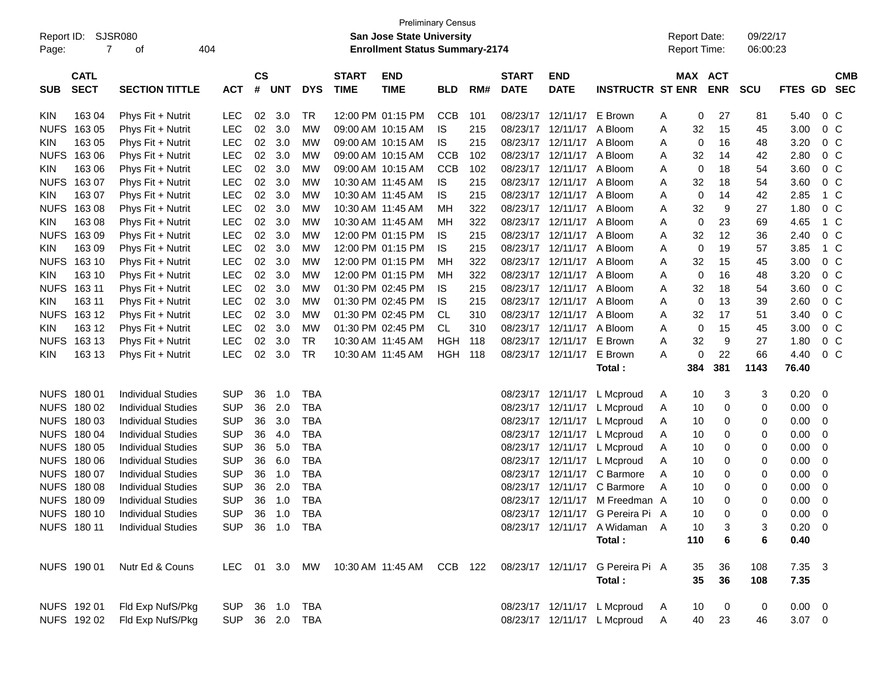| Report ID:<br>Page: | 7                          | SJSR080<br>404<br>οf      |            |                    |            |            |                             | <b>Preliminary Census</b><br>San Jose State University<br><b>Enrollment Status Summary-2174</b> |            |     |                             |                           |                                  |   | <b>Report Date:</b><br>Report Time: |                | 09/22/17<br>06:00:23 |                |                |                          |
|---------------------|----------------------------|---------------------------|------------|--------------------|------------|------------|-----------------------------|-------------------------------------------------------------------------------------------------|------------|-----|-----------------------------|---------------------------|----------------------------------|---|-------------------------------------|----------------|----------------------|----------------|----------------|--------------------------|
| <b>SUB</b>          | <b>CATL</b><br><b>SECT</b> | <b>SECTION TITTLE</b>     | <b>ACT</b> | $\mathsf{cs}$<br># | <b>UNT</b> | <b>DYS</b> | <b>START</b><br><b>TIME</b> | <b>END</b><br><b>TIME</b>                                                                       | <b>BLD</b> | RM# | <b>START</b><br><b>DATE</b> | <b>END</b><br><b>DATE</b> | <b>INSTRUCTR ST ENR</b>          |   | MAX ACT                             | <b>ENR</b>     | <b>SCU</b>           | <b>FTES GD</b> |                | <b>CMB</b><br><b>SEC</b> |
| <b>KIN</b>          | 163 04                     | Phys Fit + Nutrit         | <b>LEC</b> | 02                 | 3.0        | TR         |                             | 12:00 PM 01:15 PM                                                                               | <b>CCB</b> | 101 |                             | 08/23/17 12/11/17         | E Brown                          | A | 0                                   | 27             | 81                   | 5.40           | $0\,C$         |                          |
| <b>NUFS</b>         | 163 05                     | Phys Fit + Nutrit         | <b>LEC</b> | 02                 | 3.0        | МW         |                             | 09:00 AM 10:15 AM                                                                               | IS         | 215 |                             | 08/23/17 12/11/17         | A Bloom                          | A | 32                                  | 15             | 45                   | 3.00           | $0\,C$         |                          |
| <b>KIN</b>          | 163 05                     | Phys Fit + Nutrit         | <b>LEC</b> | 02                 | 3.0        | <b>MW</b>  |                             | 09:00 AM 10:15 AM                                                                               | IS         | 215 |                             | 08/23/17 12/11/17         | A Bloom                          | A | 0                                   | 16             | 48                   | 3.20           | $0\,C$         |                          |
| <b>NUFS</b>         | 163 06                     | Phys Fit + Nutrit         | <b>LEC</b> | 02                 | 3.0        | МW         |                             | 09:00 AM 10:15 AM                                                                               | <b>CCB</b> | 102 |                             | 08/23/17 12/11/17 A Bloom |                                  | A | 32                                  | 14             | 42                   | 2.80           | $0\,C$         |                          |
| <b>KIN</b>          | 163 06                     | Phys Fit + Nutrit         | <b>LEC</b> | 02                 | 3.0        | МW         |                             | 09:00 AM 10:15 AM                                                                               | <b>CCB</b> | 102 |                             | 08/23/17 12/11/17 A Bloom |                                  | A | $\mathbf 0$                         | 18             | 54                   | 3.60           | $0\,C$         |                          |
| <b>NUFS</b>         | 163 07                     | Phys Fit + Nutrit         | <b>LEC</b> | 02                 | 3.0        | МW         |                             | 10:30 AM 11:45 AM                                                                               | IS         | 215 |                             | 08/23/17 12/11/17 A Bloom |                                  | A | 32                                  | 18             | 54                   | 3.60           | $0\,C$         |                          |
| <b>KIN</b>          | 163 07                     | Phys Fit + Nutrit         | <b>LEC</b> | 02                 | 3.0        | МW         |                             | 10:30 AM 11:45 AM                                                                               | IS         | 215 |                             | 08/23/17 12/11/17 A Bloom |                                  | A | 0                                   | 14             | 42                   | 2.85           | 1 C            |                          |
| <b>NUFS</b>         | 16308                      | Phys Fit + Nutrit         | <b>LEC</b> | 02                 | 3.0        | МW         |                             | 10:30 AM 11:45 AM                                                                               | MН         | 322 |                             | 08/23/17 12/11/17 A Bloom |                                  | A | 32                                  | 9              | 27                   | 1.80           | $0\,C$         |                          |
| <b>KIN</b>          | 163 08                     | Phys Fit + Nutrit         | <b>LEC</b> | 02                 | 3.0        | МW         |                             | 10:30 AM 11:45 AM                                                                               | MН         | 322 |                             | 08/23/17 12/11/17 A Bloom |                                  | A | 0                                   | 23             | 69                   | 4.65           | 1 C            |                          |
| <b>NUFS</b>         | 16309                      | Phys Fit + Nutrit         | <b>LEC</b> | 02                 | 3.0        | МW         |                             | 12:00 PM 01:15 PM                                                                               | IS         | 215 |                             | 08/23/17 12/11/17 A Bloom |                                  | A | 32                                  | 12             | 36                   | 2.40           | $0\,C$         |                          |
| <b>KIN</b>          | 163 09                     | Phys Fit + Nutrit         | <b>LEC</b> | 02                 | 3.0        | МW         |                             | 12:00 PM 01:15 PM                                                                               | IS         | 215 |                             | 08/23/17 12/11/17 A Bloom |                                  | A | $\mathbf 0$                         | 19             | 57                   | 3.85           | 1 C            |                          |
| <b>NUFS</b>         | 163 10                     | Phys Fit + Nutrit         | <b>LEC</b> | 02                 | 3.0        | МW         |                             | 12:00 PM 01:15 PM                                                                               | MН         | 322 |                             | 08/23/17 12/11/17 A Bloom |                                  | A | 32                                  | 15             | 45                   | 3.00           | $0\,C$         |                          |
| <b>KIN</b>          | 163 10                     | Phys Fit + Nutrit         | <b>LEC</b> | 02                 | 3.0        | МW         |                             | 12:00 PM 01:15 PM                                                                               | MН         | 322 |                             | 08/23/17 12/11/17 A Bloom |                                  | A | $\mathbf 0$                         | 16             | 48                   | 3.20           | $0\,C$         |                          |
| <b>NUFS</b>         | 163 11                     | Phys Fit + Nutrit         | <b>LEC</b> | 02                 | 3.0        | МW         |                             | 01:30 PM 02:45 PM                                                                               | IS         | 215 |                             | 08/23/17 12/11/17 A Bloom |                                  | A | 32                                  | 18             | 54                   | 3.60           | $0\,C$         |                          |
| <b>KIN</b>          | 163 11                     | Phys Fit + Nutrit         | <b>LEC</b> | 02                 | 3.0        | МW         |                             | 01:30 PM 02:45 PM                                                                               | IS         | 215 |                             | 08/23/17 12/11/17 A Bloom |                                  | A | $\mathbf 0$                         | 13             | 39                   | 2.60           | $0\,C$         |                          |
| <b>NUFS</b>         | 163 12                     | Phys Fit + Nutrit         | <b>LEC</b> | 02                 | 3.0        | МW         |                             | 01:30 PM 02:45 PM                                                                               | CL         | 310 |                             | 08/23/17 12/11/17 A Bloom |                                  | A | 32                                  | 17             | 51                   | 3.40           | $0\,C$         |                          |
| <b>KIN</b>          | 163 12                     | Phys Fit + Nutrit         | <b>LEC</b> | 02                 | 3.0        | МW         |                             | 01:30 PM 02:45 PM                                                                               | CL         | 310 |                             | 08/23/17 12/11/17 A Bloom |                                  | A | 0                                   | 15             | 45                   | 3.00           | $0\,C$         |                          |
| <b>NUFS</b>         | 163 13                     | Phys Fit + Nutrit         | <b>LEC</b> | 02                 | 3.0        | TR         |                             | 10:30 AM 11:45 AM                                                                               | HGH        | 118 |                             | 08/23/17 12/11/17         | E Brown                          | A | 32                                  | 9              | 27                   | 1.80           | $0\,C$         |                          |
| <b>KIN</b>          | 163 13                     | Phys Fit + Nutrit         | LEC        | 02                 | 3.0        | TR         |                             | 10:30 AM 11:45 AM                                                                               | HGH        | 118 |                             | 08/23/17 12/11/17         | E Brown                          | A | 0                                   | 22             | 66                   | 4.40           | 0 <sup>C</sup> |                          |
|                     |                            |                           |            |                    |            |            |                             |                                                                                                 |            |     |                             |                           | Total :                          |   | 384                                 | 381            | 1143                 | 76.40          |                |                          |
|                     | NUFS 180 01                | <b>Individual Studies</b> | <b>SUP</b> | 36                 | 1.0        | <b>TBA</b> |                             |                                                                                                 |            |     |                             | 08/23/17 12/11/17         | L Mcproud                        | A | 10                                  | 3              | 3                    | 0.20           | - 0            |                          |
|                     | NUFS 180 02                | <b>Individual Studies</b> | <b>SUP</b> | 36                 | 2.0        | <b>TBA</b> |                             |                                                                                                 |            |     |                             | 08/23/17 12/11/17         | L Mcproud                        | A | 10                                  | 0              | 0                    | 0.00           | 0              |                          |
|                     | NUFS 180 03                | <b>Individual Studies</b> | <b>SUP</b> | 36                 | 3.0        | <b>TBA</b> |                             |                                                                                                 |            |     |                             | 08/23/17 12/11/17         | L Mcproud                        | A | 10                                  | 0              | 0                    | 0.00           | 0              |                          |
|                     | NUFS 180 04                | <b>Individual Studies</b> | <b>SUP</b> | 36                 | 4.0        | <b>TBA</b> |                             |                                                                                                 |            |     |                             | 08/23/17 12/11/17         | L Mcproud                        | A | 10                                  | 0              | 0                    | 0.00           | 0              |                          |
| <b>NUFS</b>         | 180 05                     | <b>Individual Studies</b> | <b>SUP</b> | 36                 | 5.0        | <b>TBA</b> |                             |                                                                                                 |            |     |                             | 08/23/17 12/11/17         | L Mcproud                        | A | 10                                  | 0              | 0                    | 0.00           | 0              |                          |
| <b>NUFS</b>         | 180 06                     | <b>Individual Studies</b> | <b>SUP</b> | 36                 | 6.0        | <b>TBA</b> |                             |                                                                                                 |            |     |                             | 08/23/17 12/11/17         | L Mcproud                        | A | 10                                  | 0              | 0                    | 0.00           | 0              |                          |
|                     | NUFS 180 07                | <b>Individual Studies</b> | <b>SUP</b> | 36                 | 1.0        | <b>TBA</b> |                             |                                                                                                 |            |     |                             | 08/23/17 12/11/17         | C Barmore                        | A | 10                                  | 0              | 0                    | 0.00           | 0              |                          |
| <b>NUFS</b>         | 18008                      | <b>Individual Studies</b> | <b>SUP</b> | 36                 | 2.0        | <b>TBA</b> |                             |                                                                                                 |            |     |                             | 08/23/17 12/11/17         | C Barmore                        | A | 10                                  | 0              | 0                    | 0.00           | 0              |                          |
|                     | NUFS 180 09                | <b>Individual Studies</b> | <b>SUP</b> | 36                 | 1.0        | <b>TBA</b> |                             |                                                                                                 |            |     |                             |                           | 08/23/17 12/11/17 M Freedman A   |   | 10                                  | 0              | 0                    | 0.00           | 0              |                          |
|                     | NUFS 180 10                | <b>Individual Studies</b> | <b>SUP</b> |                    |            | 36 1.0 TBA |                             |                                                                                                 |            |     |                             |                           | 08/23/17 12/11/17 G Pereira Pi A |   | 10                                  | 0              | 0                    | $0.00 \t 0$    |                |                          |
|                     | NUFS 180 11                | <b>Individual Studies</b> | <b>SUP</b> |                    |            | 36 1.0 TBA |                             |                                                                                                 |            |     |                             |                           | 08/23/17 12/11/17 A Widaman A    |   | 10                                  | 3              | 3                    | $0.20 \ 0$     |                |                          |
|                     |                            |                           |            |                    |            |            |                             |                                                                                                 |            |     |                             |                           | Total:                           |   | 110                                 | 6              | 6                    | 0.40           |                |                          |
|                     | NUFS 190 01                | Nutr Ed & Couns           |            |                    |            |            |                             | LEC 01 3.0 MW 10:30 AM 11:45 AM CCB 122                                                         |            |     |                             |                           | 08/23/17 12/11/17 G Pereira Pi A |   | 35                                  | 36             | 108                  | 7.35 3         |                |                          |
|                     |                            |                           |            |                    |            |            |                             |                                                                                                 |            |     |                             |                           | Total:                           |   | 35                                  | 36             | 108                  | 7.35           |                |                          |
|                     | NUFS 192 01                | Fld Exp NufS/Pkg          | <b>SUP</b> |                    |            | 36 1.0 TBA |                             |                                                                                                 |            |     |                             |                           | 08/23/17 12/11/17 L Mcproud      | A | 10                                  | $\overline{0}$ | 0                    | $0.00 \t 0$    |                |                          |
|                     | NUFS 192 02                | Fld Exp NufS/Pkg          | <b>SUP</b> |                    |            | 36 2.0 TBA |                             |                                                                                                 |            |     |                             |                           | 08/23/17 12/11/17 L Mcproud      | A | 40                                  | 23             | 46                   | $3.07 \t 0$    |                |                          |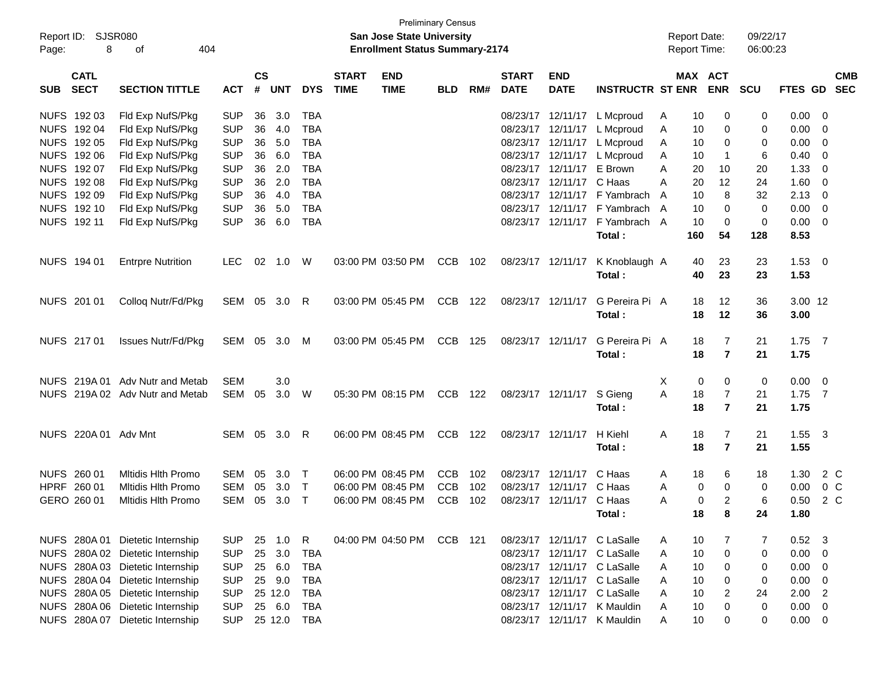| Report ID:<br>Page: | <b>SJSR080</b><br>8        | 404<br>οf                        |            |                |            | <b>Preliminary Census</b><br>San Jose State University<br><b>Enrollment Status Summary-2174</b> |                             |                           |            |     |                             | <b>Report Date:</b><br>Report Time: |                             |   | 09/22/17<br>06:00:23 |                              |            |                |                |                          |
|---------------------|----------------------------|----------------------------------|------------|----------------|------------|-------------------------------------------------------------------------------------------------|-----------------------------|---------------------------|------------|-----|-----------------------------|-------------------------------------|-----------------------------|---|----------------------|------------------------------|------------|----------------|----------------|--------------------------|
| <b>SUB</b>          | <b>CATL</b><br><b>SECT</b> | <b>SECTION TITTLE</b>            | <b>ACT</b> | <b>CS</b><br># | <b>UNT</b> | <b>DYS</b>                                                                                      | <b>START</b><br><b>TIME</b> | <b>END</b><br><b>TIME</b> | <b>BLD</b> | RM# | <b>START</b><br><b>DATE</b> | <b>END</b><br><b>DATE</b>           | <b>INSTRUCTR ST ENR</b>     |   |                      | <b>MAX ACT</b><br><b>ENR</b> | <b>SCU</b> | <b>FTES GD</b> |                | <b>CMB</b><br><b>SEC</b> |
|                     | NUFS 192 03                | Fld Exp NufS/Pkg                 | <b>SUP</b> | 36             | 3.0        | <b>TBA</b>                                                                                      |                             |                           |            |     | 08/23/17                    | 12/11/17                            | L Mcproud                   | A | 10                   | 0                            | 0          | 0.00           | 0              |                          |
|                     | NUFS 192 04                | Fld Exp NufS/Pkg                 | <b>SUP</b> | 36             | 4.0        | <b>TBA</b>                                                                                      |                             |                           |            |     |                             | 08/23/17 12/11/17                   | L Mcproud                   | Α | 10                   | 0                            | 0          | 0.00           | 0              |                          |
|                     | NUFS 192 05                | Fld Exp NufS/Pkg                 | <b>SUP</b> | 36             | 5.0        | <b>TBA</b>                                                                                      |                             |                           |            |     |                             | 08/23/17 12/11/17                   | L Mcproud                   | A | 10                   | 0                            | 0          | 0.00           | 0              |                          |
|                     | NUFS 192 06                | Fld Exp NufS/Pkg                 | <b>SUP</b> | 36             | 6.0        | <b>TBA</b>                                                                                      |                             |                           |            |     | 08/23/17                    | 12/11/17                            | L Mcproud                   | A | 10                   | $\mathbf 1$                  | 6          | 0.40           | 0              |                          |
|                     | NUFS 192 07                | Fld Exp NufS/Pkg                 | <b>SUP</b> | 36             | 2.0        | <b>TBA</b>                                                                                      |                             |                           |            |     | 08/23/17                    | 12/11/17                            | E Brown                     | A | 20                   | 10                           | 20         | 1.33           | 0              |                          |
|                     | NUFS 192 08                | Fld Exp NufS/Pkg                 | <b>SUP</b> | 36             | 2.0        | <b>TBA</b>                                                                                      |                             |                           |            |     | 08/23/17                    | 12/11/17 C Haas                     |                             | Α | 20                   | 12                           | 24         | 1.60           | 0              |                          |
|                     | NUFS 192 09                | Fld Exp NufS/Pkg                 | <b>SUP</b> | 36             | 4.0        | <b>TBA</b>                                                                                      |                             |                           |            |     | 08/23/17                    |                                     | 12/11/17 F Yambrach         | A | 10                   | 8                            | 32         | 2.13           | 0              |                          |
|                     | NUFS 192 10                | Fld Exp NufS/Pkg                 | <b>SUP</b> | 36             | 5.0        | <b>TBA</b>                                                                                      |                             |                           |            |     | 08/23/17                    | 12/11/17                            | F Yambrach A                |   | 10                   | 0                            | 0          | 0.00           | 0              |                          |
|                     | NUFS 192 11                | Fld Exp NufS/Pkg                 | <b>SUP</b> | 36             | 6.0        | <b>TBA</b>                                                                                      |                             |                           |            |     |                             | 08/23/17 12/11/17                   | F Yambrach A                |   | 10                   | $\mathbf 0$                  | 0          | 0.00           | $\mathbf 0$    |                          |
|                     |                            |                                  |            |                |            |                                                                                                 |                             |                           |            |     |                             |                                     | Total:                      |   | 160                  | 54                           | 128        | 8.53           |                |                          |
|                     | NUFS 194 01                | <b>Entrpre Nutrition</b>         | <b>LEC</b> | 02             | 1.0        | W                                                                                               |                             | 03:00 PM 03:50 PM         | CCB        | 102 |                             | 08/23/17 12/11/17                   | K Knoblaugh A               |   | 40                   | 23                           | 23         | 1.53           | - 0            |                          |
|                     |                            |                                  |            |                |            |                                                                                                 |                             |                           |            |     |                             |                                     | Total:                      |   | 40                   | 23                           | 23         | 1.53           |                |                          |
|                     | NUFS 201 01                | Colloq Nutr/Fd/Pkg               | SEM 05 3.0 |                |            | R                                                                                               |                             | 03:00 PM 05:45 PM         | CCB        | 122 |                             | 08/23/17 12/11/17                   | G Pereira Pi A              |   | 18                   | 12                           | 36         | 3.00 12        |                |                          |
|                     |                            |                                  |            |                |            |                                                                                                 |                             |                           |            |     |                             |                                     | Total:                      |   | 18                   | 12                           | 36         | 3.00           |                |                          |
|                     | NUFS 217 01                | Issues Nutr/Fd/Pkg               | SEM        |                | 05 3.0     | M                                                                                               |                             | 03:00 PM 05:45 PM         | <b>CCB</b> | 125 |                             | 08/23/17 12/11/17                   | G Pereira Pi A              |   | 18                   | 7                            | 21         | $1.75$ 7       |                |                          |
|                     |                            |                                  |            |                |            |                                                                                                 |                             |                           |            |     |                             |                                     | Total:                      |   | 18                   | $\overline{7}$               | 21         | 1.75           |                |                          |
|                     |                            | NUFS 219A 01 Adv Nutr and Metab  | <b>SEM</b> |                | 3.0        |                                                                                                 |                             |                           |            |     |                             |                                     |                             | X | 0                    | 0                            | 0          | 0.00           | - 0            |                          |
|                     |                            | NUFS 219A 02 Adv Nutr and Metab  | <b>SEM</b> | 05             | 3.0        | W                                                                                               |                             | 05:30 PM 08:15 PM         | CCB        | 122 |                             | 08/23/17 12/11/17                   | S Gieng                     | A | 18                   | $\overline{7}$               | 21         | 1.75           | $\overline{7}$ |                          |
|                     |                            |                                  |            |                |            |                                                                                                 |                             |                           |            |     |                             |                                     | Total:                      |   | 18                   | $\overline{7}$               | 21         | 1.75           |                |                          |
|                     | NUFS 220A 01 Adv Mnt       |                                  | SEM        |                | 05 3.0     | R                                                                                               |                             | 06:00 PM 08:45 PM         | CCB        | 122 |                             | 08/23/17 12/11/17                   | H Kiehl                     | A | 18                   | 7                            | 21         | 1.55           | - 3            |                          |
|                     |                            |                                  |            |                |            |                                                                                                 |                             |                           |            |     |                             |                                     | Total:                      |   | 18                   | $\overline{7}$               | 21         | 1.55           |                |                          |
|                     | NUFS 260 01                | Mitidis Hith Promo               | <b>SEM</b> | 05             | 3.0        | Т                                                                                               |                             | 06:00 PM 08:45 PM         | <b>CCB</b> | 102 | 08/23/17                    | 12/11/17                            | C Haas                      | A | 18                   | 6                            | 18         | 1.30           | 2 C            |                          |
|                     | HPRF 260 01                | <b>Mitidis Hith Promo</b>        | <b>SEM</b> | 05             | 3.0        | $\mathsf{T}$                                                                                    |                             | 06:00 PM 08:45 PM         | <b>CCB</b> | 102 | 08/23/17                    | 12/11/17                            | C Haas                      | A | 0                    | 0                            | 0          | 0.00           | 0 <sup>o</sup> |                          |
|                     | GERO 260 01                | Mitidis Hith Promo               | <b>SEM</b> | 05             | 3.0        | $\top$                                                                                          |                             | 06:00 PM 08:45 PM         | <b>CCB</b> | 102 |                             | 08/23/17 12/11/17 C Haas            |                             | A | 0                    | 2                            | 6          | 0.50           | 2 C            |                          |
|                     |                            |                                  |            |                |            |                                                                                                 |                             |                           |            |     |                             |                                     | Total :                     |   | 18                   | 8                            | 24         | 1.80           |                |                          |
|                     | NUFS 280A01                | Dietetic Internship              | <b>SUP</b> | 25             | 1.0        | R                                                                                               |                             | 04:00 PM 04:50 PM         | CCB 121    |     |                             |                                     | 08/23/17 12/11/17 C LaSalle | A | 10                   | 7                            | 7          | 0.52           | - 3            |                          |
|                     |                            | NUFS 280A 02 Dietetic Internship | <b>SUP</b> | 25             | 3.0        | <b>TBA</b>                                                                                      |                             |                           |            |     |                             |                                     | 08/23/17 12/11/17 C LaSalle | Α | 10                   | $\pmb{0}$                    | 0          | 0.00           | 0              |                          |
|                     |                            | NUFS 280A 03 Dietetic Internship | <b>SUP</b> |                | 25 6.0     | <b>TBA</b>                                                                                      |                             |                           |            |     |                             |                                     | 08/23/17 12/11/17 C LaSalle | Α | 10                   | $\mathbf 0$                  | 0          | 0.00           | 0              |                          |
|                     |                            | NUFS 280A 04 Dietetic Internship | <b>SUP</b> |                | 25 9.0     | <b>TBA</b>                                                                                      |                             |                           |            |     |                             |                                     | 08/23/17 12/11/17 C LaSalle | Α | 10                   | $\mathbf 0$                  | 0          | 0.00           | 0              |                          |
|                     |                            | NUFS 280A 05 Dietetic Internship | <b>SUP</b> |                | 25 12.0    | <b>TBA</b>                                                                                      |                             |                           |            |     |                             |                                     | 08/23/17 12/11/17 C LaSalle | Α | 10                   | $\overline{c}$               | 24         | 2.00           | $\overline{2}$ |                          |
|                     |                            | NUFS 280A 06 Dietetic Internship | <b>SUP</b> |                | 25 6.0     | <b>TBA</b>                                                                                      |                             |                           |            |     |                             |                                     | 08/23/17 12/11/17 K Mauldin | Α | 10                   | $\pmb{0}$                    | 0          | 0.00           | 0              |                          |
|                     |                            | NUFS 280A 07 Dietetic Internship | <b>SUP</b> |                | 25 12.0    | TBA                                                                                             |                             |                           |            |     |                             |                                     | 08/23/17 12/11/17 K Mauldin | Α | 10                   | 0                            | 0          | 0.00           | $\mathbf 0$    |                          |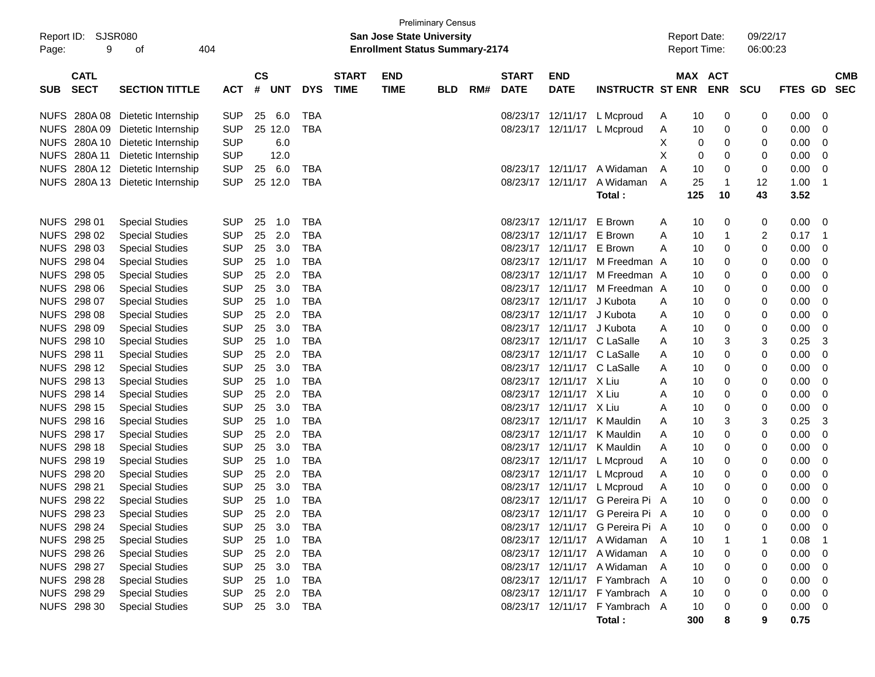| Report ID:<br>Page: | <b>Preliminary Census</b><br>SJSR080<br><b>San Jose State University</b><br>404<br><b>Enrollment Status Summary-2174</b><br>9<br>οf |                             |            |                    |      |            |                             |                           |            |     |                             |                           |                                  | <b>Report Date:</b><br><b>Report Time:</b> |         | 09/22/17<br>06:00:23 |    |                |    |                          |
|---------------------|-------------------------------------------------------------------------------------------------------------------------------------|-----------------------------|------------|--------------------|------|------------|-----------------------------|---------------------------|------------|-----|-----------------------------|---------------------------|----------------------------------|--------------------------------------------|---------|----------------------|----|----------------|----|--------------------------|
| <b>SUB</b>          | <b>CATL</b><br><b>SECT</b>                                                                                                          | <b>SECTION TITTLE</b>       | <b>ACT</b> | $\mathsf{cs}$<br># | UNT  | <b>DYS</b> | <b>START</b><br><b>TIME</b> | <b>END</b><br><b>TIME</b> | <b>BLD</b> | RM# | <b>START</b><br><b>DATE</b> | <b>END</b><br><b>DATE</b> | <b>INSTRUCTR ST ENR</b>          |                                            | MAX ACT | ENR SCU              |    | <b>FTES GD</b> |    | <b>CMB</b><br><b>SEC</b> |
| <b>NUFS</b>         | 280A 08                                                                                                                             | Dietetic Internship         | <b>SUP</b> | 25                 | 6.0  | TBA        |                             |                           |            |     |                             | 08/23/17 12/11/17         | L Mcproud                        | A                                          | 10      | 0                    | 0  | 0.00           | 0  |                          |
| <b>NUFS</b>         | 280A09                                                                                                                              | Dietetic Internship         | <b>SUP</b> | 25 12.0            |      | <b>TBA</b> |                             |                           |            |     |                             | 08/23/17 12/11/17         | L Mcproud                        | A                                          | 10      | 0                    | 0  | 0.00           | 0  |                          |
| <b>NUFS</b>         | 280A 10                                                                                                                             | Dietetic Internship         | <b>SUP</b> |                    | 6.0  |            |                             |                           |            |     |                             |                           |                                  | X                                          | 0       | 0                    | 0  | 0.00           | 0  |                          |
| <b>NUFS</b>         | 280A 11                                                                                                                             | Dietetic Internship         | <b>SUP</b> |                    | 12.0 |            |                             |                           |            |     |                             |                           |                                  | X                                          | 0       | 0                    | 0  | 0.00           | 0  |                          |
| <b>NUFS</b>         | 280A 12                                                                                                                             | Dietetic Internship         | <b>SUP</b> | 25                 | 6.0  | <b>TBA</b> |                             |                           |            |     |                             | 08/23/17 12/11/17         | A Widaman                        | A                                          | 10      | 0                    | 0  | 0.00           | 0  |                          |
| <b>NUFS</b>         |                                                                                                                                     | 280A 13 Dietetic Internship | <b>SUP</b> | 25 12.0            |      | TBA        |                             |                           |            |     |                             | 08/23/17 12/11/17         | A Widaman                        | A                                          | 25      | $\overline{1}$       | 12 | 1.00           | -1 |                          |
|                     |                                                                                                                                     |                             |            |                    |      |            |                             |                           |            |     |                             |                           | Total:                           |                                            | 125     | 10                   | 43 | 3.52           |    |                          |
|                     | NUFS 298 01                                                                                                                         | <b>Special Studies</b>      | <b>SUP</b> | 25                 | 1.0  | <b>TBA</b> |                             |                           |            |     |                             | 08/23/17 12/11/17         | E Brown                          | A                                          | 10      | 0                    | 0  | 0.00           | -0 |                          |
|                     | NUFS 298 02                                                                                                                         | <b>Special Studies</b>      | <b>SUP</b> | 25                 | 2.0  | <b>TBA</b> |                             |                           |            |     |                             | 08/23/17 12/11/17         | E Brown                          | Α                                          | 10      | $\mathbf{1}$         | 2  | 0.17           | -1 |                          |
| <b>NUFS</b>         | 298 03                                                                                                                              | <b>Special Studies</b>      | <b>SUP</b> | 25                 | 3.0  | <b>TBA</b> |                             |                           |            |     |                             | 08/23/17 12/11/17         | E Brown                          | A                                          | 10      | 0                    | 0  | 0.00           | 0  |                          |
|                     | NUFS 298 04                                                                                                                         | <b>Special Studies</b>      | <b>SUP</b> | 25                 | 1.0  | <b>TBA</b> |                             |                           |            |     |                             | 08/23/17 12/11/17         | M Freedman A                     |                                            | 10      | 0                    | 0  | 0.00           | 0  |                          |
|                     | NUFS 298 05                                                                                                                         | <b>Special Studies</b>      | <b>SUP</b> | 25                 | 2.0  | <b>TBA</b> |                             |                           |            |     |                             | 08/23/17 12/11/17         | M Freedman A                     |                                            | 10      | 0                    | 0  | 0.00           | 0  |                          |
|                     | NUFS 298 06                                                                                                                         | <b>Special Studies</b>      | <b>SUP</b> | 25                 | 3.0  | <b>TBA</b> |                             |                           |            |     |                             | 08/23/17 12/11/17         | M Freedman A                     |                                            | 10      | 0                    | 0  | 0.00           | 0  |                          |
|                     | NUFS 298 07                                                                                                                         | <b>Special Studies</b>      | <b>SUP</b> | 25                 | 1.0  | <b>TBA</b> |                             |                           |            |     |                             | 08/23/17 12/11/17         | J Kubota                         | Α                                          | 10      | 0                    | 0  | 0.00           | 0  |                          |
|                     | NUFS 298 08                                                                                                                         | <b>Special Studies</b>      | <b>SUP</b> | 25                 | 2.0  | <b>TBA</b> |                             |                           |            |     |                             | 08/23/17 12/11/17         | J Kubota                         | Α                                          | 10      | 0                    | 0  | 0.00           | 0  |                          |
|                     | NUFS 298 09                                                                                                                         | <b>Special Studies</b>      | <b>SUP</b> | 25                 | 3.0  | <b>TBA</b> |                             |                           |            |     |                             | 08/23/17 12/11/17         | J Kubota                         | Α                                          | 10      | 0                    | 0  | 0.00           | 0  |                          |
|                     | NUFS 298 10                                                                                                                         | <b>Special Studies</b>      | <b>SUP</b> | 25                 | 1.0  | <b>TBA</b> |                             |                           |            |     |                             | 08/23/17 12/11/17         | C LaSalle                        | Α                                          | 10      | 3                    | 3  | 0.25           | 3  |                          |
|                     | NUFS 298 11                                                                                                                         | <b>Special Studies</b>      | <b>SUP</b> | 25                 | 2.0  | <b>TBA</b> |                             |                           |            |     |                             |                           | 08/23/17 12/11/17 C LaSalle      | Α                                          | 10      | 0                    | 0  | 0.00           | 0  |                          |
|                     | NUFS 298 12                                                                                                                         | <b>Special Studies</b>      | <b>SUP</b> | 25                 | 3.0  | <b>TBA</b> |                             |                           |            |     |                             |                           | 08/23/17 12/11/17 C LaSalle      | Α                                          | 10      | 0                    | 0  | 0.00           | 0  |                          |
|                     | NUFS 298 13                                                                                                                         | <b>Special Studies</b>      | <b>SUP</b> | 25                 | 1.0  | <b>TBA</b> |                             |                           |            |     |                             | 08/23/17 12/11/17 X Liu   |                                  | Α                                          | 10      | 0                    | 0  | 0.00           | 0  |                          |
|                     | NUFS 298 14                                                                                                                         | <b>Special Studies</b>      | <b>SUP</b> | 25                 | 2.0  | <b>TBA</b> |                             |                           |            |     |                             | 08/23/17 12/11/17 X Liu   |                                  | Α                                          | 10      | 0                    | 0  | 0.00           | 0  |                          |
|                     | NUFS 298 15                                                                                                                         | <b>Special Studies</b>      | <b>SUP</b> | 25                 | 3.0  | <b>TBA</b> |                             |                           |            |     |                             | 08/23/17 12/11/17 X Liu   |                                  | Α                                          | 10      | 0                    | 0  | 0.00           | 0  |                          |
|                     | NUFS 298 16                                                                                                                         | <b>Special Studies</b>      | <b>SUP</b> | 25                 | 1.0  | <b>TBA</b> |                             |                           |            |     |                             | 08/23/17 12/11/17         | K Mauldin                        | Α                                          | 10      | 3                    | 3  | 0.25           | 3  |                          |
|                     | NUFS 298 17                                                                                                                         | <b>Special Studies</b>      | <b>SUP</b> | 25                 | 2.0  | <b>TBA</b> |                             |                           |            |     |                             | 08/23/17 12/11/17         | K Mauldin                        | Α                                          | 10      | 0                    | 0  | 0.00           | 0  |                          |
|                     | NUFS 298 18                                                                                                                         | <b>Special Studies</b>      | <b>SUP</b> | 25                 | 3.0  | <b>TBA</b> |                             |                           |            |     |                             | 08/23/17 12/11/17         | K Mauldin                        | Α                                          | 10      | 0                    | 0  | 0.00           | 0  |                          |
|                     | NUFS 298 19                                                                                                                         | <b>Special Studies</b>      | <b>SUP</b> | 25                 | 1.0  | <b>TBA</b> |                             |                           |            |     |                             | 08/23/17 12/11/17         | L Mcproud                        | Α                                          | 10      | 0                    | 0  | 0.00           | 0  |                          |
|                     | NUFS 298 20                                                                                                                         | <b>Special Studies</b>      | <b>SUP</b> | 25                 | 2.0  | <b>TBA</b> |                             |                           |            |     |                             | 08/23/17 12/11/17         | L Mcproud                        | A                                          | 10      | 0                    | 0  | 0.00           | 0  |                          |
| <b>NUFS</b>         | 298 21                                                                                                                              | <b>Special Studies</b>      | <b>SUP</b> | 25                 | 3.0  | <b>TBA</b> |                             |                           |            |     |                             | 08/23/17 12/11/17         | L Mcproud                        | Α                                          | 10      | 0                    | 0  | 0.00           | 0  |                          |
|                     | <b>NUFS 298 22</b>                                                                                                                  | <b>Special Studies</b>      | <b>SUP</b> | 25                 | 1.0  | <b>TBA</b> |                             |                           |            |     |                             |                           | 08/23/17 12/11/17 G Pereira Pi A |                                            | 10      | 0                    | 0  | 0.00           | 0  |                          |
|                     | NUFS 298 23                                                                                                                         | <b>Special Studies</b>      | <b>SUP</b> | 25                 | 2.0  | <b>TBA</b> |                             |                           |            |     |                             |                           | 08/23/17 12/11/17 G Pereira Pi A |                                            | 10      | 0                    |    | $0.00 \t 0$    |    |                          |
|                     | NUFS 298 24                                                                                                                         | <b>Special Studies</b>      | <b>SUP</b> | 25                 | 3.0  | TBA        |                             |                           |            |     |                             |                           | 08/23/17 12/11/17 G Pereira Pi A |                                            | 10      | 0                    |    | 0.00           | 0  |                          |
|                     | NUFS 298 25                                                                                                                         | <b>Special Studies</b>      | <b>SUP</b> | 25                 | 1.0  | <b>TBA</b> |                             |                           |            |     |                             |                           | 08/23/17 12/11/17 A Widaman A    |                                            | 10      |                      |    | 0.08           |    |                          |
|                     | NUFS 298 26                                                                                                                         | <b>Special Studies</b>      | <b>SUP</b> | 25                 | 2.0  | <b>TBA</b> |                             |                           |            |     |                             |                           | 08/23/17 12/11/17 A Widaman      | A                                          | 10      | 0                    | 0  | 0.00           | 0  |                          |
|                     | NUFS 298 27                                                                                                                         | <b>Special Studies</b>      | <b>SUP</b> | 25                 | 3.0  | <b>TBA</b> |                             |                           |            |     |                             |                           | 08/23/17 12/11/17 A Widaman      | A                                          | 10      | 0                    | 0  | 0.00           | 0  |                          |
|                     | <b>NUFS 298 28</b>                                                                                                                  | <b>Special Studies</b>      | <b>SUP</b> | 25                 | 1.0  | <b>TBA</b> |                             |                           |            |     |                             |                           | 08/23/17 12/11/17 F Yambrach A   |                                            | 10      | 0                    | 0  | 0.00           | 0  |                          |
|                     | NUFS 298 29                                                                                                                         | <b>Special Studies</b>      | <b>SUP</b> | 25                 | 2.0  | <b>TBA</b> |                             |                           |            |     |                             |                           | 08/23/17 12/11/17 F Yambrach A   |                                            | 10      | 0                    | 0  | 0.00           | 0  |                          |
|                     | NUFS 298 30                                                                                                                         | <b>Special Studies</b>      | <b>SUP</b> | 25 3.0             |      | TBA        |                             |                           |            |     |                             |                           | 08/23/17 12/11/17 F Yambrach A   |                                            | 10      | 0                    | 0  | 0.00           | 0  |                          |
|                     |                                                                                                                                     |                             |            |                    |      |            |                             |                           |            |     |                             |                           | Total:                           |                                            | 300     | 8                    | 9  | 0.75           |    |                          |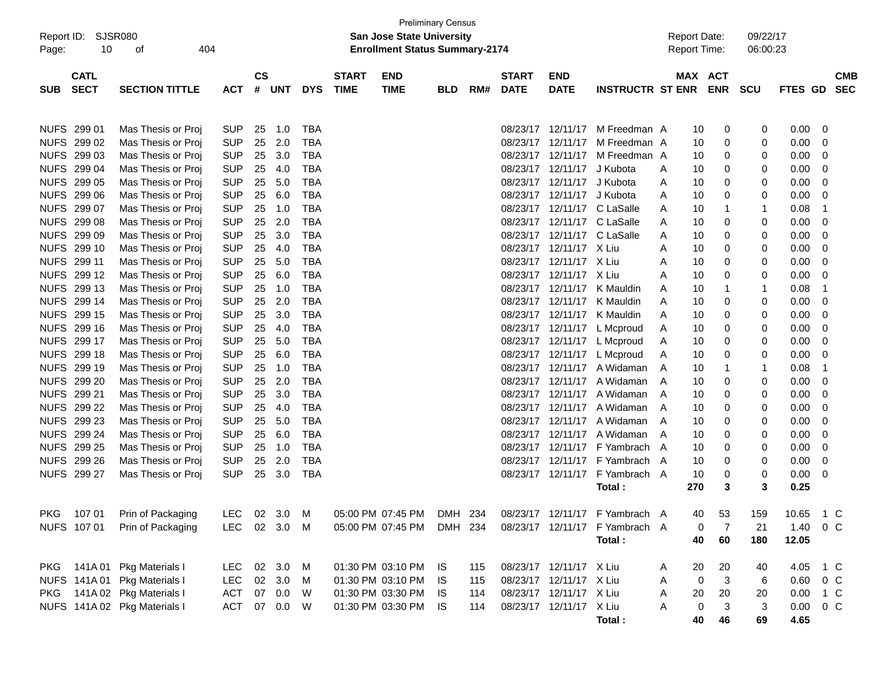| Report ID:<br>Page: | SJSR080<br>10 | 404<br>οf                    |              |               |            |            |              | <b>San Jose State University</b><br><b>Enrollment Status Summary-2174</b> | <b>Preliminary Census</b> |     |              |                         |                                                                   |   | <b>Report Date:</b><br>Report Time: |            | 09/22/17<br>06:00:23 |                |                |            |
|---------------------|---------------|------------------------------|--------------|---------------|------------|------------|--------------|---------------------------------------------------------------------------|---------------------------|-----|--------------|-------------------------|-------------------------------------------------------------------|---|-------------------------------------|------------|----------------------|----------------|----------------|------------|
|                     | <b>CATL</b>   |                              |              | $\mathsf{cs}$ |            |            | <b>START</b> | <b>END</b>                                                                |                           |     | <b>START</b> | <b>END</b>              |                                                                   |   | MAX ACT                             |            |                      |                |                | <b>CMB</b> |
| <b>SUB</b>          | <b>SECT</b>   | <b>SECTION TITTLE</b>        | <b>ACT</b>   | #             | <b>UNT</b> | <b>DYS</b> | <b>TIME</b>  | <b>TIME</b>                                                               | <b>BLD</b>                | RM# | <b>DATE</b>  | <b>DATE</b>             | <b>INSTRUCTR ST ENR</b>                                           |   |                                     | <b>ENR</b> | <b>SCU</b>           | <b>FTES GD</b> |                | <b>SEC</b> |
|                     |               |                              |              |               |            |            |              |                                                                           |                           |     |              |                         |                                                                   |   |                                     |            |                      |                |                |            |
|                     | NUFS 299 01   | Mas Thesis or Proj           | <b>SUP</b>   | 25            | 1.0        | <b>TBA</b> |              |                                                                           |                           |     | 08/23/17     | 12/11/17                | M Freedman A                                                      |   | 10                                  | 0          | 0                    | 0.00           | 0              |            |
|                     | NUFS 299 02   | Mas Thesis or Proj           | <b>SUP</b>   | 25            | 2.0        | <b>TBA</b> |              |                                                                           |                           |     | 08/23/17     | 12/11/17                | M Freedman A                                                      |   | 10                                  | 0          | 0                    | 0.00           | 0              |            |
|                     | NUFS 299 03   | Mas Thesis or Proj           | <b>SUP</b>   | 25            | 3.0        | <b>TBA</b> |              |                                                                           |                           |     | 08/23/17     | 12/11/17                | M Freedman A                                                      |   | 10                                  | 0          | 0                    | 0.00           | 0              |            |
|                     | NUFS 299 04   | Mas Thesis or Proj           | <b>SUP</b>   | 25            | 4.0        | <b>TBA</b> |              |                                                                           |                           |     | 08/23/17     | 12/11/17                | J Kubota                                                          | A | 10                                  | 0          | 0                    | 0.00           | 0              |            |
|                     | NUFS 299 05   | Mas Thesis or Proj           | <b>SUP</b>   | 25            | 5.0        | <b>TBA</b> |              |                                                                           |                           |     | 08/23/17     | 12/11/17                | J Kubota                                                          | A | 10                                  | 0          | 0                    | 0.00           | 0              |            |
|                     | NUFS 299 06   | Mas Thesis or Proj           | <b>SUP</b>   | 25            | 6.0        | <b>TBA</b> |              |                                                                           |                           |     | 08/23/17     | 12/11/17                | J Kubota                                                          | A | 10                                  | 0          | 0                    | 0.00           | 0              |            |
|                     | NUFS 299 07   | Mas Thesis or Proj           | <b>SUP</b>   | 25            | 1.0        | <b>TBA</b> |              |                                                                           |                           |     | 08/23/17     | 12/11/17                | C LaSalle                                                         | A | 10                                  | 1          | $\mathbf{1}$         | 0.08           | -1             |            |
|                     | NUFS 299 08   | Mas Thesis or Proj           | <b>SUP</b>   | 25            | 2.0        | <b>TBA</b> |              |                                                                           |                           |     | 08/23/17     | 12/11/17                | C LaSalle                                                         | A | 10                                  | 0          | 0                    | 0.00           | 0              |            |
|                     | NUFS 299 09   | Mas Thesis or Proj           | <b>SUP</b>   | 25            | 3.0        | <b>TBA</b> |              |                                                                           |                           |     | 08/23/17     | 12/11/17                | C LaSalle                                                         | A | 10                                  | 0          | 0                    | 0.00           | 0              |            |
|                     | NUFS 299 10   | Mas Thesis or Proj           | <b>SUP</b>   | 25            | 4.0        | <b>TBA</b> |              |                                                                           |                           |     | 08/23/17     | 12/11/17 X Liu          |                                                                   | A | 10                                  | 0          | 0                    | 0.00           | 0              |            |
|                     | NUFS 299 11   | Mas Thesis or Proj           | <b>SUP</b>   | 25            | 5.0        | <b>TBA</b> |              |                                                                           |                           |     | 08/23/17     | 12/11/17 X Liu          |                                                                   | A | 10                                  | 0          | 0                    | 0.00           | 0              |            |
|                     | NUFS 299 12   | Mas Thesis or Proj           | <b>SUP</b>   | 25            | 6.0        | <b>TBA</b> |              |                                                                           |                           |     | 08/23/17     | 12/11/17 X Liu          |                                                                   | A | 10                                  | 0          | 0                    | 0.00           | 0              |            |
|                     | NUFS 299 13   | Mas Thesis or Proj           | <b>SUP</b>   | 25            | 1.0        | <b>TBA</b> |              |                                                                           |                           |     | 08/23/17     | 12/11/17                | K Mauldin                                                         | A | 10                                  | 1          | 1                    | 0.08           | $\overline{1}$ |            |
|                     | NUFS 299 14   | Mas Thesis or Proj           | <b>SUP</b>   | 25            | 2.0        | <b>TBA</b> |              |                                                                           |                           |     | 08/23/17     | 12/11/17                | K Mauldin                                                         | A | 10                                  | 0          | 0                    | 0.00           | 0              |            |
|                     | NUFS 299 15   | Mas Thesis or Proj           | <b>SUP</b>   | 25            | 3.0        | <b>TBA</b> |              |                                                                           |                           |     | 08/23/17     | 12/11/17                | K Mauldin                                                         | A | 10                                  | 0          | 0                    | 0.00           | 0              |            |
|                     | NUFS 299 16   | Mas Thesis or Proj           | <b>SUP</b>   | 25            | 4.0        | <b>TBA</b> |              |                                                                           |                           |     | 08/23/17     | 12/11/17                | L Mcproud                                                         | A | 10                                  | 0          | 0                    | 0.00           | 0              |            |
|                     | NUFS 299 17   | Mas Thesis or Proj           | <b>SUP</b>   | 25            | 5.0        | <b>TBA</b> |              |                                                                           |                           |     | 08/23/17     |                         | 12/11/17 L Mcproud                                                | A | 10                                  | 0          | 0                    | 0.00           | 0              |            |
|                     | NUFS 299 18   | Mas Thesis or Proj           | <b>SUP</b>   | 25            | 6.0        | <b>TBA</b> |              |                                                                           |                           |     | 08/23/17     | 12/11/17                | L Mcproud                                                         | A | 10                                  | 0          | 0                    | 0.00           | 0              |            |
|                     | NUFS 299 19   | Mas Thesis or Proj           | <b>SUP</b>   | 25            | 1.0        | <b>TBA</b> |              |                                                                           |                           |     | 08/23/17     | 12/11/17                | A Widaman                                                         | A | 10                                  | 1          | $\mathbf{1}$         | 0.08           | -1             |            |
|                     | NUFS 299 20   | Mas Thesis or Proj           | <b>SUP</b>   | 25            | 2.0        | <b>TBA</b> |              |                                                                           |                           |     | 08/23/17     | 12/11/17                | A Widaman                                                         | A | 10                                  | 0          | 0                    | 0.00           | 0              |            |
|                     | NUFS 299 21   | Mas Thesis or Proj           | <b>SUP</b>   | 25            | 3.0        | <b>TBA</b> |              |                                                                           |                           |     | 08/23/17     | 12/11/17                | A Widaman                                                         | A | 10                                  | 0          | 0                    | 0.00           | 0              |            |
|                     | NUFS 299 22   | Mas Thesis or Proj           | <b>SUP</b>   | 25            | 4.0        | <b>TBA</b> |              |                                                                           |                           |     | 08/23/17     | 12/11/17                | A Widaman                                                         | A | 10                                  | 0          | 0                    | 0.00           | 0              |            |
|                     | NUFS 299 23   | Mas Thesis or Proj           | <b>SUP</b>   | 25            | 5.0        | <b>TBA</b> |              |                                                                           |                           |     | 08/23/17     | 12/11/17                | A Widaman                                                         | A | 10                                  | 0          | 0                    | 0.00           | 0              |            |
|                     | NUFS 299 24   | Mas Thesis or Proj           | <b>SUP</b>   | 25            | 6.0        | <b>TBA</b> |              |                                                                           |                           |     | 08/23/17     | 12/11/17                | A Widaman                                                         | A | 10                                  | 0          | 0                    | 0.00           | 0              |            |
|                     | NUFS 299 25   | Mas Thesis or Proj           | <b>SUP</b>   | 25            | 1.0        | <b>TBA</b> |              |                                                                           |                           |     | 08/23/17     |                         | 12/11/17 F Yambrach A                                             |   | 10                                  | 0          | 0                    | 0.00           | 0              |            |
|                     | NUFS 299 26   | Mas Thesis or Proj           | <b>SUP</b>   | 25            | 2.0        | <b>TBA</b> |              |                                                                           |                           |     | 08/23/17     | 12/11/17                | F Yambrach A                                                      |   | 10                                  | 0          | 0                    | 0.00           | 0              |            |
|                     | NUFS 299 27   | Mas Thesis or Proj           | <b>SUP</b>   | 25            | 3.0        | <b>TBA</b> |              |                                                                           |                           |     | 08/23/17     | 12/11/17                | F Yambrach A                                                      |   | 10                                  | 0          | 0                    | 0.00           | 0              |            |
|                     |               |                              |              |               |            |            |              |                                                                           |                           |     |              |                         | Total:                                                            |   | 270                                 | 3          | 3                    | 0.25           |                |            |
| <b>PKG</b>          |               | 107 01 Prin of Packaging     | <b>LEC</b>   |               |            |            |              |                                                                           |                           |     |              |                         | 02 3.0 M 05:00 PM 07:45 PM DMH 234 08/23/17 12/11/17 F Yambrach A |   | 40                                  | 53         | 159                  | 10.65          | 1 C            |            |
|                     | NUFS 107 01   | Prin of Packaging            | LEC 02 3.0 M |               |            |            |              | 05:00 PM 07:45 PM                                                         | DMH 234                   |     |              |                         | 08/23/17 12/11/17 F Yambrach A                                    |   | 0                                   | 7          | 21                   | 1.40           | 0 C            |            |
|                     |               |                              |              |               |            |            |              |                                                                           |                           |     |              |                         | Total:                                                            |   | 40                                  | 60         | 180                  | 12.05          |                |            |
|                     |               |                              |              |               |            |            |              |                                                                           |                           |     |              |                         |                                                                   |   |                                     |            |                      |                |                |            |
|                     | PKG 141A01    | Pkg Materials I              | LEC.         |               | 02 3.0     | M          |              | 01:30 PM 03:10 PM                                                         | IS.                       | 115 |              | 08/23/17 12/11/17 X Liu |                                                                   | A | 20                                  | 20         | 40                   | 4.05           | 1 C            |            |
|                     | NUFS 141A 01  | Pkg Materials I              | <b>LEC</b>   |               | 02 3.0     | M          |              | 01:30 PM 03:10 PM                                                         | IS.                       | 115 |              | 08/23/17 12/11/17 X Liu |                                                                   | A | 0                                   | 3          | 6                    | 0.60           | $0\,C$         |            |
| PKG                 |               | 141A 02 Pkg Materials I      | <b>ACT</b>   |               | 07 0.0     | W          |              | 01:30 PM 03:30 PM                                                         | IS.                       | 114 |              | 08/23/17 12/11/17 X Liu |                                                                   | Α | 20                                  | 20         | 20                   | 0.00           | 1 C            |            |
|                     |               | NUFS 141A 02 Pkg Materials I | <b>ACT</b>   |               | 07  0.0  W |            |              | 01:30 PM 03:30 PM                                                         | IS.                       | 114 |              | 08/23/17 12/11/17 X Liu |                                                                   | Α | 0                                   | 3          | 3                    | 0.00           | $0\,C$         |            |
|                     |               |                              |              |               |            |            |              |                                                                           |                           |     |              |                         | Total:                                                            |   | 40                                  | 46         | 69                   | 4.65           |                |            |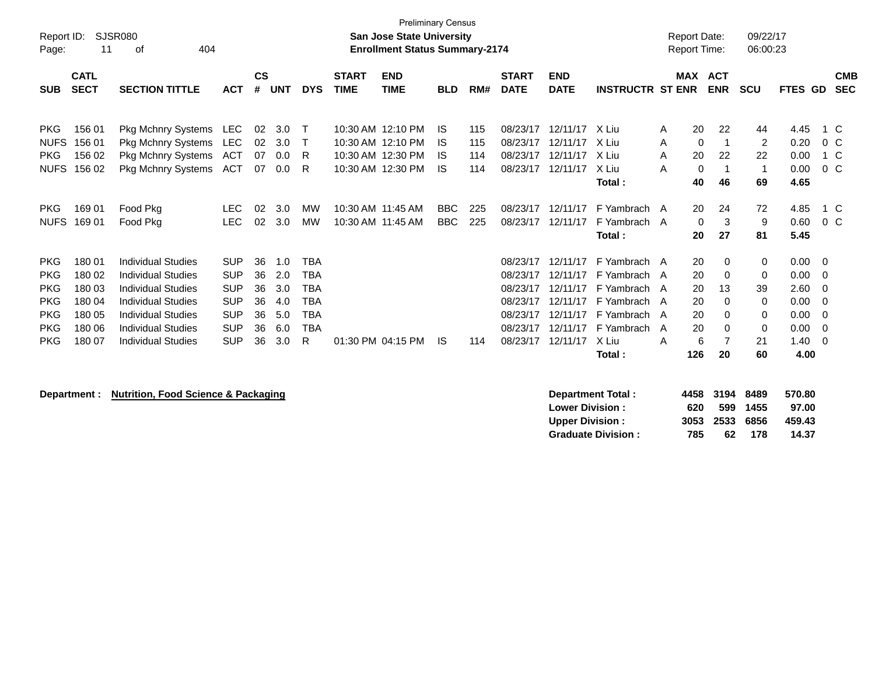| Report ID:<br>Page:                                                              | 11                                                       | SJSR080<br>404<br>οf                                                                                                                                                |                                                                                  |                                  |                                        |                                                                                  |                             | <b>Preliminary Census</b><br><b>San Jose State University</b><br><b>Enrollment Status Summary-2174</b> |                          |            |                                                                      |                                                                      |                                                                                          | <b>Report Date:</b><br><b>Report Time:</b> |                             | 09/22/17<br>06:00:23                  |                                              |                                                                       |
|----------------------------------------------------------------------------------|----------------------------------------------------------|---------------------------------------------------------------------------------------------------------------------------------------------------------------------|----------------------------------------------------------------------------------|----------------------------------|----------------------------------------|----------------------------------------------------------------------------------|-----------------------------|--------------------------------------------------------------------------------------------------------|--------------------------|------------|----------------------------------------------------------------------|----------------------------------------------------------------------|------------------------------------------------------------------------------------------|--------------------------------------------|-----------------------------|---------------------------------------|----------------------------------------------|-----------------------------------------------------------------------|
| <b>SUB</b>                                                                       | <b>CATL</b><br><b>SECT</b>                               | <b>SECTION TITTLE</b>                                                                                                                                               | <b>ACT</b>                                                                       | <b>CS</b><br>#                   | <b>UNT</b>                             | <b>DYS</b>                                                                       | <b>START</b><br><b>TIME</b> | <b>END</b><br><b>TIME</b>                                                                              | <b>BLD</b>               | RM#        | <b>START</b><br><b>DATE</b>                                          | <b>END</b><br><b>DATE</b>                                            | <b>INSTRUCTR ST ENR</b>                                                                  | <b>MAX</b>                                 | <b>ACT</b><br><b>ENR</b>    | <b>SCU</b>                            | FTES GD                                      | <b>CMB</b><br><b>SEC</b>                                              |
| <b>PKG</b><br><b>NUFS</b>                                                        | 156 01<br>156 01                                         | Pkg Mchnry Systems<br><b>Pkg Mchnry Systems</b>                                                                                                                     | LEC<br><b>LEC</b>                                                                | 02<br>02                         | 3.0<br>3.0                             | $\top$<br>т                                                                      |                             | 10:30 AM 12:10 PM<br>10:30 AM 12:10 PM                                                                 | IS<br>IS.                | 115<br>115 | 08/23/17<br>08/23/17                                                 | 12/11/17 X Liu<br>12/11/17                                           | X Liu                                                                                    | 20<br>A<br>A                               | 22<br>0<br>-1               | 44<br>2                               | 4.45<br>0.20                                 | 1 C<br>$0\,$ C                                                        |
| <b>PKG</b><br><b>NUFS</b>                                                        | 156 02<br>156 02                                         | Pkg Mchnry Systems<br><b>Pkg Mchnry Systems</b>                                                                                                                     | ACT<br>ACT                                                                       | 07<br>07                         | 0.0<br>0.0                             | R<br>R                                                                           |                             | 10:30 AM 12:30 PM<br>10:30 AM 12:30 PM                                                                 | IS<br>IS.                | 114<br>114 | 08/23/17<br>08/23/17                                                 | 12/11/17<br>12/11/17                                                 | X Liu<br>X Liu<br>Total:                                                                 | 20<br>A<br>A<br>40                         | 22<br>$\Omega$<br>46        | 22<br>$\mathbf{1}$<br>69              | 0.00<br>0.00<br>4.65                         | 1 C<br>0 C                                                            |
| <b>PKG</b><br><b>NUFS</b>                                                        | 169 01<br>169 01                                         | Food Pkg<br>Food Pkg                                                                                                                                                | <b>LEC</b><br><b>LEC</b>                                                         | 02<br>02                         | 3.0<br>3.0                             | <b>MW</b><br><b>MW</b>                                                           | 10:30 AM 11:45 AM           | 10:30 AM 11:45 AM                                                                                      | <b>BBC</b><br><b>BBC</b> | 225<br>225 | 08/23/17<br>08/23/17                                                 | 12/11/17<br>12/11/17                                                 | F Yambrach A<br>F Yambrach A<br>Total:                                                   | 20<br>20                                   | 24<br>3<br>0<br>27          | 72<br>9<br>81                         | 4.85<br>0.60<br>5.45                         | 1 C<br>$0\,$ C                                                        |
| <b>PKG</b><br><b>PKG</b><br><b>PKG</b><br><b>PKG</b><br><b>PKG</b><br><b>PKG</b> | 180 01<br>180 02<br>180 03<br>180 04<br>180 05<br>180 06 | <b>Individual Studies</b><br>Individual Studies<br><b>Individual Studies</b><br><b>Individual Studies</b><br><b>Individual Studies</b><br><b>Individual Studies</b> | <b>SUP</b><br><b>SUP</b><br><b>SUP</b><br><b>SUP</b><br><b>SUP</b><br><b>SUP</b> | 36<br>36<br>36<br>36<br>36<br>36 | 1.0<br>2.0<br>3.0<br>4.0<br>5.0<br>6.0 | <b>TBA</b><br><b>TBA</b><br><b>TBA</b><br><b>TBA</b><br><b>TBA</b><br><b>TBA</b> |                             |                                                                                                        |                          |            | 08/23/17<br>08/23/17<br>08/23/17<br>08/23/17<br>08/23/17<br>08/23/17 | 12/11/17<br>12/11/17<br>12/11/17<br>12/11/17<br>12/11/17<br>12/11/17 | F Yambrach A<br>F Yambrach A<br>F Yambrach A<br>F Yambrach<br>F Yambrach A<br>F Yambrach | 20<br>20<br>20<br>20<br>A<br>20<br>20<br>A | 0<br>0<br>13<br>0<br>0<br>0 | 0<br>0<br>39<br>$\mathbf 0$<br>0<br>0 | 0.00<br>0.00<br>2.60<br>0.00<br>0.00<br>0.00 | $\overline{\mathbf{0}}$<br>- 0<br>$\overline{0}$<br>- 0<br>- 0<br>- 0 |
| <b>PKG</b>                                                                       | 180 07                                                   | <b>Individual Studies</b>                                                                                                                                           | <b>SUP</b>                                                                       | 36                               | 3.0                                    | R                                                                                |                             | 01:30 PM 04:15 PM                                                                                      | IS.                      | 114        | 08/23/17                                                             | 12/11/17                                                             | X Liu<br>Total:                                                                          | A<br>126                                   | 6<br>20                     | 21<br>60                              | 1.40<br>4.00                                 | - 0                                                                   |

**Department : Nutrition, Food Science & Packaging** 

| Department Total:         |     | 4458 3194 8489 |          | 570.80 |
|---------------------------|-----|----------------|----------|--------|
| <b>Lower Division:</b>    | 620 |                | 599 1455 | 97.00  |
| <b>Upper Division:</b>    |     | 3053 2533 6856 |          | 459.43 |
| <b>Graduate Division:</b> | 785 | 62.            | 178      | 14.37  |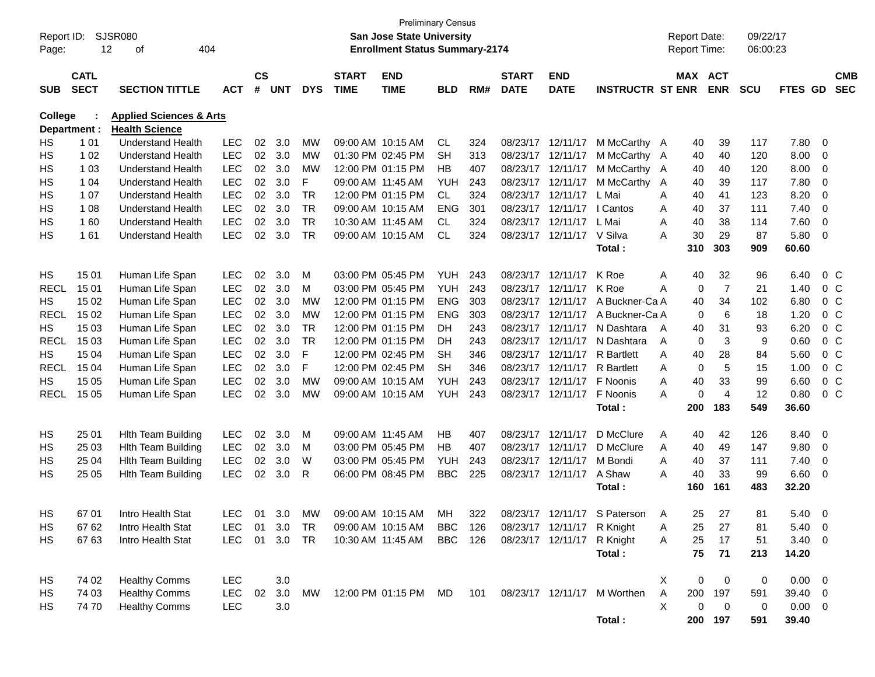| Report ID:  |              | <b>SJSR080</b>                     |            |               |               |            |                   | <b>Preliminary Census</b><br>San Jose State University |            |     |                         |                            |                         | <b>Report Date:</b> |     |                | 09/22/17   |         |                         |                |
|-------------|--------------|------------------------------------|------------|---------------|---------------|------------|-------------------|--------------------------------------------------------|------------|-----|-------------------------|----------------------------|-------------------------|---------------------|-----|----------------|------------|---------|-------------------------|----------------|
| Page:       |              | 12<br>404<br>of                    |            |               |               |            |                   | <b>Enrollment Status Summary-2174</b>                  |            |     |                         |                            |                         | Report Time:        |     |                | 06:00:23   |         |                         |                |
|             |              |                                    |            |               |               |            |                   |                                                        |            |     |                         |                            |                         |                     |     |                |            |         |                         |                |
|             | <b>CATL</b>  |                                    |            | $\mathsf{cs}$ |               |            | <b>START</b>      | <b>END</b>                                             |            |     | <b>START</b>            | <b>END</b>                 |                         |                     |     | MAX ACT        |            |         |                         | <b>CMB</b>     |
| <b>SUB</b>  | <b>SECT</b>  | <b>SECTION TITTLE</b>              | <b>ACT</b> | #             | <b>UNT</b>    | <b>DYS</b> | <b>TIME</b>       | <b>TIME</b>                                            | <b>BLD</b> | RM# | <b>DATE</b>             | <b>DATE</b>                | <b>INSTRUCTR ST ENR</b> |                     |     | <b>ENR</b>     | <b>SCU</b> | FTES GD |                         | <b>SEC</b>     |
| College     |              | <b>Applied Sciences &amp; Arts</b> |            |               |               |            |                   |                                                        |            |     |                         |                            |                         |                     |     |                |            |         |                         |                |
|             | Department : | <b>Health Science</b>              |            |               |               |            |                   |                                                        |            |     |                         |                            |                         |                     |     |                |            |         |                         |                |
| HS          | 1 0 1        | <b>Understand Health</b>           | <b>LEC</b> | 02            | 3.0           | МW         |                   | 09:00 AM 10:15 AM                                      | CL         | 324 | 08/23/17                | 12/11/17                   | M McCarthy A            |                     | 40  | 39             | 117        | 7.80    | 0                       |                |
| HS          | 1 0 2        | <b>Understand Health</b>           | <b>LEC</b> | 02            | 3.0           | MW         |                   | 01:30 PM 02:45 PM                                      | <b>SH</b>  | 313 | 08/23/17                | 12/11/17                   | M McCarthy A            |                     | 40  | 40             | 120        | 8.00    | 0                       |                |
| HS          | 1 0 3        | <b>Understand Health</b>           | <b>LEC</b> | 02            | 3.0           | МW         |                   | 12:00 PM 01:15 PM                                      | НB         | 407 | 08/23/17                | 12/11/17                   | M McCarthy A            |                     | 40  | 40             | 120        | 8.00    | 0                       |                |
| НS          | 1 04         | <b>Understand Health</b>           | <b>LEC</b> | 02            | 3.0           | F          |                   | 09:00 AM 11:45 AM                                      | <b>YUH</b> | 243 | 08/23/17                | 12/11/17                   | M McCarthy              | A                   | 40  | 39             | 117        | 7.80    | 0                       |                |
| HS          | 1 0 7        | <b>Understand Health</b>           | <b>LEC</b> | 02            | 3.0           | TR         |                   | 12:00 PM 01:15 PM                                      | <b>CL</b>  | 324 | 08/23/17                | 12/11/17                   | L Mai                   | A                   | 40  | 41             | 123        | 8.20    | 0                       |                |
| HS          | 1 0 8        | <b>Understand Health</b>           | <b>LEC</b> | 02            | 3.0           | <b>TR</b>  |                   | 09:00 AM 10:15 AM                                      | ENG        | 301 | 08/23/17                | 12/11/17                   | I Cantos                | A                   | 40  | 37             | 111        | 7.40    | 0                       |                |
| НS          | 160          | <b>Understand Health</b>           | <b>LEC</b> | 02            | 3.0           | <b>TR</b>  |                   | 10:30 AM 11:45 AM                                      | CL.        | 324 | 08/23/17                | 12/11/17                   | L Mai                   | A                   | 40  | 38             | 114        | 7.60    | 0                       |                |
| HS          | 161          | <b>Understand Health</b>           | <b>LEC</b> | 02            | 3.0           | <b>TR</b>  |                   | 09:00 AM 10:15 AM                                      | <b>CL</b>  | 324 | 08/23/17                | 12/11/17                   | V Silva                 | A                   | 30  | 29             | 87         | 5.80    | 0                       |                |
|             |              |                                    |            |               |               |            |                   |                                                        |            |     |                         |                            | Total:                  |                     | 310 | 303            | 909        | 60.60   |                         |                |
| HS          | 15 01        | Human Life Span                    | <b>LEC</b> | 02            | 3.0           | M          |                   | 03:00 PM 05:45 PM                                      | <b>YUH</b> | 243 | 08/23/17                | 12/11/17                   | K Roe                   | Α                   | 40  | 32             | 96         | 6.40    |                         | 0 <sup>C</sup> |
| <b>RECL</b> | 15 01        | Human Life Span                    | <b>LEC</b> | 02            | 3.0           | M          |                   | 03:00 PM 05:45 PM                                      | <b>YUH</b> | 243 | 08/23/17                | 12/11/17                   | K Roe                   | A                   | 0   | $\overline{7}$ | 21         | 1.40    |                         | $0\,C$         |
| HS          | 15 02        | Human Life Span                    | <b>LEC</b> | 02            | 3.0           | MW         |                   | 12:00 PM 01:15 PM                                      | <b>ENG</b> | 303 | 08/23/17                | 12/11/17                   | A Buckner-Ca A          |                     | 40  | 34             | 102        | 6.80    |                         | $0\,C$         |
| <b>RECL</b> | 15 02        | Human Life Span                    | <b>LEC</b> | 02            | 3.0           | MW         |                   | 12:00 PM 01:15 PM                                      | <b>ENG</b> | 303 | 08/23/17                | 12/11/17                   | A Buckner-Ca A          |                     | 0   | 6              | 18         | 1.20    | 0 <sup>o</sup>          |                |
| HS          | 15 03        | Human Life Span                    | <b>LEC</b> | 02            | 3.0           | <b>TR</b>  |                   | 12:00 PM 01:15 PM                                      | DH         | 243 | 08/23/17                | 12/11/17                   | N Dashtara              | A                   | 40  | 31             | 93         | 6.20    | 0 <sup>o</sup>          |                |
| <b>RECL</b> | 15 03        | Human Life Span                    | <b>LEC</b> | 02            | 3.0           | <b>TR</b>  |                   | 12:00 PM 01:15 PM                                      | DН         | 243 | 08/23/17                | 12/11/17                   | N Dashtara              | A                   | 0   | 3              | 9          | 0.60    | 0 <sup>o</sup>          |                |
| HS          | 15 04        | Human Life Span                    | <b>LEC</b> | 02            | 3.0           | F          |                   | 12:00 PM 02:45 PM                                      | SН         | 346 | 08/23/17                | 12/11/17                   | <b>R</b> Bartlett       | A                   | 40  | 28             | 84         | 5.60    | 0 <sup>o</sup>          |                |
| <b>RECL</b> | 15 04        | Human Life Span                    | <b>LEC</b> | 02            | 3.0           | F          |                   | 12:00 PM 02:45 PM                                      | <b>SH</b>  | 346 | 08/23/17                | 12/11/17                   | <b>R</b> Bartlett       | A                   | 0   | 5              | 15         | 1.00    | 0 <sup>o</sup>          |                |
| HS          | 15 05        | Human Life Span                    | <b>LEC</b> | 02            | 3.0           | <b>MW</b>  |                   | 09:00 AM 10:15 AM                                      | <b>YUH</b> | 243 | 08/23/17                | 12/11/17                   | F Noonis                | A                   | 40  | 33             | 99         | 6.60    | 0 <sup>o</sup>          |                |
| <b>RECL</b> | 15 05        | Human Life Span                    | <b>LEC</b> | 02            | 3.0           | МW         |                   | 09:00 AM 10:15 AM                                      | <b>YUH</b> | 243 | 08/23/17                | 12/11/17                   | F Noonis                | A                   | 0   | $\overline{4}$ | 12         | 0.80    | 0 <sup>o</sup>          |                |
|             |              |                                    |            |               |               |            |                   |                                                        |            |     |                         |                            | Total:                  |                     | 200 | 183            | 549        | 36.60   |                         |                |
|             |              |                                    |            |               |               |            |                   |                                                        |            |     |                         |                            |                         |                     |     |                |            |         |                         |                |
| HS          | 25 01        | <b>Hith Team Building</b>          | <b>LEC</b> | 02            | 3.0           | M          | 09:00 AM 11:45 AM |                                                        | HB         | 407 | 08/23/17                | 12/11/17                   | D McClure               | A                   | 40  | 42             | 126        | 8.40    | 0                       |                |
| HS          | 25 03        | <b>Hith Team Building</b>          | <b>LEC</b> | 02            | 3.0           | M          |                   | 03:00 PM 05:45 PM                                      | НB         | 407 | 08/23/17                | 12/11/17                   | D McClure               | Α                   | 40  | 49             | 147        | 9.80    | 0                       |                |
| НS          | 25 04        | <b>Hith Team Building</b>          | <b>LEC</b> | 02            | 3.0           | W          |                   | 03:00 PM 05:45 PM                                      | <b>YUH</b> | 243 | 08/23/17                | 12/11/17                   | M Bondi                 | A                   | 40  | 37             | 111        | 7.40    | 0                       |                |
| HS          | 25 05        | <b>Hith Team Building</b>          | <b>LEC</b> | 02            | 3.0           | R          |                   | 06:00 PM 08:45 PM                                      | <b>BBC</b> | 225 |                         | 08/23/17 12/11/17          | A Shaw                  | A                   | 40  | 33             | 99         | 6.60    | 0                       |                |
|             |              |                                    |            |               |               |            |                   |                                                        |            |     |                         |                            | Total:                  |                     | 160 | 161            | 483        | 32.20   |                         |                |
| HS          | 67 01        | Intro Health Stat                  | LEC.       | 01            | $3.0^{\circ}$ | MW         |                   | 09:00 AM 10:15 AM                                      | МH         | 322 |                         | 08/23/17 12/11/17          | S Paterson              | A                   | 25. | 27             | 81         | 5.40    | - 0                     |                |
| HS          | 67 62        | Intro Health Stat                  | LEC        | 01            | 3.0           | TR         |                   | 09:00 AM 10:15 AM                                      | BBC        | 126 |                         | 08/23/17 12/11/17 R Knight |                         | A                   | 25  | 27             | 81         | 5.40    | - 0                     |                |
| HS          | 67 63        | Intro Health Stat                  | <b>LEC</b> | 01            | 3.0           | TR         |                   | 10:30 AM 11:45 AM                                      | BBC        | 126 |                         | 08/23/17 12/11/17          | R Knight                | A                   | 25  | 17             | 51         | 3.40    | $\overline{\mathbf{0}}$ |                |
|             |              |                                    |            |               |               |            |                   |                                                        |            |     |                         |                            | Total:                  |                     | 75  | 71             | 213        | 14.20   |                         |                |
|             |              |                                    |            |               |               |            |                   |                                                        |            |     |                         |                            |                         |                     |     |                |            |         |                         |                |
| HS          | 74 02        | <b>Healthy Comms</b>               | LEC        |               | 3.0           |            |                   |                                                        |            |     |                         |                            |                         | X.                  | 0   | 0              | 0          | 0.00    | - 0                     |                |
| HS          | 74 03        | <b>Healthy Comms</b>               | <b>LEC</b> | 02            | 3.0           | MW         |                   | 12:00 PM 01:15 PM MD                                   |            |     | 101  08/23/17  12/11/17 |                            | M Worthen               | Α                   | 200 | 197            | 591        | 39.40   | - 0                     |                |
| HS          | 7470         | <b>Healthy Comms</b>               | <b>LEC</b> |               | 3.0           |            |                   |                                                        |            |     |                         |                            |                         | Χ                   | 0   | 0              | 0          | 0.00    | $\overline{\mathbf{0}}$ |                |
|             |              |                                    |            |               |               |            |                   |                                                        |            |     |                         |                            | Total:                  |                     |     | 200 197        | 591        | 39.40   |                         |                |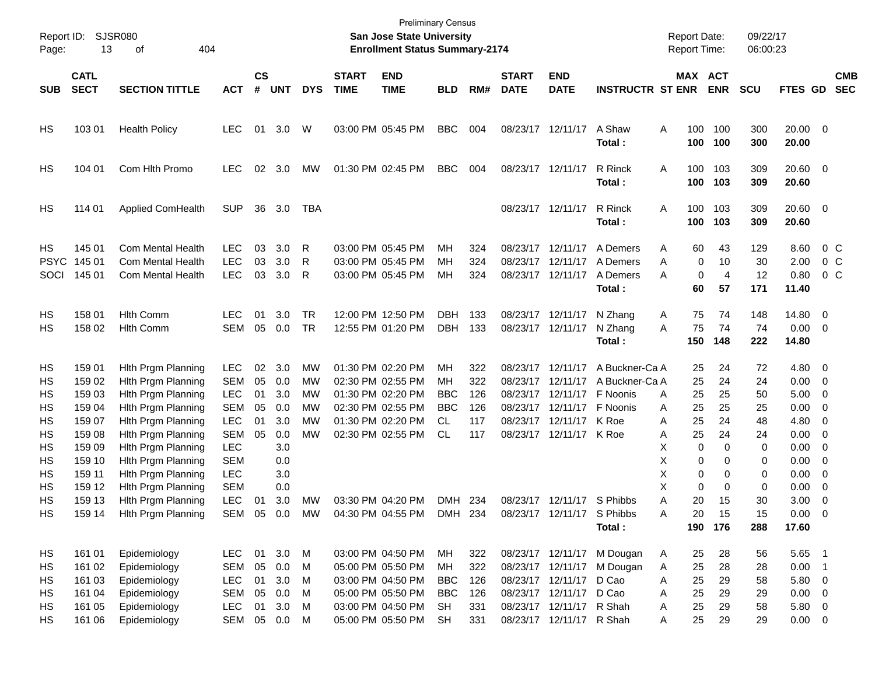| Report ID:<br>Page:                                                  | 13                                                                                                                   | <b>SJSR080</b><br>404<br>of                                                                                                                                                                                                                                          |                                                                                                                                                               |                                              |                                                                                  |                                                     |                             | <b>Preliminary Census</b><br>San Jose State University<br><b>Enrollment Status Summary-2174</b>                                                 |                                                                                      |                                        |                             |                                                                                                                                                                                     |                                                                                         | <b>Report Date:</b><br>Report Time:                                                                                |                                                                             | 09/22/17<br>06:00:23                                                    |                                                                                                                |                                                                                                                                                                                                                                          |                                     |
|----------------------------------------------------------------------|----------------------------------------------------------------------------------------------------------------------|----------------------------------------------------------------------------------------------------------------------------------------------------------------------------------------------------------------------------------------------------------------------|---------------------------------------------------------------------------------------------------------------------------------------------------------------|----------------------------------------------|----------------------------------------------------------------------------------|-----------------------------------------------------|-----------------------------|-------------------------------------------------------------------------------------------------------------------------------------------------|--------------------------------------------------------------------------------------|----------------------------------------|-----------------------------|-------------------------------------------------------------------------------------------------------------------------------------------------------------------------------------|-----------------------------------------------------------------------------------------|--------------------------------------------------------------------------------------------------------------------|-----------------------------------------------------------------------------|-------------------------------------------------------------------------|----------------------------------------------------------------------------------------------------------------|------------------------------------------------------------------------------------------------------------------------------------------------------------------------------------------------------------------------------------------|-------------------------------------|
| <b>SUB</b>                                                           | <b>CATL</b><br><b>SECT</b>                                                                                           | <b>SECTION TITTLE</b>                                                                                                                                                                                                                                                | <b>ACT</b>                                                                                                                                                    | $\mathsf{cs}$<br>#                           | <b>UNT</b>                                                                       | <b>DYS</b>                                          | <b>START</b><br><b>TIME</b> | <b>END</b><br><b>TIME</b>                                                                                                                       | <b>BLD</b>                                                                           | RM#                                    | <b>START</b><br><b>DATE</b> | <b>END</b><br><b>DATE</b>                                                                                                                                                           | <b>INSTRUCTR ST ENR</b>                                                                 | MAX ACT                                                                                                            | <b>ENR</b>                                                                  | <b>SCU</b>                                                              | FTES GD                                                                                                        |                                                                                                                                                                                                                                          | <b>CMB</b><br><b>SEC</b>            |
| HS                                                                   | 103 01                                                                                                               | <b>Health Policy</b>                                                                                                                                                                                                                                                 | LEC.                                                                                                                                                          | 01                                           | 3.0                                                                              | W                                                   | 03:00 PM 05:45 PM           |                                                                                                                                                 | <b>BBC</b>                                                                           | 004                                    |                             | 08/23/17 12/11/17                                                                                                                                                                   | A Shaw<br>Total:                                                                        | 100<br>A<br>100                                                                                                    | 100<br>100                                                                  | 300<br>300                                                              | $20.00 \t 0$<br>20.00                                                                                          |                                                                                                                                                                                                                                          |                                     |
| HS                                                                   | 104 01                                                                                                               | Com Hlth Promo                                                                                                                                                                                                                                                       | <b>LEC</b>                                                                                                                                                    | 02                                           | 3.0                                                                              | МW                                                  | 01:30 PM 02:45 PM           |                                                                                                                                                 | <b>BBC</b>                                                                           | 004                                    | 08/23/17 12/11/17           |                                                                                                                                                                                     | R Rinck<br>Total:                                                                       | 100<br>Α<br>100                                                                                                    | 103<br>103                                                                  | 309<br>309                                                              | $20.60$ 0<br>20.60                                                                                             |                                                                                                                                                                                                                                          |                                     |
| HS                                                                   | 114 01                                                                                                               | Applied ComHealth                                                                                                                                                                                                                                                    | <b>SUP</b>                                                                                                                                                    | 36                                           | 3.0                                                                              | TBA                                                 |                             |                                                                                                                                                 |                                                                                      |                                        |                             | 08/23/17 12/11/17                                                                                                                                                                   | R Rinck<br>Total:                                                                       | 100<br>Α<br>100                                                                                                    | 103<br>103                                                                  | 309<br>309                                                              | $20.60$ 0<br>20.60                                                                                             |                                                                                                                                                                                                                                          |                                     |
| HS<br><b>PSYC</b><br>SOCI                                            | 145 01<br>145 01<br>145 01                                                                                           | <b>Com Mental Health</b><br>Com Mental Health<br><b>Com Mental Health</b>                                                                                                                                                                                            | LEC.<br><b>LEC</b><br><b>LEC</b>                                                                                                                              | 03<br>03<br>03                               | 3.0<br>3.0<br>3.0                                                                | R<br>R<br>R                                         | 03:00 PM 05:45 PM           | 03:00 PM 05:45 PM<br>03:00 PM 05:45 PM                                                                                                          | MН<br>MН<br>MН                                                                       | 324<br>324<br>324                      |                             | 08/23/17 12/11/17<br>08/23/17 12/11/17<br>08/23/17 12/11/17                                                                                                                         | A Demers<br>A Demers<br>A Demers<br>Total:                                              | 60<br>Α<br>0<br>A<br>0<br>A<br>60                                                                                  | 43<br>10<br>$\overline{4}$<br>57                                            | 129<br>30<br>12<br>171                                                  | 8.60<br>2.00<br>0.80<br>11.40                                                                                  |                                                                                                                                                                                                                                          | $0\,$ C<br>0 <sup>o</sup><br>$0\,C$ |
| HS<br>НS                                                             | 158 01<br>158 02                                                                                                     | <b>Hith Comm</b><br><b>Hlth Comm</b>                                                                                                                                                                                                                                 | <b>LEC</b><br><b>SEM</b>                                                                                                                                      | 01<br>05                                     | 3.0<br>0.0                                                                       | <b>TR</b><br><b>TR</b>                              |                             | 12:00 PM 12:50 PM<br>12:55 PM 01:20 PM                                                                                                          | <b>DBH</b><br><b>DBH</b>                                                             | 133<br>133                             | 08/23/17 12/11/17           | 08/23/17 12/11/17                                                                                                                                                                   | N Zhang<br>N Zhang<br>Total:                                                            | 75<br>A<br>75<br>A<br>150                                                                                          | 74<br>74<br>148                                                             | 148<br>74<br>222                                                        | 14.80 0<br>$0.00 \t 0$<br>14.80                                                                                |                                                                                                                                                                                                                                          |                                     |
| HS<br>НS<br>НS<br>НS<br>HS<br>HS<br>HS<br>НS<br>НS<br>HS<br>HS<br>HS | 159 01<br>159 02<br>159 03<br>159 04<br>159 07<br>159 08<br>159 09<br>159 10<br>159 11<br>159 12<br>159 13<br>159 14 | Hith Prgm Planning<br>Hith Prgm Planning<br>Hith Prgm Planning<br>Hith Prgm Planning<br>Hith Prgm Planning<br>Hith Prgm Planning<br>Hith Prgm Planning<br>Hith Prgm Planning<br>Hith Prgm Planning<br>Hith Prgm Planning<br>Hith Prgm Planning<br>Hith Prgm Planning | <b>LEC</b><br><b>SEM</b><br><b>LEC</b><br><b>SEM</b><br><b>LEC</b><br><b>SEM</b><br><b>LEC</b><br><b>SEM</b><br><b>LEC</b><br><b>SEM</b><br><b>LEC</b><br>SEM | 02<br>05<br>01<br>05<br>01<br>05<br>01<br>05 | 3.0<br>0.0<br>3.0<br>0.0<br>3.0<br>0.0<br>3.0<br>0.0<br>3.0<br>0.0<br>3.0<br>0.0 | MW<br>MW<br>MW<br>MW<br><b>MW</b><br>MW<br>MW<br>MW | 01:30 PM 02:20 PM           | 02:30 PM 02:55 PM<br>01:30 PM 02:20 PM<br>02:30 PM 02:55 PM<br>01:30 PM 02:20 PM<br>02:30 PM 02:55 PM<br>03:30 PM 04:20 PM<br>04:30 PM 04:55 PM | MН<br>MН<br><b>BBC</b><br><b>BBC</b><br><b>CL</b><br><b>CL</b><br>DMH 234<br>DMH 234 | 322<br>322<br>126<br>126<br>117<br>117 |                             | 08/23/17 12/11/17<br>08/23/17 12/11/17<br>08/23/17 12/11/17<br>08/23/17 12/11/17<br>08/23/17 12/11/17<br>08/23/17 12/11/17 K Roe<br>08/23/17 12/11/17<br>08/23/17 12/11/17 S Phibbs | A Buckner-Ca A<br>A Buckner-Ca A<br>F Noonis<br>F Noonis<br>K Roe<br>S Phibbs<br>Total: | 25<br>25<br>25<br>A<br>25<br>A<br>25<br>Α<br>25<br>Α<br>0<br>х<br>Х<br>0<br>Х<br>0<br>Х<br>0<br>Α<br>20<br>20<br>А | 24<br>24<br>25<br>25<br>24<br>24<br>0<br>0<br>0<br>0<br>15<br>15<br>190 176 | 72<br>24<br>50<br>25<br>48<br>24<br>0<br>0<br>0<br>0<br>30<br>15<br>288 | 4.80 0<br>$0.00 \t 0$<br>5.00<br>0.00<br>4.80<br>0.00<br>0.00<br>0.00<br>0.00<br>0.00<br>3.00<br>0.00<br>17.60 | $\overline{\phantom{0}}$<br>$\overline{\phantom{0}}$<br>$\overline{\phantom{0}}$<br>$\overline{\mathbf{0}}$<br>$\overline{\phantom{0}}$<br>$\overline{\phantom{0}}$<br>$\overline{\phantom{0}}$<br>$\overline{\mathbf{0}}$<br>- 0<br>- 0 |                                     |
| HS<br>HS<br>HS<br>НS<br>HS<br>HS                                     | 161 01<br>161 02<br>161 03<br>161 04<br>161 05<br>161 06                                                             | Epidemiology<br>Epidemiology<br>Epidemiology<br>Epidemiology<br>Epidemiology<br>Epidemiology                                                                                                                                                                         | LEC<br><b>SEM</b><br><b>LEC</b><br><b>SEM</b><br><b>LEC</b><br>SEM                                                                                            | 01<br>05<br>01<br>05<br>01                   | 3.0<br>0.0<br>3.0<br>0.0<br>3.0<br>05  0.0  M                                    | M<br>M<br>M<br>M<br>M                               |                             | 03:00 PM 04:50 PM<br>05:00 PM 05:50 PM<br>03:00 PM 04:50 PM<br>05:00 PM 05:50 PM<br>03:00 PM 04:50 PM<br>05:00 PM 05:50 PM                      | МH<br>МH<br><b>BBC</b><br><b>BBC</b><br><b>SH</b><br><b>SH</b>                       | 322<br>322<br>126<br>126<br>331<br>331 |                             | 08/23/17 12/11/17<br>08/23/17 12/11/17 D Cao<br>08/23/17 12/11/17 R Shah<br>08/23/17 12/11/17 R Shah                                                                                | 08/23/17 12/11/17 M Dougan<br>08/23/17 12/11/17 M Dougan<br>D Cao                       | 25<br>A<br>25<br>A<br>25<br>A<br>25<br>Α<br>25<br>Α<br>25<br>Α                                                     | 28<br>28<br>29<br>29<br>29<br>29                                            | 56<br>28<br>58<br>29<br>58<br>29                                        | 5.65 1<br>$0.00$ 1<br>5.80 0<br>$0.00 \t 0$<br>5.80 0<br>$0.00 \t 0$                                           |                                                                                                                                                                                                                                          |                                     |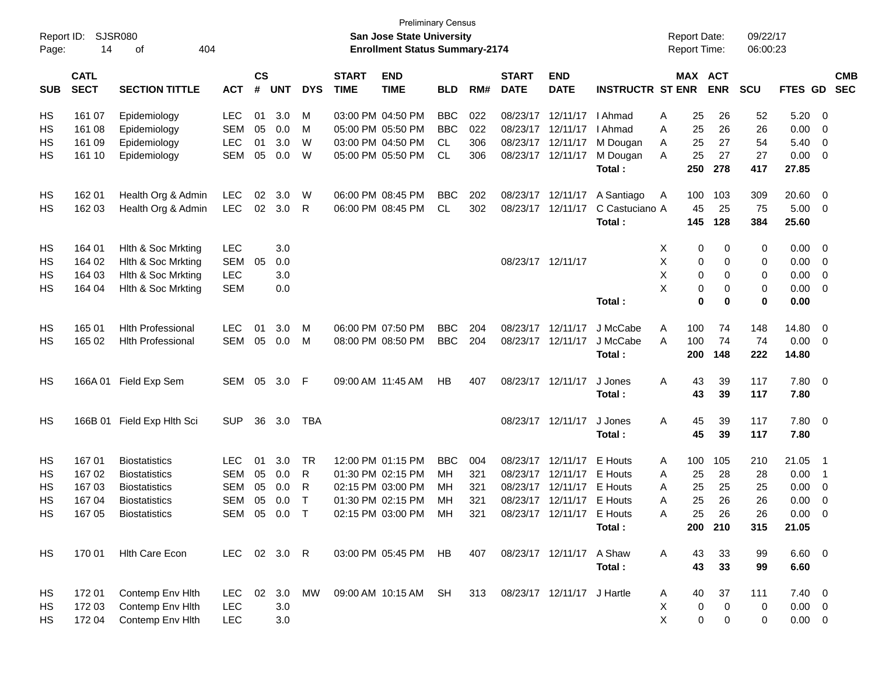| Report ID:<br>Page: | <b>SJSR080</b><br>14       | 404<br>οf                  |              |                    |            |            |                             | <b>Preliminary Census</b><br>San Jose State University<br><b>Enrollment Status Summary-2174</b> |            |     |                                |                           |                         |    | <b>Report Date:</b><br><b>Report Time:</b> |             | 09/22/17<br>06:00:23 |             |                          |                          |
|---------------------|----------------------------|----------------------------|--------------|--------------------|------------|------------|-----------------------------|-------------------------------------------------------------------------------------------------|------------|-----|--------------------------------|---------------------------|-------------------------|----|--------------------------------------------|-------------|----------------------|-------------|--------------------------|--------------------------|
| <b>SUB</b>          | <b>CATL</b><br><b>SECT</b> | <b>SECTION TITTLE</b>      | <b>ACT</b>   | $\mathsf{cs}$<br># | <b>UNT</b> | <b>DYS</b> | <b>START</b><br><b>TIME</b> | <b>END</b><br><b>TIME</b>                                                                       | <b>BLD</b> | RM# | <b>START</b><br><b>DATE</b>    | <b>END</b><br><b>DATE</b> | <b>INSTRUCTR ST ENR</b> |    | MAX ACT                                    | <b>ENR</b>  | <b>SCU</b>           | FTES GD     |                          | <b>CMB</b><br><b>SEC</b> |
| HS                  | 161 07                     | Epidemiology               | <b>LEC</b>   | 01                 | 3.0        | M          |                             | 03:00 PM 04:50 PM                                                                               | <b>BBC</b> | 022 | 08/23/17                       | 12/11/17                  | l Ahmad                 | A  | 25                                         | 26          | 52                   | 5.20        | - 0                      |                          |
| НS                  | 161 08                     | Epidemiology               | <b>SEM</b>   | 05                 | 0.0        | M          |                             | 05:00 PM 05:50 PM                                                                               | <b>BBC</b> | 022 |                                | 08/23/17 12/11/17         | I Ahmad                 | A  | 25                                         | 26          | 26                   | 0.00        | - 0                      |                          |
| HS                  | 161 09                     | Epidemiology               | <b>LEC</b>   | 01                 | 3.0        | W          |                             | 03:00 PM 04:50 PM                                                                               | CL         | 306 | 08/23/17                       | 12/11/17                  | M Dougan                | A  | 25                                         | 27          | 54                   | 5.40        | - 0                      |                          |
| HS                  | 161 10                     | Epidemiology               | <b>SEM</b>   | 05                 | 0.0        | W          |                             | 05:00 PM 05:50 PM                                                                               | <b>CL</b>  | 306 | 08/23/17                       | 12/11/17                  | M Dougan                | A  | 25                                         | 27          | 27                   | 0.00        | - 0                      |                          |
|                     |                            |                            |              |                    |            |            |                             |                                                                                                 |            |     |                                |                           | Total:                  |    | 250                                        | 278         | 417                  | 27.85       |                          |                          |
| HS                  | 162 01                     | Health Org & Admin         | <b>LEC</b>   | 02                 | 3.0        | W          |                             | 06:00 PM 08:45 PM                                                                               | <b>BBC</b> | 202 | 08/23/17                       | 12/11/17                  | A Santiago              | A  | 100                                        | 103         | 309                  | 20.60       | 0                        |                          |
| HS                  | 162 03                     | Health Org & Admin         | <b>LEC</b>   | 02                 | 3.0        | R          |                             | 06:00 PM 08:45 PM                                                                               | CL         | 302 | 08/23/17                       | 12/11/17                  | C Castuciano A          |    | 45                                         | 25          | 75                   | 5.00        | - 0                      |                          |
|                     |                            |                            |              |                    |            |            |                             |                                                                                                 |            |     |                                |                           | Total:                  |    | 145                                        | 128         | 384                  | 25.60       |                          |                          |
| HS                  | 164 01                     | Hith & Soc Mrkting         | <b>LEC</b>   |                    | 3.0        |            |                             |                                                                                                 |            |     |                                |                           |                         | X  | 0                                          | 0           | 0                    | 0.00        | - 0                      |                          |
| HS                  | 164 02                     | Hith & Soc Mrkting         | <b>SEM</b>   | 05                 | 0.0        |            |                             |                                                                                                 |            |     | 08/23/17 12/11/17              |                           |                         | Х  | 0                                          | 0           | 0                    | 0.00        | - 0                      |                          |
| HS                  | 164 03                     | Hith & Soc Mrkting         | <b>LEC</b>   |                    | 3.0        |            |                             |                                                                                                 |            |     |                                |                           |                         | X  | 0                                          | 0           | 0                    | 0.00        | - 0                      |                          |
| НS                  | 164 04                     | Hith & Soc Mrkting         | <b>SEM</b>   |                    | 0.0        |            |                             |                                                                                                 |            |     |                                |                           |                         | X  | 0                                          | 0           | 0                    | 0.00        | - 0                      |                          |
|                     |                            |                            |              |                    |            |            |                             |                                                                                                 |            |     |                                |                           | Total:                  |    | 0                                          | 0           | 0                    | 0.00        |                          |                          |
| HS                  | 165 01                     | <b>Hlth Professional</b>   | <b>LEC</b>   | 01                 | 3.0        | M          |                             | 06:00 PM 07:50 PM                                                                               | <b>BBC</b> | 204 | 08/23/17                       | 12/11/17                  | J McCabe                | A  | 100                                        | 74          | 148                  | 14.80       | - 0                      |                          |
| HS                  | 165 02                     | <b>Hith Professional</b>   | <b>SEM</b>   | 05                 | 0.0        | M          |                             | 08:00 PM 08:50 PM                                                                               | <b>BBC</b> | 204 |                                | 08/23/17 12/11/17         | J McCabe                | A  | 100                                        | 74          | 74                   | 0.00        | - 0                      |                          |
|                     |                            |                            |              |                    |            |            |                             |                                                                                                 |            |     |                                |                           | Total:                  |    | 200                                        | 148         | 222                  | 14.80       |                          |                          |
| HS                  |                            | 166A 01 Field Exp Sem      | SEM          | 05                 | 3.0        | F          |                             | 09:00 AM 11:45 AM                                                                               | HB         | 407 |                                | 08/23/17 12/11/17         | J Jones                 | A  | 43                                         | 39          | 117                  | 7.80        | $\overline{\phantom{0}}$ |                          |
|                     |                            |                            |              |                    |            |            |                             |                                                                                                 |            |     |                                |                           | Total:                  |    | 43                                         | 39          | 117                  | 7.80        |                          |                          |
| HS                  |                            | 166B 01 Field Exp Hlth Sci | <b>SUP</b>   | 36                 | 3.0        | TBA        |                             |                                                                                                 |            |     |                                | 08/23/17 12/11/17         | J Jones                 | A  | 45                                         | 39          | 117                  | 7.80        | $\overline{\phantom{0}}$ |                          |
|                     |                            |                            |              |                    |            |            |                             |                                                                                                 |            |     |                                |                           | Total:                  |    | 45                                         | 39          | 117                  | 7.80        |                          |                          |
| HS                  | 167 01                     | <b>Biostatistics</b>       | LEC.         | 01                 | 3.0        | TR         |                             | 12:00 PM 01:15 PM                                                                               | <b>BBC</b> | 004 | 08/23/17 12/11/17              |                           | <b>E</b> Houts          | A  | 100                                        | 105         | 210                  | 21.05       | $\overline{\phantom{1}}$ |                          |
| HS                  | 16702                      | <b>Biostatistics</b>       | <b>SEM</b>   | 05                 | 0.0        | R          |                             | 01:30 PM 02:15 PM                                                                               | MН         | 321 |                                | 08/23/17 12/11/17         | E Houts                 | A  | 25                                         | 28          | 28                   | 0.00        | - 1                      |                          |
| НS                  | 16703                      | <b>Biostatistics</b>       | <b>SEM</b>   | 05                 | 0.0        | R          |                             | 02:15 PM 03:00 PM                                                                               | MН         | 321 |                                | 08/23/17 12/11/17         | E Houts                 | A  | 25                                         | 25          | 25                   | 0.00        | $\overline{\mathbf{0}}$  |                          |
| HS                  | 167 04                     | <b>Biostatistics</b>       | <b>SEM</b>   | 05                 | 0.0        | Т          |                             | 01:30 PM 02:15 PM                                                                               | MН         | 321 |                                | 08/23/17 12/11/17 E Houts |                         | A  | 25                                         | 26          | 26                   | 0.00        | 0                        |                          |
| <b>HS</b>           | 167 05                     | <b>Biostatistics</b>       | SEM 05 0.0 T |                    |            |            |                             | 02:15 PM 03:00 PM MH                                                                            |            |     | 321 08/23/17 12/11/17 E Houts  |                           |                         | A  | 25                                         | 26          | 26                   | $0.00 \t 0$ |                          |                          |
|                     |                            |                            |              |                    |            |            |                             |                                                                                                 |            |     |                                |                           | Total:                  |    |                                            | 200 210     | 315                  | 21.05       |                          |                          |
| HS                  |                            | 170 01 Hith Care Econ      | LEC 02 3.0 R |                    |            |            |                             | 03:00 PM 05:45 PM HB                                                                            |            | 407 |                                | 08/23/17 12/11/17         | A Shaw                  | A  | 43                                         | 33          | 99                   | $6.60$ 0    |                          |                          |
|                     |                            |                            |              |                    |            |            |                             |                                                                                                 |            |     |                                |                           | Total:                  |    | 43                                         | 33          | 99                   | 6.60        |                          |                          |
| HS                  | 172 01                     | Contemp Env Hith           | LEC.         |                    | 02 3.0     | MW         |                             | 09:00 AM 10:15 AM SH                                                                            |            |     | 313 08/23/17 12/11/17 J Hartle |                           |                         | A  | 40                                         | 37          | 111                  | $7.40 \ 0$  |                          |                          |
| HS                  | 172 03                     | Contemp Env Hith           | <b>LEC</b>   |                    | 3.0        |            |                             |                                                                                                 |            |     |                                |                           |                         | Χ  | 0                                          | $\mathbf 0$ | 0                    | $0.00 \t 0$ |                          |                          |
| HS                  | 172 04                     | Contemp Env Hith           | <b>LEC</b>   |                    | 3.0        |            |                             |                                                                                                 |            |     |                                |                           |                         | X. | $\pmb{0}$                                  | 0           | 0                    | $0.00 \t 0$ |                          |                          |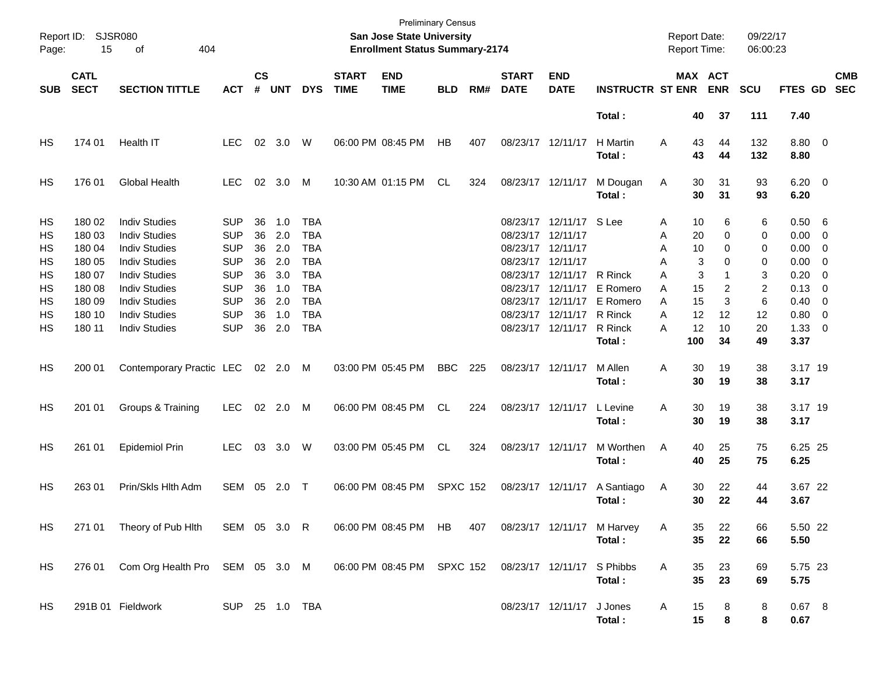| Page:                                                     | Report ID: SJSR080<br>15                                                               | 404<br>οf                                                                                                                                                                                                            |                                                                                                                            |                                                    |                                                             |                                                                                                                            |                             | <b>Preliminary Census</b><br><b>San Jose State University</b><br><b>Enrollment Status Summary-2174</b> |                 |     |                                                                                                                                  |                                                                         |                                                                  |                                           |                                                         | <b>Report Date:</b><br>Report Time:                      | 09/22/17<br>06:00:23                                           |                                                                                                    |                                                                                                                                         |                          |
|-----------------------------------------------------------|----------------------------------------------------------------------------------------|----------------------------------------------------------------------------------------------------------------------------------------------------------------------------------------------------------------------|----------------------------------------------------------------------------------------------------------------------------|----------------------------------------------------|-------------------------------------------------------------|----------------------------------------------------------------------------------------------------------------------------|-----------------------------|--------------------------------------------------------------------------------------------------------|-----------------|-----|----------------------------------------------------------------------------------------------------------------------------------|-------------------------------------------------------------------------|------------------------------------------------------------------|-------------------------------------------|---------------------------------------------------------|----------------------------------------------------------|----------------------------------------------------------------|----------------------------------------------------------------------------------------------------|-----------------------------------------------------------------------------------------------------------------------------------------|--------------------------|
| <b>SUB</b>                                                | <b>CATL</b><br><b>SECT</b>                                                             | <b>SECTION TITTLE</b>                                                                                                                                                                                                | <b>ACT</b>                                                                                                                 | $\mathsf{cs}$<br>#                                 | <b>UNT</b>                                                  | <b>DYS</b>                                                                                                                 | <b>START</b><br><b>TIME</b> | <b>END</b><br><b>TIME</b>                                                                              | <b>BLD</b>      | RM# | <b>START</b><br><b>DATE</b>                                                                                                      | <b>END</b><br><b>DATE</b>                                               | <b>INSTRUCTR ST ENR</b>                                          |                                           |                                                         | MAX ACT<br><b>ENR</b>                                    | <b>SCU</b>                                                     | FTES GD                                                                                            |                                                                                                                                         | <b>CMB</b><br><b>SEC</b> |
|                                                           |                                                                                        |                                                                                                                                                                                                                      |                                                                                                                            |                                                    |                                                             |                                                                                                                            |                             |                                                                                                        |                 |     |                                                                                                                                  |                                                                         | Total:                                                           |                                           | 40                                                      | 37                                                       | 111                                                            | 7.40                                                                                               |                                                                                                                                         |                          |
| НS                                                        | 174 01                                                                                 | Health IT                                                                                                                                                                                                            | LEC.                                                                                                                       | 02                                                 | 3.0                                                         | W                                                                                                                          | 06:00 PM 08:45 PM           |                                                                                                        | HB              | 407 | 08/23/17 12/11/17                                                                                                                |                                                                         | H Martin<br>Total :                                              | A                                         | 43<br>43                                                | 44<br>44                                                 | 132<br>132                                                     | 8.80 0<br>8.80                                                                                     |                                                                                                                                         |                          |
| НS                                                        | 176 01                                                                                 | Global Health                                                                                                                                                                                                        | <b>LEC</b>                                                                                                                 | 02                                                 | 3.0                                                         | M                                                                                                                          |                             | 10:30 AM 01:15 PM                                                                                      | CL              | 324 | 08/23/17 12/11/17                                                                                                                |                                                                         | M Dougan<br>Total:                                               | Α                                         | 30<br>30                                                | 31<br>31                                                 | 93<br>93                                                       | $6.20 \quad 0$<br>6.20                                                                             |                                                                                                                                         |                          |
| <b>HS</b><br>HS<br>HS<br>HS<br>HS<br>HS<br>HS<br>HS<br>HS | 180 02<br>180 03<br>180 04<br>180 05<br>180 07<br>180 08<br>180 09<br>180 10<br>180 11 | <b>Indiv Studies</b><br><b>Indiv Studies</b><br><b>Indiv Studies</b><br><b>Indiv Studies</b><br><b>Indiv Studies</b><br><b>Indiv Studies</b><br><b>Indiv Studies</b><br><b>Indiv Studies</b><br><b>Indiv Studies</b> | <b>SUP</b><br><b>SUP</b><br><b>SUP</b><br><b>SUP</b><br><b>SUP</b><br><b>SUP</b><br><b>SUP</b><br><b>SUP</b><br><b>SUP</b> | 36<br>36<br>36<br>36<br>36<br>36<br>36<br>36<br>36 | 1.0<br>2.0<br>2.0<br>2.0<br>3.0<br>1.0<br>2.0<br>1.0<br>2.0 | <b>TBA</b><br><b>TBA</b><br><b>TBA</b><br><b>TBA</b><br><b>TBA</b><br><b>TBA</b><br><b>TBA</b><br><b>TBA</b><br><b>TBA</b> |                             |                                                                                                        |                 |     | 08/23/17 12/11/17<br>08/23/17 12/11/17<br>08/23/17 12/11/17<br>08/23/17<br>08/23/17<br>08/23/17<br>08/23/17<br>08/23/17 12/11/17 | 08/23/17 12/11/17 S Lee<br>12/11/17<br>12/11/17<br>12/11/17<br>12/11/17 | R Rinck<br>E Romero<br>E Romero<br>R Rinck<br>R Rinck<br>Total : | A<br>A<br>A<br>Α<br>A<br>A<br>A<br>A<br>А | 10<br>20<br>10<br>3<br>3<br>15<br>15<br>12<br>12<br>100 | 6<br>0<br>0<br>$\Omega$<br>1<br>2<br>3<br>12<br>10<br>34 | 6<br>0<br>0<br>0<br>3<br>$\overline{c}$<br>6<br>12<br>20<br>49 | 0.50 6<br>$0.00 \t 0$<br>$0.00 \t 0$<br>0.00<br>0.20<br>0.13<br>0.40<br>0.80<br>$1.33 \ 0$<br>3.37 | $\overline{\phantom{0}}$<br>$\overline{\phantom{0}}$<br>$\overline{\mathbf{0}}$<br>$\overline{\phantom{0}}$<br>$\overline{\phantom{0}}$ |                          |
| HS                                                        | 200 01                                                                                 | Contemporary Practic LEC                                                                                                                                                                                             |                                                                                                                            |                                                    | 02 2.0                                                      | M                                                                                                                          | 03:00 PM 05:45 PM           |                                                                                                        | <b>BBC</b>      | 225 | 08/23/17 12/11/17                                                                                                                |                                                                         | M Allen<br>Total:                                                | A                                         | 30<br>30                                                | 19<br>19                                                 | 38<br>38                                                       | 3.17 19<br>3.17                                                                                    |                                                                                                                                         |                          |
| HS                                                        | 201 01                                                                                 | Groups & Training                                                                                                                                                                                                    | <b>LEC</b>                                                                                                                 |                                                    | 02 2.0                                                      | M                                                                                                                          |                             | 06:00 PM 08:45 PM                                                                                      | <b>CL</b>       | 224 | 08/23/17 12/11/17                                                                                                                |                                                                         | L Levine<br>Total:                                               | A                                         | 30<br>30                                                | 19<br>19                                                 | 38<br>38                                                       | 3.17 19<br>3.17                                                                                    |                                                                                                                                         |                          |
| HS                                                        | 261 01                                                                                 | <b>Epidemiol Prin</b>                                                                                                                                                                                                | LEC.                                                                                                                       | 03                                                 | 3.0                                                         | W                                                                                                                          | 03:00 PM 05:45 PM           |                                                                                                        | <b>CL</b>       | 324 | 08/23/17 12/11/17                                                                                                                |                                                                         | M Worthen<br>Total:                                              | A                                         | 40<br>40                                                | 25<br>25                                                 | 75<br>75                                                       | 6.25 25<br>6.25                                                                                    |                                                                                                                                         |                          |
| HS                                                        | 263 01                                                                                 | Prin/Skls Hlth Adm                                                                                                                                                                                                   | SEM                                                                                                                        |                                                    | 05 2.0                                                      | $\top$                                                                                                                     | 06:00 PM 08:45 PM           |                                                                                                        | <b>SPXC 152</b> |     | 08/23/17 12/11/17                                                                                                                |                                                                         | A Santiago<br>Total:                                             | A                                         | 30<br>30                                                | 22<br>22                                                 | 44<br>44                                                       | 3.67 22<br>3.67                                                                                    |                                                                                                                                         |                          |
| HS.                                                       | 271 01                                                                                 | Theory of Pub Hith                                                                                                                                                                                                   | SEM 05 3.0 R                                                                                                               |                                                    |                                                             |                                                                                                                            |                             | 06:00 PM 08:45 PM HB                                                                                   |                 | 407 |                                                                                                                                  |                                                                         | 08/23/17 12/11/17 M Harvey<br>Total:                             | A                                         | 35<br>35                                                | 22<br>22                                                 | 66<br>66                                                       | 5.50 22<br>5.50                                                                                    |                                                                                                                                         |                          |
| HS                                                        | 276 01                                                                                 | Com Org Health Pro SEM 05 3.0 M                                                                                                                                                                                      |                                                                                                                            |                                                    |                                                             |                                                                                                                            |                             | 06:00 PM 08:45 PM SPXC 152                                                                             |                 |     |                                                                                                                                  | 08/23/17 12/11/17 S Phibbs                                              | Total:                                                           | A                                         | 35<br>35                                                | 23<br>23                                                 | 69<br>69                                                       | 5.75 23<br>5.75                                                                                    |                                                                                                                                         |                          |
| HS                                                        |                                                                                        | 291B 01 Fieldwork                                                                                                                                                                                                    | SUP 25 1.0 TBA                                                                                                             |                                                    |                                                             |                                                                                                                            |                             |                                                                                                        |                 |     |                                                                                                                                  | 08/23/17 12/11/17                                                       | J Jones<br>Total:                                                | A                                         | 15<br>15                                                | 8<br>8                                                   | 8<br>8                                                         | 0.67 8<br>0.67                                                                                     |                                                                                                                                         |                          |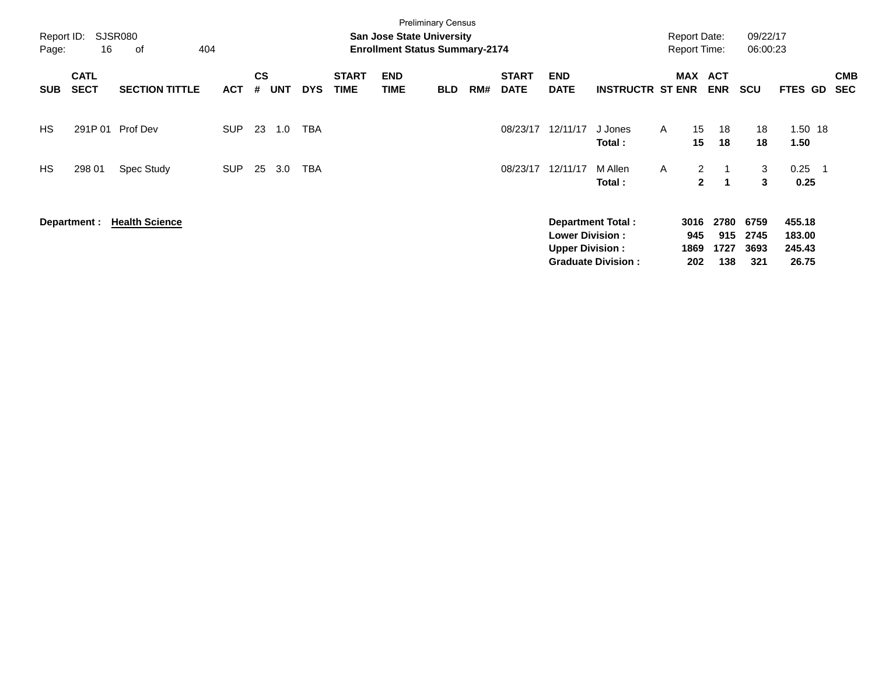| Report ID:<br>Page: | 16                         | SJSR080<br>404<br>оf  |            |                |            |            |                             | <b>Preliminary Census</b><br><b>San Jose State University</b><br><b>Enrollment Status Summary-2174</b> |            |     |                             |                                                  |                                                       |              | <b>Report Date:</b><br><b>Report Time:</b> |                            | 09/22/17<br>06:00:23        |                                     |     |                          |
|---------------------|----------------------------|-----------------------|------------|----------------|------------|------------|-----------------------------|--------------------------------------------------------------------------------------------------------|------------|-----|-----------------------------|--------------------------------------------------|-------------------------------------------------------|--------------|--------------------------------------------|----------------------------|-----------------------------|-------------------------------------|-----|--------------------------|
| <b>SUB</b>          | <b>CATL</b><br><b>SECT</b> | <b>SECTION TITTLE</b> | <b>ACT</b> | <b>CS</b><br># | <b>UNT</b> | <b>DYS</b> | <b>START</b><br><b>TIME</b> | <b>END</b><br>TIME                                                                                     | <b>BLD</b> | RM# | <b>START</b><br><b>DATE</b> | <b>END</b><br><b>DATE</b>                        | <b>INSTRUCTR ST ENR</b>                               |              |                                            | MAX ACT<br><b>ENR</b>      | <b>SCU</b>                  | FTES GD                             |     | <b>CMB</b><br><b>SEC</b> |
| <b>HS</b>           |                            | 291P 01 Prof Dev      | <b>SUP</b> | 23             | 1.0        | TBA        |                             |                                                                                                        |            |     | 08/23/17                    | 12/11/17                                         | J Jones<br>Total:                                     | A            | 15<br>15                                   | 18<br>18                   | 18<br>18                    | 1.50 18<br>1.50                     |     |                          |
| <b>HS</b>           | 298 01                     | Spec Study            | <b>SUP</b> | 25             | 3.0        | TBA        |                             |                                                                                                        |            |     | 08/23/17                    | 12/11/17                                         | M Allen<br>Total:                                     | $\mathsf{A}$ | $\overline{2}$<br>$\mathbf{2}$             | $\overline{1}$<br>-1       | 3<br>3                      | 0.25<br>0.25                        | - 1 |                          |
|                     | Department :               | <b>Health Science</b> |            |                |            |            |                             |                                                                                                        |            |     |                             | <b>Lower Division:</b><br><b>Upper Division:</b> | <b>Department Total:</b><br><b>Graduate Division:</b> |              | 3016<br>945<br>1869<br>202                 | 2780<br>915<br>1727<br>138 | 6759<br>2745<br>3693<br>321 | 455.18<br>183.00<br>245.43<br>26.75 |     |                          |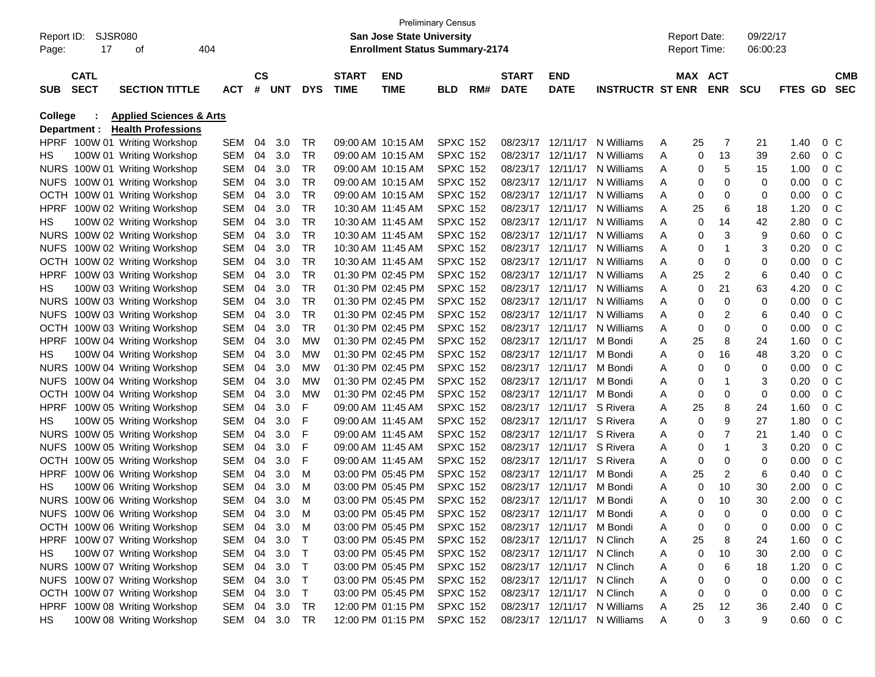|             |                    |                                    |               |           |            |            |              | <b>Preliminary Census</b>             |                 |     |              |                            |                              |   |                     |                |            |                |                |            |
|-------------|--------------------|------------------------------------|---------------|-----------|------------|------------|--------------|---------------------------------------|-----------------|-----|--------------|----------------------------|------------------------------|---|---------------------|----------------|------------|----------------|----------------|------------|
|             | Report ID: SJSR080 |                                    |               |           |            |            |              | San Jose State University             |                 |     |              |                            |                              |   | <b>Report Date:</b> |                | 09/22/17   |                |                |            |
| Page:       | 17                 | οf                                 | 404           |           |            |            |              | <b>Enrollment Status Summary-2174</b> |                 |     |              |                            |                              |   | <b>Report Time:</b> |                | 06:00:23   |                |                |            |
|             |                    |                                    |               |           |            |            |              |                                       |                 |     |              |                            |                              |   |                     |                |            |                |                |            |
|             | <b>CATL</b>        |                                    |               | <b>CS</b> |            |            | <b>START</b> | <b>END</b>                            |                 |     | <b>START</b> | <b>END</b>                 |                              |   | MAX ACT             |                |            |                |                | <b>CMB</b> |
| <b>SUB</b>  | <b>SECT</b>        | <b>SECTION TITTLE</b>              | <b>ACT</b>    | #         | <b>UNT</b> | <b>DYS</b> | <b>TIME</b>  | <b>TIME</b>                           | BLD             | RM# | <b>DATE</b>  | <b>DATE</b>                | <b>INSTRUCTR ST ENR</b>      |   |                     | <b>ENR</b>     | <b>SCU</b> | <b>FTES GD</b> |                | <b>SEC</b> |
| College     |                    | <b>Applied Sciences &amp; Arts</b> |               |           |            |            |              |                                       |                 |     |              |                            |                              |   |                     |                |            |                |                |            |
|             | Department :       | <b>Health Professions</b>          |               |           |            |            |              |                                       |                 |     |              |                            |                              |   |                     |                |            |                |                |            |
|             |                    | HPRF 100W 01 Writing Workshop      | SEM           | 04        | 3.0        | TR         |              | 09:00 AM 10:15 AM                     | <b>SPXC 152</b> |     | 08/23/17     | 12/11/17                   | N Williams                   | Α | 25                  | 7              | 21         | 1.40           | $0\,$ C        |            |
| HS          |                    | 100W 01 Writing Workshop           | SEM           | 04        | 3.0        | TR         |              | 09:00 AM 10:15 AM                     | <b>SPXC 152</b> |     |              | 08/23/17 12/11/17          | N Williams                   | A | 0                   | 13             | 39         | 2.60           | $0\,$ C        |            |
|             |                    | NURS 100W 01 Writing Workshop      | SEM           | 04        | 3.0        | TR         |              | 09:00 AM 10:15 AM                     | <b>SPXC 152</b> |     | 08/23/17     | 12/11/17                   | N Williams                   | A | 0                   | 5              | 15         | 1.00           | 0 <sup>o</sup> |            |
| <b>NUFS</b> |                    | 100W 01 Writing Workshop           | SEM           | 04        | 3.0        | <b>TR</b>  |              | 09:00 AM 10:15 AM                     | <b>SPXC 152</b> |     | 08/23/17     | 12/11/17                   | N Williams                   | A | 0                   | 0              | 0          | 0.00           | 0 <sup>o</sup> |            |
| OCTH        |                    | 100W 01 Writing Workshop           | SEM           | 04        | 3.0        | <b>TR</b>  |              | 09:00 AM 10:15 AM                     | <b>SPXC 152</b> |     |              | 08/23/17 12/11/17          | N Williams                   | A | 0                   | 0              | 0          | 0.00           | 0 <sup>o</sup> |            |
| <b>HPRF</b> |                    | 100W 02 Writing Workshop           | SEM           | 04        | 3.0        | TR         |              | 10:30 AM 11:45 AM                     | <b>SPXC 152</b> |     |              | 08/23/17 12/11/17          | N Williams                   | A | 25                  | 6              | 18         | 1.20           | 0 <sup>o</sup> |            |
| HS          |                    | 100W 02 Writing Workshop           | SEM           | 04        | 3.0        | TR         |              | 10:30 AM 11:45 AM                     | <b>SPXC 152</b> |     | 08/23/17     | 12/11/17                   | N Williams                   | A | 0                   | 14             | 42         | 2.80           | 0 <sup>o</sup> |            |
|             |                    | NURS 100W 02 Writing Workshop      | SEM           | 04        | 3.0        | TR         |              | 10:30 AM 11:45 AM                     | <b>SPXC 152</b> |     |              |                            | 08/23/17 12/11/17 N Williams | A | 0                   | 3              | 9          | 0.60           | 0 <sup>o</sup> |            |
| <b>NUFS</b> |                    | 100W 02 Writing Workshop           | SEM           | 04        | 3.0        | TR         |              | 10:30 AM 11:45 AM                     | <b>SPXC 152</b> |     |              |                            | 08/23/17 12/11/17 N Williams | A | 0                   | 1              | 3          | 0.20           | 0 <sup>o</sup> |            |
| OCTH        |                    | 100W 02 Writing Workshop           | SEM           | 04        | 3.0        | TR         |              | 10:30 AM 11:45 AM                     | <b>SPXC 152</b> |     | 08/23/17     | 12/11/17                   | N Williams                   | Α | 0                   | 0              | 0          | 0.00           | 0 <sup>o</sup> |            |
| <b>HPRF</b> |                    | 100W 03 Writing Workshop           | SEM           | 04        | 3.0        | <b>TR</b>  |              | 01:30 PM 02:45 PM                     | <b>SPXC 152</b> |     | 08/23/17     |                            | 12/11/17 N Williams          | A | 25                  | $\overline{2}$ | 6          | 0.40           | 0 <sup>o</sup> |            |
| HS          |                    | 100W 03 Writing Workshop           | SEM           | 04        | 3.0        | TR         |              | 01:30 PM 02:45 PM                     | <b>SPXC 152</b> |     |              |                            | 08/23/17 12/11/17 N Williams | A | 0                   | 21             | 63         | 4.20           | 0 <sup>o</sup> |            |
|             |                    | NURS 100W 03 Writing Workshop      | SEM           | 04        | 3.0        | <b>TR</b>  |              | 01:30 PM 02:45 PM                     | <b>SPXC 152</b> |     | 08/23/17     |                            | 12/11/17 N Williams          | A | 0                   | 0              | 0          | 0.00           | 0 <sup>o</sup> |            |
| <b>NUFS</b> |                    | 100W 03 Writing Workshop           | SEM           | 04        | 3.0        | TR         |              | 01:30 PM 02:45 PM                     | <b>SPXC 152</b> |     | 08/23/17     | 12/11/17                   | N Williams                   | A | 0                   | $\overline{2}$ | 6          | 0.40           | 0 <sup>o</sup> |            |
| OCTH        |                    | 100W 03 Writing Workshop           | SEM           | 04        | 3.0        | TR         |              | 01:30 PM 02:45 PM                     | <b>SPXC 152</b> |     |              |                            | 08/23/17 12/11/17 N Williams | A | 0                   | 0              | 0          | 0.00           | 0 <sup>o</sup> |            |
| <b>HPRF</b> |                    | 100W 04 Writing Workshop           | SEM           | 04        | 3.0        | <b>MW</b>  |              | 01:30 PM 02:45 PM                     | <b>SPXC 152</b> |     |              | 08/23/17 12/11/17 M Bondi  |                              | A | 25                  | 8              | 24         | 1.60           | 0 <sup>o</sup> |            |
| HS          |                    | 100W 04 Writing Workshop           | SEM           | 04        | 3.0        | <b>MW</b>  |              | 01:30 PM 02:45 PM                     | <b>SPXC 152</b> |     | 08/23/17     | 12/11/17 M Bondi           |                              | Α | 0                   | 16             | 48         | 3.20           | 0 <sup>o</sup> |            |
|             |                    | NURS 100W 04 Writing Workshop      | SEM           | 04        | 3.0        | <b>MW</b>  |              | 01:30 PM 02:45 PM                     | <b>SPXC 152</b> |     |              | 08/23/17 12/11/17 M Bondi  |                              | A | 0                   | $\mathbf 0$    | 0          | 0.00           | 0 <sup>o</sup> |            |
| <b>NUFS</b> |                    | 100W 04 Writing Workshop           | SEM           | 04        | 3.0        | <b>MW</b>  |              | 01:30 PM 02:45 PM                     | <b>SPXC 152</b> |     |              | 08/23/17 12/11/17 M Bondi  |                              | A | 0                   | 1              | 3          | 0.20           | 0 <sup>o</sup> |            |
| OCTH        |                    | 100W 04 Writing Workshop           | SEM           | 04        | 3.0        | MW         |              | 01:30 PM 02:45 PM                     | <b>SPXC 152</b> |     | 08/23/17     | 12/11/17 M Bondi           |                              | A | 0                   | 0              | 0          | 0.00           | 0 <sup>o</sup> |            |
| <b>HPRF</b> |                    | 100W 05 Writing Workshop           | SEM           | 04        | 3.0        | F          |              | 09:00 AM 11:45 AM                     | <b>SPXC 152</b> |     |              | 08/23/17 12/11/17 S Rivera |                              | Α | 25                  | 8              | 24         | 1.60           | 0 <sup>o</sup> |            |
| HS          |                    | 100W 05 Writing Workshop           | SEM           | 04        | 3.0        | F          |              | 09:00 AM 11:45 AM                     | <b>SPXC 152</b> |     |              | 08/23/17 12/11/17 S Rivera |                              | Α | 0                   | 9              | 27         | 1.80           | 0 <sup>o</sup> |            |
|             |                    | NURS 100W 05 Writing Workshop      | SEM           | 04        | 3.0        | F          |              | 09:00 AM 11:45 AM                     | <b>SPXC 152</b> |     | 08/23/17     | 12/11/17 S Rivera          |                              | Α | 0                   | 7              | 21         | 1.40           | 0 <sup>o</sup> |            |
| <b>NUFS</b> |                    | 100W 05 Writing Workshop           | SEM           | 04        | 3.0        | F          |              | 09:00 AM 11:45 AM                     | <b>SPXC 152</b> |     | 08/23/17     | 12/11/17 S Rivera          |                              | Α | 0                   | 1              | 3          | 0.20           | 0 <sup>o</sup> |            |
| <b>OCTH</b> |                    | 100W 05 Writing Workshop           | SEM           | 04        | 3.0        | F          |              | 09:00 AM 11:45 AM                     | <b>SPXC 152</b> |     | 08/23/17     | 12/11/17 S Rivera          |                              | A | 0                   | 0              | 0          | 0.00           | 0 <sup>o</sup> |            |
| <b>HPRF</b> |                    | 100W 06 Writing Workshop           | SEM           | 04        | 3.0        | м          |              | 03:00 PM 05:45 PM                     | <b>SPXC 152</b> |     | 08/23/17     | 12/11/17 M Bondi           |                              | A | 25                  | $\overline{2}$ | 6          | 0.40           | 0 <sup>o</sup> |            |
| HS          |                    | 100W 06 Writing Workshop           | SEM           | 04        | 3.0        | м          |              | 03:00 PM 05:45 PM                     | <b>SPXC 152</b> |     | 08/23/17     | 12/11/17 M Bondi           |                              | A | 0                   | 10             | 30         | 2.00           | 0 <sup>o</sup> |            |
|             |                    | NURS 100W 06 Writing Workshop      | SEM           | 04        | 3.0        | м          |              | 03:00 PM 05:45 PM                     | <b>SPXC 152</b> |     |              | 08/23/17 12/11/17 M Bondi  |                              | Α | 0                   | 10             | 30         | 2.00           | $0\,$ C        |            |
|             |                    | NUFS 100W 06 Writing Workshop      | SEM 04 3.0    |           |            | M          |              | 03:00 PM 05:45 PM                     | <b>SPXC 152</b> |     |              | 08/23/17 12/11/17 M Bondi  |                              |   | 0                   | 0              | 0          | 0.00           |                | $0\,C$     |
|             |                    | OCTH 100W 06 Writing Workshop      | SEM 04 3.0    |           |            | M          |              | 03:00 PM 05:45 PM                     | <b>SPXC 152</b> |     |              | 08/23/17 12/11/17 M Bondi  |                              | A | 0                   | 0              | 0          | 0.00           | 0 <sup>o</sup> |            |
|             |                    | HPRF 100W 07 Writing Workshop      | SEM 04 3.0    |           |            | T          |              | 03:00 PM 05:45 PM                     | <b>SPXC 152</b> |     |              | 08/23/17 12/11/17 N Clinch |                              | A | 25                  | 8              | 24         | 1.60           | $0\,$ C        |            |
| HS.         |                    | 100W 07 Writing Workshop           | SEM 04 3.0    |           |            | T          |              | 03:00 PM 05:45 PM                     | <b>SPXC 152</b> |     |              | 08/23/17 12/11/17 N Clinch |                              | Α | 0                   | 10             | 30         | 2.00           | $0\,$ C        |            |
|             |                    | NURS 100W 07 Writing Workshop      | SEM 04 3.0    |           |            | T          |              | 03:00 PM 05:45 PM                     | <b>SPXC 152</b> |     |              | 08/23/17 12/11/17 N Clinch |                              | Α | 0                   | 6              | 18         | 1.20           | $0\,$ C        |            |
|             |                    | NUFS 100W 07 Writing Workshop      | SEM 04 3.0    |           |            | T          |              | 03:00 PM 05:45 PM                     | <b>SPXC 152</b> |     |              | 08/23/17 12/11/17 N Clinch |                              | Α | 0                   | 0              | 0          | 0.00           | $0\,$ C        |            |
|             |                    | OCTH 100W 07 Writing Workshop      | SEM 04 3.0    |           |            | T          |              | 03:00 PM 05:45 PM                     | <b>SPXC 152</b> |     |              | 08/23/17 12/11/17 N Clinch |                              | Α | 0                   | 0              | 0          | 0.00           | $0\,$ C        |            |
|             |                    | HPRF 100W 08 Writing Workshop      | SEM 04 3.0    |           |            | TR         |              | 12:00 PM 01:15 PM                     | <b>SPXC 152</b> |     |              |                            | 08/23/17 12/11/17 N Williams | A | 25                  | 12             | 36         | 2.40           | $0\,C$         |            |
| HS          |                    | 100W 08 Writing Workshop           | SEM 04 3.0 TR |           |            |            |              | 12:00 PM 01:15 PM                     | <b>SPXC 152</b> |     |              |                            | 08/23/17 12/11/17 N Williams | A | 0                   | 3              | 9          | 0.60           | $0\,C$         |            |
|             |                    |                                    |               |           |            |            |              |                                       |                 |     |              |                            |                              |   |                     |                |            |                |                |            |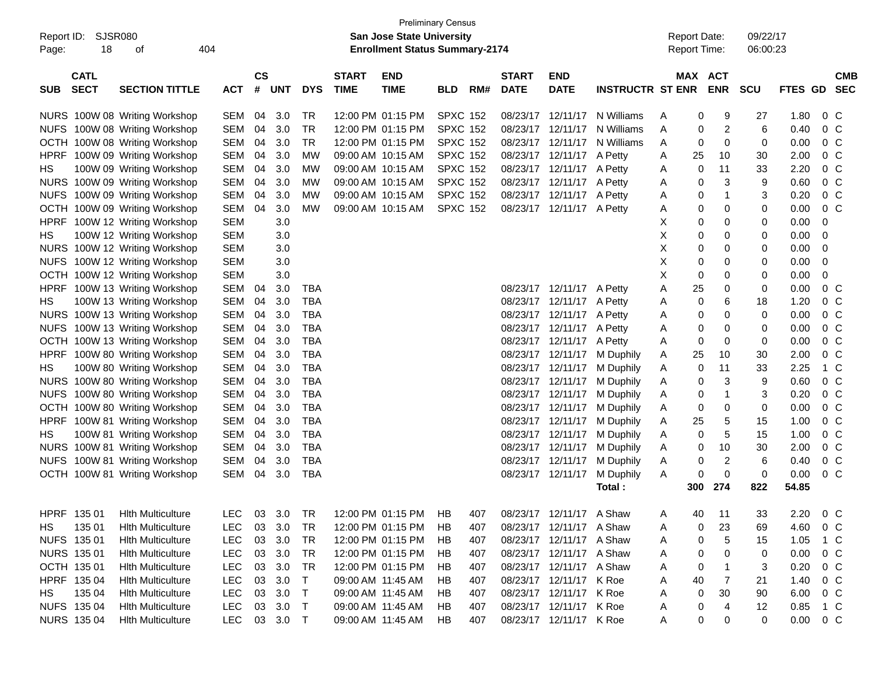| SJSR080<br>Report ID:<br>18<br>Page:     | 404                           |            |                             |            |            | <b>San Jose State University</b><br><b>Enrollment Status Summary-2174</b> | <b>Preliminary Census</b> |                 |     |                             |                           | <b>Report Date:</b><br>Report Time: |         | 09/22/17<br>06:00:23         |            |                |                |            |
|------------------------------------------|-------------------------------|------------|-----------------------------|------------|------------|---------------------------------------------------------------------------|---------------------------|-----------------|-----|-----------------------------|---------------------------|-------------------------------------|---------|------------------------------|------------|----------------|----------------|------------|
| <b>CATL</b><br><b>SECT</b><br><b>SUB</b> | <b>SECTION TITTLE</b>         | <b>ACT</b> | $\mathsf{cs}$<br>$\pmb{\#}$ | <b>UNT</b> | <b>DYS</b> | <b>START</b><br><b>TIME</b>                                               | <b>END</b><br><b>TIME</b> | BLD             | RM# | <b>START</b><br><b>DATE</b> | <b>END</b><br><b>DATE</b> | <b>INSTRUCTR ST ENR</b>             |         | <b>MAX ACT</b><br><b>ENR</b> | <b>SCU</b> | <b>FTES GD</b> | <b>SEC</b>     | <b>CMB</b> |
|                                          | NURS 100W 08 Writing Workshop | <b>SEM</b> | 04                          | 3.0        | <b>TR</b>  |                                                                           | 12:00 PM 01:15 PM         | <b>SPXC 152</b> |     |                             |                           | 08/23/17 12/11/17 N Williams        | A       | 9<br>0                       | 27         | 1.80           | $0\,C$         |            |
|                                          | NUFS 100W 08 Writing Workshop | <b>SEM</b> | 04                          | 3.0        | <b>TR</b>  |                                                                           | 12:00 PM 01:15 PM         | <b>SPXC 152</b> |     |                             |                           | 08/23/17 12/11/17 N Williams        | A       | $\overline{c}$<br>0          | 6          | 0.40           | $0\,C$         |            |
|                                          | OCTH 100W 08 Writing Workshop | <b>SEM</b> | 04                          | 3.0        | <b>TR</b>  |                                                                           | 12:00 PM 01:15 PM         | <b>SPXC 152</b> |     |                             |                           | 08/23/17 12/11/17 N Williams        | A       | 0<br>0                       | 0          | 0.00           | 0 <sup>C</sup> |            |
|                                          | HPRF 100W 09 Writing Workshop | <b>SEM</b> | 04                          | 3.0        | <b>MW</b>  |                                                                           | 09:00 AM 10:15 AM         | <b>SPXC 152</b> |     |                             | 08/23/17 12/11/17 A Petty |                                     | 25<br>A | 10                           | 30         | 2.00           | 0 <sup>o</sup> |            |
| HS                                       | 100W 09 Writing Workshop      | <b>SEM</b> | 04                          | 3.0        | <b>MW</b>  |                                                                           | 09:00 AM 10:15 AM         | <b>SPXC 152</b> |     |                             | 08/23/17 12/11/17 A Petty |                                     | A       | 11<br>0                      | 33         | 2.20           | 0 <sup>o</sup> |            |
|                                          | NURS 100W 09 Writing Workshop | <b>SEM</b> | 04                          | 3.0        | <b>MW</b>  |                                                                           | 09:00 AM 10:15 AM         | <b>SPXC 152</b> |     |                             | 08/23/17 12/11/17 A Petty |                                     | A       | 3<br>0                       | 9          | 0.60           | 0 <sup>o</sup> |            |
|                                          | NUFS 100W 09 Writing Workshop | <b>SEM</b> | 04                          | 3.0        | <b>MW</b>  |                                                                           | 09:00 AM 10:15 AM         | <b>SPXC 152</b> |     |                             | 08/23/17 12/11/17 A Petty |                                     | A       | $\mathbf 1$<br>0             | 3          | 0.20           | 0 <sup>o</sup> |            |
|                                          | OCTH 100W 09 Writing Workshop | <b>SEM</b> | 04                          | 3.0        | <b>MW</b>  |                                                                           | 09:00 AM 10:15 AM         | <b>SPXC 152</b> |     |                             | 08/23/17 12/11/17 A Petty |                                     | A       | 0<br>0                       | 0          | 0.00           | 0 <sup>C</sup> |            |
|                                          | HPRF 100W 12 Writing Workshop | <b>SEM</b> |                             | 3.0        |            |                                                                           |                           |                 |     |                             |                           |                                     | Х       | 0<br>0                       | 0          | 0.00           | 0              |            |
| HS                                       | 100W 12 Writing Workshop      | <b>SEM</b> |                             | 3.0        |            |                                                                           |                           |                 |     |                             |                           |                                     | X       | 0<br>0                       | 0          | 0.00           | 0              |            |
|                                          | NURS 100W 12 Writing Workshop | <b>SEM</b> |                             | 3.0        |            |                                                                           |                           |                 |     |                             |                           |                                     | Χ       | 0<br>0                       | 0          | 0.00           | 0              |            |
|                                          | NUFS 100W 12 Writing Workshop | <b>SEM</b> |                             | 3.0        |            |                                                                           |                           |                 |     |                             |                           |                                     | Χ       | 0<br>0                       | 0          | 0.00           | 0              |            |
|                                          | OCTH 100W 12 Writing Workshop | <b>SEM</b> |                             | 3.0        |            |                                                                           |                           |                 |     |                             |                           |                                     | Χ       | 0<br>0                       | 0          | 0.00           | 0              |            |
|                                          | HPRF 100W 13 Writing Workshop | <b>SEM</b> | 04                          | 3.0        | TBA        |                                                                           |                           |                 |     |                             | 08/23/17 12/11/17 A Petty |                                     | 25<br>A | 0                            | 0          | 0.00           | 0 <sup>o</sup> |            |
| HS                                       | 100W 13 Writing Workshop      | <b>SEM</b> | 04                          | 3.0        | <b>TBA</b> |                                                                           |                           |                 |     |                             | 08/23/17 12/11/17 A Petty |                                     | A       | 6<br>0                       | 18         | 1.20           | 0 <sup>o</sup> |            |
|                                          | NURS 100W 13 Writing Workshop | <b>SEM</b> | 04                          | 3.0        | <b>TBA</b> |                                                                           |                           |                 |     |                             | 08/23/17 12/11/17 A Petty |                                     | A       | 0<br>0                       | 0          | 0.00           | 0 <sup>o</sup> |            |
|                                          | NUFS 100W 13 Writing Workshop | <b>SEM</b> | 04                          | 3.0        | <b>TBA</b> |                                                                           |                           |                 |     |                             | 08/23/17 12/11/17 A Petty |                                     | A       | 0<br>0                       | 0          | 0.00           | 0 <sup>o</sup> |            |
|                                          | OCTH 100W 13 Writing Workshop | <b>SEM</b> | 04                          | 3.0        | <b>TBA</b> |                                                                           |                           |                 |     |                             | 08/23/17 12/11/17 A Petty |                                     | A       | 0<br>0                       | 0          | 0.00           | 0 <sup>o</sup> |            |
|                                          | HPRF 100W 80 Writing Workshop | <b>SEM</b> | 04                          | 3.0        | <b>TBA</b> |                                                                           |                           |                 |     |                             |                           | 08/23/17 12/11/17 M Duphily         | 25<br>A | 10                           | 30         | 2.00           | 0 <sup>o</sup> |            |
| HS                                       | 100W 80 Writing Workshop      | <b>SEM</b> | 04                          | 3.0        | <b>TBA</b> |                                                                           |                           |                 |     |                             |                           | 08/23/17 12/11/17 M Duphily         | A       | 11<br>0                      | 33         | 2.25           | 1 C            |            |
|                                          | NURS 100W 80 Writing Workshop | <b>SEM</b> | 04                          | 3.0        | <b>TBA</b> |                                                                           |                           |                 |     |                             |                           | 08/23/17 12/11/17 M Duphily         | A       | 3<br>0                       | 9          | 0.60           | 0 <sup>o</sup> |            |
|                                          | NUFS 100W 80 Writing Workshop | <b>SEM</b> | 04                          | 3.0        | <b>TBA</b> |                                                                           |                           |                 |     |                             |                           | 08/23/17 12/11/17 M Duphily         | A       | $\mathbf 1$<br>0             | 3          | 0.20           | 0 <sup>o</sup> |            |
|                                          | OCTH 100W 80 Writing Workshop | <b>SEM</b> | 04                          | 3.0        | <b>TBA</b> |                                                                           |                           |                 |     |                             |                           | 08/23/17 12/11/17 M Duphily         | A       | 0<br>0                       | 0          | 0.00           | 0 <sup>o</sup> |            |
|                                          | HPRF 100W 81 Writing Workshop | <b>SEM</b> | 04                          | 3.0        | <b>TBA</b> |                                                                           |                           |                 |     |                             |                           | 08/23/17 12/11/17 M Duphily         | 25<br>A | 5                            | 15         | 1.00           | 0 <sup>o</sup> |            |
| HS                                       | 100W 81 Writing Workshop      | <b>SEM</b> | 04                          | 3.0        | <b>TBA</b> |                                                                           |                           |                 |     |                             | 08/23/17 12/11/17         | M Duphily                           | A       | 5<br>0                       | 15         | 1.00           | 0 <sup>o</sup> |            |
|                                          | NURS 100W 81 Writing Workshop | <b>SEM</b> | 04                          | 3.0        | <b>TBA</b> |                                                                           |                           |                 |     |                             |                           | 08/23/17 12/11/17 M Duphily         | A       | 10<br>0                      | 30         | 2.00           | 0 <sup>o</sup> |            |
|                                          | NUFS 100W 81 Writing Workshop | <b>SEM</b> | 04                          | 3.0        | <b>TBA</b> |                                                                           |                           |                 |     |                             | 08/23/17 12/11/17         | M Duphily                           | A       | $\overline{c}$<br>0          | 6          | 0.40           | 0 <sup>o</sup> |            |
|                                          | OCTH 100W 81 Writing Workshop | <b>SEM</b> | 04                          | 3.0        | <b>TBA</b> |                                                                           |                           |                 |     |                             | 08/23/17 12/11/17         | M Duphily                           | A       | 0<br>0                       | 0          | 0.00           | 0 <sup>o</sup> |            |
|                                          |                               |            |                             |            |            |                                                                           |                           |                 |     |                             |                           | Total:                              | 300     | 274                          | 822        | 54.85          |                |            |
| HPRF 135 01                              | <b>Hith Multiculture</b>      | <b>LEC</b> | 03                          | 3.0        | <b>TR</b>  |                                                                           | 12:00 PM 01:15 PM HB      |                 | 407 |                             | 08/23/17 12/11/17 A Shaw  |                                     | 40<br>Α | 11                           | 33         | 2.20           | $0\,C$         |            |
| 135 01<br>HS.                            | <b>Hith Multiculture</b>      | <b>LEC</b> | 03                          | 3.0        | TR         |                                                                           | 12:00 PM 01:15 PM         | HB              | 407 |                             | 08/23/17 12/11/17 A Shaw  |                                     | A       | 23<br>0                      | 69         | 4.60           | $0\,$ C        |            |
| NUFS 135 01                              | <b>Hith Multiculture</b>      | LEC        | 03                          | 3.0        | TR         |                                                                           | 12:00 PM 01:15 PM         | HB.             | 407 |                             | 08/23/17 12/11/17 A Shaw  |                                     | A       | 5<br>0                       | 15         | 1.05           | 1 C            |            |
| NURS 135 01                              | <b>Hith Multiculture</b>      | LEC        | 03                          | 3.0        | TR         |                                                                           | 12:00 PM 01:15 PM         | HB              | 407 |                             | 08/23/17 12/11/17 A Shaw  |                                     | A       | 0<br>0                       | 0          | 0.00           | 0 C            |            |
| OCTH 135 01                              | <b>Hith Multiculture</b>      | LEC        | 03                          | 3.0        | TR         |                                                                           | 12:00 PM 01:15 PM         | HB              | 407 |                             | 08/23/17 12/11/17 A Shaw  |                                     | A       | 0                            | 3          | 0.20           | 0 C            |            |
| HPRF 135 04                              | <b>Hith Multiculture</b>      | LEC        | 03                          | 3.0        | $\top$     |                                                                           | 09:00 AM 11:45 AM         | HB              | 407 |                             | 08/23/17 12/11/17 K Roe   |                                     | A<br>40 | 7                            | 21         | 1.40           | 0 C            |            |
| 135 04<br>HS                             | <b>Hith Multiculture</b>      | LEC        | 03                          | 3.0        | $\top$     |                                                                           | 09:00 AM 11:45 AM         | HB              | 407 |                             | 08/23/17 12/11/17 K Roe   |                                     | A       | 30<br>0                      | 90         | 6.00           | $0\,C$         |            |
| NUFS 135 04                              | <b>Hith Multiculture</b>      | LEC        | 03                          | 3.0        | $\top$     |                                                                           | 09:00 AM 11:45 AM         | HB.             | 407 |                             | 08/23/17 12/11/17 K Roe   |                                     | A       | 0<br>4                       | 12         | 0.85           | 1 C            |            |
| NURS 135 04                              | <b>Hith Multiculture</b>      | <b>LEC</b> |                             | 03 3.0 T   |            |                                                                           | 09:00 AM 11:45 AM         | HB              | 407 |                             | 08/23/17 12/11/17 K Roe   |                                     | A       | 0<br>0                       | 0          | 0.00           | 0 C            |            |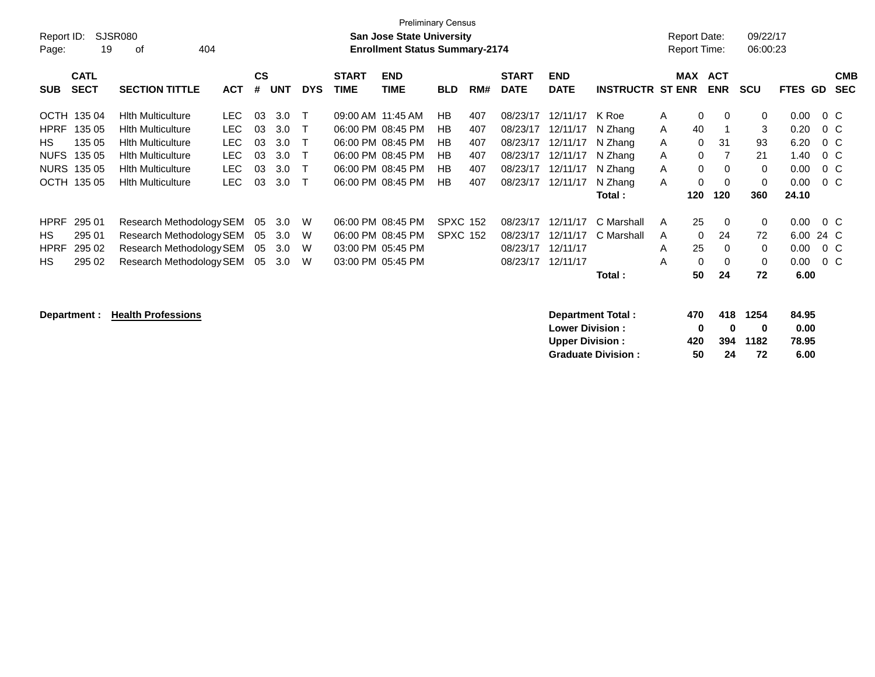| Page:       | <b>Preliminary Census</b><br>SJSR080<br>Report ID:<br><b>San Jose State University</b><br><b>Enrollment Status Summary-2174</b><br>19<br>0f<br>404 |                          |            |           |            |            |                   |                   |                 |     |              |             |                         | <b>Report Date:</b><br><b>Report Time:</b> |            | 09/22/17<br>06:00:23 |                |        |            |
|-------------|----------------------------------------------------------------------------------------------------------------------------------------------------|--------------------------|------------|-----------|------------|------------|-------------------|-------------------|-----------------|-----|--------------|-------------|-------------------------|--------------------------------------------|------------|----------------------|----------------|--------|------------|
|             | <b>CATL</b>                                                                                                                                        |                          |            | <b>CS</b> |            |            | <b>START</b>      | <b>END</b>        |                 |     | <b>START</b> | <b>END</b>  |                         | MAX                                        | <b>ACT</b> |                      |                |        | <b>CMB</b> |
| <b>SUB</b>  | <b>SECT</b>                                                                                                                                        | <b>SECTION TITTLE</b>    | <b>ACT</b> | #         | <b>UNT</b> | <b>DYS</b> | <b>TIME</b>       | <b>TIME</b>       | <b>BLD</b>      | RM# | <b>DATE</b>  | <b>DATE</b> | <b>INSTRUCTR ST ENR</b> |                                            | <b>ENR</b> | <b>SCU</b>           | <b>FTES GD</b> |        | <b>SEC</b> |
| OCTH        | 135 04                                                                                                                                             | <b>Hith Multiculture</b> | LEC.       | 03        | 3.0        | т          | 09:00 AM 11:45 AM |                   | HB              | 407 | 08/23/17     | 12/11/17    | K Roe                   | $\mathbf 0$<br>A                           | $\Omega$   | $\mathbf 0$          | 0.00           | $0\,C$ |            |
| <b>HPRF</b> | 135 05                                                                                                                                             | <b>Hith Multiculture</b> | LEC.       | 03        | 3.0        |            |                   | 06:00 PM 08:45 PM | HB              | 407 | 08/23/17     | 12/11/17    | N Zhang                 | 40<br>A                                    |            | 3                    | 0.20           | $0\,C$ |            |
| HS.         | 135 05                                                                                                                                             | <b>Hith Multiculture</b> | <b>LEC</b> | 03        | 3.0        |            |                   | 06:00 PM 08:45 PM | HB              | 407 | 08/23/17     | 12/11/17    | N Zhang                 | A<br>$\mathbf{0}$                          | 31         | 93                   | 6.20           | $0\,C$ |            |
| <b>NUFS</b> | 135 05                                                                                                                                             | <b>Hith Multiculture</b> | <b>LEC</b> | 03        | 3.0        |            | 06:00 PM          | 08:45 PM          | HB              | 407 | 08/23/17     | 12/11/17    | N Zhang                 | $\mathbf 0$<br>A                           |            | 21                   | 1.40           | $0\,C$ |            |
| <b>NURS</b> | 135 05                                                                                                                                             | <b>Hith Multiculture</b> | <b>LEC</b> | 03        | 3.0        |            | 06:00 PM          | 08:45 PM          | НB              | 407 | 08/23/17     | 12/11/17    | N Zhang                 | $\mathbf 0$<br>A                           | $\Omega$   | 0                    | 0.00           | $0\,C$ |            |
| ОСТН        | 135 05                                                                                                                                             | <b>Hith Multiculture</b> | <b>LEC</b> | 03        | 3.0        | т          |                   | 06:00 PM 08:45 PM | <b>HB</b>       | 407 | 08/23/17     | 12/11/17    | N Zhang                 | A<br>0                                     | $\Omega$   | 0                    | 0.00           | $0\,C$ |            |
|             |                                                                                                                                                    |                          |            |           |            |            |                   |                   |                 |     |              |             | Total:                  | 120                                        | 120        | 360                  | 24.10          |        |            |
| <b>HPRF</b> | 295 01                                                                                                                                             | Research Methodology SEM |            | 05        | 3.0        | W          | 06:00 PM 08:45 PM |                   | <b>SPXC 152</b> |     | 08/23/17     | 12/11/17    | C Marshall              | 25<br>A                                    | $\Omega$   | 0                    | 0.00           | $0\,C$ |            |
| HS.         | 295 01                                                                                                                                             | Research Methodology SEM |            | 05        | 3.0        | W          |                   | 06:00 PM 08:45 PM | <b>SPXC 152</b> |     | 08/23/17     | 12/11/17    | C Marshall              | $\mathbf 0$<br>A                           | 24         | 72                   | 6.00           | 24 C   |            |
| <b>HPRF</b> | 295 02                                                                                                                                             | Research Methodology SEM |            | 05        | 3.0        | W          | 03:00 PM 05:45 PM |                   |                 |     | 08/23/17     | 12/11/17    |                         | 25<br>A                                    | $\Omega$   | 0                    | 0.00           | $0\,C$ |            |
| HS.         | 295 02                                                                                                                                             | Research Methodology SEM |            | 05        | 3.0        | W          |                   | 03:00 PM 05:45 PM |                 |     | 08/23/17     | 12/11/17    |                         | $\mathbf{0}$<br>A                          | $\Omega$   | $\mathbf 0$          | 0.00           | $0\,C$ |            |
|             |                                                                                                                                                    |                          |            |           |            |            |                   |                   |                 |     |              |             | Total:                  | 50                                         | 24         | 72                   | 6.00           |        |            |

**Department : Health Professions Department Total : 470 418 1254 84.95 Lower Division :**  $\begin{array}{cccc} 0 & 0 & 0 & 0.00 \\ \text{Upper Division:} & 420 & 394 & 1182 & 78.95 \end{array}$ **Upper Division : 420 394 1182 78.95 Graduate Division : 50 24 72 6.00**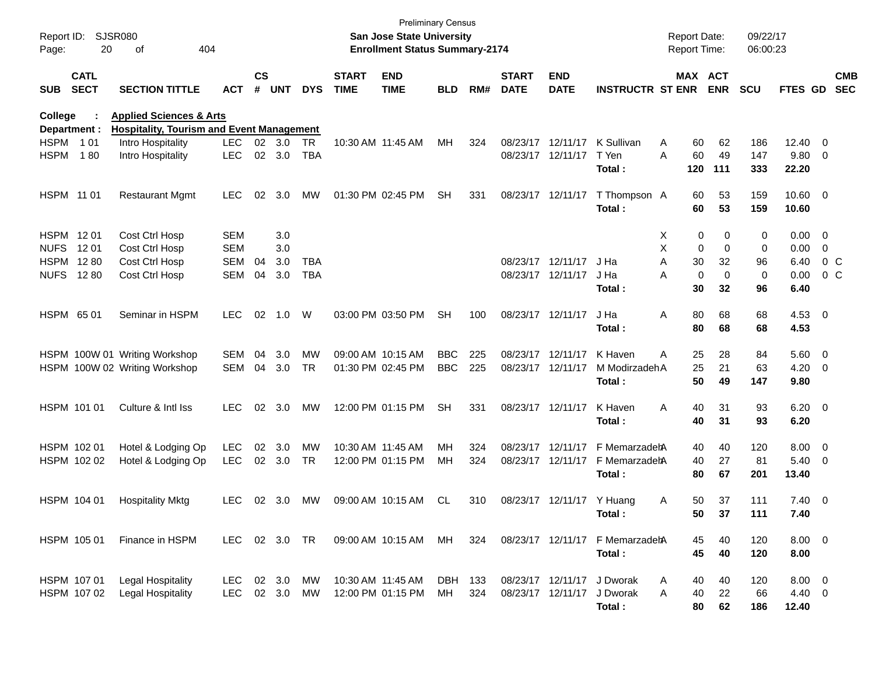| Report ID:<br>Page:     | 20                         | SJSR080<br>404<br>οf                                                                   |               |                    |            |            |                             | <b>Preliminary Census</b><br><b>San Jose State University</b><br><b>Enrollment Status Summary-2174</b> |            |       |                             |                           |                                 | <b>Report Date:</b><br>Report Time: |           |                       | 09/22/17<br>06:00:23 |                  |                          |                          |
|-------------------------|----------------------------|----------------------------------------------------------------------------------------|---------------|--------------------|------------|------------|-----------------------------|--------------------------------------------------------------------------------------------------------|------------|-------|-----------------------------|---------------------------|---------------------------------|-------------------------------------|-----------|-----------------------|----------------------|------------------|--------------------------|--------------------------|
| <b>SUB</b>              | <b>CATL</b><br><b>SECT</b> | <b>SECTION TITTLE</b>                                                                  | <b>ACT</b>    | $\mathsf{cs}$<br># | <b>UNT</b> | <b>DYS</b> | <b>START</b><br><b>TIME</b> | <b>END</b><br><b>TIME</b>                                                                              | <b>BLD</b> | RM#   | <b>START</b><br><b>DATE</b> | <b>END</b><br><b>DATE</b> | <b>INSTRUCTR ST ENR</b>         |                                     |           | MAX ACT<br><b>ENR</b> | <b>SCU</b>           | <b>FTES GD</b>   |                          | <b>CMB</b><br><b>SEC</b> |
| College<br>Department : |                            | <b>Applied Sciences &amp; Arts</b><br><b>Hospitality, Tourism and Event Management</b> |               |                    |            |            |                             |                                                                                                        |            |       |                             |                           |                                 |                                     |           |                       |                      |                  |                          |                          |
| HSPM 101                |                            | Intro Hospitality                                                                      | <b>LEC</b>    | 02                 | 3.0        | <b>TR</b>  | 10:30 AM 11:45 AM           |                                                                                                        | MН         | 324   |                             | 08/23/17 12/11/17         | K Sullivan                      | A                                   | 60        | 62                    | 186                  | 12.40            | $\overline{\phantom{0}}$ |                          |
| <b>HSPM</b>             | 180                        | Intro Hospitality                                                                      | <b>LEC</b>    | 02                 | 3.0        | <b>TBA</b> |                             |                                                                                                        |            |       |                             | 08/23/17 12/11/17         | T Yen<br>Total:                 | A                                   | 60<br>120 | 49<br>111             | 147<br>333           | 9.80<br>22.20    | - 0                      |                          |
| HSPM 11 01              |                            | <b>Restaurant Mgmt</b>                                                                 | <b>LEC</b>    | 02                 | 3.0        | MW         | 01:30 PM 02:45 PM           |                                                                                                        | <b>SH</b>  | 331   |                             | 08/23/17 12/11/17         | T Thompson A<br>Total:          |                                     | 60<br>60  | 53<br>53              | 159<br>159           | 10.60 0<br>10.60 |                          |                          |
| HSPM 1201               |                            | Cost Ctrl Hosp                                                                         | <b>SEM</b>    |                    | 3.0        |            |                             |                                                                                                        |            |       |                             |                           |                                 | X                                   | 0         | 0                     | 0                    | 0.00             | $\overline{\phantom{0}}$ |                          |
| <b>NUFS</b>             | 12 01                      | Cost Ctrl Hosp                                                                         | <b>SEM</b>    |                    | 3.0        |            |                             |                                                                                                        |            |       |                             |                           |                                 | х                                   | 0         | 0                     | 0                    | 0.00             | $\mathbf 0$              |                          |
| HSPM 1280               |                            | Cost Ctrl Hosp                                                                         | <b>SEM</b>    | 04                 | 3.0        | <b>TBA</b> |                             |                                                                                                        |            |       |                             | 08/23/17 12/11/17         | J Ha                            | Α                                   | 30        | 32                    | 96                   | 6.40             | 0 <sup>o</sup>           |                          |
| <b>NUFS</b>             | 12 80                      | Cost Ctrl Hosp                                                                         | <b>SEM</b>    | 04                 | 3.0        | <b>TBA</b> |                             |                                                                                                        |            |       |                             | 08/23/17 12/11/17         | J Ha                            | A                                   | 0         | 0                     | 0                    | 0.00             | $0\,$ C                  |                          |
|                         |                            |                                                                                        |               |                    |            |            |                             |                                                                                                        |            |       |                             |                           | Total:                          |                                     | 30        | 32                    | 96                   | 6.40             |                          |                          |
| HSPM 65 01              |                            | Seminar in HSPM                                                                        | <b>LEC</b>    | 02                 | 1.0        | W          |                             | 03:00 PM 03:50 PM                                                                                      | <b>SH</b>  | 100   | 08/23/17 12/11/17           |                           | J Ha                            | Α                                   | 80        | 68                    | 68                   | $4.53 \t 0$      |                          |                          |
|                         |                            |                                                                                        |               |                    |            |            |                             |                                                                                                        |            |       |                             |                           | Total:                          |                                     | 80        | 68                    | 68                   | 4.53             |                          |                          |
|                         |                            | HSPM 100W 01 Writing Workshop                                                          | <b>SEM</b>    | 04                 | 3.0        | MW         | 09:00 AM 10:15 AM           |                                                                                                        | <b>BBC</b> | 225   |                             | 08/23/17 12/11/17         | K Haven                         | Α                                   | 25        | 28                    | 84                   | 5.60 0           |                          |                          |
|                         |                            | HSPM 100W 02 Writing Workshop                                                          | SEM           | 04                 | 3.0        | <b>TR</b>  | 01:30 PM 02:45 PM           |                                                                                                        | <b>BBC</b> | 225   |                             | 08/23/17 12/11/17         | M ModirzadehA                   |                                     | 25        | 21                    | 63                   | 4.20             | $\overline{\mathbf{0}}$  |                          |
|                         |                            |                                                                                        |               |                    |            |            |                             |                                                                                                        |            |       |                             |                           | Total:                          |                                     | 50        | 49                    | 147                  | 9.80             |                          |                          |
| HSPM 101 01             |                            | Culture & Intl Iss                                                                     | <b>LEC</b>    | 02                 | 3.0        | МW         | 12:00 PM 01:15 PM           |                                                                                                        | <b>SH</b>  | 331   |                             | 08/23/17 12/11/17         | K Haven                         | Α                                   | 40        | 31                    | 93                   | $6.20 \t 0$      |                          |                          |
|                         |                            |                                                                                        |               |                    |            |            |                             |                                                                                                        |            |       |                             |                           | Total:                          |                                     | 40        | 31                    | 93                   | 6.20             |                          |                          |
| HSPM 102 01             |                            | Hotel & Lodging Op                                                                     | LEC           | 02                 | 3.0        | MW         | 10:30 AM 11:45 AM           |                                                                                                        | MН         | 324   |                             | 08/23/17 12/11/17         | F MemarzadehA                   |                                     | 40        | 40                    | 120                  | 8.00             | $\overline{\phantom{0}}$ |                          |
| HSPM 102 02             |                            | Hotel & Lodging Op                                                                     | <b>LEC</b>    | 02                 | 3.0        | TR         |                             | 12:00 PM 01:15 PM                                                                                      | MН         | 324   |                             | 08/23/17 12/11/17         | F MemarzadehA                   |                                     | 40        | 27                    | 81                   | 5.40             | $\overline{\phantom{0}}$ |                          |
|                         |                            |                                                                                        |               |                    |            |            |                             |                                                                                                        |            |       |                             |                           | Total:                          |                                     | 80        | 67                    | 201                  | 13.40            |                          |                          |
| HSPM 104 01             |                            | <b>Hospitality Mktg</b>                                                                | <b>LEC</b>    | 02                 | 3.0        | MW         | 09:00 AM 10:15 AM           |                                                                                                        | CL         | 310   |                             | 08/23/17 12/11/17         | Y Huang                         | Α                                   | 50        | 37                    | 111                  | $7.40 \quad 0$   |                          |                          |
|                         |                            |                                                                                        |               |                    |            |            |                             |                                                                                                        |            |       |                             |                           | Total:                          |                                     | 50.       | 37                    | 111                  | 7.40             |                          |                          |
| HSPM 105 01             |                            | Finance in HSPM                                                                        | LEC 02 3.0 TR |                    |            |            |                             | 09:00 AM 10:15 AM MH                                                                                   |            | 324   |                             |                           | 08/23/17 12/11/17 F MemarzadetA |                                     | 45        | 40                    | 120                  | $8.00 \t 0$      |                          |                          |
|                         |                            |                                                                                        |               |                    |            |            |                             |                                                                                                        |            |       |                             |                           | Total:                          |                                     | 45        | 40                    | 120                  | 8.00             |                          |                          |
| HSPM 107 01             |                            | <b>Legal Hospitality</b>                                                               | LEC           |                    | 02 3.0     | МW         | 10:30 AM 11:45 AM           |                                                                                                        | DBH        | - 133 |                             | 08/23/17 12/11/17         | J Dworak                        | A                                   | 40        | 40                    | 120                  | $8.00 \t 0$      |                          |                          |
|                         | HSPM 107 02                | <b>Legal Hospitality</b>                                                               | LEC.          |                    | 02 3.0     | МW         | 12:00 PM 01:15 PM           |                                                                                                        | МH         | 324   |                             | 08/23/17 12/11/17         | J Dworak                        | A                                   | 40        | 22                    | 66                   | 4.40 0           |                          |                          |
|                         |                            |                                                                                        |               |                    |            |            |                             |                                                                                                        |            |       |                             |                           | Total:                          |                                     | 80        | 62                    | 186                  | 12.40            |                          |                          |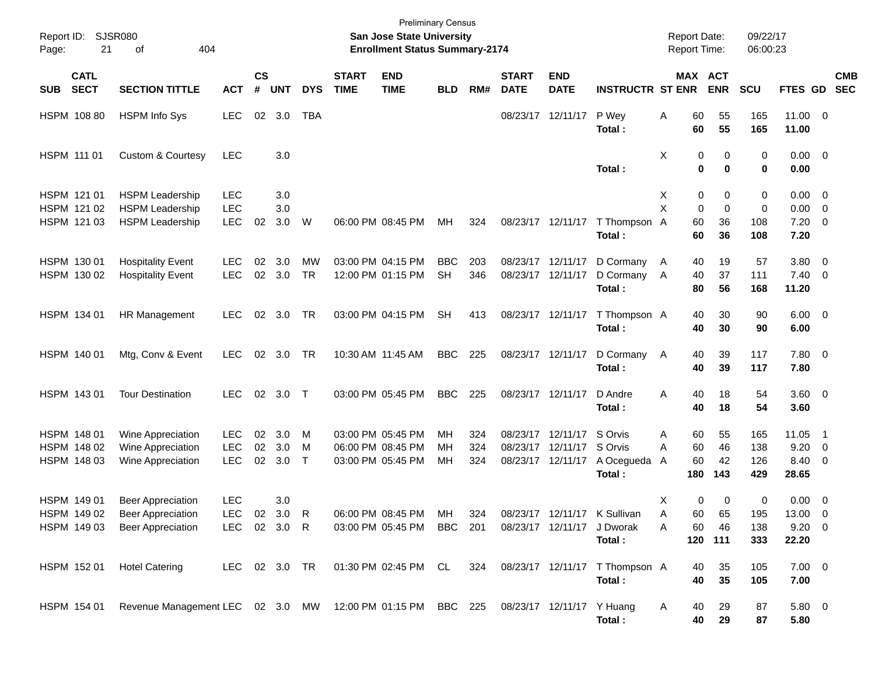| Report ID:<br>Page: | 21                                        | SJSR080<br>404<br>οf                                                             |                                        |                    |                   |                  |                             | <b>Preliminary Census</b><br>San Jose State University<br><b>Enrollment Status Summary-2174</b> |                         |                   |                                  |                                  |                                            | <b>Report Date:</b><br>Report Time:  |                              | 09/22/17<br>06:00:23     |                                               |                                                                                 |
|---------------------|-------------------------------------------|----------------------------------------------------------------------------------|----------------------------------------|--------------------|-------------------|------------------|-----------------------------|-------------------------------------------------------------------------------------------------|-------------------------|-------------------|----------------------------------|----------------------------------|--------------------------------------------|--------------------------------------|------------------------------|--------------------------|-----------------------------------------------|---------------------------------------------------------------------------------|
| <b>SUB</b>          | <b>CATL</b><br><b>SECT</b>                | <b>SECTION TITTLE</b>                                                            | <b>ACT</b>                             | $\mathsf{cs}$<br># | <b>UNT</b>        | <b>DYS</b>       | <b>START</b><br><b>TIME</b> | <b>END</b><br><b>TIME</b>                                                                       | <b>BLD</b>              | RM#               | <b>START</b><br><b>DATE</b>      | <b>END</b><br><b>DATE</b>        | <b>INSTRUCTR ST ENR</b>                    | MAX ACT                              | <b>ENR</b>                   | <b>SCU</b>               | FTES GD                                       | <b>CMB</b><br><b>SEC</b>                                                        |
|                     | HSPM 108 80                               | <b>HSPM Info Sys</b>                                                             | <b>LEC</b>                             | 02                 | 3.0               | <b>TBA</b>       |                             |                                                                                                 |                         |                   | 08/23/17                         | 12/11/17                         | P Wey<br>Total:                            | Α<br>60<br>60                        | 55<br>55                     | 165<br>165               | 11.00 0<br>11.00                              |                                                                                 |
|                     | HSPM 111 01                               | <b>Custom &amp; Courtesy</b>                                                     | <b>LEC</b>                             |                    | 3.0               |                  |                             |                                                                                                 |                         |                   |                                  |                                  | Total:                                     | Х<br>0<br>$\mathbf 0$                | 0<br>$\bf{0}$                | 0<br>0                   | $0.00 \t 0$<br>0.00                           |                                                                                 |
|                     | HSPM 121 01<br>HSPM 121 02<br>HSPM 121 03 | <b>HSPM Leadership</b><br><b>HSPM Leadership</b><br><b>HSPM Leadership</b>       | <b>LEC</b><br><b>LEC</b><br><b>LEC</b> | 02                 | 3.0<br>3.0<br>3.0 | W                |                             | 06:00 PM 08:45 PM                                                                               | MH                      | 324               | 08/23/17 12/11/17                |                                  | T Thompson A<br>Total:                     | Х<br>0<br>X<br>0<br>60<br>60         | 0<br>$\mathbf 0$<br>36<br>36 | 0<br>0<br>108<br>108     | $0.00 \t 0$<br>0.00<br>7.20<br>7.20           | - 0<br>- 0                                                                      |
|                     | HSPM 130 01<br>HSPM 130 02                | <b>Hospitality Event</b><br><b>Hospitality Event</b>                             | <b>LEC</b><br><b>LEC</b>               | 02<br>02           | 3.0<br>3.0        | МW<br><b>TR</b>  |                             | 03:00 PM 04:15 PM<br>12:00 PM 01:15 PM                                                          | <b>BBC</b><br><b>SH</b> | 203<br>346        | 08/23/17<br>08/23/17             | 12/11/17<br>12/11/17             | D Cormany<br>D Cormany<br>Total:           | 40<br>A<br>40<br>A<br>80             | 19<br>37<br>56               | 57<br>111<br>168         | 3.80<br>$7.40 \ 0$<br>11.20                   | $\overline{0}$                                                                  |
|                     | HSPM 134 01                               | HR Management                                                                    | <b>LEC</b>                             | 02                 | 3.0               | TR               |                             | 03:00 PM 04:15 PM                                                                               | <b>SH</b>               | 413               | 08/23/17                         | 12/11/17                         | T Thompson A<br>Total:                     | 40<br>40                             | 30<br>30                     | 90<br>90                 | $6.00 \quad 0$<br>6.00                        |                                                                                 |
|                     | HSPM 140 01                               | Mtg, Conv & Event                                                                | <b>LEC</b>                             |                    | $02 \quad 3.0$    | TR               |                             | 10:30 AM 11:45 AM                                                                               | <b>BBC</b>              | 225               | 08/23/17                         | 12/11/17                         | D Cormany<br>Total:                        | 40<br>A<br>40                        | 39<br>39                     | 117<br>117               | 7.80 0<br>7.80                                |                                                                                 |
|                     | HSPM 143 01                               | <b>Tour Destination</b>                                                          | <b>LEC</b>                             | 02                 | 3.0               | $\top$           |                             | 03:00 PM 05:45 PM                                                                               | <b>BBC</b>              | 225               | 08/23/17                         | 12/11/17                         | D Andre<br>Total:                          | A<br>40<br>40                        | 18<br>18                     | 54<br>54                 | 3.60 0<br>3.60                                |                                                                                 |
|                     | HSPM 148 01<br>HSPM 148 02<br>HSPM 148 03 | Wine Appreciation<br>Wine Appreciation<br>Wine Appreciation                      | <b>LEC</b><br><b>LEC</b><br><b>LEC</b> | 02<br>02<br>02     | 3.0<br>3.0<br>3.0 | M<br>м<br>$\top$ |                             | 03:00 PM 05:45 PM<br>06:00 PM 08:45 PM<br>03:00 PM 05:45 PM                                     | MН<br>MH<br>MH          | 324<br>324<br>324 | 08/23/17<br>08/23/17<br>08/23/17 | 12/11/17<br>12/11/17<br>12/11/17 | S Orvis<br>S Orvis<br>A Ocegueda<br>Total: | 60<br>A<br>60<br>A<br>60<br>A<br>180 | 55<br>46<br>42<br>143        | 165<br>138<br>126<br>429 | 11.05<br>9.20<br>8.40<br>28.65                | $\overline{\phantom{1}}$<br>$\overline{\mathbf{0}}$<br>$\overline{\phantom{0}}$ |
|                     | HSPM 149 01<br>HSPM 149 02<br>HSPM 149 03 | <b>Beer Appreciation</b><br><b>Beer Appreciation</b><br><b>Beer Appreciation</b> | <b>LEC</b><br>LEC<br><b>LEC</b>        |                    | 3.0<br>02 3.0 R   |                  |                             | 03:00 PM 05:45 PM                                                                               | <b>BBC</b>              | 201               |                                  | 08/23/17 12/11/17                | J Dworak<br>Total:                         | X<br>0<br>A<br>60<br>60<br>Α         | 0<br>65<br>46<br>120 111     | 0<br>195<br>138<br>333   | $0.00 \t 0$<br>13.00 0<br>$9.20 \ 0$<br>22.20 |                                                                                 |
|                     | HSPM 152 01                               | <b>Hotel Catering</b>                                                            | LEC 02 3.0 TR                          |                    |                   |                  |                             | 01:30 PM 02:45 PM CL                                                                            |                         | 324               |                                  |                                  | 08/23/17 12/11/17 T Thompson A<br>Total:   | 40<br>40                             | 35<br>35                     | 105<br>105               | $7.00 \t 0$<br>7.00                           |                                                                                 |
|                     | HSPM 154 01                               | Revenue Management LEC 02 3.0 MW 12:00 PM 01:15 PM                               |                                        |                    |                   |                  |                             |                                                                                                 | BBC 225                 |                   |                                  | 08/23/17 12/11/17 Y Huang        | Total:                                     | 40<br>A<br>40                        | 29<br>29                     | 87<br>87                 | 5.80 0<br>5.80                                |                                                                                 |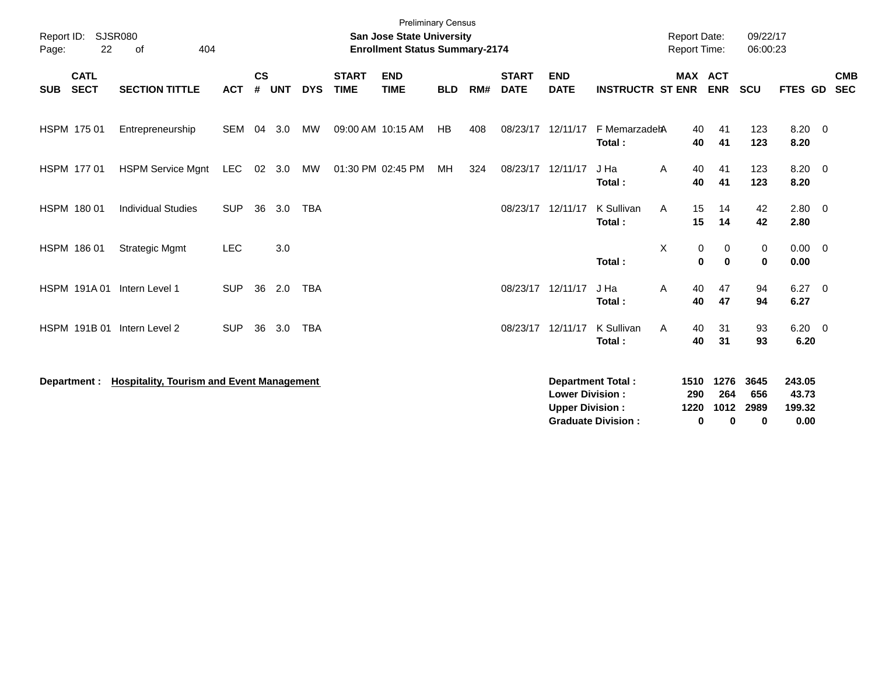| Report ID:<br>22<br>Page:                | <b>SJSR080</b><br>404<br>0f                      |            |                    |            |            |                             | <b>Preliminary Census</b><br><b>San Jose State University</b><br><b>Enrollment Status Summary-2174</b> |            |     |                             |                                                  |                                                       | <b>Report Date:</b><br><b>Report Time:</b> |                                 | 09/22/17<br>06:00:23     |                                   |                          |
|------------------------------------------|--------------------------------------------------|------------|--------------------|------------|------------|-----------------------------|--------------------------------------------------------------------------------------------------------|------------|-----|-----------------------------|--------------------------------------------------|-------------------------------------------------------|--------------------------------------------|---------------------------------|--------------------------|-----------------------------------|--------------------------|
| <b>CATL</b><br><b>SECT</b><br><b>SUB</b> | <b>SECTION TITTLE</b>                            | <b>ACT</b> | $\mathsf{cs}$<br># | <b>UNT</b> | <b>DYS</b> | <b>START</b><br><b>TIME</b> | <b>END</b><br><b>TIME</b>                                                                              | <b>BLD</b> | RM# | <b>START</b><br><b>DATE</b> | <b>END</b><br><b>DATE</b>                        | <b>INSTRUCTR ST ENR</b>                               |                                            | <b>MAX ACT</b><br><b>ENR</b>    | <b>SCU</b>               | FTES GD                           | <b>CMB</b><br><b>SEC</b> |
| HSPM 175 01                              | Entrepreneurship                                 | <b>SEM</b> | 04                 | 3.0        | <b>MW</b>  |                             | 09:00 AM 10:15 AM                                                                                      | HB         | 408 | 08/23/17                    | 12/11/17                                         | F MemarzadehA<br>Total:                               | 40<br>40                                   | 41<br>41                        | 123<br>123               | $8.20 \ 0$<br>8.20                |                          |
| HSPM 177 01                              | <b>HSPM Service Mgnt</b>                         | LEC        | 02                 | 3.0        | MW         |                             | 01:30 PM 02:45 PM                                                                                      | МH         | 324 | 08/23/17                    | 12/11/17                                         | J Ha<br>Total:                                        | 40<br>A<br>40                              | 41<br>41                        | 123<br>123               | $8.20 \ 0$<br>8.20                |                          |
| HSPM 180 01                              | <b>Individual Studies</b>                        | <b>SUP</b> | 36                 | 3.0        | <b>TBA</b> |                             |                                                                                                        |            |     | 08/23/17                    | 12/11/17                                         | K Sullivan<br>Total:                                  | 15<br>A<br>15                              | 14<br>14                        | 42<br>42                 | $2.80 \quad 0$<br>2.80            |                          |
| HSPM 186 01                              | <b>Strategic Mgmt</b>                            | <b>LEC</b> |                    | 3.0        |            |                             |                                                                                                        |            |     |                             |                                                  | Total:                                                | X<br>0<br>$\mathbf 0$                      | 0<br>$\mathbf{0}$               | 0<br>$\mathbf 0$         | $0.00 \t 0$<br>0.00               |                          |
| HSPM 191A01                              | Intern Level 1                                   | <b>SUP</b> | 36                 | 2.0        | <b>TBA</b> |                             |                                                                                                        |            |     |                             | 08/23/17 12/11/17                                | J Ha<br>Total:                                        | A<br>40<br>40                              | 47<br>47                        | 94<br>94                 | $6.27 \quad 0$<br>6.27            |                          |
| HSPM 191B 01                             | Intern Level 2                                   | <b>SUP</b> | 36                 | 3.0        | <b>TBA</b> |                             |                                                                                                        |            |     | 08/23/17                    | 12/11/17                                         | K Sullivan<br>Total:                                  | 40<br>Α<br>40                              | 31<br>31                        | 93<br>93                 | $6.20 \quad 0$<br>6.20            |                          |
| Department :                             | <b>Hospitality, Tourism and Event Management</b> |            |                    |            |            |                             |                                                                                                        |            |     |                             | <b>Lower Division:</b><br><b>Upper Division:</b> | <b>Department Total:</b><br><b>Graduate Division:</b> | 1510<br>290<br>1220<br>$\bf{0}$            | 1276<br>264<br>1012<br>$\bf{0}$ | 3645<br>656<br>2989<br>0 | 243.05<br>43.73<br>199.32<br>0.00 |                          |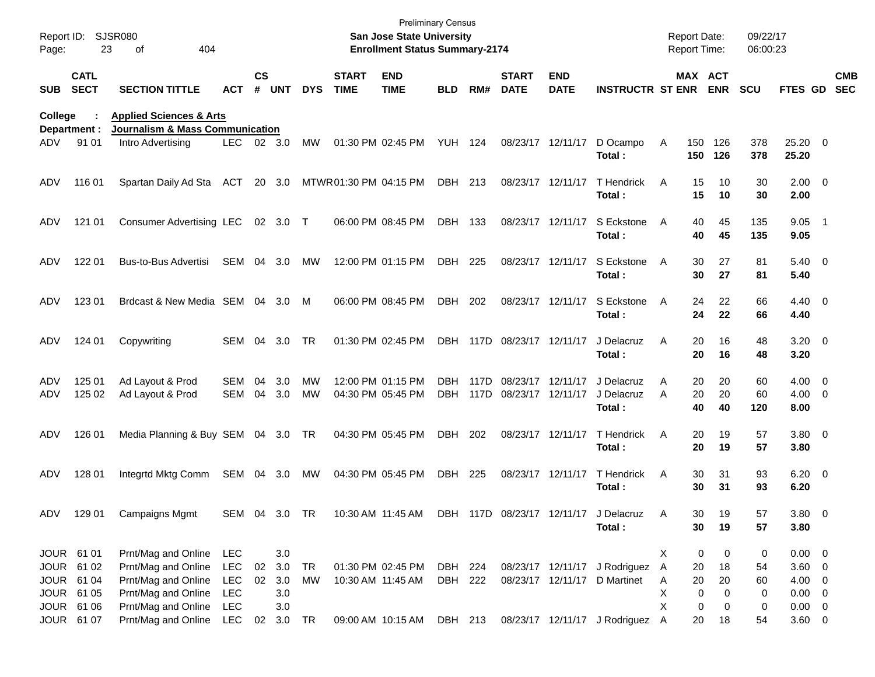| Report ID:<br>Page: | 23                         | <b>SJSR080</b><br>404<br>οf        |               |               |                |            |                             | <b>Preliminary Census</b><br><b>San Jose State University</b><br><b>Enrollment Status Summary-2174</b> |                |      |                             |                            |                                 |   | <b>Report Date:</b><br><b>Report Time:</b> |             | 09/22/17<br>06:00:23 |                     |                          |
|---------------------|----------------------------|------------------------------------|---------------|---------------|----------------|------------|-----------------------------|--------------------------------------------------------------------------------------------------------|----------------|------|-----------------------------|----------------------------|---------------------------------|---|--------------------------------------------|-------------|----------------------|---------------------|--------------------------|
| <b>SUB</b>          | <b>CATL</b><br><b>SECT</b> | <b>SECTION TITTLE</b>              | ACT           | $\mathsf{cs}$ | # UNT          | <b>DYS</b> | <b>START</b><br><b>TIME</b> | <b>END</b><br><b>TIME</b>                                                                              | <b>BLD</b>     | RM#  | <b>START</b><br><b>DATE</b> | <b>END</b><br><b>DATE</b>  | <b>INSTRUCTR ST ENR</b>         |   | MAX ACT                                    | <b>ENR</b>  | <b>SCU</b>           | FTES GD             | <b>CMB</b><br><b>SEC</b> |
| College             |                            | <b>Applied Sciences &amp; Arts</b> |               |               |                |            |                             |                                                                                                        |                |      |                             |                            |                                 |   |                                            |             |                      |                     |                          |
|                     | Department :               | Journalism & Mass Communication    |               |               |                |            |                             |                                                                                                        |                |      |                             |                            |                                 |   |                                            |             |                      |                     |                          |
| ADV.                | 91 01                      | Intro Advertising                  | LEC.          |               | $02 \quad 3.0$ | МW         |                             | 01:30 PM 02:45 PM                                                                                      | <b>YUH 124</b> |      |                             | 08/23/17 12/11/17          | D Ocampo<br>Total:              | A | 150<br>150                                 | 126<br>126  | 378<br>378           | 25.20 0<br>25.20    |                          |
| ADV                 | 116 01                     | Spartan Daily Ad Sta               | ACT           |               | 20 3.0         |            | MTWR01:30 PM 04:15 PM       |                                                                                                        | DBH 213        |      |                             | 08/23/17 12/11/17          | T Hendrick<br>Total :           | Α | 15<br>15                                   | 10<br>10    | 30<br>30             | $2.00 \t 0$<br>2.00 |                          |
| ADV                 | 121 01                     | Consumer Advertising LEC           |               |               | 02 3.0 T       |            |                             | 06:00 PM 08:45 PM                                                                                      | DBH            | 133  |                             | 08/23/17 12/11/17          | S Eckstone<br>Total:            | A | 40<br>40                                   | 45<br>45    | 135<br>135           | $9.05$ 1<br>9.05    |                          |
| ADV                 | 122 01                     | Bus-to-Bus Advertisi               | SEM           | 04            | 3.0            | MW         |                             | 12:00 PM 01:15 PM                                                                                      | DBH            | 225  |                             | 08/23/17 12/11/17          | S Eckstone<br>Total:            | A | 30<br>30                                   | 27<br>27    | 81<br>81             | $5.40 \ 0$<br>5.40  |                          |
| ADV                 | 123 01                     | Brdcast & New Media SEM 04 3.0     |               |               |                | M          |                             | 06:00 PM 08:45 PM                                                                                      | DBH            | 202  |                             | 08/23/17 12/11/17          | S Eckstone<br>Total:            | A | 24<br>24                                   | 22<br>22    | 66<br>66             | $4.40 \ 0$<br>4.40  |                          |
| ADV                 | 124 01                     | Copywriting                        | SEM           | 04            | 3.0            | TR         |                             | 01:30 PM 02:45 PM                                                                                      | DBH            |      | 117D 08/23/17 12/11/17      |                            | J Delacruz<br>Total:            | Α | 20<br>20                                   | 16<br>16    | 48<br>48             | $3.20 \ 0$<br>3.20  |                          |
| ADV                 | 125 01                     | Ad Layout & Prod                   | <b>SEM</b>    | 04            | 3.0            | <b>MW</b>  |                             | 12:00 PM 01:15 PM                                                                                      | DBH.           | 117D | 08/23/17 12/11/17           |                            | J Delacruz                      | Α | 20                                         | 20          | 60                   | $4.00 \t 0$         |                          |
| ADV                 | 125 02                     | Ad Layout & Prod                   | SEM           | 04            | 3.0            | MW         |                             | 04:30 PM 05:45 PM                                                                                      | DBH            | 117D | 08/23/17 12/11/17           |                            | J Delacruz                      | A | 20                                         | 20          | 60                   | $4.00 \ 0$          |                          |
|                     |                            |                                    |               |               |                |            |                             |                                                                                                        |                |      |                             |                            | Total :                         |   | 40                                         | 40          | 120                  | 8.00                |                          |
| ADV                 | 126 01                     | Media Planning & Buy SEM 04 3.0 TR |               |               |                |            |                             | 04:30 PM 05:45 PM                                                                                      | DBH 202        |      |                             | 08/23/17 12/11/17          | T Hendrick<br>Total :           | Α | 20<br>20                                   | 19<br>19    | 57<br>57             | 3.80 0<br>3.80      |                          |
| ADV                 | 128 01                     | Integrtd Mktg Comm                 | SEM 04 3.0    |               |                | МW         |                             | 04:30 PM 05:45 PM                                                                                      | DBH 225        |      |                             | 08/23/17 12/11/17          | T Hendrick<br>Total :           | Α | 30<br>30                                   | 31<br>31    | 93<br>93             | $6.20 \t 0$<br>6.20 |                          |
| ADV                 | 129 01                     | Campaigns Mgmt                     | SEM 04 3.0 TR |               |                |            |                             | 10:30 AM 11:45 AM                                                                                      |                |      |                             | DBH 117D 08/23/17 12/11/17 | J Delacruz<br>Total:            | A | 30<br>30                                   | 19<br>19    | 57<br>57             | $3.80\ 0$<br>3.80   |                          |
|                     | JOUR 61 01                 | Prnt/Mag and Online                | LEC           |               | 3.0            |            |                             |                                                                                                        |                |      |                             |                            |                                 | X | 0                                          | 0           | 0                    | $0.00 \t 0$         |                          |
|                     | JOUR 61 02                 | Prnt/Mag and Online                | <b>LEC</b>    | 02            | $3.0\,$        | TR         |                             | 01:30 PM 02:45 PM                                                                                      | DBH 224        |      |                             |                            | 08/23/17 12/11/17 J Rodriguez   | A | 20                                         | 18          | 54                   | 3.60 0              |                          |
|                     | JOUR 61 04                 | Prnt/Mag and Online                | <b>LEC</b>    | 02            | 3.0            | MW         |                             | 10:30 AM 11:45 AM                                                                                      | DBH 222        |      |                             | 08/23/17 12/11/17          | D Martinet                      | Α | 20                                         | 20          | 60                   | $4.00 \ 0$          |                          |
|                     | JOUR 61 05                 | Prnt/Mag and Online                | <b>LEC</b>    |               | 3.0            |            |                             |                                                                                                        |                |      |                             |                            |                                 | Χ | 0                                          | $\mathbf 0$ | 0                    | $0.00 \t 0$         |                          |
|                     | JOUR 61 06                 | Prnt/Mag and Online                | <b>LEC</b>    |               | 3.0            |            |                             |                                                                                                        |                |      |                             |                            |                                 | X | 0                                          | $\mathbf 0$ | 0                    | $0.00 \t 0$         |                          |
|                     | JOUR 61 07                 | Prnt/Mag and Online                | LEC           |               | 02 3.0 TR      |            |                             | 09:00 AM 10:15 AM DBH 213                                                                              |                |      |                             |                            | 08/23/17 12/11/17 J Rodriguez A |   | 20                                         | 18          | 54                   | $3.60 \ 0$          |                          |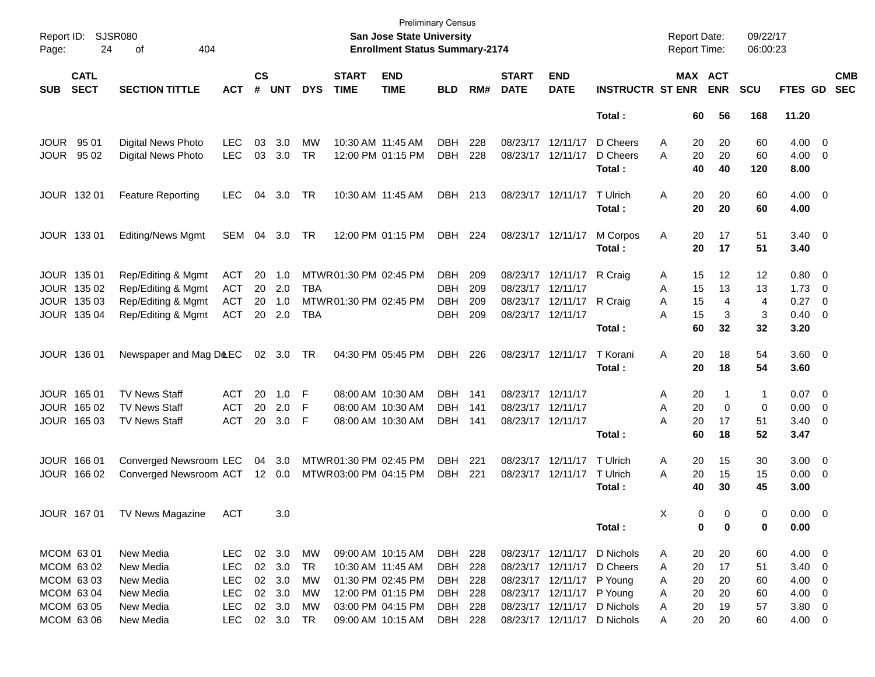| Page:       | Report ID: SJSR080<br>24   | 404<br>of                     |               |                    |                |            |                             | San Jose State University<br><b>Enrollment Status Summary-2174</b> | Preliminary Census |     |                             |                           |                             | <b>Report Date:</b><br><b>Report Time:</b> |          |                       | 09/22/17<br>06:00:23 |                    |                          |                          |
|-------------|----------------------------|-------------------------------|---------------|--------------------|----------------|------------|-----------------------------|--------------------------------------------------------------------|--------------------|-----|-----------------------------|---------------------------|-----------------------------|--------------------------------------------|----------|-----------------------|----------------------|--------------------|--------------------------|--------------------------|
| <b>SUB</b>  | <b>CATL</b><br><b>SECT</b> | <b>SECTION TITTLE</b>         | <b>ACT</b>    | $\mathsf{cs}$<br># | <b>UNT</b>     | <b>DYS</b> | <b>START</b><br><b>TIME</b> | <b>END</b><br><b>TIME</b>                                          | <b>BLD</b>         | RM# | <b>START</b><br><b>DATE</b> | <b>END</b><br><b>DATE</b> | <b>INSTRUCTR ST ENR</b>     |                                            |          | MAX ACT<br><b>ENR</b> | <b>SCU</b>           | <b>FTES GD</b>     |                          | <b>CMB</b><br><b>SEC</b> |
|             |                            |                               |               |                    |                |            |                             |                                                                    |                    |     |                             |                           | Total:                      |                                            | 60       | 56                    | 168                  | 11.20              |                          |                          |
| <b>JOUR</b> | 95 01                      | Digital News Photo            | <b>LEC</b>    | 03                 | 3.0            | MW         | 10:30 AM 11:45 AM           |                                                                    | DBH                | 228 | 08/23/17 12/11/17           |                           | D Cheers                    | A                                          | 20       | 20                    | 60                   | 4.00               | $\overline{\mathbf{0}}$  |                          |
| <b>JOUR</b> | 95 02                      | Digital News Photo            | <b>LEC</b>    | 03                 | 3.0            | <b>TR</b>  |                             | 12:00 PM 01:15 PM                                                  | DBH                | 228 | 08/23/17 12/11/17           |                           | D Cheers<br>Total :         | Α                                          | 20<br>40 | 20<br>40              | 60<br>120            | 4.00<br>8.00       | $\overline{\phantom{0}}$ |                          |
|             |                            |                               |               |                    |                |            |                             |                                                                    |                    |     |                             |                           |                             |                                            |          |                       |                      |                    |                          |                          |
|             | JOUR 132 01                | <b>Feature Reporting</b>      | <b>LEC</b>    | 04                 | 3.0            | TR         | 10:30 AM 11:45 AM           |                                                                    | DBH                | 213 |                             | 08/23/17 12/11/17         | T Ulrich<br>Total:          | Α                                          | 20<br>20 | 20<br>20              | 60<br>60             | $4.00 \ 0$<br>4.00 |                          |                          |
|             | JOUR 133 01                | <b>Editing/News Mgmt</b>      | SEM           | 04                 | 3.0            | TR         |                             | 12:00 PM 01:15 PM                                                  | DBH                | 224 | 08/23/17 12/11/17           |                           | M Corpos                    | Α                                          | 20       | 17                    | 51                   | $3.40 \ 0$         |                          |                          |
|             |                            |                               |               |                    |                |            |                             |                                                                    |                    |     |                             |                           | Total:                      |                                            | 20       | 17                    | 51                   | 3.40               |                          |                          |
|             | JOUR 135 01                | Rep/Editing & Mgmt            | <b>ACT</b>    | 20                 | 1.0            |            | MTWR01:30 PM 02:45 PM       |                                                                    | DBH                | 209 |                             | 08/23/17 12/11/17         | R Craig                     | A                                          | 15       | 12                    | 12                   | 0.80 0             |                          |                          |
|             | JOUR 135 02                | Rep/Editing & Mgmt            | <b>ACT</b>    |                    | 20 2.0         | TBA        |                             |                                                                    | DBH                | 209 | 08/23/17 12/11/17           |                           |                             | Α                                          | 15       | 13                    | 13                   | 1.73               | $\overline{\phantom{0}}$ |                          |
|             | JOUR 135 03                | Rep/Editing & Mgmt            | <b>ACT</b>    | 20                 | 1.0            |            | MTWR 01:30 PM 02:45 PM      |                                                                    | <b>DBH</b>         | 209 | 08/23/17 12/11/17           |                           | R Craig                     | A                                          | 15       | 4                     | 4                    | 0.27               | $\overline{\mathbf{0}}$  |                          |
|             | JOUR 135 04                | Rep/Editing & Mgmt            | <b>ACT</b>    |                    | 20 2.0         | TBA        |                             |                                                                    | DBH                | 209 | 08/23/17 12/11/17           |                           |                             | A                                          | 15       | 3                     | 3                    | 0.40               | $\overline{\phantom{0}}$ |                          |
|             |                            |                               |               |                    |                |            |                             |                                                                    |                    |     |                             |                           | Total:                      |                                            | 60       | 32                    | 32                   | 3.20               |                          |                          |
|             | JOUR 136 01                | Newspaper and Mag D&EC        |               |                    | 02 3.0         | TR         |                             | 04:30 PM 05:45 PM                                                  | DBH                | 226 | 08/23/17 12/11/17           |                           | T Korani                    | Α                                          | 20       | 18                    | 54                   | $3.60 \ 0$         |                          |                          |
|             |                            |                               |               |                    |                |            |                             |                                                                    |                    |     |                             |                           | Total:                      |                                            | 20       | 18                    | 54                   | 3.60               |                          |                          |
|             | JOUR 165 01                | <b>TV News Staff</b>          | <b>ACT</b>    | 20                 | 1.0            | F          | 08:00 AM 10:30 AM           |                                                                    | DBH                | 141 | 08/23/17 12/11/17           |                           |                             | A                                          | 20       | -1                    | $\mathbf 1$          | $0.07$ 0           |                          |                          |
|             | JOUR 165 02                | <b>TV News Staff</b>          | <b>ACT</b>    | 20                 | 2.0            | F          |                             | 08:00 AM 10:30 AM                                                  | DBH                | 141 | 08/23/17 12/11/17           |                           |                             | A                                          | 20       | 0                     | 0                    | 0.00               | $\overline{\phantom{0}}$ |                          |
|             | JOUR 165 03                | <b>TV News Staff</b>          | <b>ACT</b>    | 20                 | 3.0            | F          |                             | 08:00 AM 10:30 AM                                                  | DBH                | 141 | 08/23/17 12/11/17           |                           |                             | A                                          | 20       | 17                    | 51                   | 3.40               | $\overline{\mathbf{0}}$  |                          |
|             |                            |                               |               |                    |                |            |                             |                                                                    |                    |     |                             |                           | Total :                     |                                            | 60       | 18                    | 52                   | 3.47               |                          |                          |
|             | JOUR 166 01                | Converged Newsroom LEC        |               |                    | 04 3.0         |            | MTWR01:30 PM 02:45 PM       |                                                                    | DBH                | 221 |                             | 08/23/17 12/11/17         | T Ulrich                    | Α                                          | 20       | 15                    | 30                   | 3.00               | $\overline{\phantom{0}}$ |                          |
|             | JOUR 166 02                | Converged Newsroom ACT 12 0.0 |               |                    |                |            | MTWR 03:00 PM 04:15 PM      |                                                                    | DBH                | 221 |                             | 08/23/17 12/11/17         | T Ulrich                    | A                                          | 20       | 15                    | 15                   | 0.00               | $\overline{\mathbf{0}}$  |                          |
|             |                            |                               |               |                    |                |            |                             |                                                                    |                    |     |                             |                           | Total :                     |                                            | 40       | 30                    | 45                   | 3.00               |                          |                          |
|             |                            | JOUR 167 01 TV News Magazine  | ACT           |                    | 3.0            |            |                             |                                                                    |                    |     |                             |                           |                             | X                                          | $\Omega$ | $\Omega$              | 0                    | $0.00 \quad 0$     |                          |                          |
|             |                            |                               |               |                    |                |            |                             |                                                                    |                    |     |                             |                           | Total :                     |                                            | 0        | 0                     | 0                    | 0.00               |                          |                          |
|             | MCOM 63 01                 | New Media                     | LEC.          |                    | $02 \quad 3.0$ | МW         |                             | 09:00 AM 10:15 AM                                                  | DBH 228            |     |                             |                           | 08/23/17 12/11/17 D Nichols | A                                          | 20       | 20                    | 60                   | $4.00 \t 0$        |                          |                          |
|             | MCOM 63 02                 | New Media                     | <b>LEC</b>    |                    | 02 3.0         | TR         | 10:30 AM 11:45 AM           |                                                                    | DBH 228            |     |                             | 08/23/17 12/11/17         | D Cheers                    | A                                          | 20       | 17                    | 51                   | $3.40 \ 0$         |                          |                          |
|             | MCOM 63 03                 | New Media                     | <b>LEC</b>    |                    | 02 3.0         | МW         |                             | 01:30 PM 02:45 PM                                                  | DBH 228            |     |                             | 08/23/17 12/11/17 P Young |                             | A                                          | 20       | 20                    | 60                   | $4.00 \ 0$         |                          |                          |
|             | MCOM 63 04                 | New Media                     | <b>LEC</b>    |                    | 02 3.0         | МW         |                             | 12:00 PM 01:15 PM                                                  | DBH 228            |     |                             | 08/23/17 12/11/17         | P Young                     | A                                          | 20       | 20                    | 60                   | $4.00 \ 0$         |                          |                          |
|             | MCOM 63 05                 | New Media                     | <b>LEC</b>    |                    | 02 3.0         | MW         |                             | 03:00 PM 04:15 PM                                                  | DBH 228            |     |                             | 08/23/17 12/11/17         | D Nichols                   | A                                          | 20       | 19                    | 57                   | $3.80\ 0$          |                          |                          |
|             | MCOM 63 06                 | New Media                     | LEC 02 3.0 TR |                    |                |            |                             | 09:00 AM 10:15 AM                                                  | DBH 228            |     |                             |                           | 08/23/17 12/11/17 D Nichols | A                                          | 20       | 20                    | 60                   | $4.00 \t 0$        |                          |                          |
|             |                            |                               |               |                    |                |            |                             |                                                                    |                    |     |                             |                           |                             |                                            |          |                       |                      |                    |                          |                          |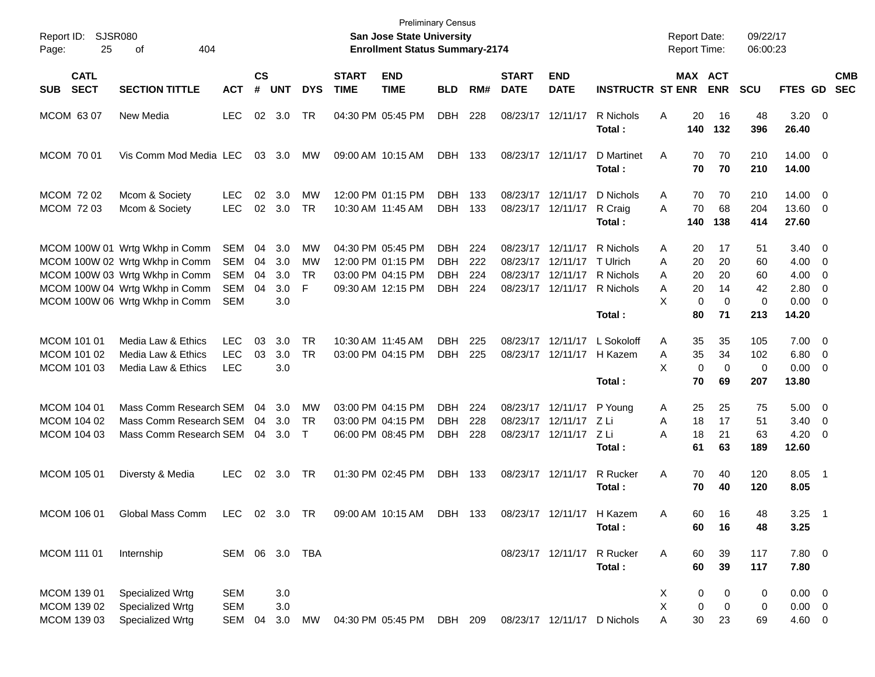| Report ID:<br>25<br>Page:                 | <b>SJSR080</b><br>404<br>οf                                                                                                                                            |                                                      |                      |                                 |                            |                             | <b>Preliminary Census</b><br>San Jose State University<br><b>Enrollment Status Summary-2174</b> |                                                |                          |                             |                                                         |                                                                             | <b>Report Date:</b><br><b>Report Time:</b>                         |                                        | 09/22/17<br>06:00:23                       |                                                                |                                                            |            |
|-------------------------------------------|------------------------------------------------------------------------------------------------------------------------------------------------------------------------|------------------------------------------------------|----------------------|---------------------------------|----------------------------|-----------------------------|-------------------------------------------------------------------------------------------------|------------------------------------------------|--------------------------|-----------------------------|---------------------------------------------------------|-----------------------------------------------------------------------------|--------------------------------------------------------------------|----------------------------------------|--------------------------------------------|----------------------------------------------------------------|------------------------------------------------------------|------------|
| <b>CATL</b><br><b>SECT</b><br><b>SUB</b>  | <b>SECTION TITTLE</b>                                                                                                                                                  | <b>ACT</b>                                           | $\mathsf{cs}$<br>#   | <b>UNT</b>                      | <b>DYS</b>                 | <b>START</b><br><b>TIME</b> | <b>END</b><br><b>TIME</b>                                                                       | <b>BLD</b>                                     | RM#                      | <b>START</b><br><b>DATE</b> | <b>END</b><br><b>DATE</b>                               | <b>INSTRUCTR ST ENR</b>                                                     |                                                                    | MAX ACT<br><b>ENR</b>                  | <b>SCU</b>                                 | FTES GD SEC                                                    |                                                            | <b>CMB</b> |
| MCOM 63 07                                | New Media                                                                                                                                                              | <b>LEC</b>                                           | 02                   | 3.0                             | TR                         |                             | 04:30 PM 05:45 PM                                                                               | <b>DBH</b>                                     | 228                      |                             | 08/23/17 12/11/17                                       | R Nichols<br>Total:                                                         | 20<br>A<br>140                                                     | 16<br>132                              | 48<br>396                                  | $3.20 \ 0$<br>26.40                                            |                                                            |            |
| MCOM 70 01                                | Vis Comm Mod Media LEC                                                                                                                                                 |                                                      |                      | 03 3.0                          | MW                         |                             | 09:00 AM 10:15 AM                                                                               | DBH 133                                        |                          |                             | 08/23/17 12/11/17                                       | D Martinet<br>Total:                                                        | A<br>70<br>70                                                      | 70<br>70                               | 210<br>210                                 | $14.00 \t 0$<br>14.00                                          |                                                            |            |
| MCOM 72 02<br><b>MCOM 7203</b>            | Mcom & Society<br>Mcom & Society                                                                                                                                       | LEC<br><b>LEC</b>                                    | 02<br>02             | 3.0<br>3.0                      | МW<br><b>TR</b>            |                             | 12:00 PM 01:15 PM<br>10:30 AM 11:45 AM                                                          | DBH.<br><b>DBH</b>                             | 133<br>133               |                             | 08/23/17 12/11/17<br>08/23/17 12/11/17                  | D Nichols<br>R Craig<br>Total:                                              | 70<br>A<br>70<br>A<br>140                                          | 70<br>68<br>138                        | 210<br>204<br>414                          | $14.00 \t 0$<br>13.60 0<br>27.60                               |                                                            |            |
|                                           | MCOM 100W 01 Wrtg Wkhp in Comm<br>MCOM 100W 02 Wrtg Wkhp in Comm<br>MCOM 100W 03 Wrtg Wkhp in Comm<br>MCOM 100W 04 Wrtg Wkhp in Comm<br>MCOM 100W 06 Wrtg Wkhp in Comm | SEM<br><b>SEM</b><br><b>SEM</b><br>SEM<br><b>SEM</b> | 04<br>04<br>04<br>04 | 3.0<br>3.0<br>3.0<br>3.0<br>3.0 | МW<br>МW<br><b>TR</b><br>F |                             | 04:30 PM 05:45 PM<br>12:00 PM 01:15 PM<br>03:00 PM 04:15 PM<br>09:30 AM 12:15 PM                | DBH.<br><b>DBH</b><br><b>DBH</b><br><b>DBH</b> | 224<br>222<br>224<br>224 | 08/23/17                    | 08/23/17 12/11/17<br>12/11/17<br>08/23/17 12/11/17      | R Nichols<br>T Ulrich<br>08/23/17 12/11/17 R Nichols<br>R Nichols<br>Total: | 20<br>A<br>20<br>A<br>20<br>A<br>20<br>A<br>X<br>$\mathbf 0$<br>80 | 17<br>20<br>20<br>14<br>$\Omega$<br>71 | 51<br>60<br>60<br>42<br>$\mathbf 0$<br>213 | $3.40 \quad 0$<br>4.00<br>4.00<br>2.80<br>$0.00 \t 0$<br>14.20 | $\overline{\phantom{0}}$<br>$\overline{\mathbf{0}}$<br>- 0 |            |
| MCOM 101 01<br>MCOM 101 02<br>MCOM 101 03 | Media Law & Ethics<br>Media Law & Ethics<br>Media Law & Ethics                                                                                                         | <b>LEC</b><br><b>LEC</b><br><b>LEC</b>               | 03<br>03             | 3.0<br>3.0<br>3.0               | <b>TR</b><br><b>TR</b>     |                             | 10:30 AM 11:45 AM<br>03:00 PM 04:15 PM                                                          | DBH<br><b>DBH</b>                              | 225<br>225               |                             | 08/23/17 12/11/17                                       | L Sokoloff<br>08/23/17 12/11/17 H Kazem<br>Total:                           | 35<br>A<br>A<br>35<br>X<br>$\mathbf 0$<br>70                       | 35<br>34<br>0<br>69                    | 105<br>102<br>0<br>207                     | $7.00 \t 0$<br>$6.80$ 0<br>$0.00 \t 0$<br>13.80                |                                                            |            |
| MCOM 104 01<br>MCOM 104 02<br>MCOM 104 03 | Mass Comm Research SEM<br>Mass Comm Research SEM<br>Mass Comm Research SEM                                                                                             |                                                      | 04<br>04<br>04       | 3.0<br>3.0<br>3.0               | МW<br><b>TR</b><br>$\top$  |                             | 03:00 PM 04:15 PM<br>03:00 PM 04:15 PM<br>06:00 PM 08:45 PM                                     | <b>DBH</b><br><b>DBH</b><br><b>DBH</b>         | 224<br>228<br>228        | 08/23/17                    | 08/23/17 12/11/17<br>12/11/17<br>08/23/17 12/11/17 Z Li | P Young<br>ZLi<br>Total:                                                    | 25<br>A<br>18<br>Α<br>A<br>18<br>61                                | 25<br>17<br>21<br>63                   | 75<br>51<br>63<br>189                      | $5.00 \quad 0$<br>3.40<br>$4.20 \ 0$<br>12.60                  | $\overline{\phantom{0}}$                                   |            |
| MCOM 105 01                               | Diversty & Media                                                                                                                                                       | <b>LEC</b>                                           | 02                   | 3.0                             | TR                         |                             | 01:30 PM 02:45 PM                                                                               | <b>DBH</b>                                     | - 133                    |                             | 08/23/17 12/11/17                                       | R Rucker<br>Total:                                                          | 70<br>Α<br>70                                                      | 40<br>40                               | 120<br>120                                 | $8.05$ 1<br>8.05                                               |                                                            |            |
| MCOM 106 01                               | Global Mass Comm                                                                                                                                                       | LEC 02 3.0 TR                                        |                      |                                 |                            |                             | 09:00 AM 10:15 AM                                                                               | DBH 133                                        |                          |                             |                                                         | 08/23/17 12/11/17 H Kazem<br>Total:                                         | Α<br>60<br>60                                                      | 16<br>16                               | 48<br>48                                   | 3.25<br>3.25                                                   | $\overline{\phantom{1}}$                                   |            |
| MCOM 111 01                               | Internship                                                                                                                                                             | SEM 06 3.0 TBA                                       |                      |                                 |                            |                             |                                                                                                 |                                                |                          |                             | 08/23/17 12/11/17                                       | R Rucker<br>Total:                                                          | 60<br>Α<br>60                                                      | 39<br>39                               | 117<br>117                                 | 7.80 0<br>7.80                                                 |                                                            |            |
| MCOM 139 01<br>MCOM 139 02<br>MCOM 139 03 | Specialized Wrtg<br>Specialized Wrtg<br>Specialized Wrtg                                                                                                               | SEM<br><b>SEM</b><br>SEM 04                          |                      | 3.0<br>3.0<br>3.0               | MW                         |                             | 04:30 PM 05:45 PM                                                                               | DBH 209                                        |                          |                             |                                                         | 08/23/17 12/11/17 D Nichols                                                 | 0<br>Х<br>Χ<br>0<br>A<br>30                                        | 0<br>0<br>23                           | 0<br>0<br>69                               | $0.00 \t 0$<br>$0.00 \t 0$<br>$4.60\ 0$                        |                                                            |            |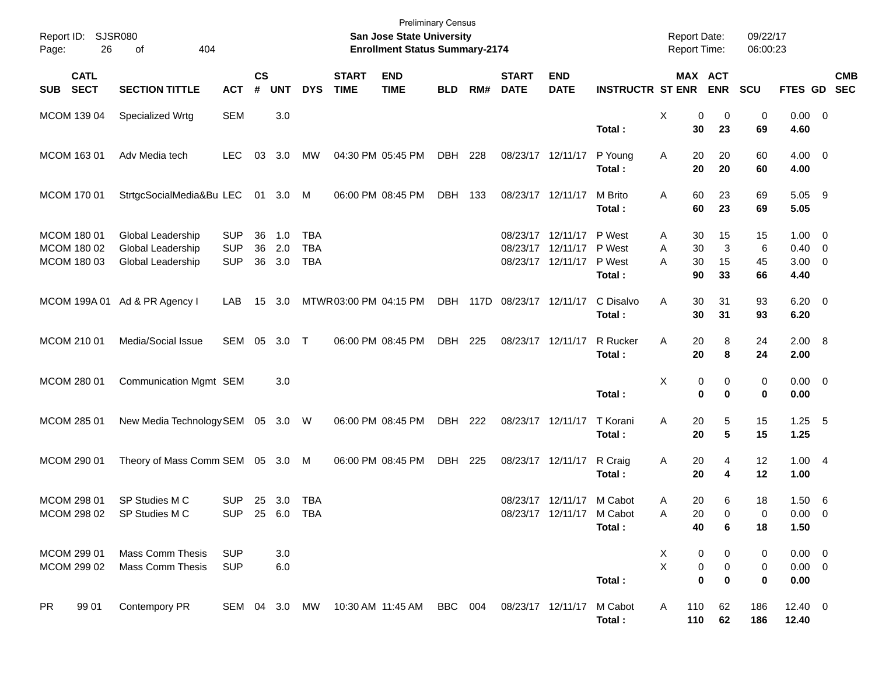| Report ID:<br>26<br>Page:                 | <b>SJSR080</b><br>404<br>of                                        |                                        |                |                   |                                        |                             | San Jose State University<br><b>Enrollment Status Summary-2174</b> | <b>Preliminary Census</b> |          |                             |                                                           |                            | <b>Report Date:</b><br>Report Time:     |                       | 09/22/17<br>06:00:23 |                                                     |                           |
|-------------------------------------------|--------------------------------------------------------------------|----------------------------------------|----------------|-------------------|----------------------------------------|-----------------------------|--------------------------------------------------------------------|---------------------------|----------|-----------------------------|-----------------------------------------------------------|----------------------------|-----------------------------------------|-----------------------|----------------------|-----------------------------------------------------|---------------------------|
| <b>CATL</b><br><b>SECT</b><br><b>SUB</b>  | <b>SECTION TITTLE</b>                                              | <b>ACT</b>                             | <b>CS</b><br># | <b>UNT</b>        | <b>DYS</b>                             | <b>START</b><br><b>TIME</b> | <b>END</b><br><b>TIME</b>                                          | <b>BLD</b>                | RM#      | <b>START</b><br><b>DATE</b> | <b>END</b><br><b>DATE</b>                                 | <b>INSTRUCTR ST ENR</b>    |                                         | MAX ACT<br><b>ENR</b> | <b>SCU</b>           |                                                     | <b>CMB</b><br>FTES GD SEC |
| MCOM 139 04                               | Specialized Wrtg                                                   | <b>SEM</b>                             |                | 3.0               |                                        |                             |                                                                    |                           |          |                             |                                                           | Total:                     | X<br>0<br>30                            | 0<br>23               | 0<br>69              | $0.00 \t 0$<br>4.60                                 |                           |
| MCOM 163 01                               | Adv Media tech                                                     | <b>LEC</b>                             | 03             | 3.0               | МW                                     |                             | 04:30 PM 05:45 PM                                                  | DBH                       | 228      |                             | 08/23/17 12/11/17                                         | P Young<br>Total:          | 20<br>Α<br>20                           | 20<br>20              | 60<br>60             | $4.00 \ 0$<br>4.00                                  |                           |
| MCOM 170 01                               | StrtgcSocialMedia&Bu LEC                                           |                                        |                | 01 3.0 M          |                                        |                             | 06:00 PM 08:45 PM                                                  | DBH 133                   |          |                             | 08/23/17 12/11/17                                         | M Brito<br>Total:          | 60<br>A<br>60                           | 23<br>23              | 69<br>69             | 5.05 9<br>5.05                                      |                           |
| MCOM 180 01<br>MCOM 180 02<br>MCOM 180 03 | <b>Global Leadership</b><br>Global Leadership<br>Global Leadership | <b>SUP</b><br><b>SUP</b><br><b>SUP</b> | 36<br>36<br>36 | 1.0<br>2.0<br>3.0 | <b>TBA</b><br><b>TBA</b><br><b>TBA</b> |                             |                                                                    |                           |          | 08/23/17                    | 08/23/17 12/11/17<br>12/11/17<br>08/23/17 12/11/17 P West | P West<br>P West<br>Total: | 30<br>A<br>A<br>30<br>A<br>30<br>90     | 15<br>3<br>15<br>33   | 15<br>6<br>45<br>66  | $1.00 \t 0$<br>$0.40 \quad 0$<br>$3.00 \ 0$<br>4.40 |                           |
|                                           | MCOM 199A 01 Ad & PR Agency I                                      | LAB                                    | 15             | 3.0               |                                        |                             | MTWR03:00 PM 04:15 PM                                              |                           | DBH 117D | 08/23/17 12/11/17           |                                                           | C Disalvo<br>Total:        | Α<br>30<br>30                           | 31<br>31              | 93<br>93             | $6.20 \quad 0$<br>6.20                              |                           |
| MCOM 210 01                               | Media/Social Issue                                                 | SEM                                    |                | 05 3.0            | $\top$                                 |                             | 06:00 PM 08:45 PM                                                  | DBH                       | 225      |                             | 08/23/17 12/11/17                                         | R Rucker<br>Total:         | Α<br>20<br>20                           | 8<br>8                | 24<br>24             | 2.00 8<br>2.00                                      |                           |
| MCOM 280 01                               | Communication Mgmt SEM                                             |                                        |                | 3.0               |                                        |                             |                                                                    |                           |          |                             |                                                           | Total:                     | X<br>0<br>$\mathbf 0$                   | 0<br>$\bf{0}$         | 0<br>0               | $0.00 \t 0$<br>0.00                                 |                           |
| MCOM 285 01                               | New Media Technology SEM 05 3.0 W                                  |                                        |                |                   |                                        |                             | 06:00 PM 08:45 PM                                                  | DBH                       | 222      |                             | 08/23/17 12/11/17                                         | T Korani<br>Total:         | 20<br>Α<br>20                           | 5<br>$5\phantom{.0}$  | 15<br>15             | $1.25$ 5<br>1.25                                    |                           |
| MCOM 290 01                               | Theory of Mass Comm SEM 05 3.0 M                                   |                                        |                |                   |                                        |                             | 06:00 PM 08:45 PM                                                  | DBH                       | 225      |                             | 08/23/17 12/11/17                                         | R Craig<br>Total:          | 20<br>Α<br>20                           | 4<br>4                | 12<br>12             | 1.004<br>1.00                                       |                           |
| MCOM 298 01                               | SP Studies M C<br>MCOM 298 02 SP Studies M C                       | <b>SUP</b><br>SUP                      |                | 25 3.0            | TBA<br>25 6.0 TBA                      |                             |                                                                    |                           |          |                             | 08/23/17 12/11/17 M Cabot<br>08/23/17 12/11/17            | M Cabot<br>Total:          | 20<br>Α<br>A<br>20<br>40                | 6<br>0<br>6           | 18<br>0<br>18        | 1.506<br>$0.00 \quad 0$<br>1.50                     |                           |
| MCOM 299 01<br>MCOM 299 02                | <b>Mass Comm Thesis</b><br><b>Mass Comm Thesis</b>                 | <b>SUP</b><br><b>SUP</b>               |                | 3.0<br>6.0        |                                        |                             |                                                                    |                           |          |                             |                                                           | Total:                     | X<br>0<br>$\mathsf{X}$<br>0<br>$\bf{0}$ | 0<br>0<br>0           | 0<br>0<br>0          | $0.00 \t 0$<br>$0.00 \t 0$<br>0.00                  |                           |
| <b>PR</b><br>99 01                        | Contempory PR                                                      | SEM 04 3.0 MW                          |                |                   |                                        |                             | 10:30 AM 11:45 AM                                                  | BBC 004                   |          |                             | 08/23/17 12/11/17                                         | M Cabot<br>Total:          | 110<br>A<br>110                         | 62<br>62              | 186<br>186           | $12.40 \ 0$<br>12.40                                |                           |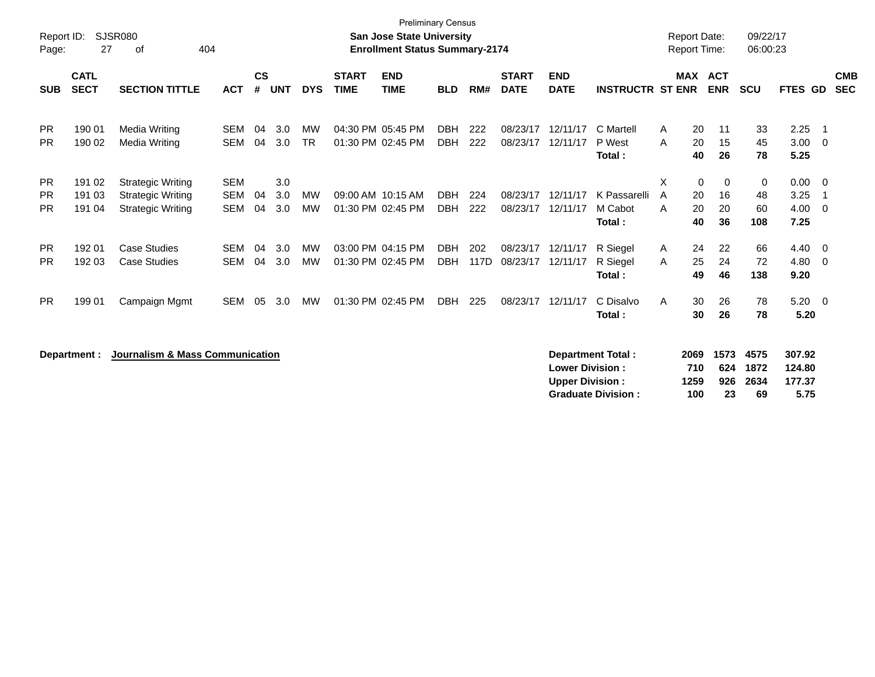| Report ID:<br>Page:                 | 27                         | <b>SJSR080</b><br>404<br>οf                                                      |                                        |                    |                   |                        |                             | <b>Preliminary Census</b><br><b>San Jose State University</b><br><b>Enrollment Status Summary-2174</b> |                          |             |                             |                                                  |                                                       |             | <b>Report Date:</b><br><b>Report Time:</b> |                          | 09/22/17<br>06:00:23         |                                    |                                                    |
|-------------------------------------|----------------------------|----------------------------------------------------------------------------------|----------------------------------------|--------------------|-------------------|------------------------|-----------------------------|--------------------------------------------------------------------------------------------------------|--------------------------|-------------|-----------------------------|--------------------------------------------------|-------------------------------------------------------|-------------|--------------------------------------------|--------------------------|------------------------------|------------------------------------|----------------------------------------------------|
| <b>SUB</b>                          | <b>CATL</b><br><b>SECT</b> | <b>SECTION TITTLE</b>                                                            | <b>ACT</b>                             | $\mathsf{cs}$<br># | <b>UNT</b>        | <b>DYS</b>             | <b>START</b><br><b>TIME</b> | <b>END</b><br><b>TIME</b>                                                                              | <b>BLD</b>               | RM#         | <b>START</b><br><b>DATE</b> | <b>END</b><br><b>DATE</b>                        | <b>INSTRUCTR ST ENR</b>                               |             | <b>MAX ACT</b>                             | <b>ENR</b>               | <b>SCU</b>                   | <b>FTES GD</b>                     | <b>CMB</b><br><b>SEC</b>                           |
| <b>PR</b><br><b>PR</b>              | 190 01<br>190 02           | <b>Media Writing</b><br>Media Writing                                            | <b>SEM</b><br><b>SEM</b>               | 04<br>04           | 3.0<br>3.0        | <b>MW</b><br><b>TR</b> |                             | 04:30 PM 05:45 PM<br>01:30 PM 02:45 PM                                                                 | <b>DBH</b><br><b>DBH</b> | 222<br>222  | 08/23/17<br>08/23/17        | 12/11/17<br>12/11/17                             | C Martell<br>P West<br>Total:                         | A<br>A      | 20<br>20<br>40                             | 11<br>15<br>26           | 33<br>45<br>78               | 2.25<br>3.00<br>5.25               | - 1<br>$\overline{\mathbf{0}}$                     |
| <b>PR</b><br><b>PR</b><br><b>PR</b> | 191 02<br>191 03<br>191 04 | <b>Strategic Writing</b><br><b>Strategic Writing</b><br><b>Strategic Writing</b> | <b>SEM</b><br><b>SEM</b><br><b>SEM</b> | 04<br>04           | 3.0<br>3.0<br>3.0 | <b>MW</b><br>MW        |                             | 09:00 AM 10:15 AM<br>01:30 PM 02:45 PM                                                                 | <b>DBH</b><br><b>DBH</b> | 224<br>222  | 08/23/17<br>08/23/17        | 12/11/17<br>12/11/17                             | K Passarelli<br>M Cabot<br>Total:                     | X<br>A<br>A | 0<br>20<br>20<br>40                        | 0<br>16<br>20<br>36      | $\pmb{0}$<br>48<br>60<br>108 | 0.00<br>3.25<br>4.00<br>7.25       | $\overline{\mathbf{0}}$<br>-1<br>- 0               |
| <b>PR</b><br><b>PR</b>              | 19201<br>192 03            | <b>Case Studies</b><br><b>Case Studies</b>                                       | <b>SEM</b><br><b>SEM</b>               | 04<br>04           | 3.0<br>3.0        | <b>MW</b><br>MW        |                             | 03:00 PM 04:15 PM<br>01:30 PM 02:45 PM                                                                 | <b>DBH</b><br><b>DBH</b> | 202<br>117D | 08/23/17<br>08/23/17        | 12/11/17<br>12/11/17                             | R Siegel<br>R Siegel<br>Total:                        | A<br>A      | 24<br>25<br>49                             | 22<br>24<br>46           | 66<br>72<br>138              | 4.40<br>4.80<br>9.20               | $\overline{\mathbf{0}}$<br>$\overline{\mathbf{0}}$ |
| <b>PR</b>                           | 199 01                     | Campaign Mgmt                                                                    | <b>SEM</b>                             | 05                 | 3.0               | MW                     |                             | 01:30 PM 02:45 PM                                                                                      | <b>DBH</b>               | 225         | 08/23/17                    | 12/11/17                                         | C Disalvo<br>Total:                                   | A           | 30<br>30                                   | 26<br>26                 | 78<br>78                     | 5.20<br>5.20                       | $\overline{\mathbf{0}}$                            |
|                                     | Department :               | Journalism & Mass Communication                                                  |                                        |                    |                   |                        |                             |                                                                                                        |                          |             |                             | <b>Lower Division:</b><br><b>Upper Division:</b> | <b>Department Total:</b><br><b>Graduate Division:</b> |             | 2069<br>710<br>1259<br>100                 | 1573<br>624<br>926<br>23 | 4575<br>1872<br>2634<br>69   | 307.92<br>124.80<br>177.37<br>5.75 |                                                    |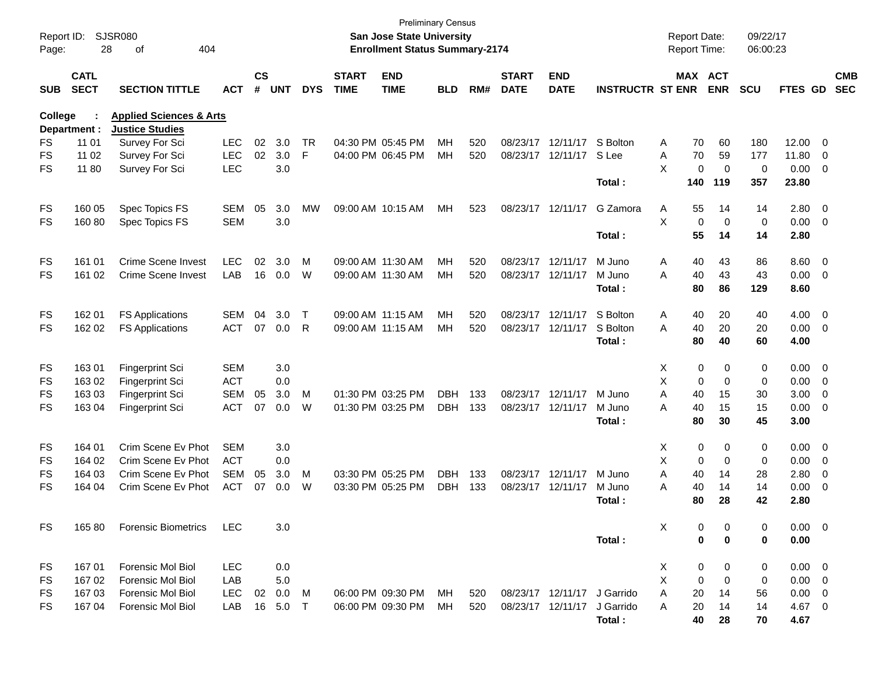| Report ID:<br>Page: | 28                         | SJSR080<br>404<br>οf               |            |                |            |              |                             | <b>Preliminary Census</b><br><b>San Jose State University</b><br><b>Enrollment Status Summary-2174</b> |            |     |                             |                           |                             |   | <b>Report Date:</b><br><b>Report Time:</b> |                    | 09/22/17<br>06:00:23 |                |                          |                          |
|---------------------|----------------------------|------------------------------------|------------|----------------|------------|--------------|-----------------------------|--------------------------------------------------------------------------------------------------------|------------|-----|-----------------------------|---------------------------|-----------------------------|---|--------------------------------------------|--------------------|----------------------|----------------|--------------------------|--------------------------|
| <b>SUB</b>          | <b>CATL</b><br><b>SECT</b> | <b>SECTION TITTLE</b>              | <b>ACT</b> | <b>CS</b><br># | <b>UNT</b> | <b>DYS</b>   | <b>START</b><br><b>TIME</b> | <b>END</b><br><b>TIME</b>                                                                              | <b>BLD</b> | RM# | <b>START</b><br><b>DATE</b> | <b>END</b><br><b>DATE</b> | <b>INSTRUCTR ST ENR</b>     |   | MAX ACT                                    | <b>ENR</b>         | SCU                  | FTES GD        |                          | <b>CMB</b><br><b>SEC</b> |
| College             |                            | <b>Applied Sciences &amp; Arts</b> |            |                |            |              |                             |                                                                                                        |            |     |                             |                           |                             |   |                                            |                    |                      |                |                          |                          |
|                     | Department :               | <b>Justice Studies</b>             |            |                |            |              |                             |                                                                                                        |            |     |                             |                           |                             |   |                                            |                    |                      |                |                          |                          |
| FS                  | 11 01                      | Survey For Sci                     | <b>LEC</b> | 02             | 3.0        | <b>TR</b>    |                             | 04:30 PM 05:45 PM                                                                                      | MН         | 520 | 08/23/17                    | 12/11/17                  | S Bolton                    | A | 70                                         | 60                 | 180                  | 12.00          | - 0                      |                          |
| <b>FS</b>           | 11 02                      | Survey For Sci                     | <b>LEC</b> | 02             | 3.0        | F            |                             | 04:00 PM 06:45 PM                                                                                      | MН         | 520 | 08/23/17                    | 12/11/17                  | S Lee                       | A | 70                                         | 59                 | 177                  | 11.80          | $\overline{0}$           |                          |
| <b>FS</b>           | 11 80                      | Survey For Sci                     | <b>LEC</b> |                | 3.0        |              |                             |                                                                                                        |            |     |                             |                           | Total:                      | X | $\Omega$<br>140                            | $\mathbf 0$<br>119 | $\mathbf 0$<br>357   | 0.00<br>23.80  | $\overline{0}$           |                          |
| FS                  | 160 05                     | Spec Topics FS                     | SEM        | 05             | 3.0        | <b>MW</b>    |                             | 09:00 AM 10:15 AM                                                                                      | MН         | 523 | 08/23/17                    | 12/11/17                  | G Zamora                    | Α | 55                                         | 14                 | 14                   | 2.80           | $\overline{0}$           |                          |
| <b>FS</b>           | 16080                      | Spec Topics FS                     | <b>SEM</b> |                | 3.0        |              |                             |                                                                                                        |            |     |                             |                           |                             | X | $\Omega$                                   | $\mathbf 0$        | $\mathbf 0$          | 0.00           | - 0                      |                          |
|                     |                            |                                    |            |                |            |              |                             |                                                                                                        |            |     |                             |                           | Total:                      |   | 55                                         | 14                 | 14                   | 2.80           |                          |                          |
| FS                  | 161 01                     | <b>Crime Scene Invest</b>          | <b>LEC</b> | 02             | 3.0        | M            | 09:00 AM 11:30 AM           |                                                                                                        | MН         | 520 |                             | 08/23/17 12/11/17         | M Juno                      | A | 40                                         | 43                 | 86                   | 8.60           | $\overline{0}$           |                          |
| <b>FS</b>           | 161 02                     | Crime Scene Invest                 | LAB        | 16             | 0.0        | W            | 09:00 AM 11:30 AM           |                                                                                                        | MН         | 520 |                             | 08/23/17 12/11/17         | M Juno                      | A | 40                                         | 43                 | 43                   | 0.00           | $\overline{0}$           |                          |
|                     |                            |                                    |            |                |            |              |                             |                                                                                                        |            |     |                             |                           | Total:                      |   | 80                                         | 86                 | 129                  | 8.60           |                          |                          |
| FS                  | 162 01                     | <b>FS Applications</b>             | <b>SEM</b> | 04             | 3.0        | $\mathsf{T}$ | 09:00 AM 11:15 AM           |                                                                                                        | MН         | 520 | 08/23/17                    | 12/11/17                  | S Bolton                    | A | 40                                         | 20                 | 40                   | 4.00           | $\overline{0}$           |                          |
| <b>FS</b>           | 162 02                     | <b>FS Applications</b>             | <b>ACT</b> | 07             | 0.0        | R            | 09:00 AM 11:15 AM           |                                                                                                        | MН         | 520 | 08/23/17                    | 12/11/17                  | S Bolton                    | A | 40                                         | 20                 | 20                   | 0.00           | $\overline{0}$           |                          |
|                     |                            |                                    |            |                |            |              |                             |                                                                                                        |            |     |                             |                           | Total:                      |   | 80                                         | 40                 | 60                   | 4.00           |                          |                          |
| FS                  | 16301                      | Fingerprint Sci                    | <b>SEM</b> |                | 3.0        |              |                             |                                                                                                        |            |     |                             |                           |                             | Χ | 0                                          | 0                  | 0                    | 0.00           | - 0                      |                          |
| FS                  | 163 02                     | Fingerprint Sci                    | <b>ACT</b> |                | 0.0        |              |                             |                                                                                                        |            |     |                             |                           |                             | X | 0                                          | $\mathbf 0$        | 0                    | 0.00           | $\overline{0}$           |                          |
| FS                  | 163 03                     | Fingerprint Sci                    | <b>SEM</b> | 05             | 3.0        | M            |                             | 01:30 PM 03:25 PM                                                                                      | <b>DBH</b> | 133 |                             | 08/23/17 12/11/17         | M Juno                      | A | 40                                         | 15                 | 30                   | 3.00           | $\overline{0}$           |                          |
| <b>FS</b>           | 163 04                     | <b>Fingerprint Sci</b>             | <b>ACT</b> | 07             | 0.0        | W            |                             | 01:30 PM 03:25 PM                                                                                      | <b>DBH</b> | 133 | 08/23/17                    | 12/11/17                  | M Juno                      | A | 40                                         | 15                 | 15                   | 0.00           | $\overline{0}$           |                          |
|                     |                            |                                    |            |                |            |              |                             |                                                                                                        |            |     |                             |                           | Total:                      |   | 80                                         | 30                 | 45                   | 3.00           |                          |                          |
| FS                  | 164 01                     | Crim Scene Ev Phot                 | <b>SEM</b> |                | 3.0        |              |                             |                                                                                                        |            |     |                             |                           |                             | X | 0                                          | 0                  | $\pmb{0}$            | 0.00           | - 0                      |                          |
| FS                  | 164 02                     | Crim Scene Ev Phot                 | <b>ACT</b> |                | 0.0        |              |                             |                                                                                                        |            |     |                             |                           |                             | X | 0                                          | $\mathbf 0$        | 0                    | 0.00           | 0                        |                          |
| FS                  | 164 03                     | Crim Scene Ev Phot                 | <b>SEM</b> | 05             | 3.0        | M            |                             | 03:30 PM 05:25 PM                                                                                      | <b>DBH</b> | 133 | 08/23/17                    | 12/11/17                  | M Juno                      | A | 40                                         | 14                 | 28                   | 2.80           | $\mathbf 0$              |                          |
| <b>FS</b>           | 164 04                     | Crim Scene Ev Phot                 | <b>ACT</b> | 07             | 0.0        | W            |                             | 03:30 PM 05:25 PM                                                                                      | <b>DBH</b> | 133 | 08/23/17                    | 12/11/17                  | M Juno                      | A | 40                                         | 14                 | 14                   | 0.00           | $\mathbf 0$              |                          |
|                     |                            |                                    |            |                |            |              |                             |                                                                                                        |            |     |                             |                           | Total:                      |   | 80                                         | 28                 | 42                   | 2.80           |                          |                          |
| FS                  | 16580                      | <b>Forensic Biometrics</b>         | LEC        |                | 3.0        |              |                             |                                                                                                        |            |     |                             |                           |                             | X | 0                                          | 0                  | 0                    | $0.00 \t 0$    |                          |                          |
|                     |                            |                                    |            |                |            |              |                             |                                                                                                        |            |     |                             |                           | Total:                      |   | 0                                          | 0                  | 0                    | 0.00           |                          |                          |
| FS                  | 16701                      | <b>Forensic Mol Biol</b>           | LEC        |                | 0.0        |              |                             |                                                                                                        |            |     |                             |                           |                             | X | 0                                          | 0                  | 0                    | $0.00 \quad 0$ |                          |                          |
| FS                  | 167 02                     | Forensic Mol Biol                  | LAB        |                | 5.0        |              |                             |                                                                                                        |            |     |                             |                           |                             | X | 0                                          | 0                  | 0                    | 0.00           | $\overline{\phantom{0}}$ |                          |
| FS                  | 167 03                     | <b>Forensic Mol Biol</b>           | LEC        | 02             | 0.0        | M            |                             | 06:00 PM 09:30 PM                                                                                      | MH.        | 520 |                             |                           | 08/23/17 12/11/17 J Garrido | A | 20                                         | 14                 | 56                   | 0.00           | $\overline{0}$           |                          |
| FS                  | 167 04                     | Forensic Mol Biol                  | LAB        | 16             | 5.0        | T            |                             | 06:00 PM 09:30 PM                                                                                      | MH.        | 520 |                             | 08/23/17 12/11/17         | J Garrido                   | A | 20                                         | 14                 | 14                   | 4.67           | $\overline{\mathbf{0}}$  |                          |
|                     |                            |                                    |            |                |            |              |                             |                                                                                                        |            |     |                             |                           | Total:                      |   | 40                                         | 28                 | 70                   | 4.67           |                          |                          |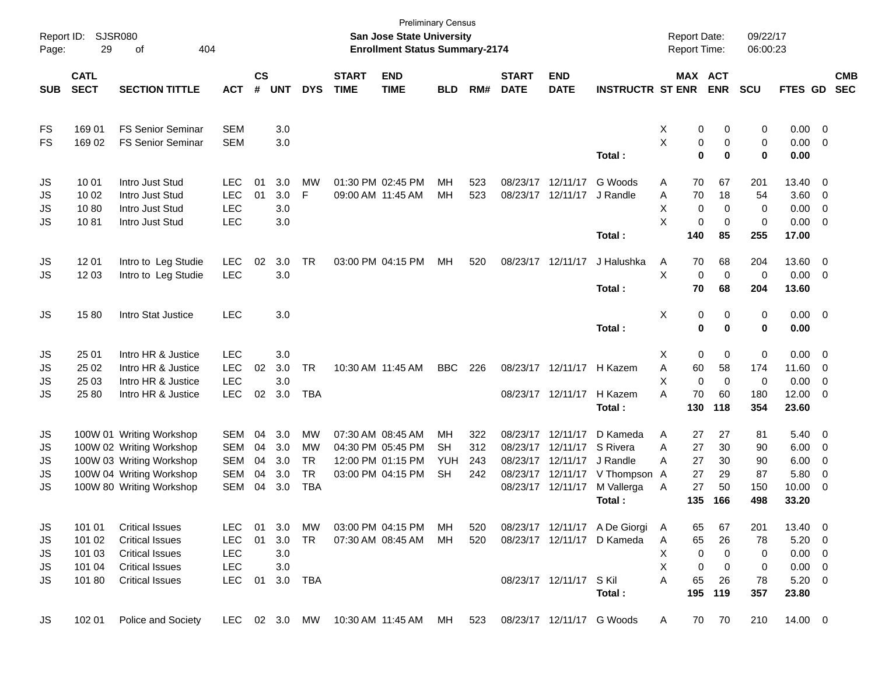| Report ID:<br>Page: | <b>SJSR080</b><br>29 | 404<br>οf                |            |               |            |            |              | <b>Preliminary Census</b><br>San Jose State University<br><b>Enrollment Status Summary-2174</b> |            |     |                   |                        |                               |    |             | <b>Report Date:</b><br>Report Time: | 09/22/17<br>06:00:23 |             |                          |            |
|---------------------|----------------------|--------------------------|------------|---------------|------------|------------|--------------|-------------------------------------------------------------------------------------------------|------------|-----|-------------------|------------------------|-------------------------------|----|-------------|-------------------------------------|----------------------|-------------|--------------------------|------------|
|                     | <b>CATL</b>          |                          |            | $\mathsf{cs}$ |            |            | <b>START</b> | <b>END</b>                                                                                      |            |     | <b>START</b>      | <b>END</b>             |                               |    |             | MAX ACT                             |                      |             |                          | <b>CMB</b> |
| <b>SUB</b>          | <b>SECT</b>          | <b>SECTION TITTLE</b>    | <b>ACT</b> | #             | <b>UNT</b> | <b>DYS</b> | <b>TIME</b>  | <b>TIME</b>                                                                                     | <b>BLD</b> | RM# | <b>DATE</b>       | <b>DATE</b>            | <b>INSTRUCTR ST ENR</b>       |    |             | <b>ENR</b>                          | <b>SCU</b>           | FTES GD     |                          | <b>SEC</b> |
| FS                  | 169 01               | <b>FS Senior Seminar</b> | <b>SEM</b> |               | 3.0        |            |              |                                                                                                 |            |     |                   |                        |                               | X  | 0           | 0                                   | 0                    | $0.00 \t 0$ |                          |            |
| <b>FS</b>           | 169 02               | <b>FS Senior Seminar</b> | <b>SEM</b> |               | 3.0        |            |              |                                                                                                 |            |     |                   |                        |                               | X  | 0           | 0                                   | 0                    | 0.00        | $\overline{\phantom{0}}$ |            |
|                     |                      |                          |            |               |            |            |              |                                                                                                 |            |     |                   |                        | Total:                        |    | 0           | 0                                   | 0                    | 0.00        |                          |            |
| JS                  | 10 01                | Intro Just Stud          | <b>LEC</b> | 01            | 3.0        | <b>MW</b>  |              | 01:30 PM 02:45 PM                                                                               | MН         | 523 | 08/23/17 12/11/17 |                        | G Woods                       | A  | 70          | 67                                  | 201                  | 13.40 0     |                          |            |
| JS                  | 10 02                | Intro Just Stud          | <b>LEC</b> | 01            | 3.0        | F.         |              | 09:00 AM 11:45 AM                                                                               | MН         | 523 |                   | 08/23/17 12/11/17      | J Randle                      | A  | 70          | 18                                  | 54                   | 3.60        | $\overline{\phantom{0}}$ |            |
| JS                  | 1080                 | Intro Just Stud          | <b>LEC</b> |               | 3.0        |            |              |                                                                                                 |            |     |                   |                        |                               | X  | 0           | $\mathbf 0$                         | 0                    | 0.00        | $\overline{\phantom{0}}$ |            |
| <b>JS</b>           | 1081                 | Intro Just Stud          | <b>LEC</b> |               | 3.0        |            |              |                                                                                                 |            |     |                   |                        |                               | X  | 0           | $\mathbf 0$                         | 0                    | 0.00        | $\overline{\mathbf{0}}$  |            |
|                     |                      |                          |            |               |            |            |              |                                                                                                 |            |     |                   |                        | Total:                        |    | 140         | 85                                  | 255                  | 17.00       |                          |            |
| JS                  | 12 01                | Intro to Leg Studie      | <b>LEC</b> | 02            | 3.0        | TR         |              | 03:00 PM 04:15 PM                                                                               | MН         | 520 | 08/23/17 12/11/17 |                        | J Halushka                    | Α  | 70          | 68                                  | 204                  | 13.60 0     |                          |            |
| JS                  | 12 03                | Intro to Leg Studie      | <b>LEC</b> |               | 3.0        |            |              |                                                                                                 |            |     |                   |                        |                               | X. | $\mathbf 0$ | 0                                   | 0                    | 0.00        | $\overline{\phantom{0}}$ |            |
|                     |                      |                          |            |               |            |            |              |                                                                                                 |            |     |                   |                        | Total:                        |    | 70          | 68                                  | 204                  | 13.60       |                          |            |
| JS                  | 1580                 | Intro Stat Justice       | <b>LEC</b> |               | 3.0        |            |              |                                                                                                 |            |     |                   |                        |                               | Χ  | 0           | 0                                   | 0                    | $0.00 \t 0$ |                          |            |
|                     |                      |                          |            |               |            |            |              |                                                                                                 |            |     |                   |                        | Total:                        |    | $\bf{0}$    | $\bf{0}$                            | 0                    | 0.00        |                          |            |
| JS                  | 25 01                | Intro HR & Justice       | <b>LEC</b> |               | 3.0        |            |              |                                                                                                 |            |     |                   |                        |                               | X  | 0           | 0                                   | $\pmb{0}$            | $0.00 \t 0$ |                          |            |
| JS                  | 25 02                | Intro HR & Justice       | <b>LEC</b> | 02            | 3.0        | <b>TR</b>  |              | 10:30 AM 11:45 AM                                                                               | <b>BBC</b> | 226 |                   | 08/23/17 12/11/17      | H Kazem                       | Α  | 60          | 58                                  | 174                  | 11.60       | $\overline{\phantom{0}}$ |            |
| JS                  | 25 03                | Intro HR & Justice       | <b>LEC</b> |               | 3.0        |            |              |                                                                                                 |            |     |                   |                        |                               | X  | $\mathbf 0$ | $\mathbf 0$                         | 0                    | 0.00        | $\overline{\mathbf{0}}$  |            |
| <b>JS</b>           | 25 80                | Intro HR & Justice       | <b>LEC</b> | 02            | 3.0        | <b>TBA</b> |              |                                                                                                 |            |     |                   | 08/23/17 12/11/17      | H Kazem                       | A  | 70          | 60                                  | 180                  | 12.00 0     |                          |            |
|                     |                      |                          |            |               |            |            |              |                                                                                                 |            |     |                   |                        | Total:                        |    | 130         | 118                                 | 354                  | 23.60       |                          |            |
| JS                  |                      | 100W 01 Writing Workshop | <b>SEM</b> | 04            | 3.0        | <b>MW</b>  |              | 07:30 AM 08:45 AM                                                                               | MН         | 322 |                   | 08/23/17 12/11/17      | D Kameda                      | A  | 27          | 27                                  | 81                   | $5.40 \ 0$  |                          |            |
| JS                  |                      | 100W 02 Writing Workshop | <b>SEM</b> | 04            | 3.0        | МW         |              | 04:30 PM 05:45 PM                                                                               | <b>SH</b>  | 312 | 08/23/17          | 12/11/17               | S Rivera                      | A  | 27          | 30                                  | 90                   | 6.00        | $\overline{\phantom{0}}$ |            |
| JS                  |                      | 100W 03 Writing Workshop | <b>SEM</b> | 04            | 3.0        | <b>TR</b>  |              | 12:00 PM 01:15 PM                                                                               | YUH        | 243 |                   | 08/23/17 12/11/17      | J Randle                      | A  | 27          | 30                                  | 90                   | 6.00        | $\overline{\phantom{0}}$ |            |
| JS                  |                      | 100W 04 Writing Workshop | <b>SEM</b> | 04            | 3.0        | <b>TR</b>  |              | 03:00 PM 04:15 PM                                                                               | <b>SH</b>  | 242 |                   | 08/23/17 12/11/17      | V Thompson A                  |    | 27          | 29                                  | 87                   | 5.80        | $\overline{\mathbf{0}}$  |            |
| JS                  |                      | 100W 80 Writing Workshop | <b>SEM</b> | 04            | 3.0        | <b>TBA</b> |              |                                                                                                 |            |     |                   | 08/23/17 12/11/17      | M Vallerga                    | Α  | 27          | 50                                  | 150                  | 10.00       | - 0                      |            |
|                     |                      |                          |            |               |            |            |              |                                                                                                 |            |     |                   |                        | Total :                       |    | 135         | 166                                 | 498                  | 33.20       |                          |            |
| JS                  | 101 01               | <b>Critical Issues</b>   | LEC.       | 01            | 3.0        | МW         |              | 03:00 PM 04:15 PM                                                                               | MН         | 520 |                   |                        | 08/23/17 12/11/17 A De Giorgi | A  | 65          | 67                                  | 201                  | 13.40 0     |                          |            |
| JS                  | 101 02               | <b>Critical Issues</b>   | <b>LEC</b> | 01            | 3.0        | <b>TR</b>  |              | 07:30 AM 08:45 AM                                                                               | МH         | 520 |                   |                        | 08/23/17 12/11/17 D Kameda    | A  | 65          | 26                                  | 78                   | $5.20 \t 0$ |                          |            |
| JS                  | 101 03               | <b>Critical Issues</b>   | <b>LEC</b> |               | 3.0        |            |              |                                                                                                 |            |     |                   |                        |                               | X  | 0           | 0                                   | 0                    | $0.00 \t 0$ |                          |            |
| JS                  | 101 04               | <b>Critical Issues</b>   | <b>LEC</b> |               | 3.0        |            |              |                                                                                                 |            |     |                   |                        |                               | х  | 0           | 0                                   | 0                    | $0.00 \t 0$ |                          |            |
| JS                  | 101 80               | <b>Critical Issues</b>   | LEC        | 01            |            | 3.0 TBA    |              |                                                                                                 |            |     |                   | 08/23/17 12/11/17 SKil |                               | Α  | 65          | 26                                  | 78                   | $5.20 \ 0$  |                          |            |
|                     |                      |                          |            |               |            |            |              |                                                                                                 |            |     |                   |                        | Total:                        |    | 195         | 119                                 | 357                  | 23.80       |                          |            |
| JS                  | 102 01               | Police and Society       |            |               |            |            |              | LEC 02 3.0 MW 10:30 AM 11:45 AM MH                                                              |            | 523 |                   |                        | 08/23/17 12/11/17 G Woods     | A  | 70          | 70                                  | 210                  | 14.00 0     |                          |            |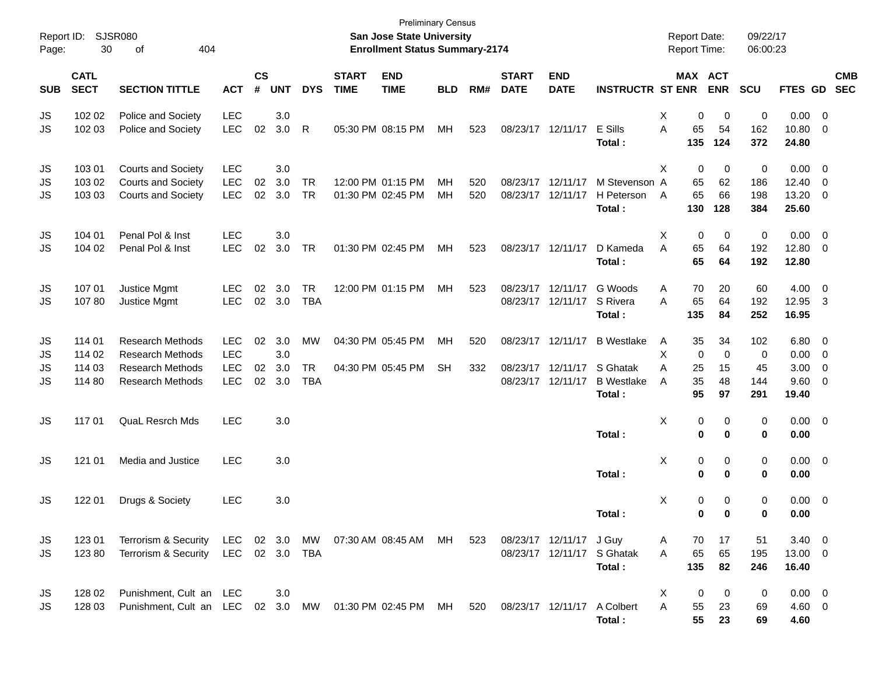| Report ID:<br>Page:  | 30                                   | <b>SJSR080</b><br>404<br>оf                                                                                       |                                                      |                    |                          |                                      |                             | <b>Preliminary Census</b><br>San Jose State University<br><b>Enrollment Status Summary-2174</b> |                 |            |                               |                                                             |                                                              |                  |                           | <b>Report Date:</b><br><b>Report Time:</b> | 09/22/17<br>06:00:23         |                                          |                                                   |            |
|----------------------|--------------------------------------|-------------------------------------------------------------------------------------------------------------------|------------------------------------------------------|--------------------|--------------------------|--------------------------------------|-----------------------------|-------------------------------------------------------------------------------------------------|-----------------|------------|-------------------------------|-------------------------------------------------------------|--------------------------------------------------------------|------------------|---------------------------|--------------------------------------------|------------------------------|------------------------------------------|---------------------------------------------------|------------|
| <b>SUB</b>           | <b>CATL</b><br><b>SECT</b>           | <b>SECTION TITTLE</b>                                                                                             | <b>ACT</b>                                           | $\mathsf{cs}$<br># | <b>UNT</b>               | <b>DYS</b>                           | <b>START</b><br><b>TIME</b> | <b>END</b><br><b>TIME</b>                                                                       | <b>BLD</b>      | RM#        | <b>START</b><br><b>DATE</b>   | <b>END</b><br><b>DATE</b>                                   | <b>INSTRUCTR ST ENR</b>                                      |                  |                           | MAX ACT<br><b>ENR</b>                      | SCU                          | FTES GD SEC                              |                                                   | <b>CMB</b> |
| JS<br>JS             | 102 02<br>102 03                     | Police and Society<br>Police and Society                                                                          | LEC<br><b>LEC</b>                                    | 02                 | 3.0<br>3.0               | R                                    | 05:30 PM 08:15 PM           |                                                                                                 | МH              | 523        |                               | 08/23/17 12/11/17                                           | E Sills<br>Total:                                            | Χ<br>A           | 0<br>65<br>135            | 0<br>54<br>124                             | 0<br>162<br>372              | 0.00<br>10.80<br>24.80                   | $\overline{0}$<br>$\mathbf 0$                     |            |
| JS<br>JS<br>JS       | 103 01<br>103 02<br>103 03           | Courts and Society<br><b>Courts and Society</b><br><b>Courts and Society</b>                                      | <b>LEC</b><br><b>LEC</b><br><b>LEC</b>               | 02<br>02           | 3.0<br>3.0<br>3.0        | <b>TR</b><br><b>TR</b>               | 01:30 PM 02:45 PM           | 12:00 PM 01:15 PM                                                                               | <b>MH</b><br>MH | 520<br>520 | 08/23/17 12/11/17<br>08/23/17 | 12/11/17                                                    | M Stevenson A<br>H Peterson<br>Total:                        | X<br>A           | 0<br>65<br>65<br>130      | 0<br>62<br>66<br>128                       | 0<br>186<br>198<br>384       | 0.00<br>12.40<br>13.20<br>25.60          | $\overline{\mathbf{0}}$<br>$\mathbf 0$<br>0       |            |
| JS<br>JS             | 104 01<br>104 02                     | Penal Pol & Inst<br>Penal Pol & Inst                                                                              | <b>LEC</b><br><b>LEC</b>                             | 02                 | 3.0<br>3.0               | TR                                   | 01:30 PM 02:45 PM           |                                                                                                 | MH              | 523        | 08/23/17 12/11/17             |                                                             | D Kameda<br>Total:                                           | X<br>A           | 0<br>65<br>65             | 0<br>64<br>64                              | 0<br>192<br>192              | 0.00<br>12.80<br>12.80                   | $\overline{0}$<br>$\mathbf 0$                     |            |
| JS<br>JS             | 107 01<br>10780                      | Justice Mgmt<br>Justice Mgmt                                                                                      | <b>LEC</b><br><b>LEC</b>                             | 02                 | 3.0<br>02 3.0            | <b>TR</b><br><b>TBA</b>              |                             | 12:00 PM 01:15 PM                                                                               | МH              | 523        |                               | 08/23/17 12/11/17<br>08/23/17 12/11/17                      | G Woods<br>S Rivera<br>Total:                                | Α<br>A           | 70<br>65<br>135           | 20<br>64<br>84                             | 60<br>192<br>252             | 4.00<br>12.95<br>16.95                   | $\overline{0}$<br>-3                              |            |
| JS<br>JS<br>JS<br>JS | 114 01<br>114 02<br>114 03<br>114 80 | <b>Research Methods</b><br><b>Research Methods</b><br><b>Research Methods</b><br><b>Research Methods</b>          | <b>LEC</b><br><b>LEC</b><br><b>LEC</b><br><b>LEC</b> | 02<br>02<br>02     | 3.0<br>3.0<br>3.0<br>3.0 | <b>MW</b><br><b>TR</b><br><b>TBA</b> | 04:30 PM 05:45 PM           | 04:30 PM 05:45 PM                                                                               | МH<br><b>SH</b> | 520<br>332 |                               | 08/23/17 12/11/17<br>08/23/17 12/11/17<br>08/23/17 12/11/17 | <b>B</b> Westlake<br>S Ghatak<br><b>B</b> Westlake<br>Total: | A<br>X<br>Α<br>A | 35<br>0<br>25<br>35<br>95 | 34<br>$\mathbf 0$<br>15<br>48<br>97        | 102<br>0<br>45<br>144<br>291 | 6.80<br>0.00<br>3.00<br>9.60<br>19.40    | $\overline{0}$<br>$\mathbf 0$<br>$\mathbf 0$<br>0 |            |
| JS                   | 117 01                               | <b>QuaL Resrch Mds</b>                                                                                            | <b>LEC</b>                                           |                    | 3.0                      |                                      |                             |                                                                                                 |                 |            |                               |                                                             | Total:                                                       | Χ                | 0<br>0                    | 0<br>0                                     | 0<br>0                       | $0.00 \t 0$<br>0.00                      |                                                   |            |
| JS                   | 121 01                               | Media and Justice                                                                                                 | <b>LEC</b>                                           |                    | 3.0                      |                                      |                             |                                                                                                 |                 |            |                               |                                                             | Total:                                                       | X                | 0<br>0                    | 0<br>0                                     | 0<br>0                       | $0.00 \t 0$<br>0.00                      |                                                   |            |
| JS                   | 122 01                               | Drugs & Society                                                                                                   | <b>LEC</b>                                           |                    | 3.0                      |                                      |                             |                                                                                                 |                 |            |                               |                                                             | Total:                                                       | X                | 0<br>0                    | 0<br>0                                     | 0<br>0                       | $0.00 \t 0$<br>0.00                      |                                                   |            |
| JS<br>JS             | 123 01<br>12380                      | Terrorism & Security<br>Terrorism & Security                                                                      | LEC 02 3.0 TBA                                       |                    |                          |                                      |                             | LEC 02 3.0 MW 07:30 AM 08:45 AM MH                                                              |                 | 523        |                               | 08/23/17 12/11/17 J Guy                                     | 08/23/17 12/11/17 S Ghatak<br>Total:                         | A<br>A           | 70<br>65<br>135           | 17<br>65<br>82                             | 51<br>195<br>246             | $3.40 \quad 0$<br>13.00 0<br>16.40       |                                                   |            |
| JS<br>JS             | 128 02<br>128 03                     | Punishment, Cult an LEC<br>Punishment, Cult an LEC 02 3.0 MW 01:30 PM 02:45 PM MH 520 08/23/17 12/11/17 A Colbert |                                                      |                    | 3.0                      |                                      |                             |                                                                                                 |                 |            |                               |                                                             | Total:                                                       | X<br>A           | 0<br>55<br>55             | 0<br>23<br>23                              | 0<br>69<br>69                | $0.00 \quad 0$<br>$4.60 \quad 0$<br>4.60 |                                                   |            |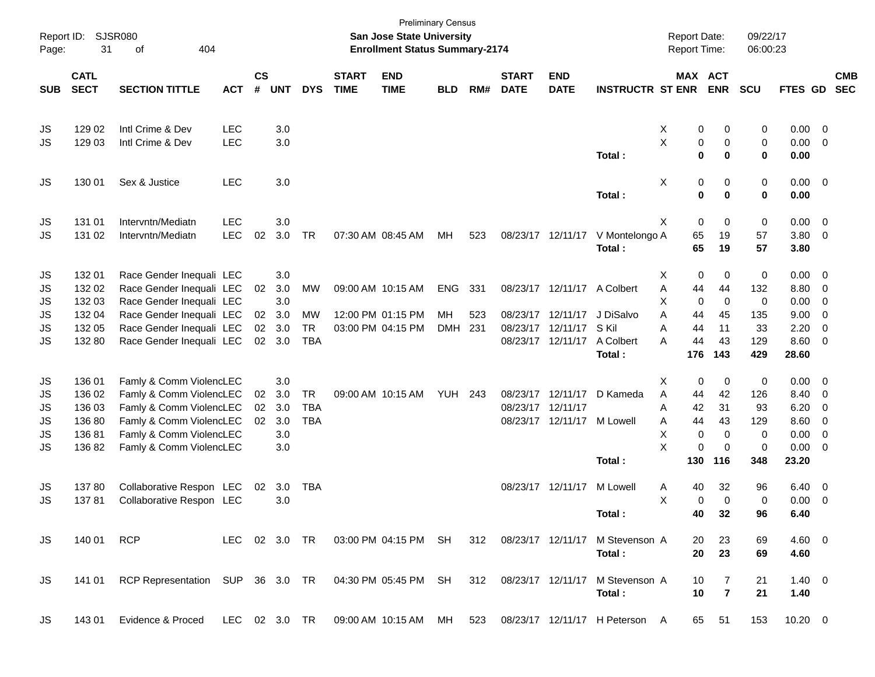| Page:      | Report ID: SJSR080<br>31 | 404<br>of                                                                               |            |               |            |            |              | <b>Preliminary Census</b><br>San Jose State University<br><b>Enrollment Status Summary-2174</b> |            |     |                   |                   |                                                                        | <b>Report Date:</b><br><b>Report Time:</b> |                | 09/22/17<br>06:00:23 |                |                          |            |
|------------|--------------------------|-----------------------------------------------------------------------------------------|------------|---------------|------------|------------|--------------|-------------------------------------------------------------------------------------------------|------------|-----|-------------------|-------------------|------------------------------------------------------------------------|--------------------------------------------|----------------|----------------------|----------------|--------------------------|------------|
|            | <b>CATL</b>              |                                                                                         |            | $\mathsf{cs}$ |            |            | <b>START</b> | <b>END</b>                                                                                      |            |     | <b>START</b>      | <b>END</b>        |                                                                        | MAX ACT                                    |                |                      |                |                          | <b>CMB</b> |
| <b>SUB</b> | <b>SECT</b>              | <b>SECTION TITTLE</b>                                                                   | <b>ACT</b> | #             | <b>UNT</b> | <b>DYS</b> | <b>TIME</b>  | <b>TIME</b>                                                                                     | <b>BLD</b> | RM# | <b>DATE</b>       | <b>DATE</b>       | <b>INSTRUCTR ST ENR</b>                                                |                                            | <b>ENR</b>     | <b>SCU</b>           | FTES GD        |                          | <b>SEC</b> |
| JS         | 129 02                   | Intl Crime & Dev                                                                        | <b>LEC</b> |               | 3.0        |            |              |                                                                                                 |            |     |                   |                   |                                                                        | X<br>0                                     | 0              | 0                    | 0.00           | $\overline{\mathbf{0}}$  |            |
| JS         | 129 03                   | Intl Crime & Dev                                                                        | <b>LEC</b> |               | 3.0        |            |              |                                                                                                 |            |     |                   |                   |                                                                        | X<br>$\pmb{0}$                             | 0              | 0                    | 0.00           | $\overline{0}$           |            |
|            |                          |                                                                                         |            |               |            |            |              |                                                                                                 |            |     |                   |                   | Total:                                                                 | $\bf{0}$                                   | 0              | 0                    | 0.00           |                          |            |
| JS         | 130 01                   | Sex & Justice                                                                           | <b>LEC</b> |               | 3.0        |            |              |                                                                                                 |            |     |                   |                   |                                                                        | X<br>0                                     | 0              | 0                    | $0.00 \t 0$    |                          |            |
|            |                          |                                                                                         |            |               |            |            |              |                                                                                                 |            |     |                   |                   | Total:                                                                 | $\bf{0}$                                   | $\mathbf 0$    | $\mathbf 0$          | 0.00           |                          |            |
| JS         | 131 01                   | Intervntn/Mediatn                                                                       | <b>LEC</b> |               | 3.0        |            |              |                                                                                                 |            |     |                   |                   |                                                                        | Χ<br>0                                     | $\mathbf 0$    | 0                    | 0.00           | $\overline{\mathbf{0}}$  |            |
| JS         | 131 02                   | Intervntn/Mediatn                                                                       | <b>LEC</b> | 02            | 3.0        | TR         |              | 07:30 AM 08:45 AM                                                                               | MН         | 523 |                   | 08/23/17 12/11/17 | V Montelongo A                                                         | 65                                         | 19             | 57                   | 3.80           | $\overline{\mathbf{0}}$  |            |
|            |                          |                                                                                         |            |               |            |            |              |                                                                                                 |            |     |                   |                   | Total :                                                                | 65                                         | 19             | 57                   | 3.80           |                          |            |
| JS         | 132 01                   | Race Gender Inequali LEC                                                                |            |               | 3.0        |            |              |                                                                                                 |            |     |                   |                   |                                                                        | 0<br>Χ                                     | 0              | 0                    | 0.00           | $\overline{\phantom{0}}$ |            |
| JS         | 132 02                   | Race Gender Inequali LEC                                                                |            | 02            | 3.0        | <b>MW</b>  |              | 09:00 AM 10:15 AM                                                                               | <b>ENG</b> | 331 |                   |                   | 08/23/17 12/11/17 A Colbert                                            | 44<br>A                                    | 44             | 132                  | 8.80           | $\overline{\mathbf{0}}$  |            |
| JS         | 132 03                   | Race Gender Inequali LEC                                                                |            |               | 3.0        |            |              |                                                                                                 |            |     |                   |                   |                                                                        | X<br>0                                     | $\mathbf 0$    | 0                    | 0.00           | 0                        |            |
| JS         | 132 04                   | Race Gender Inequali LEC                                                                |            | 02            | 3.0        | <b>MW</b>  |              | 12:00 PM 01:15 PM                                                                               | MH         | 523 |                   | 08/23/17 12/11/17 | J DiSalvo                                                              | A<br>44                                    | 45             | 135                  | 9.00           | 0                        |            |
| JS         | 132 05                   | Race Gender Inequali LEC                                                                |            | 02            | 3.0        | <b>TR</b>  |              | 03:00 PM 04:15 PM                                                                               | <b>DMH</b> | 231 |                   | 08/23/17 12/11/17 | S Kil                                                                  | A<br>44                                    | 11             | 33                   | 2.20           | $\mathbf 0$              |            |
| JS         | 132 80                   | Race Gender Inequali LEC                                                                |            | 02            | 3.0        | <b>TBA</b> |              |                                                                                                 |            |     |                   | 08/23/17 12/11/17 | A Colbert                                                              | 44<br>A                                    | 43             | 129                  | 8.60           | $\overline{0}$           |            |
|            |                          |                                                                                         |            |               |            |            |              |                                                                                                 |            |     |                   |                   | Total:                                                                 | 176                                        | 143            | 429                  | 28.60          |                          |            |
| JS         | 136 01                   | Famly & Comm ViolencLEC                                                                 |            |               | 3.0        |            |              |                                                                                                 |            |     |                   |                   |                                                                        | Χ<br>0                                     | 0              | 0                    | 0.00           | $\overline{\mathbf{0}}$  |            |
| JS         | 136 02                   | Famly & Comm ViolencLEC                                                                 |            | 02            | 3.0        | TR         |              | 09:00 AM 10:15 AM                                                                               | YUH        | 243 | 08/23/17 12/11/17 |                   | D Kameda                                                               | A<br>44                                    | 42             | 126                  | 8.40           | 0                        |            |
| JS         | 136 03                   | Famly & Comm ViolencLEC                                                                 |            | 02            | 3.0        | <b>TBA</b> |              |                                                                                                 |            |     | 08/23/17 12/11/17 |                   |                                                                        | A<br>42                                    | 31             | 93                   | 6.20           | 0                        |            |
| JS         | 136 80                   | Famly & Comm ViolencLEC                                                                 |            | 02            | 3.0        | <b>TBA</b> |              |                                                                                                 |            |     |                   | 08/23/17 12/11/17 | M Lowell                                                               | 44<br>A                                    | 43             | 129                  | 8.60           | 0                        |            |
| JS         | 13681                    | Famly & Comm ViolencLEC                                                                 |            |               | 3.0        |            |              |                                                                                                 |            |     |                   |                   |                                                                        | X<br>0                                     | $\mathbf 0$    | 0                    | 0.00           | $\mathbf 0$              |            |
| JS         | 13682                    | Famly & Comm ViolencLEC                                                                 |            |               | 3.0        |            |              |                                                                                                 |            |     |                   |                   |                                                                        | X<br>$\mathbf 0$                           | $\mathbf 0$    | $\mathbf 0$          | 0.00           | 0                        |            |
|            |                          |                                                                                         |            |               |            |            |              |                                                                                                 |            |     |                   |                   | Total:                                                                 | 130                                        | 116            | 348                  | 23.20          |                          |            |
| JS         | 13780                    | Collaborative Respon LEC                                                                |            | 02            | 3.0        | <b>TBA</b> |              |                                                                                                 |            |     |                   | 08/23/17 12/11/17 | M Lowell                                                               | 40<br>A                                    | 32             | 96                   | 6.40           | $\overline{\mathbf{0}}$  |            |
| JS         | 13781                    | Collaborative Respon LEC                                                                |            |               | 3.0        |            |              |                                                                                                 |            |     |                   |                   |                                                                        | X<br>$\mathbf 0$                           | $\mathbf 0$    | 0                    | 0.00           | $\overline{\mathbf{0}}$  |            |
|            |                          |                                                                                         |            |               |            |            |              |                                                                                                 |            |     |                   |                   | Total:                                                                 | 40                                         | 32             | 96                   | 6.40           |                          |            |
| JS         | 140 01 RCP               |                                                                                         |            |               |            |            |              |                                                                                                 |            |     |                   |                   | LEC 02 3.0 TR 03:00 PM 04:15 PM SH 312 08/23/17 12/11/17 M Stevenson A | 20                                         | 23             | 69                   | $4.60 \quad 0$ |                          |            |
|            |                          |                                                                                         |            |               |            |            |              |                                                                                                 |            |     |                   |                   | Total:                                                                 | 20                                         | 23             | 69                   | 4.60           |                          |            |
| JS         | 141 01                   | RCP Representation SUP 36 3.0 TR 04:30 PM 05:45 PM SH 312 08/23/17 12/11/17             |            |               |            |            |              |                                                                                                 |            |     |                   |                   | M Stevenson A                                                          | 10                                         | $\overline{7}$ | 21                   | $1.40 \ 0$     |                          |            |
|            |                          |                                                                                         |            |               |            |            |              |                                                                                                 |            |     |                   |                   | Total:                                                                 | 10                                         | $\overline{7}$ | 21                   | 1.40           |                          |            |
| JS         | 143 01                   | Evidence & Proced LEC 02 3.0 TR 09:00 AM 10:15 AM MH 523 08/23/17 12/11/17 H Peterson A |            |               |            |            |              |                                                                                                 |            |     |                   |                   |                                                                        |                                            | 65 51          | 153                  | $10.20 \t 0$   |                          |            |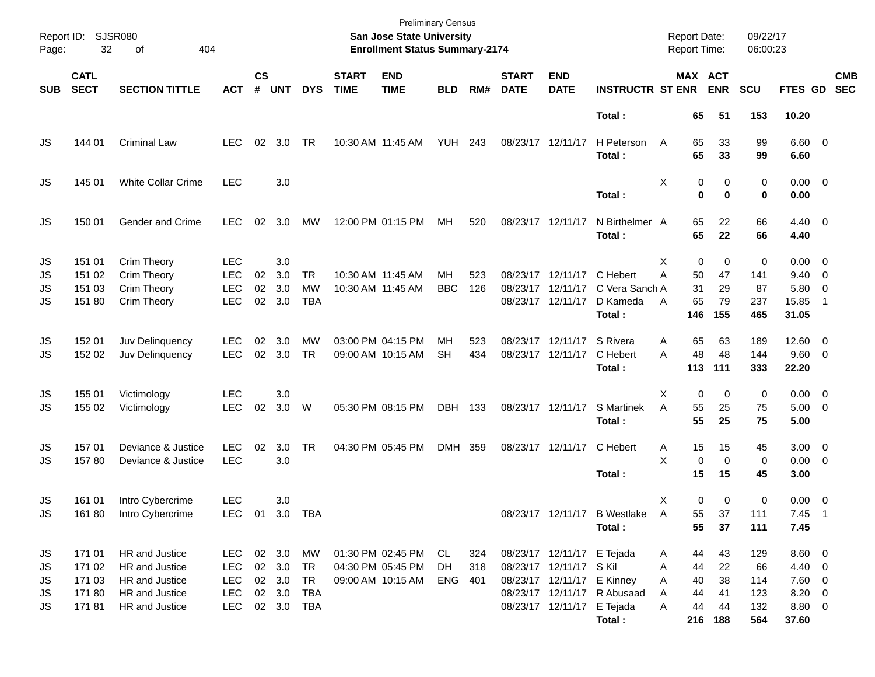| Report ID:<br>Page:        | 32                                           | <b>SJSR080</b><br>404<br>оf                                                            |                                                              |                |                                      |                                                   |                             | <b>Preliminary Census</b><br>San Jose State University<br><b>Enrollment Status Summary-2174</b> |                         |                   |                             |                                                                                                                   |                                                  | <b>Report Date:</b><br>Report Time:                 |                                       | 09/22/17<br>06:00:23                  |                                                             |                                            |
|----------------------------|----------------------------------------------|----------------------------------------------------------------------------------------|--------------------------------------------------------------|----------------|--------------------------------------|---------------------------------------------------|-----------------------------|-------------------------------------------------------------------------------------------------|-------------------------|-------------------|-----------------------------|-------------------------------------------------------------------------------------------------------------------|--------------------------------------------------|-----------------------------------------------------|---------------------------------------|---------------------------------------|-------------------------------------------------------------|--------------------------------------------|
| <b>SUB</b>                 | <b>CATL</b><br><b>SECT</b>                   | <b>SECTION TITTLE</b>                                                                  | <b>ACT</b>                                                   | <b>CS</b><br># | <b>UNT</b>                           | <b>DYS</b>                                        | <b>START</b><br><b>TIME</b> | <b>END</b><br><b>TIME</b>                                                                       | <b>BLD</b>              | RM#               | <b>START</b><br><b>DATE</b> | <b>END</b><br><b>DATE</b>                                                                                         | <b>INSTRUCTR ST ENR</b>                          |                                                     | MAX ACT<br><b>ENR</b>                 | SCU                                   | FTES GD                                                     | <b>CMB</b><br><b>SEC</b>                   |
|                            |                                              |                                                                                        |                                                              |                |                                      |                                                   |                             |                                                                                                 |                         |                   |                             |                                                                                                                   | Total:                                           | 65                                                  | 51                                    | 153                                   | 10.20                                                       |                                            |
| JS                         | 144 01                                       | <b>Criminal Law</b>                                                                    | <b>LEC</b>                                                   | 02             | 3.0                                  | TR                                                |                             | 10:30 AM 11:45 AM                                                                               | <b>YUH 243</b>          |                   | 08/23/17 12/11/17           |                                                                                                                   | H Peterson<br>Total:                             | 65<br>A<br>65                                       | 33<br>33                              | 99<br>99                              | $6.60$ 0<br>6.60                                            |                                            |
| JS                         | 145 01                                       | <b>White Collar Crime</b>                                                              | <b>LEC</b>                                                   |                | 3.0                                  |                                                   |                             |                                                                                                 |                         |                   |                             |                                                                                                                   | Total:                                           | X<br>0<br>$\mathbf 0$                               | 0<br>$\bf{0}$                         | 0<br>0                                | $0.00 \t 0$<br>0.00                                         |                                            |
| JS                         | 150 01                                       | Gender and Crime                                                                       | <b>LEC</b>                                                   | 02             | 3.0                                  | MW                                                |                             | 12:00 PM 01:15 PM                                                                               | MH                      | 520               | 08/23/17 12/11/17           |                                                                                                                   | N Birthelmer A<br>Total:                         | 65<br>65                                            | 22<br>22                              | 66<br>66                              | $4.40 \quad 0$<br>4.40                                      |                                            |
| JS<br>JS<br>JS<br>JS       | 151 01<br>151 02<br>151 03<br>151 80         | Crim Theory<br>Crim Theory<br>Crim Theory<br>Crim Theory                               | <b>LEC</b><br><b>LEC</b><br><b>LEC</b><br><b>LEC</b>         | 02<br>02<br>02 | 3.0<br>3.0<br>3.0<br>3.0             | <b>TR</b><br><b>MW</b><br><b>TBA</b>              |                             | 10:30 AM 11:45 AM<br>10:30 AM 11:45 AM                                                          | <b>MH</b><br><b>BBC</b> | 523<br>126        | 08/23/17                    | 08/23/17 12/11/17<br>12/11/17<br>08/23/17 12/11/17                                                                | C Hebert<br>C Vera Sanch A<br>D Kameda<br>Total: | X<br>0<br>A<br>50<br>31<br>65<br>A<br>146           | 0<br>47<br>29<br>79<br>155            | 0<br>141<br>87<br>237<br>465          | $0.00 \t 0$<br>$9.40 \quad 0$<br>5.80<br>15.85<br>31.05     | $\overline{\phantom{0}}$<br>$\overline{1}$ |
| JS<br>JS                   | 152 01<br>152 02                             | Juv Delinquency<br>Juv Delinquency                                                     | <b>LEC</b><br><b>LEC</b>                                     | 02<br>02       | 3.0<br>3.0                           | <b>MW</b><br><b>TR</b>                            |                             | 03:00 PM 04:15 PM<br>09:00 AM 10:15 AM                                                          | <b>MH</b><br><b>SH</b>  | 523<br>434        |                             | 08/23/17 12/11/17<br>08/23/17 12/11/17                                                                            | S Rivera<br>C Hebert<br>Total:                   | 65<br>A<br>48<br>A<br>113                           | 63<br>48<br>111                       | 189<br>144<br>333                     | 12.60 0<br>9.60 0<br>22.20                                  |                                            |
| JS<br>JS                   | 155 01<br>155 02                             | Victimology<br>Victimology                                                             | <b>LEC</b><br><b>LEC</b>                                     | 02             | 3.0<br>3.0                           | W                                                 |                             | 05:30 PM 08:15 PM                                                                               | DBH 133                 |                   |                             | 08/23/17 12/11/17                                                                                                 | S Martinek<br>Total:                             | X<br>0<br>A<br>55<br>55                             | 0<br>25<br>25                         | 0<br>75<br>75                         | $0.00 \t 0$<br>$5.00 \t 0$<br>5.00                          |                                            |
| JS<br>JS                   | 157 01<br>15780                              | Deviance & Justice<br>Deviance & Justice                                               | <b>LEC</b><br><b>LEC</b>                                     | 02             | 3.0<br>3.0                           | <b>TR</b>                                         |                             | 04:30 PM 05:45 PM                                                                               | DMH 359                 |                   |                             | 08/23/17 12/11/17                                                                                                 | C Hebert<br>Total:                               | Α<br>15<br>X<br>0<br>15                             | 15<br>$\mathbf 0$<br>15               | 45<br>0<br>45                         | $3.00 \ 0$<br>$0.00 \t 0$<br>3.00                           |                                            |
| JS<br>JS                   | 161 01<br>161 80                             | Intro Cybercrime<br>Intro Cybercrime                                                   | <b>LEC</b>                                                   |                | 3.0                                  | LEC 01 3.0 TBA                                    |                             |                                                                                                 |                         |                   |                             |                                                                                                                   | 08/23/17 12/11/17 B Westlake<br>Total:           | Χ<br>$\overline{A}$<br>55<br>55                     | 0<br>0<br>37<br>37                    | 0<br>111<br>111                       | $0.00 \t 0$<br>7.45<br>7.45                                 | $\overline{\phantom{0}}$                   |
| JS<br>JS<br>JS<br>JS<br>JS | 171 01<br>171 02<br>171 03<br>17180<br>17181 | HR and Justice<br>HR and Justice<br>HR and Justice<br>HR and Justice<br>HR and Justice | LEC.<br><b>LEC</b><br><b>LEC</b><br><b>LEC</b><br><b>LEC</b> |                | 02 3.0<br>02 3.0<br>02 3.0<br>02 3.0 | <b>MW</b><br><b>TR</b><br>TR<br>TBA<br>02 3.0 TBA |                             | 01:30 PM 02:45 PM<br>04:30 PM 05:45 PM<br>09:00 AM 10:15 AM                                     | CL<br>DH<br>ENG         | 324<br>318<br>401 |                             | 08/23/17 12/11/17 E Tejada<br>08/23/17 12/11/17 S Kil<br>08/23/17 12/11/17 E Kinney<br>08/23/17 12/11/17 E Tejada | 08/23/17 12/11/17 R Abusaad<br>Total:            | 44<br>A<br>A<br>44<br>40<br>Α<br>44<br>A<br>44<br>Α | 43<br>22<br>38<br>41<br>44<br>216 188 | 129<br>66<br>114<br>123<br>132<br>564 | $8.60$ 0<br>4.40 0<br>$7.60$ 0<br>8.20 0<br>8.80 0<br>37.60 |                                            |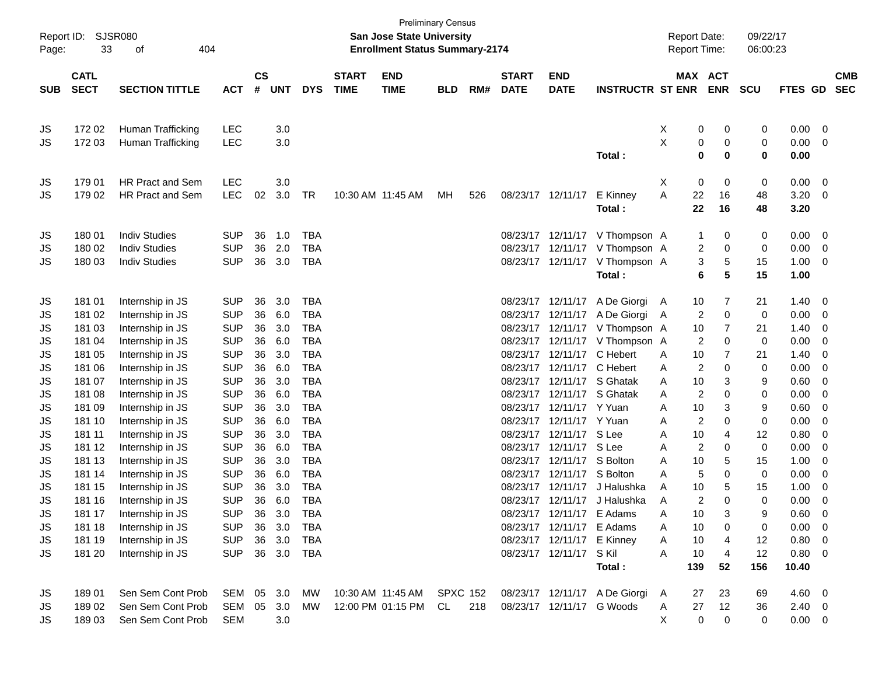| Page:      | Report ID: SJSR080<br>33 | 404<br>оf               |            |               |            |            |                   | San Jose State University<br><b>Enrollment Status Summary-2174</b> | <b>Preliminary Census</b> |     |                   |                            |                                | <b>Report Date:</b><br><b>Report Time:</b> |                      | 09/22/17<br>06:00:23 |                |                         |            |
|------------|--------------------------|-------------------------|------------|---------------|------------|------------|-------------------|--------------------------------------------------------------------|---------------------------|-----|-------------------|----------------------------|--------------------------------|--------------------------------------------|----------------------|----------------------|----------------|-------------------------|------------|
|            | <b>CATL</b>              |                         |            | $\mathsf{cs}$ |            |            | <b>START</b>      | <b>END</b>                                                         |                           |     | <b>START</b>      | <b>END</b>                 |                                |                                            | MAX ACT              |                      |                |                         | <b>CMB</b> |
| <b>SUB</b> | <b>SECT</b>              | <b>SECTION TITTLE</b>   | <b>ACT</b> | #             | <b>UNT</b> | <b>DYS</b> | <b>TIME</b>       | <b>TIME</b>                                                        | <b>BLD</b>                | RM# | <b>DATE</b>       | <b>DATE</b>                | <b>INSTRUCTR ST ENR</b>        |                                            | <b>ENR</b>           | <b>SCU</b>           | <b>FTES GD</b> |                         | <b>SEC</b> |
|            | 172 02                   | Human Trafficking       | <b>LEC</b> |               | 3.0        |            |                   |                                                                    |                           |     |                   |                            |                                | X                                          | 0<br>0               | 0                    | 0.00           | $\overline{\mathbf{0}}$ |            |
| JS<br>JS   | 172 03                   | Human Trafficking       | <b>LEC</b> |               | 3.0        |            |                   |                                                                    |                           |     |                   |                            |                                | X                                          | 0<br>0               | 0                    | 0.00           | - 0                     |            |
|            |                          |                         |            |               |            |            |                   |                                                                    |                           |     |                   |                            | Total:                         |                                            | 0<br>0               | 0                    | 0.00           |                         |            |
| JS         | 179 01                   | <b>HR Pract and Sem</b> | <b>LEC</b> |               | 3.0        |            |                   |                                                                    |                           |     |                   |                            |                                | Χ                                          | 0<br>0               | $\pmb{0}$            | 0.00           | $\overline{\mathbf{0}}$ |            |
| JS         | 179 02                   | <b>HR Pract and Sem</b> | <b>LEC</b> | 02            | 3.0        | TR         | 10:30 AM 11:45 AM |                                                                    | MH.                       | 526 | 08/23/17 12/11/17 |                            | E Kinney                       | A                                          | 22<br>16             | 48                   | 3.20           | $\overline{\mathbf{0}}$ |            |
|            |                          |                         |            |               |            |            |                   |                                                                    |                           |     |                   |                            | Total:                         |                                            | 22<br>16             | 48                   | 3.20           |                         |            |
| JS         | 180 01                   | <b>Indiv Studies</b>    | <b>SUP</b> | 36            | 1.0        | <b>TBA</b> |                   |                                                                    |                           |     |                   |                            | 08/23/17 12/11/17 V Thompson A |                                            | 1                    | 0<br>0               | 0.00           | $\overline{\mathbf{0}}$ |            |
| JS         | 180 02                   | <b>Indiv Studies</b>    | <b>SUP</b> | 36            | 2.0        | <b>TBA</b> |                   |                                                                    |                           |     |                   |                            | 08/23/17 12/11/17 V Thompson A |                                            | 2<br>0               | 0                    | 0.00           | $\overline{\mathbf{0}}$ |            |
| JS         | 180 03                   | <b>Indiv Studies</b>    | <b>SUP</b> | 36            | 3.0        | <b>TBA</b> |                   |                                                                    |                           |     |                   |                            | 08/23/17 12/11/17 V Thompson A |                                            | 5<br>3               | 15                   | 1.00           | - 0                     |            |
|            |                          |                         |            |               |            |            |                   |                                                                    |                           |     |                   |                            | Total:                         |                                            | 5<br>6               | 15                   | 1.00           |                         |            |
| JS         | 181 01                   | Internship in JS        | <b>SUP</b> | 36            | 3.0        | <b>TBA</b> |                   |                                                                    |                           |     |                   |                            | 08/23/17 12/11/17 A De Giorgi  | A                                          | 7<br>10              | 21                   | 1.40           | $\overline{\mathbf{0}}$ |            |
| JS         | 181 02                   | Internship in JS        | <b>SUP</b> | 36            | 6.0        | <b>TBA</b> |                   |                                                                    |                           |     |                   |                            | 08/23/17 12/11/17 A De Giorgi  | A                                          | $\overline{2}$<br>0  | 0                    | 0.00           | $\overline{\mathbf{0}}$ |            |
| JS         | 181 03                   | Internship in JS        | <b>SUP</b> | 36            | 3.0        | <b>TBA</b> |                   |                                                                    |                           |     |                   |                            | 08/23/17 12/11/17 V Thompson A |                                            | 7<br>10              | 21                   | 1.40           | - 0                     |            |
| JS         | 181 04                   | Internship in JS        | <b>SUP</b> | 36            | 6.0        | <b>TBA</b> |                   |                                                                    |                           |     |                   |                            | 08/23/17 12/11/17 V Thompson A |                                            | $\overline{2}$<br>0  | 0                    | 0.00           | 0                       |            |
| JS         | 181 05                   | Internship in JS        | <b>SUP</b> | 36            | 3.0        | <b>TBA</b> |                   |                                                                    |                           |     |                   | 08/23/17 12/11/17 C Hebert |                                | A                                          | 7<br>10              | 21                   | 1.40           | - 0                     |            |
| JS         | 181 06                   | Internship in JS        | <b>SUP</b> | 36            | 6.0        | <b>TBA</b> |                   |                                                                    |                           |     |                   | 08/23/17 12/11/17 C Hebert |                                | A                                          | $\overline{2}$<br>0  | 0                    | 0.00           | 0                       |            |
| JS         | 181 07                   | Internship in JS        | <b>SUP</b> | 36            | 3.0        | <b>TBA</b> |                   |                                                                    |                           |     |                   | 08/23/17 12/11/17 S Ghatak |                                | A                                          | 3<br>10              | 9                    | 0.60           | 0                       |            |
| JS         | 181 08                   | Internship in JS        | <b>SUP</b> | 36            | 6.0        | <b>TBA</b> |                   |                                                                    |                           |     |                   |                            | 08/23/17 12/11/17 S Ghatak     | A                                          | $\overline{c}$       | 0<br>0               | 0.00           | 0                       |            |
| JS         | 181 09                   | Internship in JS        | <b>SUP</b> | 36            | 3.0        | <b>TBA</b> |                   |                                                                    |                           |     |                   | 08/23/17 12/11/17 Y Yuan   |                                | A                                          | 3<br>10              | 9                    | 0.60           | 0                       |            |
| JS         | 181 10                   | Internship in JS        | <b>SUP</b> | 36            | 6.0        | <b>TBA</b> |                   |                                                                    |                           |     |                   | 08/23/17 12/11/17 Y Yuan   |                                | A                                          | $\overline{c}$       | 0<br>0               | 0.00           | 0                       |            |
| JS         | 181 11                   | Internship in JS        | <b>SUP</b> | 36            | 3.0        | <b>TBA</b> |                   |                                                                    |                           |     |                   | 08/23/17 12/11/17 S Lee    |                                | A                                          | 10<br>4              | 12                   | 0.80           | 0                       |            |
| JS         | 181 12                   | Internship in JS        | <b>SUP</b> | 36            | 6.0        | <b>TBA</b> |                   |                                                                    |                           |     |                   | 08/23/17 12/11/17 S Lee    |                                | A                                          | $\overline{2}$<br>0  | 0                    | 0.00           | 0                       |            |
| JS         | 181 13                   | Internship in JS        | <b>SUP</b> | 36            | 3.0        | <b>TBA</b> |                   |                                                                    |                           |     |                   | 08/23/17 12/11/17 S Bolton |                                | A                                          | 5<br>10              | 15                   | 1.00           | 0                       |            |
| JS         | 181 14                   | Internship in JS        | <b>SUP</b> | 36            | 6.0        | <b>TBA</b> |                   |                                                                    |                           |     |                   | 08/23/17 12/11/17 S Bolton |                                | A                                          | 5                    | 0<br>0               | 0.00           | 0                       |            |
| JS         | 181 15                   | Internship in JS        | <b>SUP</b> | 36            | 3.0        | <b>TBA</b> |                   |                                                                    |                           |     |                   | 08/23/17 12/11/17          | J Halushka                     | A                                          | 10<br>5              | 15                   | 1.00           | 0                       |            |
| JS         | 181 16                   | Internship in JS        | <b>SUP</b> | 36            | 6.0        | <b>TBA</b> |                   |                                                                    |                           |     |                   |                            | 08/23/17 12/11/17 J Halushka   | A                                          | 2                    | $\mathbf 0$<br>0     | 0.00           | 0                       |            |
| JS         | 181 17                   | Internship in JS        | <b>SUP</b> |               | 36 3.0     | <b>TBA</b> |                   |                                                                    |                           |     |                   | 08/23/17 12/11/17 E Adams  |                                | A                                          | 10                   | 9                    | 0.60           | $\Omega$                |            |
| JS         | 181 18                   | Internship in JS        | <b>SUP</b> |               | 36 3.0     | TBA        |                   |                                                                    |                           |     |                   | 08/23/17 12/11/17 E Adams  |                                | A                                          | 10<br>0              | 0                    | $0.00 \t 0$    |                         |            |
| JS         | 181 19                   | Internship in JS        | <b>SUP</b> |               | 36 3.0     | TBA        |                   |                                                                    |                           |     |                   | 08/23/17 12/11/17 E Kinney |                                | A                                          | 10<br>4              | 12                   | 0.80 0         |                         |            |
| JS         | 181 20                   | Internship in JS        | <b>SUP</b> |               | 36 3.0 TBA |            |                   |                                                                    |                           |     |                   | 08/23/17 12/11/17 S Kil    |                                | A                                          | 10<br>$\overline{4}$ | 12                   | 0.80 0         |                         |            |
|            |                          |                         |            |               |            |            |                   |                                                                    |                           |     |                   |                            | Total:                         | 139                                        | 52                   | 156                  | 10.40          |                         |            |
| JS         | 18901                    | Sen Sem Cont Prob       | SEM 05 3.0 |               |            | MW         |                   | 10:30 AM 11:45 AM SPXC 152                                         |                           |     |                   |                            | 08/23/17 12/11/17 A De Giorgi  | A                                          | 27<br>23             | 69                   | $4.60 \quad 0$ |                         |            |
| JS         | 18902                    | Sen Sem Cont Prob       | SEM        |               | 05 3.0     | MW         |                   | 12:00 PM 01:15 PM CL                                               |                           | 218 |                   |                            | 08/23/17 12/11/17 G Woods      | A                                          | 27<br>12             | 36                   | $2.40 \ 0$     |                         |            |
| JS         | 18903                    | Sen Sem Cont Prob       | <b>SEM</b> |               | 3.0        |            |                   |                                                                    |                           |     |                   |                            |                                | X                                          | $\mathbf 0$          | 0<br>0               | $0.00 \t 0$    |                         |            |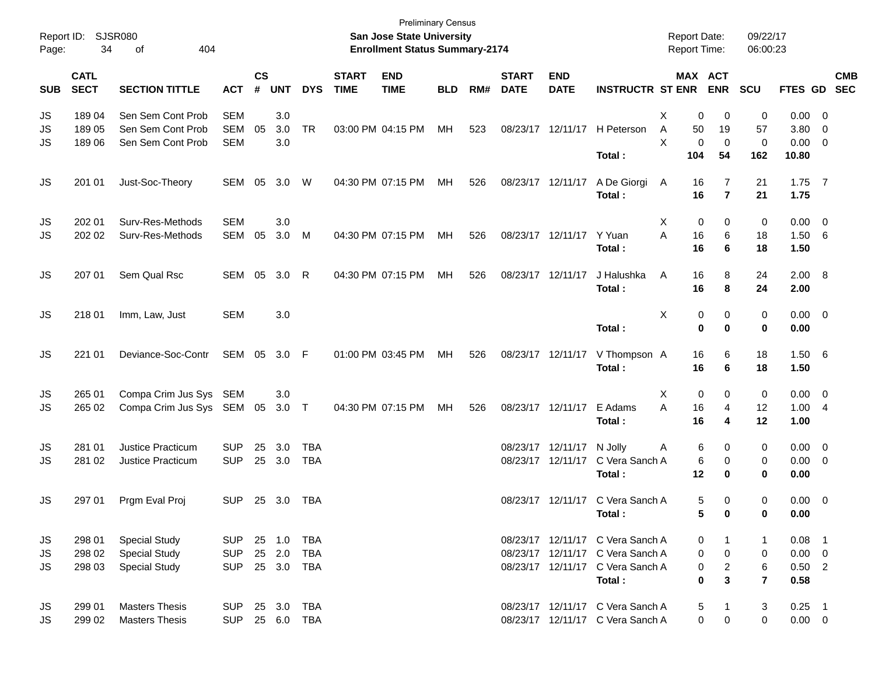| Report ID:<br>Page: | 34                         | <b>SJSR080</b><br>404<br>οf                                          |                                        |                |                            |                          |                             | <b>Preliminary Census</b><br>San Jose State University<br><b>Enrollment Status Summary-2174</b> |            |     |                             |                                        |                                                                                                                    | <b>Report Date:</b><br><b>Report Time:</b> |                                | 09/22/17<br>06:00:23           |                                             |                                                             |            |
|---------------------|----------------------------|----------------------------------------------------------------------|----------------------------------------|----------------|----------------------------|--------------------------|-----------------------------|-------------------------------------------------------------------------------------------------|------------|-----|-----------------------------|----------------------------------------|--------------------------------------------------------------------------------------------------------------------|--------------------------------------------|--------------------------------|--------------------------------|---------------------------------------------|-------------------------------------------------------------|------------|
| <b>SUB</b>          | <b>CATL</b><br><b>SECT</b> | <b>SECTION TITTLE</b>                                                | <b>ACT</b>                             | <b>CS</b><br># | <b>UNT</b>                 | <b>DYS</b>               | <b>START</b><br><b>TIME</b> | <b>END</b><br><b>TIME</b>                                                                       | <b>BLD</b> | RM# | <b>START</b><br><b>DATE</b> | <b>END</b><br><b>DATE</b>              | <b>INSTRUCTR ST ENR</b>                                                                                            |                                            | <b>MAX ACT</b><br><b>ENR</b>   | <b>SCU</b>                     | FTES GD SEC                                 |                                                             | <b>CMB</b> |
| JS<br>JS<br>JS      | 18904<br>18905<br>18906    | Sen Sem Cont Prob<br>Sen Sem Cont Prob<br>Sen Sem Cont Prob          | <b>SEM</b><br>SEM<br><b>SEM</b>        | 05             | 3.0<br>3.0<br>3.0          | <b>TR</b>                |                             | 03:00 PM 04:15 PM                                                                               | MH         | 523 |                             | 08/23/17 12/11/17                      | H Peterson                                                                                                         | X<br>0<br>A<br>50<br>X                     | 0<br>19<br>0<br>0              | 0<br>57<br>0                   | 0.00<br>3.80<br>0.00                        | $\overline{\mathbf{0}}$<br>$\overline{0}$<br>$\overline{0}$ |            |
|                     |                            |                                                                      |                                        |                |                            |                          |                             |                                                                                                 |            |     |                             |                                        | Total:                                                                                                             | 104                                        | 54                             | 162                            | 10.80                                       |                                                             |            |
| JS                  | 201 01                     | Just-Soc-Theory                                                      | SEM                                    | 05             | 3.0                        | W                        |                             | 04:30 PM 07:15 PM                                                                               | МH         | 526 |                             | 08/23/17 12/11/17                      | A De Giorgi<br>Total:                                                                                              | 16<br>A<br>16                              | 7<br>$\overline{7}$            | 21<br>21                       | $1.75$ 7<br>1.75                            |                                                             |            |
| JS<br>JS            | 202 01<br>202 02           | Surv-Res-Methods<br>Surv-Res-Methods                                 | <b>SEM</b><br>SEM                      | 05             | 3.0<br>3.0                 | M                        |                             | 04:30 PM 07:15 PM                                                                               | MH         | 526 |                             | 08/23/17 12/11/17                      | Y Yuan<br>Total:                                                                                                   | X<br>0<br>A<br>16<br>16                    | 0<br>6<br>6                    | 0<br>18<br>18                  | $0.00 \t 0$<br>1.50<br>1.50                 | - 6                                                         |            |
| JS                  | 207 01                     | Sem Qual Rsc                                                         | SEM 05                                 |                | 3.0                        | R                        |                             | 04:30 PM 07:15 PM                                                                               | MH         | 526 |                             | 08/23/17 12/11/17                      | J Halushka<br>Total:                                                                                               | A<br>16<br>16                              | 8<br>8                         | 24<br>24                       | 2.00 8<br>2.00                              |                                                             |            |
| JS                  | 218 01                     | Imm, Law, Just                                                       | <b>SEM</b>                             |                | 3.0                        |                          |                             |                                                                                                 |            |     |                             |                                        | Total:                                                                                                             | X                                          | 0<br>0<br>$\bf{0}$<br>$\bf{0}$ | 0<br>0                         | $0.00 \t 0$<br>0.00                         |                                                             |            |
| <b>JS</b>           | 221 01                     | Deviance-Soc-Contr                                                   | SEM 05                                 |                | 3.0 F                      |                          |                             | 01:00 PM 03:45 PM                                                                               | MH         | 526 |                             | 08/23/17 12/11/17                      | V Thompson A<br>Total:                                                                                             | 16<br>16                                   | 6<br>6                         | 18<br>18                       | $1.50\ 6$<br>1.50                           |                                                             |            |
| JS<br>JS            | 265 01<br>265 02           | Compa Crim Jus Sys<br>Compa Crim Jus Sys SEM 05                      | SEM                                    |                | 3.0<br>$3.0$ T             |                          |                             | 04:30 PM 07:15 PM                                                                               | MH         | 526 |                             | 08/23/17 12/11/17                      | E Adams<br>Total:                                                                                                  | 0<br>х<br>16<br>A<br>16                    | 0<br>4<br>4                    | 0<br>12<br>12                  | $0.00 \t 0$<br>1.00<br>1.00                 | $\overline{4}$                                              |            |
| JS<br>JS            | 281 01<br>281 02           | Justice Practicum<br>Justice Practicum                               | <b>SUP</b><br><b>SUP</b>               | 25             | 3.0<br>25 3.0              | <b>TBA</b><br><b>TBA</b> |                             |                                                                                                 |            |     |                             | 08/23/17 12/11/17<br>08/23/17 12/11/17 | N Jolly<br>C Vera Sanch A<br>Total:                                                                                | Α<br>12                                    | 6<br>0<br>6<br>0<br>0          | 0<br>0<br>0                    | $0.00 \t 0$<br>0.00<br>0.00                 | $\overline{\phantom{0}}$                                    |            |
| JS                  | 297 01                     | Prgm Eval Proj                                                       | <b>SUP</b>                             |                | 25 3.0                     | TBA                      |                             |                                                                                                 |            |     |                             | 08/23/17 12/11/17                      | C Vera Sanch A<br>Total:                                                                                           |                                            | 5<br>0<br>5<br>0               | 0<br>0                         | $0.00 \t 0$<br>0.00                         |                                                             |            |
| JS<br>JS<br>JS      | 298 01<br>298 02<br>298 03 | <b>Special Study</b><br><b>Special Study</b><br><b>Special Study</b> | <b>SUP</b><br><b>SUP</b><br><b>SUP</b> |                | 25 1.0<br>25 2.0<br>25 3.0 | TBA<br><b>TBA</b><br>TBA |                             |                                                                                                 |            |     |                             |                                        | 08/23/17 12/11/17 C Vera Sanch A<br>08/23/17 12/11/17 C Vera Sanch A<br>08/23/17 12/11/17 C Vera Sanch A<br>Total: | 0<br>0<br>0                                | 0<br>$\overline{c}$<br>0<br>3  | -1<br>0<br>6<br>$\overline{7}$ | $0.08$ 1<br>$0.00 \t 0$<br>$0.50$ 2<br>0.58 |                                                             |            |
| JS<br>JS            | 299 01<br>299 02           | <b>Masters Thesis</b><br><b>Masters Thesis</b>                       | <b>SUP</b><br><b>SUP</b>               |                | 25 3.0                     | TBA<br>25 6.0 TBA        |                             |                                                                                                 |            |     |                             |                                        | 08/23/17 12/11/17 C Vera Sanch A<br>08/23/17 12/11/17 C Vera Sanch A                                               |                                            | 5<br>1<br>0<br>0               | 3<br>$\mathbf 0$               | $0.25$ 1<br>$0.00 \t 0$                     |                                                             |            |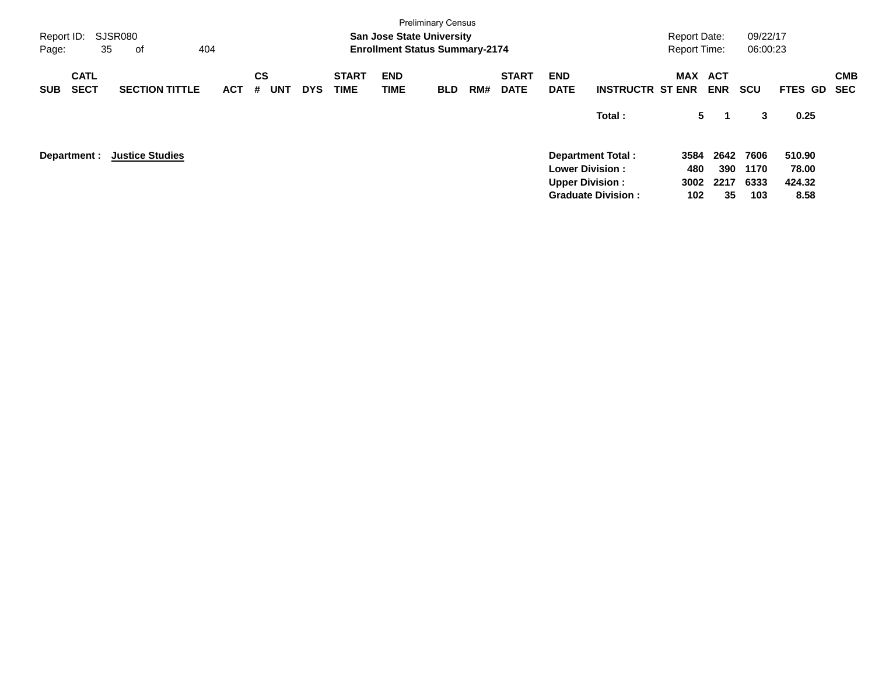| Report ID:<br>Page:                      | SJSR080<br>35<br>оf    | 404        |                              |            |                             | <b>San Jose State University</b><br><b>Enrollment Status Summary-2174</b> | <b>Preliminary Census</b> |     |                             |                           |                                                                                                           | <b>Report Date:</b><br><b>Report Time:</b> |                           | 09/22/17<br>06:00:23        |                                   |                   |
|------------------------------------------|------------------------|------------|------------------------------|------------|-----------------------------|---------------------------------------------------------------------------|---------------------------|-----|-----------------------------|---------------------------|-----------------------------------------------------------------------------------------------------------|--------------------------------------------|---------------------------|-----------------------------|-----------------------------------|-------------------|
| <b>CATL</b><br><b>SECT</b><br><b>SUB</b> | <b>SECTION TITTLE</b>  | <b>ACT</b> | <b>CS</b><br>#<br><b>UNT</b> | <b>DYS</b> | <b>START</b><br><b>TIME</b> | <b>END</b><br>TIME                                                        | <b>BLD</b>                | RM# | <b>START</b><br><b>DATE</b> | <b>END</b><br><b>DATE</b> | <b>INSTRUCTR ST ENR</b>                                                                                   | MAX                                        | <b>ACT</b><br><b>ENR</b>  | <b>SCU</b>                  | FTES GD                           | <b>CMB</b><br>SEC |
|                                          |                        |            |                              |            |                             |                                                                           |                           |     |                             |                           | Total:                                                                                                    | 5                                          | -1                        | 3                           | 0.25                              |                   |
| Department :                             | <b>Justice Studies</b> |            |                              |            |                             |                                                                           |                           |     |                             |                           | <b>Department Total:</b><br><b>Lower Division:</b><br><b>Upper Division:</b><br><b>Graduate Division:</b> | 3584<br>480<br>3002<br>102                 | 2642<br>390<br>2217<br>35 | 7606<br>1170<br>6333<br>103 | 510.90<br>78.00<br>424.32<br>8.58 |                   |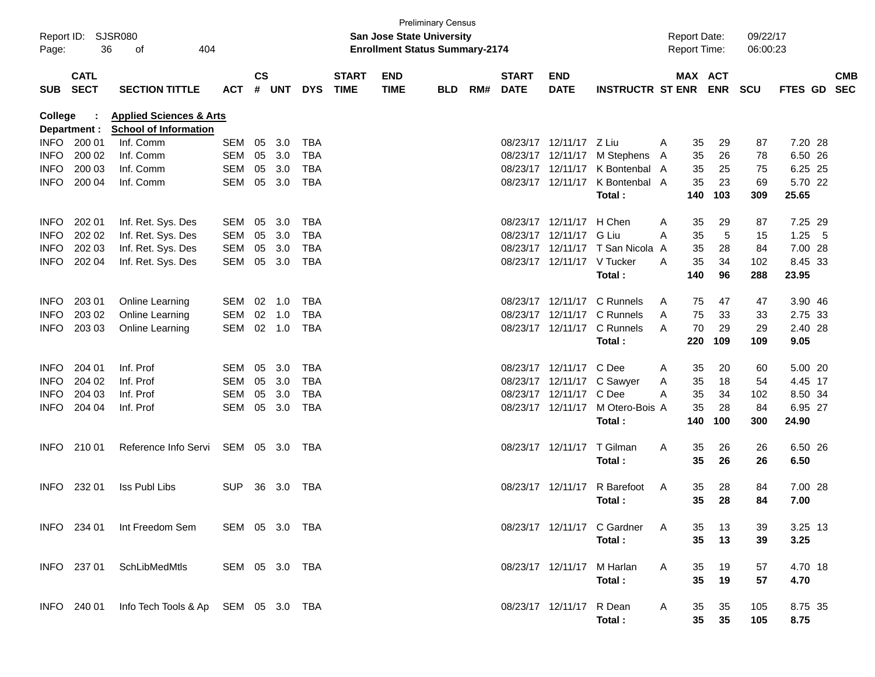| Report ID: SJSR080<br>36<br>404<br>Page:<br>οf |                            |                                                                    |                | <b>Preliminary Census</b><br><b>San Jose State University</b><br><b>Enrollment Status Summary-2174</b> |     |            |                             |                           |            |     |                             |                            |                             | <b>Report Date:</b><br><b>Report Time:</b> |         |            | 09/22/17<br>06:00:23 |         |     |                          |
|------------------------------------------------|----------------------------|--------------------------------------------------------------------|----------------|--------------------------------------------------------------------------------------------------------|-----|------------|-----------------------------|---------------------------|------------|-----|-----------------------------|----------------------------|-----------------------------|--------------------------------------------|---------|------------|----------------------|---------|-----|--------------------------|
| <b>SUB</b>                                     | <b>CATL</b><br><b>SECT</b> | <b>SECTION TITTLE</b>                                              | <b>ACT</b>     | $\mathsf{cs}$<br># UNT                                                                                 |     | <b>DYS</b> | <b>START</b><br><b>TIME</b> | <b>END</b><br><b>TIME</b> | <b>BLD</b> | RM# | <b>START</b><br><b>DATE</b> | <b>END</b><br><b>DATE</b>  | <b>INSTRUCTR ST ENR</b>     |                                            | MAX ACT | <b>ENR</b> | <b>SCU</b>           | FTES GD |     | <b>CMB</b><br><b>SEC</b> |
| <b>College</b>                                 | Department :               | <b>Applied Sciences &amp; Arts</b><br><b>School of Information</b> |                |                                                                                                        |     |            |                             |                           |            |     |                             |                            |                             |                                            |         |            |                      |         |     |                          |
| INFO.                                          | 200 01                     | Inf. Comm                                                          | SEM            | 05                                                                                                     | 3.0 | <b>TBA</b> |                             |                           |            |     |                             | 08/23/17 12/11/17 Z Liu    |                             | A                                          | 35      | 29         | 87                   | 7.20 28 |     |                          |
| <b>INFO</b>                                    | 200 02                     | Inf. Comm                                                          | <b>SEM</b>     | 05                                                                                                     | 3.0 | <b>TBA</b> |                             |                           |            |     |                             | 08/23/17 12/11/17          | M Stephens                  | A                                          | 35      | 26         | 78                   | 6.50 26 |     |                          |
| INFO                                           | 200 03                     | Inf. Comm                                                          | <b>SEM</b>     | 05                                                                                                     | 3.0 | TBA        |                             |                           |            |     |                             | 08/23/17 12/11/17          | K Bontenbal A               |                                            | 35      | 25         | 75                   | 6.25 25 |     |                          |
| <b>INFO</b>                                    | 200 04                     | Inf. Comm                                                          | SEM            | 05                                                                                                     | 3.0 | <b>TBA</b> |                             |                           |            |     |                             | 08/23/17 12/11/17          | K Bontenbal A               |                                            | 35      | 23         | 69                   | 5.70 22 |     |                          |
|                                                |                            |                                                                    |                |                                                                                                        |     |            |                             |                           |            |     |                             |                            | Total:                      |                                            | 140     | 103        | 309                  | 25.65   |     |                          |
| <b>INFO</b>                                    | 202 01                     | Inf. Ret. Sys. Des                                                 | SEM            | 05                                                                                                     | 3.0 | <b>TBA</b> |                             |                           |            |     |                             | 08/23/17 12/11/17          | H Chen                      | A                                          | 35      | 29         | 87                   | 7.25 29 |     |                          |
| <b>INFO</b>                                    | 202 02                     | Inf. Ret. Sys. Des                                                 | SEM            | 05                                                                                                     | 3.0 | <b>TBA</b> |                             |                           |            |     |                             | 08/23/17 12/11/17          | G Liu                       | A                                          | 35      | 5          | 15                   | 1.25    | - 5 |                          |
| <b>INFO</b>                                    | 202 03                     | Inf. Ret. Sys. Des                                                 | SEM            | 05                                                                                                     | 3.0 | <b>TBA</b> |                             |                           |            |     |                             | 08/23/17 12/11/17          | T San Nicola A              |                                            | 35      | 28         | 84                   | 7.00 28 |     |                          |
| <b>INFO</b>                                    | 202 04                     | Inf. Ret. Sys. Des                                                 | SEM            | 05                                                                                                     | 3.0 | <b>TBA</b> |                             |                           |            |     |                             | 08/23/17 12/11/17 V Tucker |                             | A                                          | 35      | 34         | 102                  | 8.45 33 |     |                          |
|                                                |                            |                                                                    |                |                                                                                                        |     |            |                             |                           |            |     |                             |                            | Total:                      |                                            | 140     | 96         | 288                  | 23.95   |     |                          |
| <b>INFO</b>                                    | 203 01                     | Online Learning                                                    | SEM            | $02 \quad 1.0$                                                                                         |     | <b>TBA</b> |                             |                           |            |     |                             | 08/23/17 12/11/17          | C Runnels                   | A                                          | 75      | 47         | 47                   | 3.90 46 |     |                          |
| <b>INFO</b>                                    | 203 02                     | Online Learning                                                    | <b>SEM</b>     | 02                                                                                                     | 1.0 | <b>TBA</b> |                             |                           |            |     |                             | 08/23/17 12/11/17          | C Runnels                   | A                                          | 75      | 33         | 33                   | 2.75 33 |     |                          |
| <b>INFO</b>                                    | 203 03                     | Online Learning                                                    | SEM            | 02 1.0                                                                                                 |     | <b>TBA</b> |                             |                           |            |     |                             | 08/23/17 12/11/17          | C Runnels                   | A                                          | 70      | 29         | 29                   | 2.40 28 |     |                          |
|                                                |                            |                                                                    |                |                                                                                                        |     |            |                             |                           |            |     |                             |                            | Total:                      |                                            | 220     | 109        | 109                  | 9.05    |     |                          |
| <b>INFO</b>                                    | 204 01                     | Inf. Prof                                                          | SEM            | 05                                                                                                     | 3.0 | <b>TBA</b> |                             |                           |            |     |                             | 08/23/17 12/11/17          | C Dee                       | A                                          | 35      | 20         | 60                   | 5.00 20 |     |                          |
| <b>INFO</b>                                    | 204 02                     | Inf. Prof                                                          | SEM            | 05                                                                                                     | 3.0 | <b>TBA</b> |                             |                           |            |     |                             |                            | 08/23/17 12/11/17 C Sawyer  | A                                          | 35      | 18         | 54                   | 4.45 17 |     |                          |
| <b>INFO</b>                                    | 204 03                     | Inf. Prof                                                          | SEM            | 05                                                                                                     | 3.0 | <b>TBA</b> |                             |                           |            |     |                             | 08/23/17 12/11/17          | C Dee                       | A                                          | 35      | 34         | 102                  | 8.50 34 |     |                          |
| <b>INFO</b>                                    | 204 04                     | Inf. Prof                                                          | SEM            | 05                                                                                                     | 3.0 | <b>TBA</b> |                             |                           |            |     |                             | 08/23/17 12/11/17          | M Otero-Bois A              |                                            | 35      | 28         | 84                   | 6.95 27 |     |                          |
|                                                |                            |                                                                    |                |                                                                                                        |     |            |                             |                           |            |     |                             |                            | Total:                      |                                            | 140     | 100        | 300                  | 24.90   |     |                          |
| INFO.                                          | 210 01                     | Reference Info Servi                                               | SEM 05 3.0     |                                                                                                        |     | TBA        |                             |                           |            |     |                             | 08/23/17 12/11/17          | T Gilman                    | Α                                          | 35      | 26         | 26                   | 6.50 26 |     |                          |
|                                                |                            |                                                                    |                |                                                                                                        |     |            |                             |                           |            |     |                             |                            | Total:                      |                                            | 35      | 26         | 26                   | 6.50    |     |                          |
| INFO.                                          | 232 01                     | Iss Publ Libs                                                      | <b>SUP</b>     | 36                                                                                                     | 3.0 | TBA        |                             |                           |            |     | 08/23/17 12/11/17           |                            | R Barefoot                  | A                                          | 35      | 28         | 84                   | 7.00 28 |     |                          |
|                                                |                            |                                                                    |                |                                                                                                        |     |            |                             |                           |            |     |                             |                            | Total:                      |                                            | 35      | 28         | 84                   | 7.00    |     |                          |
|                                                | INFO 234 01                | Int Freedom Sem                                                    | SEM 05 3.0 TBA |                                                                                                        |     |            |                             |                           |            |     |                             |                            | 08/23/17 12/11/17 C Gardner | A                                          | 35      | 13         | 39                   | 3.25 13 |     |                          |
|                                                |                            |                                                                    |                |                                                                                                        |     |            |                             |                           |            |     |                             |                            | Total:                      |                                            | 35      | 13         | 39                   | 3.25    |     |                          |
|                                                | INFO 237 01                | SchLibMedMtls                                                      | SEM 05 3.0 TBA |                                                                                                        |     |            |                             |                           |            |     |                             | 08/23/17 12/11/17 M Harlan |                             | A                                          | 35      | 19         | 57                   | 4.70 18 |     |                          |
|                                                |                            |                                                                    |                |                                                                                                        |     |            |                             |                           |            |     |                             |                            | Total:                      |                                            | 35      | 19         | 57                   | 4.70    |     |                          |
|                                                | INFO 240 01                | Info Tech Tools & Ap SEM 05 3.0 TBA                                |                |                                                                                                        |     |            |                             |                           |            |     |                             | 08/23/17 12/11/17 R Dean   |                             | A                                          | 35      | 35         | 105                  | 8.75 35 |     |                          |
|                                                |                            |                                                                    |                |                                                                                                        |     |            |                             |                           |            |     |                             |                            | Total:                      |                                            | 35      | 35         | 105                  | 8.75    |     |                          |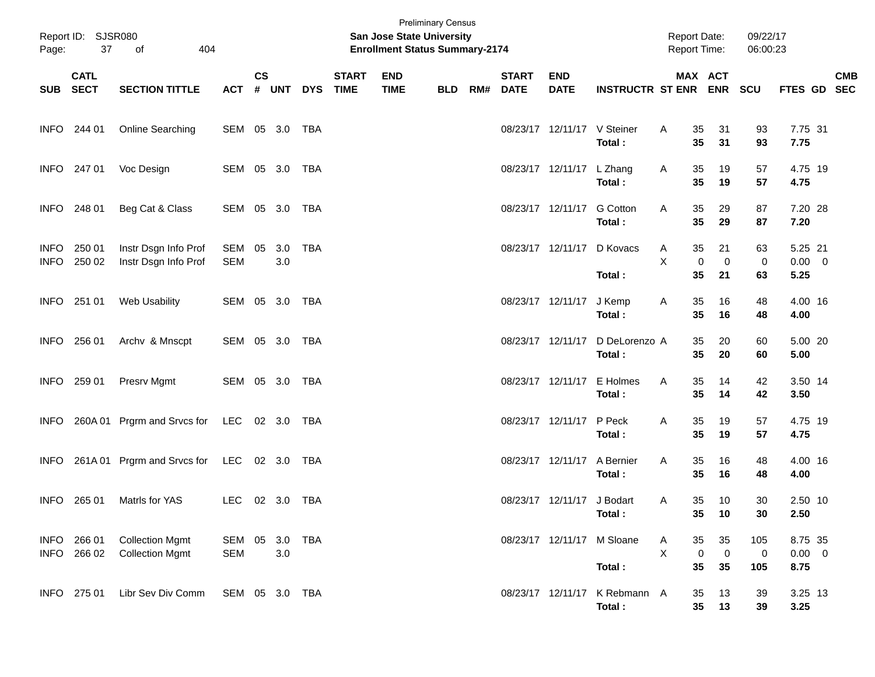| Page:                      | Report ID: SJSR080<br>37<br>404<br>of<br><b>CATL</b> |                                                  |                   |                    |            |            |                             | San Jose State University<br><b>Enrollment Status Summary-2174</b> | <b>Preliminary Census</b> |     |                             |                             |                             | <b>Report Date:</b><br>Report Time: |                                        | 09/22/17<br>06:00:23 |                                |            |
|----------------------------|------------------------------------------------------|--------------------------------------------------|-------------------|--------------------|------------|------------|-----------------------------|--------------------------------------------------------------------|---------------------------|-----|-----------------------------|-----------------------------|-----------------------------|-------------------------------------|----------------------------------------|----------------------|--------------------------------|------------|
|                            | SUB SECT                                             | <b>SECTION TITTLE</b>                            | <b>ACT</b>        | $\mathsf{cs}$<br># | <b>UNT</b> | <b>DYS</b> | <b>START</b><br><b>TIME</b> | <b>END</b><br><b>TIME</b>                                          | <b>BLD</b>                | RM# | <b>START</b><br><b>DATE</b> | <b>END</b><br><b>DATE</b>   | <b>INSTRUCTR ST ENR ENR</b> |                                     | MAX ACT                                | <b>SCU</b>           | FTES GD SEC                    | <b>CMB</b> |
|                            | INFO 244 01                                          | Online Searching                                 | SEM 05 3.0 TBA    |                    |            |            |                             |                                                                    |                           |     |                             | 08/23/17 12/11/17 V Steiner | Total:                      | 35<br>Α<br>35                       | 31<br>31                               | 93<br>93             | 7.75 31<br>7.75                |            |
|                            | INFO 247 01                                          | Voc Design                                       | SEM 05 3.0 TBA    |                    |            |            |                             |                                                                    |                           |     |                             | 08/23/17 12/11/17 L Zhang   | Total:                      | 35<br>Α<br>35                       | 19<br>19                               | 57<br>57             | 4.75 19<br>4.75                |            |
|                            | INFO 248 01                                          | Beg Cat & Class                                  | SEM 05 3.0 TBA    |                    |            |            |                             |                                                                    |                           |     |                             | 08/23/17 12/11/17           | <b>G</b> Cotton<br>Total:   | 35<br>A<br>35                       | 29<br>29                               | 87<br>87             | 7.20 28<br>7.20                |            |
| <b>INFO</b><br><b>INFO</b> | 250 01<br>250 02                                     | Instr Dsgn Info Prof<br>Instr Dsgn Info Prof     | SEM<br><b>SEM</b> | 05                 | 3.0<br>3.0 | <b>TBA</b> |                             |                                                                    |                           |     |                             | 08/23/17 12/11/17           | D Kovacs<br>Total:          | 35<br>Α<br>X<br>35                  | 21<br>$\mathbf 0$<br>0<br>21           | 63<br>0<br>63        | 5.25 21<br>$0.00 \t 0$<br>5.25 |            |
|                            | INFO 251 01                                          | Web Usability                                    | SEM 05 3.0 TBA    |                    |            |            |                             |                                                                    |                           |     |                             | 08/23/17 12/11/17           | J Kemp<br>Total:            | 35<br>Α<br>35                       | 16<br>16                               | 48<br>48             | 4.00 16<br>4.00                |            |
| <b>INFO</b>                | 256 01                                               | Archv & Mnscpt                                   | SEM 05 3.0 TBA    |                    |            |            |                             |                                                                    |                           |     |                             | 08/23/17 12/11/17           | D DeLorenzo A<br>Total:     | 35<br>35                            | 20<br>20                               | 60<br>60             | 5.00 20<br>5.00                |            |
| <b>INFO</b>                | 259 01                                               | Presrv Mgmt                                      | SEM 05 3.0 TBA    |                    |            |            |                             |                                                                    |                           |     |                             | 08/23/17 12/11/17           | E Holmes<br>Total:          | 35<br>Α<br>35                       | 14<br>14                               | 42<br>42             | 3.50 14<br>3.50                |            |
| <b>INFO</b>                |                                                      | 260A 01 Prgrm and Srvcs for                      | LEC 02 3.0 TBA    |                    |            |            |                             |                                                                    |                           |     |                             | 08/23/17 12/11/17           | P Peck<br>Total:            | 35<br>Α<br>35                       | 19<br>19                               | 57<br>57             | 4.75 19<br>4.75                |            |
| <b>INFO</b>                |                                                      | 261A 01 Prgrm and Srvcs for                      | LEC               |                    | 02 3.0 TBA |            |                             |                                                                    |                           |     |                             | 08/23/17 12/11/17           | A Bernier<br>Total:         | 35<br>Α<br>35                       | 16<br>16                               | 48<br>48             | 4.00 16<br>4.00                |            |
| INFO                       | 265 01                                               | Matrls for YAS                                   | <b>LEC</b>        |                    | 02 3.0 TBA |            |                             |                                                                    |                           |     |                             | 08/23/17 12/11/17 J Bodart  | Total:                      | 35<br>Α<br>35                       | 10<br>10                               | 30<br>30             | 2.50 10<br>2.50                |            |
| <b>INFO</b>                | INFO 266 01<br>266 02                                | <b>Collection Mgmt</b><br><b>Collection Mgmt</b> | SEM<br><b>SEM</b> | 05                 | 3.0        | 3.0 TBA    |                             |                                                                    |                           |     |                             | 08/23/17 12/11/17           | M Sloane<br>Total:          | 35<br>A<br>X<br>35                  | 35<br>$\mathbf 0$<br>$\mathbf 0$<br>35 | 105<br>0<br>105      | 8.75 35<br>$0.00 \t 0$<br>8.75 |            |
|                            | INFO 275 01                                          | Libr Sev Div Comm                                | SEM 05 3.0 TBA    |                    |            |            |                             |                                                                    |                           |     |                             | 08/23/17 12/11/17           | K Rebmann A<br>Total:       | 35<br>35                            | 13<br>13                               | 39<br>39             | 3.25 13<br>3.25                |            |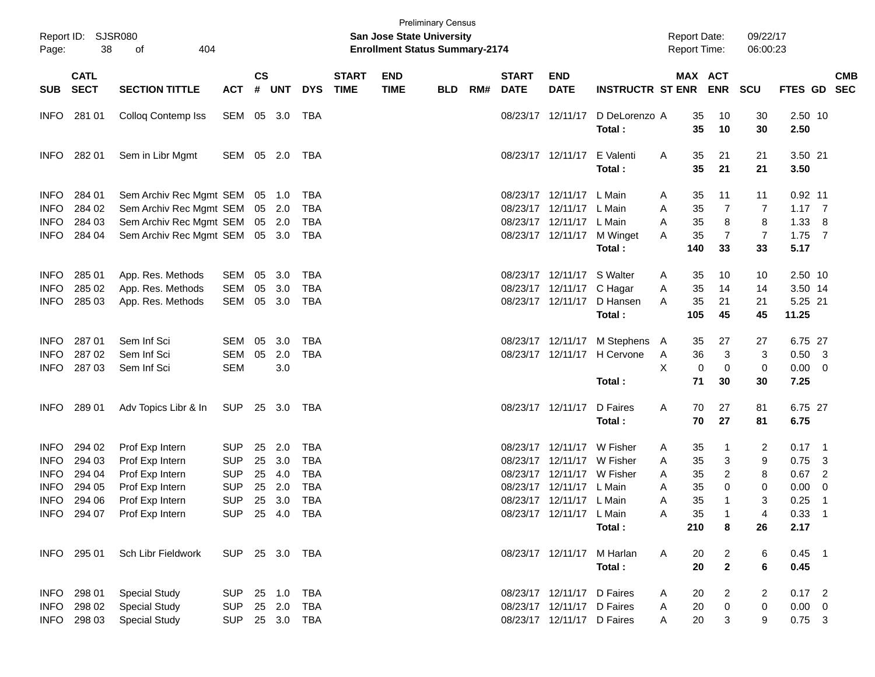| Report ID:<br>Page:        | 38                         | SJSR080<br>of<br>404                               |                |                    |                  |                          |                             | <b>San Jose State University</b><br><b>Enrollment Status Summary-2174</b> | <b>Preliminary Census</b> |     |                             |                            |                             |        | <b>Report Date:</b><br><b>Report Time:</b> |                       | 09/22/17<br>06:00:23 |                             |                          |  |
|----------------------------|----------------------------|----------------------------------------------------|----------------|--------------------|------------------|--------------------------|-----------------------------|---------------------------------------------------------------------------|---------------------------|-----|-----------------------------|----------------------------|-----------------------------|--------|--------------------------------------------|-----------------------|----------------------|-----------------------------|--------------------------|--|
| <b>SUB</b>                 | <b>CATL</b><br><b>SECT</b> | <b>SECTION TITTLE</b>                              | <b>ACT</b>     | $\mathsf{cs}$<br># | <b>UNT</b>       | <b>DYS</b>               | <b>START</b><br><b>TIME</b> | <b>END</b><br><b>TIME</b>                                                 | <b>BLD</b>                | RM# | <b>START</b><br><b>DATE</b> | <b>END</b><br><b>DATE</b>  | <b>INSTRUCTR ST ENR</b>     |        |                                            | MAX ACT<br><b>ENR</b> | <b>SCU</b>           | <b>FTES GD</b>              | <b>CMB</b><br><b>SEC</b> |  |
| <b>INFO</b>                | 281 01                     | Colloq Contemp Iss                                 | SEM 05 3.0     |                    |                  | TBA                      |                             |                                                                           |                           |     |                             | 08/23/17 12/11/17          | D DeLorenzo A<br>Total:     |        | 35<br>35                                   | 10<br>10              | 30<br>30             | 2.50 10<br>2.50             |                          |  |
| <b>INFO</b>                | 282 01                     | Sem in Libr Mgmt                                   | SEM 05 2.0     |                    |                  | TBA                      |                             |                                                                           |                           |     |                             | 08/23/17 12/11/17          | E Valenti<br>Total:         | Α      | 35<br>35                                   | 21<br>21              | 21<br>21             | 3.50 21<br>3.50             |                          |  |
| <b>INFO</b><br><b>INFO</b> | 284 01<br>284 02           | Sem Archiv Rec Mgmt SEM<br>Sem Archiv Rec Mgmt SEM |                |                    | 05 1.0<br>05 2.0 | <b>TBA</b><br><b>TBA</b> |                             |                                                                           |                           |     | 08/23/17<br>08/23/17        | 12/11/17<br>12/11/17       | L Main<br>L Main            | A<br>A | 35<br>35                                   | 11<br>7               | 11<br>7              | $0.92$ 11<br>$1.17 \quad 7$ |                          |  |
| <b>INFO</b>                | 284 03                     | Sem Archiv Rec Mgmt SEM                            |                |                    | 05 2.0           | <b>TBA</b>               |                             |                                                                           |                           |     | 08/23/17                    | 12/11/17 L Main            |                             | Α      | 35                                         | 8                     | 8                    | 1.33                        | -8                       |  |
| <b>INFO</b>                | 284 04                     | Sem Archiv Rec Mgmt SEM                            |                |                    | 05 3.0           | <b>TBA</b>               |                             |                                                                           |                           |     |                             | 08/23/17 12/11/17          | M Winget                    | A      | 35                                         | 7                     | 7                    | 1.75                        | - 7                      |  |
|                            |                            |                                                    |                |                    |                  |                          |                             |                                                                           |                           |     |                             |                            | Total:                      |        | 140                                        | 33                    | 33                   | 5.17                        |                          |  |
| <b>INFO</b>                | 285 01                     | App. Res. Methods                                  | <b>SEM</b>     | 05                 | 3.0              | <b>TBA</b>               |                             |                                                                           |                           |     | 08/23/17                    | 12/11/17                   | S Walter                    | A      | 35                                         | 10                    | 10                   | 2.50 10                     |                          |  |
| <b>INFO</b>                | 285 02                     | App. Res. Methods                                  | <b>SEM</b>     | 05                 | 3.0              | <b>TBA</b>               |                             |                                                                           |                           |     | 08/23/17                    | 12/11/17                   | C Hagar                     | A      | 35                                         | 14                    | 14                   | 3.50 14                     |                          |  |
| <b>INFO</b>                | 285 03                     | App. Res. Methods                                  | <b>SEM</b>     |                    | 05 3.0           | <b>TBA</b>               |                             |                                                                           |                           |     |                             | 08/23/17 12/11/17          | D Hansen                    | A      | 35                                         | 21                    | 21                   | 5.25 21                     |                          |  |
|                            |                            |                                                    |                |                    |                  |                          |                             |                                                                           |                           |     |                             |                            | Total:                      |        | 105                                        | 45                    | 45                   | 11.25                       |                          |  |
| <b>INFO</b>                | 287 01                     | Sem Inf Sci                                        | SEM            | 05                 | 3.0              | <b>TBA</b>               |                             |                                                                           |                           |     | 08/23/17                    |                            | 12/11/17 M Stephens         | A      | 35                                         | 27                    | 27                   | 6.75 27                     |                          |  |
| <b>INFO</b>                | 287 02                     | Sem Inf Sci                                        | SEM            | 05                 | 2.0              | <b>TBA</b>               |                             |                                                                           |                           |     |                             |                            | 08/23/17 12/11/17 H Cervone | A      | 36                                         | 3                     | 3                    | 0.50                        | - 3                      |  |
| <b>INFO</b>                | 287 03                     | Sem Inf Sci                                        | <b>SEM</b>     |                    | 3.0              |                          |                             |                                                                           |                           |     |                             |                            |                             | X      | 0                                          | 0                     | 0                    | 0.00                        | $\overline{\phantom{0}}$ |  |
|                            |                            |                                                    |                |                    |                  |                          |                             |                                                                           |                           |     |                             |                            | Total:                      |        | 71                                         | 30                    | 30                   | 7.25                        |                          |  |
| <b>INFO</b>                | 289 01                     | Adv Topics Libr & In                               | <b>SUP</b>     |                    | 25 3.0           | TBA                      |                             |                                                                           |                           |     |                             | 08/23/17 12/11/17          | D Faires                    | Α      | 70                                         | 27                    | 81                   | 6.75 27                     |                          |  |
|                            |                            |                                                    |                |                    |                  |                          |                             |                                                                           |                           |     |                             |                            | Total:                      |        | 70                                         | 27                    | 81                   | 6.75                        |                          |  |
| <b>INFO</b>                | 294 02                     | Prof Exp Intern                                    | <b>SUP</b>     | 25                 | 2.0              | <b>TBA</b>               |                             |                                                                           |                           |     | 08/23/17                    | 12/11/17                   | W Fisher                    | A      | 35                                         | $\mathbf 1$           | 2                    | 0.17                        | $\blacksquare$ 1         |  |
| <b>INFO</b>                | 294 03                     | Prof Exp Intern                                    | <b>SUP</b>     | 25                 | 3.0              | <b>TBA</b>               |                             |                                                                           |                           |     | 08/23/17                    | 12/11/17                   | W Fisher                    | A      | 35                                         | 3                     | 9                    | 0.75                        | - 3                      |  |
| <b>INFO</b>                | 294 04                     | Prof Exp Intern                                    | <b>SUP</b>     | 25                 | 4.0              | <b>TBA</b>               |                             |                                                                           |                           |     | 08/23/17                    |                            | 12/11/17 W Fisher           | A      | 35                                         | 2                     | 8                    | 0.67                        | $\overline{2}$           |  |
| <b>INFO</b>                | 294 05                     | Prof Exp Intern                                    | <b>SUP</b>     | 25                 | 2.0              | <b>TBA</b>               |                             |                                                                           |                           |     | 08/23/17                    | 12/11/17 L Main            |                             | Α      | 35                                         | 0                     | 0                    | 0.00                        | 0                        |  |
| <b>INFO</b>                | 294 06                     | Prof Exp Intern                                    | <b>SUP</b>     |                    | 25 3.0           | <b>TBA</b>               |                             |                                                                           |                           |     |                             | 08/23/17 12/11/17 L Main   |                             | A      | 35                                         | $\mathbf{1}$          | 3                    | 0.25                        | - 1                      |  |
|                            |                            | INFO 294 07 Prof Exp Intern                        | SUP 25 4.0 TBA |                    |                  |                          |                             |                                                                           |                           |     |                             | 08/23/17 12/11/17 L Main   |                             | Α      | 35                                         |                       | 4                    | $0.33$ 1                    |                          |  |
|                            |                            |                                                    |                |                    |                  |                          |                             |                                                                           |                           |     |                             |                            | Total:                      |        | 210                                        | 8                     | 26                   | 2.17                        |                          |  |
|                            | INFO 295 01                | Sch Libr Fieldwork                                 | SUP 25 3.0 TBA |                    |                  |                          |                             |                                                                           |                           |     |                             | 08/23/17 12/11/17 M Harlan |                             | A      | 20                                         | $\overline{c}$        | 6                    | $0.45$ 1                    |                          |  |
|                            |                            |                                                    |                |                    |                  |                          |                             |                                                                           |                           |     |                             |                            | Total:                      |        | 20                                         | $\mathbf{2}$          | 6                    | 0.45                        |                          |  |
| INFO                       | 298 01                     | <b>Special Study</b>                               | <b>SUP</b>     |                    | 25 1.0           | <b>TBA</b>               |                             |                                                                           |                           |     |                             | 08/23/17 12/11/17 D Faires |                             | A      | 20                                         | $\overline{2}$        | 2                    | $0.17$ 2                    |                          |  |
| INFO                       | 298 02                     | <b>Special Study</b>                               | <b>SUP</b>     |                    | 25 2.0           | <b>TBA</b>               |                             |                                                                           |                           |     |                             | 08/23/17 12/11/17 D Faires |                             | A      | 20                                         | $\pmb{0}$             | 0                    | $0.00 \t 0$                 |                          |  |
| <b>INFO</b>                | 298 03                     | <b>Special Study</b>                               | SUP            |                    |                  | 25 3.0 TBA               |                             |                                                                           |                           |     |                             | 08/23/17 12/11/17 D Faires |                             | A      | 20                                         | 3                     | 9                    | $0.75$ 3                    |                          |  |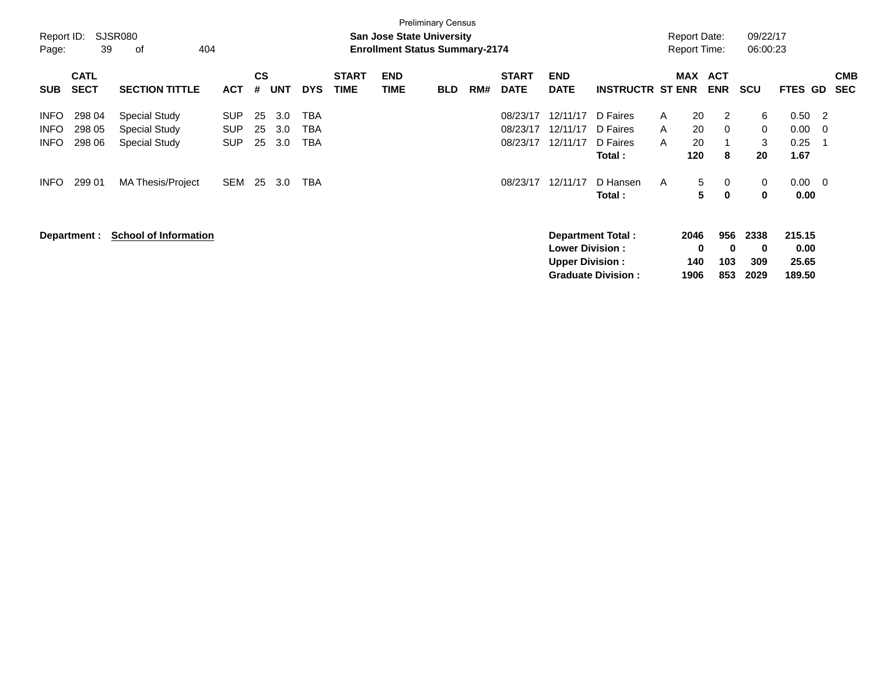| Report ID:<br>Page: | 39                         | <b>SJSR080</b><br>404<br>οf  |            |                |            |            |                             | <b>San Jose State University</b><br><b>Enrollment Status Summary-2174</b> | <b>Preliminary Census</b> |     |                             |                           |                           |        | <b>Report Date:</b><br><b>Report Time:</b> |                          | 09/22/17<br>06:00:23 |              |                |                          |
|---------------------|----------------------------|------------------------------|------------|----------------|------------|------------|-----------------------------|---------------------------------------------------------------------------|---------------------------|-----|-----------------------------|---------------------------|---------------------------|--------|--------------------------------------------|--------------------------|----------------------|--------------|----------------|--------------------------|
| <b>SUB</b>          | <b>CATL</b><br><b>SECT</b> | <b>SECTION TITTLE</b>        | <b>ACT</b> | <b>CS</b><br># | <b>UNT</b> | <b>DYS</b> | <b>START</b><br><b>TIME</b> | <b>END</b><br><b>TIME</b>                                                 | <b>BLD</b>                | RM# | <b>START</b><br><b>DATE</b> | <b>END</b><br><b>DATE</b> | <b>INSTRUCTR ST ENR</b>   |        | <b>MAX</b>                                 | <b>ACT</b><br><b>ENR</b> | <b>SCU</b>           | FTES GD      |                | <b>CMB</b><br><b>SEC</b> |
| <b>INFO</b>         | 298 04                     | Special Study                | <b>SUP</b> | 25             | 3.0        | TBA        |                             |                                                                           |                           |     | 08/23/17                    | 12/11/17                  | D Faires                  | A      | 20                                         | 2                        | 6                    | 0.50         | $\overline{2}$ |                          |
| <b>INFO</b>         | 298 05                     | <b>Special Study</b>         | <b>SUP</b> | 25             | 3.0        | TBA        |                             |                                                                           |                           |     | 08/23/17                    | 12/11/17<br>12/11/17      | D Faires<br>D Faires      | A<br>A | 20<br>20                                   | 0                        | 0<br>3               | 0.00         | - 0            |                          |
| <b>INFO</b>         | 298 06                     | <b>Special Study</b>         | <b>SUP</b> | 25             | 3.0        | <b>TBA</b> |                             |                                                                           |                           |     | 08/23/17                    |                           | Total:                    |        | 120                                        | 8                        | 20                   | 0.25<br>1.67 | -1             |                          |
| <b>INFO</b>         | 299 01                     | MA Thesis/Project            | SEM        | 25             | 3.0        | TBA        |                             |                                                                           |                           |     | 08/23/17                    | 12/11/17                  | D Hansen<br>Total:        | A      | 5<br>5                                     | 0<br>$\bf{0}$            | 0<br>0               | 0.00<br>0.00 | - 0            |                          |
|                     | Department :               | <b>School of Information</b> |            |                |            |            |                             |                                                                           |                           |     |                             |                           | Department Total:         |        | 2046                                       | 956                      | 2338                 | 215.15       |                |                          |
|                     |                            |                              |            |                |            |            |                             |                                                                           |                           |     |                             | <b>Lower Division:</b>    |                           |        | 0                                          | 0                        | 0                    | 0.00         |                |                          |
|                     |                            |                              |            |                |            |            |                             |                                                                           |                           |     |                             | <b>Upper Division:</b>    |                           |        | 140                                        | 103                      | 309                  | 25.65        |                |                          |
|                     |                            |                              |            |                |            |            |                             |                                                                           |                           |     |                             |                           | <b>Graduate Division:</b> |        | 1906                                       | 853                      | 2029                 | 189.50       |                |                          |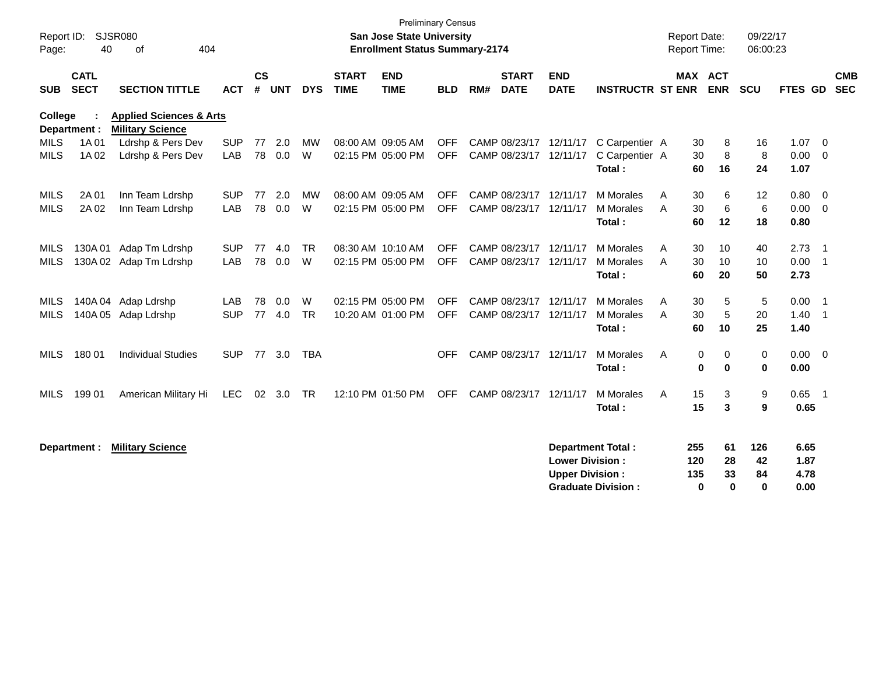| Report ID:<br>Page: | 40                         | <b>SJSR080</b><br>404<br>of                                   |            |                    |            |            |                             | <b>Preliminary Census</b><br>San Jose State University<br><b>Enrollment Status Summary-2174</b> |            |     |                             |                                                  |                                                       | <b>Report Date:</b><br><b>Report Time:</b> |                                 | 09/22/17<br>06:00:23        |                              |                            |
|---------------------|----------------------------|---------------------------------------------------------------|------------|--------------------|------------|------------|-----------------------------|-------------------------------------------------------------------------------------------------|------------|-----|-----------------------------|--------------------------------------------------|-------------------------------------------------------|--------------------------------------------|---------------------------------|-----------------------------|------------------------------|----------------------------|
| <b>SUB</b>          | <b>CATL</b><br><b>SECT</b> | <b>SECTION TITTLE</b>                                         | <b>ACT</b> | $\mathsf{cs}$<br># | <b>UNT</b> | <b>DYS</b> | <b>START</b><br><b>TIME</b> | <b>END</b><br><b>TIME</b>                                                                       | <b>BLD</b> | RM# | <b>START</b><br><b>DATE</b> | <b>END</b><br><b>DATE</b>                        | <b>INSTRUCTR ST ENR</b>                               |                                            | MAX ACT<br><b>ENR</b>           | SCU                         | <b>FTES GD</b>               | <b>CMB</b><br><b>SEC</b>   |
| <b>College</b>      | Department :               | <b>Applied Sciences &amp; Arts</b><br><b>Military Science</b> |            |                    |            |            |                             |                                                                                                 |            |     |                             |                                                  |                                                       |                                            |                                 |                             |                              |                            |
| <b>MILS</b>         | 1A 01                      | Ldrshp & Pers Dev                                             | <b>SUP</b> | 77                 | 2.0        | <b>MW</b>  |                             | 08:00 AM 09:05 AM                                                                               | <b>OFF</b> |     |                             |                                                  | CAMP 08/23/17 12/11/17 C Carpentier A                 | 30                                         | 8                               | 16                          | 1.07                         | $\overline{\mathbf{0}}$    |
| <b>MILS</b>         | 1A 02                      | Ldrshp & Pers Dev                                             | LAB        | 78                 | 0.0        | W          |                             | 02:15 PM 05:00 PM                                                                               | <b>OFF</b> |     | CAMP 08/23/17 12/11/17      |                                                  | C Carpentier A                                        | 30                                         | 8                               | 8                           | 0.00                         | $\overline{0}$             |
|                     |                            |                                                               |            |                    |            |            |                             |                                                                                                 |            |     |                             |                                                  | Total:                                                | 60                                         | 16                              | 24                          | 1.07                         |                            |
| <b>MILS</b>         | 2A 01                      | Inn Team Ldrshp                                               | <b>SUP</b> | 77                 | 2.0        | <b>MW</b>  |                             | 08:00 AM 09:05 AM                                                                               | <b>OFF</b> |     | CAMP 08/23/17 12/11/17      |                                                  | M Morales                                             | 30<br>A                                    | 6                               | 12                          | 0.80                         | $\overline{\mathbf{0}}$    |
| <b>MILS</b>         | 2A 02                      | Inn Team Ldrshp                                               | LAB        | 78                 | 0.0        | W          |                             | 02:15 PM 05:00 PM                                                                               | <b>OFF</b> |     | CAMP 08/23/17               | 12/11/17                                         | <b>M</b> Morales                                      | 30<br>A                                    | 6                               | $\,6\,$                     | 0.00                         | $\overline{0}$             |
|                     |                            |                                                               |            |                    |            |            |                             |                                                                                                 |            |     |                             |                                                  | Total:                                                | 60                                         | 12                              | 18                          | 0.80                         |                            |
| <b>MILS</b>         | 130A01                     | Adap Tm Ldrshp                                                | <b>SUP</b> | 77                 | 4.0        | <b>TR</b>  |                             | 08:30 AM 10:10 AM                                                                               | <b>OFF</b> |     | CAMP 08/23/17               | 12/11/17                                         | M Morales                                             | 30<br>A                                    | 10                              | 40                          | 2.73                         | $\overline{\phantom{0}}$   |
| <b>MILS</b>         | 130A02                     | Adap Tm Ldrshp                                                | LAB        | 78                 | 0.0        | W          |                             | 02:15 PM 05:00 PM                                                                               | <b>OFF</b> |     | CAMP 08/23/17               | 12/11/17                                         | M Morales                                             | A<br>30                                    | 10                              | 10                          | 0.00                         | $\overline{\phantom{0}}$ 1 |
|                     |                            |                                                               |            |                    |            |            |                             |                                                                                                 |            |     |                             |                                                  | Total:                                                | 60                                         | 20                              | 50                          | 2.73                         |                            |
| <b>MILS</b>         | 140A 04                    | Adap Ldrshp                                                   | <b>LAB</b> | 78                 | 0.0        | W          |                             | 02:15 PM 05:00 PM                                                                               | <b>OFF</b> |     | CAMP 08/23/17 12/11/17      |                                                  | M Morales                                             | 30<br>Α                                    | 5                               | $\sqrt{5}$                  | 0.00                         | $\overline{\phantom{0}}$ 1 |
| <b>MILS</b>         | 140A 05                    | Adap Ldrshp                                                   | <b>SUP</b> | 77                 | 4.0        | <b>TR</b>  |                             | 10:20 AM 01:00 PM                                                                               | <b>OFF</b> |     | CAMP 08/23/17 12/11/17      |                                                  | <b>M</b> Morales                                      | 30<br>A                                    | 5                               | 20                          | 1.40                         | $\overline{\phantom{0}}$ 1 |
|                     |                            |                                                               |            |                    |            |            |                             |                                                                                                 |            |     |                             |                                                  | Total:                                                | 60                                         | 10                              | 25                          | 1.40                         |                            |
| MILS                | 180 01                     | <b>Individual Studies</b>                                     | <b>SUP</b> |                    | 77 3.0     | <b>TBA</b> |                             |                                                                                                 | <b>OFF</b> |     | CAMP 08/23/17 12/11/17      |                                                  | M Morales                                             | A                                          | 0<br>0                          | 0                           | $0.00 \t 0$                  |                            |
|                     |                            |                                                               |            |                    |            |            |                             |                                                                                                 |            |     |                             |                                                  | Total:                                                |                                            | 0<br>$\bf{0}$                   | $\mathbf 0$                 | 0.00                         |                            |
| <b>MILS</b>         | 199 01                     | American Military Hi                                          | <b>LEC</b> |                    | 02 3.0     | <b>TR</b>  |                             | 12:10 PM 01:50 PM                                                                               | <b>OFF</b> |     | CAMP 08/23/17 12/11/17      |                                                  | M Morales                                             | 15<br>A                                    | 3                               | 9                           | $0.65$ 1                     |                            |
|                     |                            |                                                               |            |                    |            |            |                             |                                                                                                 |            |     |                             |                                                  | Total:                                                | 15                                         | 3                               | 9                           | 0.65                         |                            |
|                     | Department :               | <b>Military Science</b>                                       |            |                    |            |            |                             |                                                                                                 |            |     |                             | <b>Lower Division:</b><br><b>Upper Division:</b> | <b>Department Total:</b><br><b>Graduate Division:</b> | 255<br>120<br>135                          | 61<br>28<br>33<br>$\bf{0}$<br>0 | 126<br>42<br>84<br>$\bf{0}$ | 6.65<br>1.87<br>4.78<br>0.00 |                            |
|                     |                            |                                                               |            |                    |            |            |                             |                                                                                                 |            |     |                             |                                                  |                                                       |                                            |                                 |                             |                              |                            |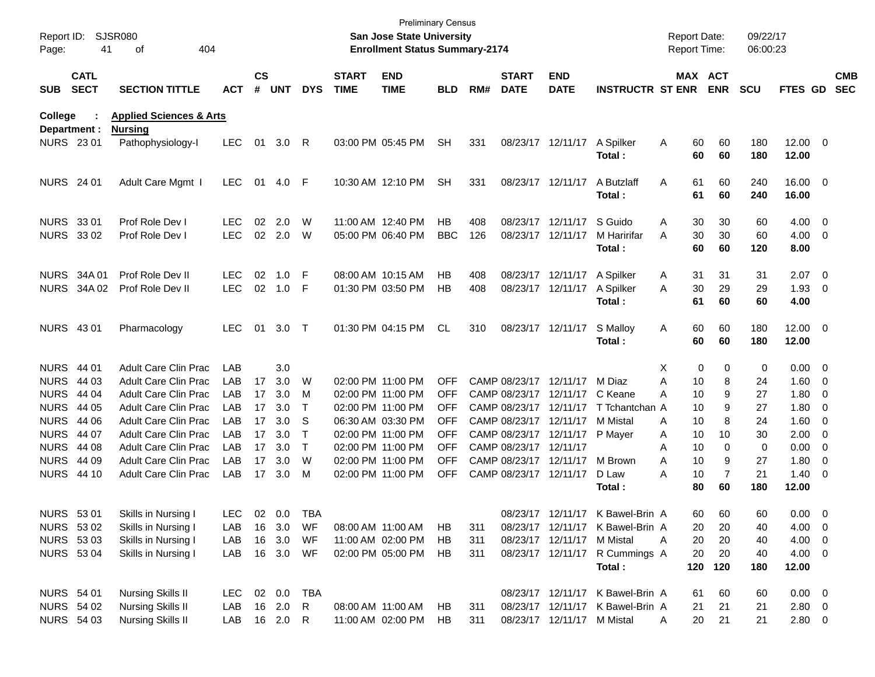| Report ID:<br>Page:             | 41                                                                                                                                                                                                                  | <b>SJSR080</b><br>404<br>of                                                                                                                                                                                                                                                                                                           |                                                                                  |                                              |                                                                                                         |                                                                    |                             | <b>San Jose State University</b><br><b>Enrollment Status Summary-2174</b>                                                                                                                                                           | <b>Preliminary Census</b>                                                                                                 |                   |                                                                            |                                                                                                                                                              |                                                                                                                                                                                                               | <b>Report Date:</b><br><b>Report Time:</b>                                                                                     |                                                                                                   | 09/22/17<br>06:00:23                                                                   |                                                                                                                                                                                                         |                          |                          |
|---------------------------------|---------------------------------------------------------------------------------------------------------------------------------------------------------------------------------------------------------------------|---------------------------------------------------------------------------------------------------------------------------------------------------------------------------------------------------------------------------------------------------------------------------------------------------------------------------------------|----------------------------------------------------------------------------------|----------------------------------------------|---------------------------------------------------------------------------------------------------------|--------------------------------------------------------------------|-----------------------------|-------------------------------------------------------------------------------------------------------------------------------------------------------------------------------------------------------------------------------------|---------------------------------------------------------------------------------------------------------------------------|-------------------|----------------------------------------------------------------------------|--------------------------------------------------------------------------------------------------------------------------------------------------------------|---------------------------------------------------------------------------------------------------------------------------------------------------------------------------------------------------------------|--------------------------------------------------------------------------------------------------------------------------------|---------------------------------------------------------------------------------------------------|----------------------------------------------------------------------------------------|---------------------------------------------------------------------------------------------------------------------------------------------------------------------------------------------------------|--------------------------|--------------------------|
| <b>SUB</b>                      | <b>CATL</b><br><b>SECT</b>                                                                                                                                                                                          | <b>SECTION TITTLE</b>                                                                                                                                                                                                                                                                                                                 | <b>ACT</b>                                                                       | $\mathsf{cs}$<br>#                           | <b>UNT</b>                                                                                              | <b>DYS</b>                                                         | <b>START</b><br><b>TIME</b> | <b>END</b><br><b>TIME</b>                                                                                                                                                                                                           | <b>BLD</b>                                                                                                                | RM#               | <b>START</b><br><b>DATE</b>                                                | <b>END</b><br><b>DATE</b>                                                                                                                                    | <b>INSTRUCTR ST ENR</b>                                                                                                                                                                                       |                                                                                                                                | MAX ACT<br><b>ENR</b>                                                                             | <b>SCU</b>                                                                             | FTES GD                                                                                                                                                                                                 |                          | <b>CMB</b><br><b>SEC</b> |
| <b>College</b>                  |                                                                                                                                                                                                                     | <b>Applied Sciences &amp; Arts</b>                                                                                                                                                                                                                                                                                                    |                                                                                  |                                              |                                                                                                         |                                                                    |                             |                                                                                                                                                                                                                                     |                                                                                                                           |                   |                                                                            |                                                                                                                                                              |                                                                                                                                                                                                               |                                                                                                                                |                                                                                                   |                                                                                        |                                                                                                                                                                                                         |                          |                          |
|                                 | Department :<br><b>NURS 2301</b>                                                                                                                                                                                    | <b>Nursing</b><br>Pathophysiology-I                                                                                                                                                                                                                                                                                                   | <b>LEC</b>                                                                       | 01                                           | 3.0                                                                                                     | R                                                                  |                             | 03:00 PM 05:45 PM                                                                                                                                                                                                                   | <b>SH</b>                                                                                                                 | 331               |                                                                            | 08/23/17 12/11/17                                                                                                                                            | A Spilker<br>Total:                                                                                                                                                                                           | 60<br>Α<br>60                                                                                                                  | 60<br>60                                                                                          | 180<br>180                                                                             | 12.00 0<br>12.00                                                                                                                                                                                        |                          |                          |
| <b>NURS</b> 24 01               |                                                                                                                                                                                                                     | Adult Care Mgmt                                                                                                                                                                                                                                                                                                                       | <b>LEC</b>                                                                       | 01                                           | 4.0                                                                                                     | F                                                                  |                             | 10:30 AM 12:10 PM                                                                                                                                                                                                                   | <b>SH</b>                                                                                                                 | 331               |                                                                            | 08/23/17 12/11/17                                                                                                                                            | A Butzlaff<br>Total:                                                                                                                                                                                          | 61<br>A<br>61                                                                                                                  | 60<br>60                                                                                          | 240<br>240                                                                             | 16.00 0<br>16.00                                                                                                                                                                                        |                          |                          |
| NURS 33 01                      | NURS 33 02                                                                                                                                                                                                          | Prof Role Dev I<br>Prof Role Dev I                                                                                                                                                                                                                                                                                                    | <b>LEC</b><br><b>LEC</b>                                                         | 02                                           | 2.0<br>02 2.0                                                                                           | W<br>W                                                             |                             | 11:00 AM 12:40 PM<br>05:00 PM 06:40 PM                                                                                                                                                                                              | НB<br><b>BBC</b>                                                                                                          | 408<br>126        |                                                                            | 08/23/17 12/11/17<br>08/23/17 12/11/17                                                                                                                       | S Guido<br>M Haririfar<br>Total :                                                                                                                                                                             | 30<br>Α<br>30<br>A<br>60                                                                                                       | 30<br>30<br>60                                                                                    | 60<br>60<br>120                                                                        | $4.00 \ 0$<br>$4.00 \ 0$<br>8.00                                                                                                                                                                        |                          |                          |
|                                 | <b>NURS 34A01</b><br>NURS 34A 02                                                                                                                                                                                    | Prof Role Dev II<br>Prof Role Dev II                                                                                                                                                                                                                                                                                                  | <b>LEC</b><br><b>LEC</b>                                                         | 02<br>02                                     | 1.0<br>1.0                                                                                              | F<br>F                                                             |                             | 08:00 AM 10:15 AM<br>01:30 PM 03:50 PM                                                                                                                                                                                              | НB<br>НB                                                                                                                  | 408<br>408        |                                                                            | 08/23/17 12/11/17<br>08/23/17 12/11/17                                                                                                                       | A Spilker<br>A Spilker<br>Total:                                                                                                                                                                              | 31<br>A<br>30<br>A<br>61                                                                                                       | 31<br>29<br>60                                                                                    | 31<br>29<br>60                                                                         | $2.07$ 0<br>$1.93$ 0<br>4.00                                                                                                                                                                            |                          |                          |
| <b>NURS 4301</b>                |                                                                                                                                                                                                                     | Pharmacology                                                                                                                                                                                                                                                                                                                          | <b>LEC</b>                                                                       | 01                                           | 3.0                                                                                                     | $\top$                                                             |                             | 01:30 PM 04:15 PM                                                                                                                                                                                                                   | <b>CL</b>                                                                                                                 | 310               |                                                                            | 08/23/17 12/11/17                                                                                                                                            | S Malloy<br>Total:                                                                                                                                                                                            | 60<br>A<br>60                                                                                                                  | 60<br>60                                                                                          | 180<br>180                                                                             | 12.00 0<br>12.00                                                                                                                                                                                        |                          |                          |
| NURS 44 01<br><b>NURS 44 03</b> | <b>NURS 44 04</b><br><b>NURS 44 05</b><br><b>NURS 44 06</b><br><b>NURS 44 07</b><br><b>NURS 44 08</b><br><b>NURS 44 09</b><br><b>NURS 44 10</b><br><b>NURS 5301</b><br>NURS 53 02<br>NURS 53 03<br><b>NURS 5304</b> | <b>Adult Care Clin Prac</b><br>Adult Care Clin Prac<br>Adult Care Clin Prac<br>Adult Care Clin Prac<br>Adult Care Clin Prac<br>Adult Care Clin Prac<br>Adult Care Clin Prac<br><b>Adult Care Clin Prac</b><br><b>Adult Care Clin Prac</b><br>Skills in Nursing I<br>Skills in Nursing I<br>Skills in Nursing I<br>Skills in Nursing I | LAB<br>LAB<br>LAB<br>LAB<br>LAB<br>LAB<br>LAB<br>LAB<br>LAB<br>LAB<br>LAB<br>LAB | 17<br>17<br>17<br>17<br>17<br>17<br>17<br>17 | 3.0<br>3.0<br>3.0<br>3.0<br>3.0<br>3.0<br>3.0<br>3.0<br>3.0<br>LEC 02 0.0<br>16 3.0<br>16 3.0<br>16 3.0 | W<br>M<br>Т<br>S<br>Т<br>$\top$<br>W<br>M<br>TBA<br>WF<br>WF<br>WF |                             | 02:00 PM 11:00 PM<br>02:00 PM 11:00 PM<br>02:00 PM 11:00 PM<br>06:30 AM 03:30 PM<br>02:00 PM 11:00 PM<br>02:00 PM 11:00 PM<br>02:00 PM 11:00 PM<br>02:00 PM 11:00 PM<br>08:00 AM 11:00 AM<br>11:00 AM 02:00 PM<br>02:00 PM 05:00 PM | <b>OFF</b><br><b>OFF</b><br><b>OFF</b><br><b>OFF</b><br>OFF<br><b>OFF</b><br><b>OFF</b><br><b>OFF</b><br>HB<br>HB.<br>HB. | 311<br>311<br>311 | CAMP 08/23/17 12/11/17<br>CAMP 08/23/17 12/11/17<br>CAMP 08/23/17 12/11/17 | CAMP 08/23/17 12/11/17<br>CAMP 08/23/17 12/11/17<br>CAMP 08/23/17 12/11/17<br>CAMP 08/23/17 12/11/17<br>CAMP 08/23/17 12/11/17<br>08/23/17 12/11/17 M Mistal | M Diaz<br>C Keane<br>T Tchantchan A<br>M Mistal<br>P Mayer<br>M Brown<br>D Law<br>Total :<br>08/23/17 12/11/17 K Bawel-Brin A<br>08/23/17 12/11/17 K Bawel-Brin A<br>08/23/17 12/11/17 R Cummings A<br>Total: | X<br>A<br>10<br>10<br>A<br>10<br>10<br>A<br>10<br>Α<br>10<br>A<br>10<br>A<br>10<br>A<br>80<br>60<br>20<br>20<br>Α<br>20<br>120 | 0<br>0<br>8<br>9<br>9<br>8<br>10<br>0<br>9<br>$\overline{7}$<br>60<br>60<br>20<br>20<br>20<br>120 | 0<br>24<br>27<br>27<br>24<br>30<br>0<br>27<br>21<br>180<br>60<br>40<br>40<br>40<br>180 | $0.00 \t 0$<br>$1.60 \t 0$<br>$1.80 \ 0$<br>$1.80 \ 0$<br>$1.60 \t 0$<br>$2.00 \t 0$<br>$0.00 \t 0$<br>1.80<br>$1.40 \ 0$<br>12.00<br>$0.00 \quad 0$<br>$4.00 \ 0$<br>$4.00 \ 0$<br>$4.00 \ 0$<br>12.00 | $\overline{\phantom{0}}$ |                          |
| NURS 54 01                      | <b>NURS 54 02</b><br><b>NURS 54 03</b>                                                                                                                                                                              | Nursing Skills II<br>Nursing Skills II<br><b>Nursing Skills II</b>                                                                                                                                                                                                                                                                    | LEC 02 0.0<br>LAB<br>LAB 16 2.0 R                                                |                                              | 16 2.0                                                                                                  | TBA<br>R.                                                          |                             | 08:00 AM 11:00 AM<br>11:00 AM 02:00 PM                                                                                                                                                                                              | HB.<br>HB                                                                                                                 | 311<br>311        |                                                                            | 08/23/17 12/11/17 M Mistal                                                                                                                                   | 08/23/17 12/11/17 K Bawel-Brin A<br>08/23/17 12/11/17 K Bawel-Brin A                                                                                                                                          | 61<br>21<br>20<br>A                                                                                                            | 60<br>21<br>21                                                                                    | 60<br>21<br>21                                                                         | $0.00 \t 0$<br>2.80 0<br>$2.80\ 0$                                                                                                                                                                      |                          |                          |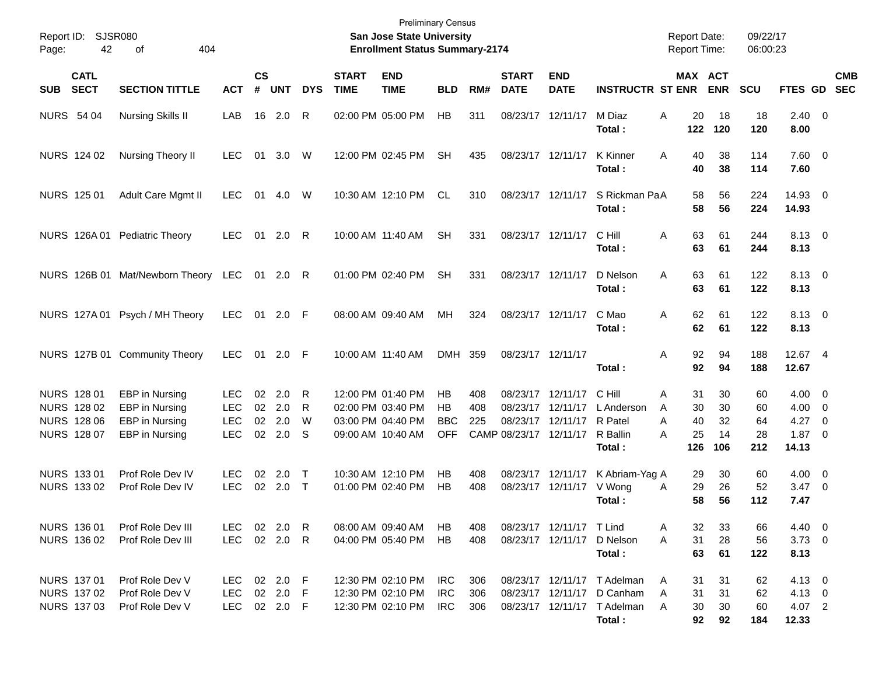| Page:             | Report ID:<br><b>SJSR080</b><br>42<br>404<br>оf<br><b>CATL</b> |                                                       |                                        |                |                         |                  |                             | <b>Preliminary Census</b><br><b>San Jose State University</b><br><b>Enrollment Status Summary-2174</b> |                          |                   |                             |                                                   |                                                                                                    | <b>Report Date:</b><br><b>Report Time:</b> |                      | 09/22/17<br>06:00:23  |                                                     |            |
|-------------------|----------------------------------------------------------------|-------------------------------------------------------|----------------------------------------|----------------|-------------------------|------------------|-----------------------------|--------------------------------------------------------------------------------------------------------|--------------------------|-------------------|-----------------------------|---------------------------------------------------|----------------------------------------------------------------------------------------------------|--------------------------------------------|----------------------|-----------------------|-----------------------------------------------------|------------|
| <b>SUB</b>        | <b>SECT</b>                                                    | <b>SECTION TITTLE</b>                                 | <b>ACT</b>                             | <b>CS</b><br># | <b>UNT</b>              | <b>DYS</b>       | <b>START</b><br><b>TIME</b> | <b>END</b><br><b>TIME</b>                                                                              | <b>BLD</b>               | RM#               | <b>START</b><br><b>DATE</b> | <b>END</b><br><b>DATE</b>                         | <b>INSTRUCTR ST ENR</b>                                                                            | MAX ACT                                    | <b>ENR</b>           | <b>SCU</b>            | FTES GD SEC                                         | <b>CMB</b> |
| <b>NURS 54 04</b> |                                                                | <b>Nursing Skills II</b>                              | LAB                                    | 16             | 2.0                     | R                |                             | 02:00 PM 05:00 PM                                                                                      | HB                       | 311               | 08/23/17 12/11/17           |                                                   | M Diaz<br>Total :                                                                                  | A<br>20<br>122                             | 18<br>120            | 18<br>120             | $2.40 \ 0$<br>8.00                                  |            |
|                   | NURS 124 02                                                    | Nursing Theory II                                     | <b>LEC</b>                             | 01             | 3.0                     | W                |                             | 12:00 PM 02:45 PM                                                                                      | SН                       | 435               | 08/23/17 12/11/17           |                                                   | <b>K</b> Kinner<br>Total :                                                                         | 40<br>A<br>40                              | 38<br>38             | 114<br>114            | 7.60 0<br>7.60                                      |            |
|                   | NURS 125 01                                                    | Adult Care Mgmt II                                    | <b>LEC</b>                             | 01             | 4.0                     | W                |                             | 10:30 AM 12:10 PM                                                                                      | CL.                      | 310               |                             | 08/23/17 12/11/17                                 | S Rickman PaA<br>Total :                                                                           | 58<br>58                                   | 56<br>56             | 224<br>224            | 14.93 0<br>14.93                                    |            |
|                   |                                                                | NURS 126A 01 Pediatric Theory                         | <b>LEC</b>                             | 01             | 2.0                     | R                |                             | 10:00 AM 11:40 AM                                                                                      | <b>SH</b>                | 331               |                             | 08/23/17 12/11/17                                 | C Hill<br>Total :                                                                                  | A<br>63<br>63                              | 61<br>61             | 244<br>244            | 8.13 0<br>8.13                                      |            |
|                   |                                                                | NURS 126B 01 Mat/Newborn Theory                       | LEC                                    |                | 01 2.0                  | R                |                             | 01:00 PM 02:40 PM                                                                                      | <b>SH</b>                | 331               | 08/23/17 12/11/17           |                                                   | D Nelson<br>Total :                                                                                | A<br>63<br>63                              | 61<br>61             | 122<br>122            | 8.13 0<br>8.13                                      |            |
|                   |                                                                | NURS 127A 01 Psych / MH Theory                        | <b>LEC</b>                             |                | 01 2.0 F                |                  |                             | 08:00 AM 09:40 AM                                                                                      | MH                       | 324               |                             | 08/23/17 12/11/17                                 | C Mao<br>Total :                                                                                   | 62<br>A<br>62                              | 61<br>61             | 122<br>122            | 8.13 0<br>8.13                                      |            |
|                   |                                                                | NURS 127B 01 Community Theory                         | <b>LEC</b>                             |                | 01 2.0 F                |                  |                             | 10:00 AM 11:40 AM                                                                                      | <b>DMH</b>               | 359               | 08/23/17 12/11/17           |                                                   | Total :                                                                                            | 92<br>Α<br>92                              | 94<br>94             | 188<br>188            | 12.67 4<br>12.67                                    |            |
|                   | NURS 128 01<br>NURS 128 02<br><b>NURS 128 06</b>               | EBP in Nursing<br>EBP in Nursing<br>EBP in Nursing    | <b>LEC</b><br><b>LEC</b><br><b>LEC</b> | 02             | 2.0<br>02 2.0<br>02 2.0 | R<br>R<br>W      |                             | 12:00 PM 01:40 PM<br>02:00 PM 03:40 PM<br>03:00 PM 04:40 PM                                            | HB<br>HB<br><b>BBC</b>   | 408<br>408<br>225 | 08/23/17<br>08/23/17        | 08/23/17 12/11/17<br>12/11/17<br>12/11/17 R Patel | C Hill<br>L Anderson                                                                               | Α<br>31<br>A<br>30<br>A<br>40              | 30<br>30<br>32       | 60<br>60<br>64        | $4.00 \ 0$<br>$4.00 \ 0$<br>$4.27$ 0                |            |
|                   | NURS 128 07                                                    | EBP in Nursing                                        | <b>LEC</b>                             |                | 02 2.0                  | -S               |                             | 09:00 AM 10:40 AM                                                                                      | <b>OFF</b>               |                   | CAMP 08/23/17 12/11/17      |                                                   | R Ballin<br>Total:                                                                                 | 25<br>A<br>126                             | 14<br>106            | 28<br>212             | $1.87 \ 0$<br>14.13                                 |            |
|                   | NURS 133 01<br>NURS 133 02                                     | Prof Role Dev IV<br>Prof Role Dev IV                  | <b>LEC</b><br><b>LEC</b>               | 02             | 2.0<br>02 2.0           | $\top$<br>$\top$ |                             | 10:30 AM 12:10 PM<br>01:00 PM 02:40 PM                                                                 | HB<br>HB                 | 408<br>408        |                             | 08/23/17 12/11/17<br>08/23/17 12/11/17            | K Abriam-Yag A<br>V Wong<br>Total :                                                                | 29<br>29<br>A<br>58                        | 30<br>26<br>56       | 60<br>52<br>112       | $4.00 \ 0$<br>$3.47 \quad 0$<br>7.47                |            |
|                   | NURS 136 01<br>NURS 136 02                                     | Prof Role Dev III<br>Prof Role Dev III                | LEC<br>LEC                             |                | 02  2.0  R<br>02 2.0 R  |                  |                             | 08:00 AM 09:40 AM<br>04:00 PM 05:40 PM                                                                 | HB<br>HB                 | 408<br>408        |                             | 08/23/17 12/11/17 T Lind                          | 08/23/17 12/11/17 D Nelson<br>Total:                                                               | 32<br>Α<br>31<br>A<br>63                   | 33<br>28<br>61       | 66<br>56<br>122       | $4.40 \quad 0$<br>$3.73 \ 0$<br>8.13                |            |
|                   | NURS 137 01<br>NURS 137 02<br>NURS 137 03                      | Prof Role Dev V<br>Prof Role Dev V<br>Prof Role Dev V | LEC 02 2.0 F<br>LEC<br><b>LEC</b>      |                | 02 2.0 F<br>02 2.0 F    |                  |                             | 12:30 PM 02:10 PM<br>12:30 PM 02:10 PM<br>12:30 PM 02:10 PM                                            | IRC<br><b>IRC</b><br>IRC | 306<br>306<br>306 |                             |                                                   | 08/23/17 12/11/17 T Adelman<br>08/23/17 12/11/17 D Canham<br>08/23/17 12/11/17 T Adelman<br>Total: | A<br>31<br>31<br>A<br>30<br>A<br>92        | 31<br>31<br>30<br>92 | 62<br>62<br>60<br>184 | $4.13 \quad 0$<br>$4.13 \quad 0$<br>4.07 2<br>12.33 |            |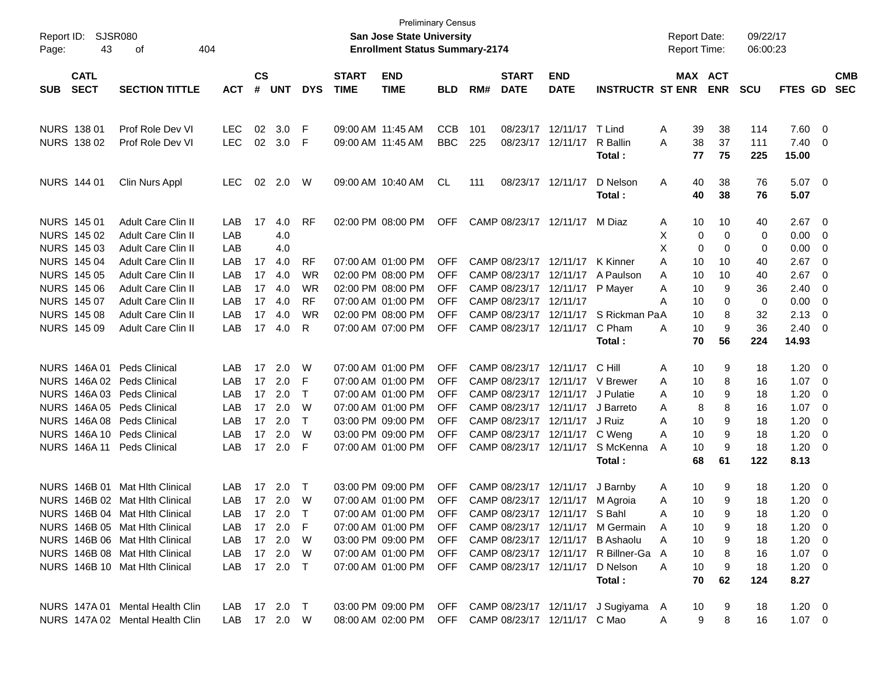| Report ID:<br>Page:       | SJSR080<br>43<br>404<br>οf      |              |               |            |            |                   | <b>Preliminary Census</b><br>San Jose State University<br><b>Enrollment Status Summary-2174</b> |            |     |                        |                                  |                                                             | <b>Report Date:</b><br><b>Report Time:</b> |    |            | 09/22/17<br>06:00:23 |                |     |            |
|---------------------------|---------------------------------|--------------|---------------|------------|------------|-------------------|-------------------------------------------------------------------------------------------------|------------|-----|------------------------|----------------------------------|-------------------------------------------------------------|--------------------------------------------|----|------------|----------------------|----------------|-----|------------|
| <b>CATL</b>               |                                 |              | $\mathsf{cs}$ |            |            | <b>START</b>      | <b>END</b>                                                                                      |            |     | <b>START</b>           | <b>END</b>                       |                                                             |                                            |    | MAX ACT    |                      |                |     | <b>CMB</b> |
| <b>SECT</b><br><b>SUB</b> | <b>SECTION TITTLE</b>           | <b>ACT</b>   | #             | <b>UNT</b> | <b>DYS</b> | <b>TIME</b>       | <b>TIME</b>                                                                                     | <b>BLD</b> | RM# | <b>DATE</b>            | <b>DATE</b>                      | <b>INSTRUCTR ST ENR</b>                                     |                                            |    | <b>ENR</b> | <b>SCU</b>           | FTES GD        |     | <b>SEC</b> |
|                           |                                 |              |               |            |            |                   |                                                                                                 |            |     |                        |                                  |                                                             |                                            |    |            |                      |                |     |            |
| NURS 138 01               | Prof Role Dev VI                | LEC.         | 02            | 3.0        | F          |                   | 09:00 AM 11:45 AM                                                                               | <b>CCB</b> | 101 |                        | 08/23/17 12/11/17 T Lind         |                                                             | A                                          | 39 | 38         | 114                  | 7.60           | - 0 |            |
| NURS 138 02               | <b>Prof Role Dev VI</b>         | <b>LEC</b>   | 02            | 3.0        | F          | 09:00 AM 11:45 AM |                                                                                                 | <b>BBC</b> | 225 |                        | 08/23/17 12/11/17 R Ballin       |                                                             | A                                          | 38 | 37         | 111                  | 7.40           | 0   |            |
|                           |                                 |              |               |            |            |                   |                                                                                                 |            |     |                        |                                  | Total :                                                     |                                            | 77 | 75         | 225                  | 15.00          |     |            |
| NURS 144 01               | Clin Nurs Appl                  | <b>LEC</b>   | 02            | 2.0        | W          |                   | 09:00 AM 10:40 AM                                                                               | <b>CL</b>  | 111 | 08/23/17 12/11/17      |                                  | D Nelson                                                    | Α                                          | 40 | 38         | 76                   | $5.07 \quad 0$ |     |            |
|                           |                                 |              |               |            |            |                   |                                                                                                 |            |     |                        |                                  | Total :                                                     |                                            | 40 | 38         | 76                   | 5.07           |     |            |
| NURS 145 01               | <b>Adult Care Clin II</b>       | LAB          | 17            | 4.0        | <b>RF</b>  |                   | 02:00 PM 08:00 PM                                                                               | <b>OFF</b> |     |                        | CAMP 08/23/17 12/11/17 M Diaz    |                                                             | A                                          | 10 | 10         | 40                   | 2.67           | - 0 |            |
| NURS 145 02               | <b>Adult Care Clin II</b>       | LAB          |               | 4.0        |            |                   |                                                                                                 |            |     |                        |                                  |                                                             | X                                          | 0  | 0          | 0                    | 0.00           | - 0 |            |
| NURS 145 03               | Adult Care Clin II              | LAB          |               | 4.0        |            |                   |                                                                                                 |            |     |                        |                                  |                                                             | X                                          | 0  | 0          | 0                    | 0.00           | - 0 |            |
| NURS 145 04               | Adult Care Clin II              | LAB          | 17            | 4.0        | <b>RF</b>  |                   | 07:00 AM 01:00 PM                                                                               | <b>OFF</b> |     |                        | CAMP 08/23/17 12/11/17           | K Kinner                                                    | A                                          | 10 | 10         | 40                   | 2.67           | 0   |            |
| <b>NURS 145 05</b>        | Adult Care Clin II              | LAB          | 17            | 4.0        | <b>WR</b>  |                   | 02:00 PM 08:00 PM                                                                               | <b>OFF</b> |     |                        | CAMP 08/23/17 12/11/17           | A Paulson                                                   | A                                          | 10 | 10         | 40                   | 2.67           | 0   |            |
| NURS 145 06               | Adult Care Clin II              | LAB          | 17            | 4.0        | <b>WR</b>  |                   | 02:00 PM 08:00 PM                                                                               | <b>OFF</b> |     |                        | CAMP 08/23/17 12/11/17           | P Mayer                                                     | A                                          | 10 | 9          | 36                   | 2.40           | 0   |            |
| NURS 145 07               | Adult Care Clin II              | LAB          | 17            | 4.0        | <b>RF</b>  |                   | 07:00 AM 01:00 PM                                                                               | <b>OFF</b> |     | CAMP 08/23/17 12/11/17 |                                  |                                                             | A                                          | 10 | 0          | 0                    | 0.00           | - 0 |            |
| <b>NURS 145 08</b>        | Adult Care Clin II              | LAB          | 17            | 4.0        | <b>WR</b>  |                   | 02:00 PM 08:00 PM                                                                               | <b>OFF</b> |     |                        |                                  | CAMP 08/23/17 12/11/17 S Rickman PaA                        |                                            | 10 | 8          | 32                   | 2.13           | 0   |            |
| NURS 145 09               | <b>Adult Care Clin II</b>       | LAB          | 17            | 4.0        | R          |                   | 07:00 AM 07:00 PM                                                                               | <b>OFF</b> |     |                        | CAMP 08/23/17 12/11/17           | C Pham                                                      | A                                          | 10 | 9          | 36                   | 2.40           | - 0 |            |
|                           |                                 |              |               |            |            |                   |                                                                                                 |            |     |                        |                                  | Total :                                                     |                                            | 70 | 56         | 224                  | 14.93          |     |            |
| NURS 146A 01              | <b>Peds Clinical</b>            | LAB          | 17            | 2.0        | W          |                   | 07:00 AM 01:00 PM                                                                               | <b>OFF</b> |     |                        | CAMP 08/23/17 12/11/17           | C Hill                                                      | A                                          | 10 | 9          | 18                   | 1.20           | 0   |            |
|                           | NURS 146A 02 Peds Clinical      | LAB          | 17            | 2.0        | F          |                   | 07:00 AM 01:00 PM                                                                               | <b>OFF</b> |     |                        | CAMP 08/23/17 12/11/17 V Brewer  |                                                             | A                                          | 10 | 8          | 16                   | 1.07           | - 0 |            |
|                           | NURS 146A 03 Peds Clinical      | LAB          | 17            | 2.0        | Т          |                   | 07:00 AM 01:00 PM                                                                               | <b>OFF</b> |     |                        | CAMP 08/23/17 12/11/17 J Pulatie |                                                             | A                                          | 10 | 9          | 18                   | 1.20           | 0   |            |
|                           | NURS 146A 05 Peds Clinical      | LAB          | 17            | 2.0        | W          |                   | 07:00 AM 01:00 PM                                                                               | <b>OFF</b> |     |                        | CAMP 08/23/17 12/11/17 J Barreto |                                                             | A                                          | 8  | 8          | 16                   | 1.07           | - 0 |            |
|                           | NURS 146A 08 Peds Clinical      | LAB          | 17            | 2.0        | T          |                   | 03:00 PM 09:00 PM                                                                               | <b>OFF</b> |     |                        | CAMP 08/23/17 12/11/17 J Ruiz    |                                                             | A                                          | 10 | 9          | 18                   | 1.20           | 0   |            |
|                           | NURS 146A 10 Peds Clinical      | LAB          | 17            | 2.0        | W          |                   | 03:00 PM 09:00 PM                                                                               | <b>OFF</b> |     |                        | CAMP 08/23/17 12/11/17 C Weng    |                                                             | A                                          | 10 | 9          | 18                   | 1.20           | 0   |            |
| <b>NURS 146A11</b>        | <b>Peds Clinical</b>            | LAB          | 17            | 2.0        | F          |                   | 07:00 AM 01:00 PM                                                                               | <b>OFF</b> |     |                        | CAMP 08/23/17 12/11/17           | S McKenna                                                   | A                                          | 10 | 9          | 18                   | 1.20           | - 0 |            |
|                           |                                 |              |               |            |            |                   |                                                                                                 |            |     |                        |                                  | Total :                                                     |                                            | 68 | 61         | 122                  | 8.13           |     |            |
| <b>NURS 146B 01</b>       | Mat Hlth Clinical               | LAB          | 17            | 2.0        | Т          |                   | 03:00 PM 09:00 PM                                                                               | <b>OFF</b> |     |                        | CAMP 08/23/17 12/11/17           | J Barnby                                                    | A                                          | 10 | 9          | 18                   | 1.20           | - 0 |            |
|                           | NURS 146B 02 Mat Hlth Clinical  | LAB          |               | 17 2.0     | W          |                   | 07:00 AM 01:00 PM                                                                               | <b>OFF</b> |     |                        | CAMP 08/23/17 12/11/17 M Agroia  |                                                             | A                                          | 10 | 9          | 18                   | 1.20           | - 0 |            |
|                           | NURS 146B 04 Mat Hith Clinical  | LAB.         |               | 17 2.0 T   |            |                   | 07:00 AM 01:00 PM                                                                               | OFF        |     |                        | CAMP 08/23/17 12/11/17 S Bahl    |                                                             | A                                          | 10 | я          | 18                   | 1.20           | 0   |            |
|                           | NURS 146B 05 Mat Hith Clinical  | LAB 17 2.0 F |               |            |            |                   |                                                                                                 |            |     |                        |                                  | 07:00 AM 01:00 PM OFF CAMP 08/23/17 12/11/17 M Germain A    |                                            | 10 |            | 18                   | $1.20 \t 0$    |     |            |
|                           | NURS 146B 06 Mat Hith Clinical  | LAB 17 2.0 W |               |            |            |                   |                                                                                                 |            |     |                        |                                  | 03:00 PM 09:00 PM OFF CAMP 08/23/17 12/11/17 B Ashaolu      | A                                          | 10 | 9          | 18                   | $1.20 \t 0$    |     |            |
|                           | NURS 146B 08 Mat Hith Clinical  | LAB 17 2.0 W |               |            |            |                   |                                                                                                 |            |     |                        |                                  | 07:00 AM 01:00 PM OFF CAMP 08/23/17 12/11/17 R Billner-Ga A |                                            | 10 | 8          | 16                   | $1.07 \t 0$    |     |            |
|                           | NURS 146B 10 Mat Hlth Clinical  | LAB 17 2.0 T |               |            |            |                   | 07:00 AM 01:00 PM OFF CAMP 08/23/17 12/11/17 D Nelson                                           |            |     |                        |                                  |                                                             | A                                          | 10 | 9          | 18                   | $1.20 \t 0$    |     |            |
|                           |                                 |              |               |            |            |                   |                                                                                                 |            |     |                        |                                  | Total:                                                      |                                            | 70 | 62         | 124                  | 8.27           |     |            |
|                           | NURS 147A 01 Mental Health Clin | LAB 17 2.0 T |               |            |            |                   |                                                                                                 |            |     |                        |                                  | 03:00 PM 09:00 PM OFF CAMP 08/23/17 12/11/17 J Sugiyama A   |                                            | 10 | 9          | 18                   | $1.20 \t 0$    |     |            |
|                           | NURS 147A 02 Mental Health Clin | LAB 17 2.0 W |               |            |            |                   | 08:00 AM 02:00 PM OFF CAMP 08/23/17 12/11/17 C Mao                                              |            |     |                        |                                  |                                                             | A                                          | 9  | 8          | 16                   | $1.07 \t 0$    |     |            |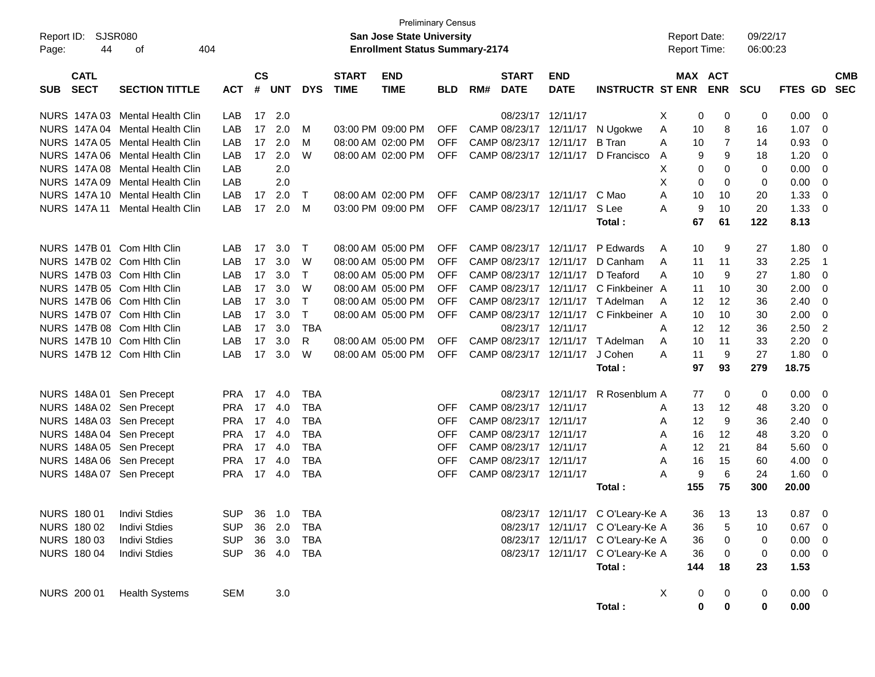| Report ID:<br>44<br>Page:                | SJSR080<br>404<br>оf            |            |                |            |             |                             | <b>Preliminary Census</b><br><b>San Jose State University</b><br><b>Enrollment Status Summary-2174</b> |            |     |                             |                           |                                       | <b>Report Date:</b><br><b>Report Time:</b> |           |                           | 09/22/17<br>06:00:23 |             |                          |                          |
|------------------------------------------|---------------------------------|------------|----------------|------------|-------------|-----------------------------|--------------------------------------------------------------------------------------------------------|------------|-----|-----------------------------|---------------------------|---------------------------------------|--------------------------------------------|-----------|---------------------------|----------------------|-------------|--------------------------|--------------------------|
| <b>CATL</b><br><b>SECT</b><br><b>SUB</b> | <b>SECTION TITTLE</b>           | <b>ACT</b> | <b>CS</b><br># | <b>UNT</b> | <b>DYS</b>  | <b>START</b><br><b>TIME</b> | <b>END</b><br><b>TIME</b>                                                                              | <b>BLD</b> | RM# | <b>START</b><br><b>DATE</b> | <b>END</b><br><b>DATE</b> | <b>INSTRUCTR ST ENR</b>               |                                            |           | MAX ACT<br><b>ENR SCU</b> |                      | FTES GD     |                          | <b>CMB</b><br><b>SEC</b> |
|                                          | NURS 147A 03 Mental Health Clin | LAB        | 17             | 2.0        |             |                             |                                                                                                        |            |     | 08/23/17 12/11/17           |                           |                                       | Х                                          | 0         | 0                         | 0                    | 0.00        | $\Omega$                 |                          |
|                                          | NURS 147A 04 Mental Health Clin | LAB        | 17             | 2.0        | M           |                             | 03:00 PM 09:00 PM                                                                                      | <b>OFF</b> |     |                             |                           | CAMP 08/23/17 12/11/17 N Ugokwe       | A                                          | 10        | 8                         | 16                   | 1.07        | 0                        |                          |
|                                          | NURS 147A 05 Mental Health Clin | LAB        | 17             | 2.0        | м           |                             | 08:00 AM 02:00 PM                                                                                      | <b>OFF</b> |     | CAMP 08/23/17 12/11/17      |                           | <b>B</b> Tran                         | A                                          | 10        | $\overline{7}$            | 14                   | 0.93        | 0                        |                          |
|                                          | NURS 147A 06 Mental Health Clin | LAB        | 17             | 2.0        | W           |                             | 08:00 AM 02:00 PM                                                                                      | <b>OFF</b> |     |                             |                           | CAMP 08/23/17 12/11/17 D Francisco    | A                                          | 9         | 9                         | 18                   | 1.20        | $\Omega$                 |                          |
|                                          | NURS 147A 08 Mental Health Clin | LAB        |                | 2.0        |             |                             |                                                                                                        |            |     |                             |                           |                                       | X                                          | $\Omega$  | $\Omega$                  | $\Omega$             | 0.00        | 0                        |                          |
|                                          | NURS 147A 09 Mental Health Clin | LAB        |                | 2.0        |             |                             |                                                                                                        |            |     |                             |                           |                                       | X                                          | 0         | $\Omega$                  | 0                    | 0.00        | 0                        |                          |
|                                          | NURS 147A 10 Mental Health Clin | LAB        | 17             | 2.0        | $\top$      |                             | 08:00 AM 02:00 PM                                                                                      | <b>OFF</b> |     |                             | CAMP 08/23/17 12/11/17    | C Mao                                 | A                                          | 10        | 10                        | 20                   | 1.33        | 0                        |                          |
|                                          | NURS 147A 11 Mental Health Clin | <b>LAB</b> | 17             | 2.0        | M           |                             | 03:00 PM 09:00 PM                                                                                      | <b>OFF</b> |     | CAMP 08/23/17 12/11/17      |                           | S Lee                                 | A                                          | 9         | 10                        | 20                   | 1.33        | $\Omega$                 |                          |
|                                          |                                 |            |                |            |             |                             |                                                                                                        |            |     |                             |                           | Total:                                |                                            | 67        | 61                        | 122                  | 8.13        |                          |                          |
| NURS 147B 01 Com Hith Clin               |                                 | LAB        | 17             | 3.0        | Т           |                             | 08:00 AM 05:00 PM                                                                                      | <b>OFF</b> |     |                             | CAMP 08/23/17 12/11/17    | P Edwards                             | A                                          | 10        | 9                         | 27                   | 1.80        | - 0                      |                          |
| NURS 147B 02 Com Hith Clin               |                                 | LAB        | 17             | 3.0        | W           |                             | 08:00 AM 05:00 PM                                                                                      | <b>OFF</b> |     | CAMP 08/23/17 12/11/17      |                           | D Canham                              | A                                          | 11        | 11                        | 33                   | 2.25        | $\overline{\mathbf{1}}$  |                          |
| NURS 147B 03 Com Hith Clin               |                                 | LAB        | 17             | 3.0        | Т           |                             | 08:00 AM 05:00 PM                                                                                      | <b>OFF</b> |     | CAMP 08/23/17 12/11/17      |                           | D Teaford                             | A                                          | 10        | 9                         | 27                   | 1.80        | 0                        |                          |
| NURS 147B 05 Com Hith Clin               |                                 | LAB        | 17             | 3.0        | W           |                             | 08:00 AM 05:00 PM                                                                                      | <b>OFF</b> |     |                             |                           | CAMP 08/23/17 12/11/17 C Finkbeiner A |                                            | 11        | 10                        | 30                   | 2.00        | - 0                      |                          |
| NURS 147B 06 Com Hith Clin               |                                 | LAB        | 17             | 3.0        | $\mathsf T$ |                             | 08:00 AM 05:00 PM                                                                                      | OFF        |     |                             |                           | CAMP 08/23/17 12/11/17 T Adelman      | A                                          | 12        | 12                        | 36                   | 2.40        | 0                        |                          |
| NURS 147B 07 Com Hith Clin               |                                 | LAB        | 17             | 3.0        | $\mathsf T$ |                             | 08:00 AM 05:00 PM                                                                                      | <b>OFF</b> |     | CAMP 08/23/17 12/11/17      |                           | C Finkbeiner A                        |                                            | 10        | 10                        | 30                   | 2.00        | 0                        |                          |
| NURS 147B 08 Com Hith Clin               |                                 | LAB        | 17             | 3.0        | <b>TBA</b>  |                             |                                                                                                        |            |     | 08/23/17 12/11/17           |                           |                                       | A                                          | 12        | 12                        | 36                   | 2.50        | $\overline{2}$           |                          |
| NURS 147B 10 Com Hith Clin               |                                 | LAB        | 17             | 3.0        | R           |                             | 08:00 AM 05:00 PM                                                                                      | <b>OFF</b> |     |                             |                           | CAMP 08/23/17 12/11/17 T Adelman      | A                                          | 10        | 11                        | 33                   | 2.20        | 0                        |                          |
| NURS 147B 12 Com Hlth Clin               |                                 | LAB        | 17             | 3.0        | W           |                             | 08:00 AM 05:00 PM                                                                                      | <b>OFF</b> |     | CAMP 08/23/17 12/11/17      |                           | J Cohen                               | A                                          | 11        | 9                         | 27                   | 1.80        | $\Omega$                 |                          |
|                                          |                                 |            |                |            |             |                             |                                                                                                        |            |     |                             |                           | Total:                                |                                            | 97        | 93                        | 279                  | 18.75       |                          |                          |
| NURS 148A 01 Sen Precept                 |                                 | <b>PRA</b> | 17             | 4.0        | TBA         |                             |                                                                                                        |            |     |                             | 08/23/17 12/11/17         | R Rosenblum A                         |                                            | 77        | 0                         | 0                    | 0.00        | - 0                      |                          |
| NURS 148A 02 Sen Precept                 |                                 | <b>PRA</b> | 17             | 4.0        | TBA         |                             |                                                                                                        | OFF        |     | CAMP 08/23/17 12/11/17      |                           |                                       | A                                          | 13        | 12                        | 48                   | 3.20        | 0                        |                          |
| NURS 148A 03 Sen Precept                 |                                 | <b>PRA</b> | 17             | 4.0        | TBA         |                             |                                                                                                        | OFF        |     | CAMP 08/23/17 12/11/17      |                           |                                       | A                                          | 12        | 9                         | 36                   | 2.40        | 0                        |                          |
| NURS 148A 04 Sen Precept                 |                                 | <b>PRA</b> | 17             | 4.0        | TBA         |                             |                                                                                                        | OFF        |     | CAMP 08/23/17 12/11/17      |                           |                                       | A                                          | 16        | 12                        | 48                   | 3.20        | 0                        |                          |
| NURS 148A 05 Sen Precept                 |                                 | <b>PRA</b> | 17             | 4.0        | <b>TBA</b>  |                             |                                                                                                        | <b>OFF</b> |     | CAMP 08/23/17 12/11/17      |                           |                                       | A                                          | 12        | 21                        | 84                   | 5.60        | - 0                      |                          |
| NURS 148A 06 Sen Precept                 |                                 | <b>PRA</b> | 17             | 4.0        | TBA         |                             |                                                                                                        | <b>OFF</b> |     | CAMP 08/23/17 12/11/17      |                           |                                       | A                                          | 16        | 15                        | 60                   | 4.00        | 0                        |                          |
| NURS 148A 07 Sen Precept                 |                                 | <b>PRA</b> |                | 17 4.0     | TBA         |                             |                                                                                                        | OFF        |     | CAMP 08/23/17 12/11/17      |                           |                                       | Α                                          | 9         | 6                         | 24                   | 1.60        | - 0                      |                          |
|                                          |                                 |            |                |            |             |                             |                                                                                                        |            |     |                             |                           | Total:                                |                                            | 155       | 75                        | 300                  | 20.00       |                          |                          |
| NURS 180 01                              | <b>Indivi Stdies</b>            | <b>SUP</b> |                | 36 1.0     | TBA         |                             |                                                                                                        |            |     |                             |                           | 08/23/17 12/11/17 C O'Leary-Ke A      |                                            | 36        | 13                        | 13                   | 0.87        | - 0                      |                          |
| NURS 180 02                              | <b>Indivi Stdies</b>            | <b>SUP</b> |                | 36 2.0     | TBA         |                             |                                                                                                        |            |     |                             |                           | 08/23/17 12/11/17 C O'Leary-Ke A      |                                            | 36        | 5                         | 10                   | 0.67        | - 0                      |                          |
| NURS 180 03                              | <b>Indivi Stdies</b>            | <b>SUP</b> |                | 36 3.0     | TBA         |                             |                                                                                                        |            |     |                             |                           | 08/23/17 12/11/17 C O'Leary-Ke A      |                                            | 36        | 0                         | 0                    | 0.00        | - 0                      |                          |
| <b>NURS 180 04</b>                       | <b>Indivi Stdies</b>            | <b>SUP</b> |                | 36 4.0 TBA |             |                             |                                                                                                        |            |     |                             |                           | 08/23/17 12/11/17 C O'Leary-Ke A      |                                            | 36        | 0                         | 0                    | 0.00        | $\overline{\phantom{0}}$ |                          |
|                                          |                                 |            |                |            |             |                             |                                                                                                        |            |     |                             |                           | Total:                                |                                            | 144       | 18                        | 23                   | 1.53        |                          |                          |
| NURS 200 01                              | <b>Health Systems</b>           | <b>SEM</b> |                | 3.0        |             |                             |                                                                                                        |            |     |                             |                           |                                       | X                                          | 0         | $\mathbf 0$               | 0                    | $0.00 \t 0$ |                          |                          |
|                                          |                                 |            |                |            |             |                             |                                                                                                        |            |     |                             |                           | Total:                                |                                            | $\pmb{0}$ | $\pmb{0}$                 | $\pmb{0}$            | 0.00        |                          |                          |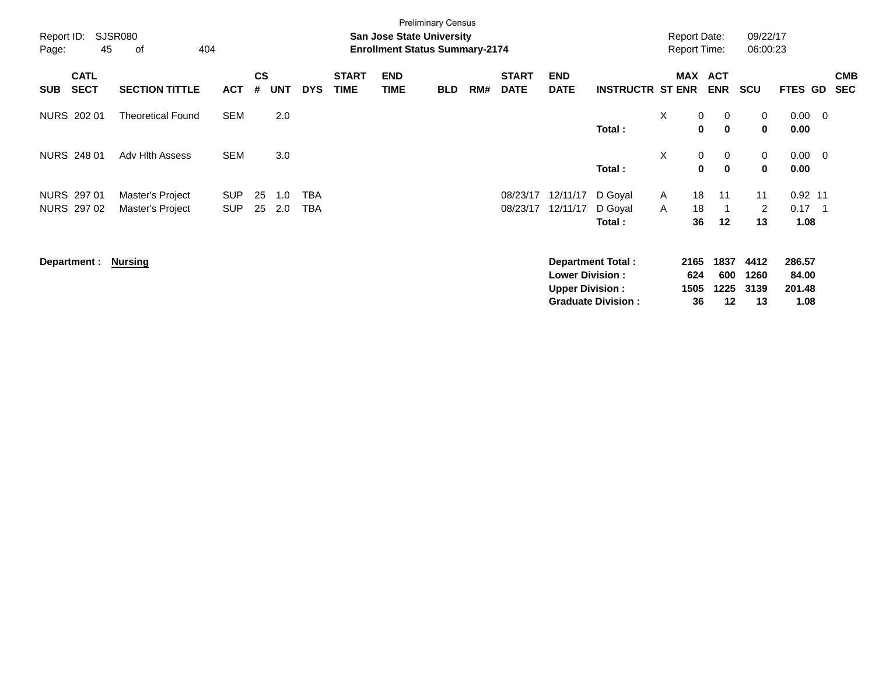| Report ID:<br>Page:                      | <b>SJSR080</b><br>45<br>of<br>404    |                          |                |            |            |                             | <b>San Jose State University</b><br><b>Enrollment Status Summary-2174</b> | <b>Preliminary Census</b> |     |                             |                                                  |                                                       |          | <b>Report Date:</b><br><b>Report Time:</b> |                            | 09/22/17<br>06:00:23       |                                   |                  |                          |
|------------------------------------------|--------------------------------------|--------------------------|----------------|------------|------------|-----------------------------|---------------------------------------------------------------------------|---------------------------|-----|-----------------------------|--------------------------------------------------|-------------------------------------------------------|----------|--------------------------------------------|----------------------------|----------------------------|-----------------------------------|------------------|--------------------------|
| <b>CATL</b><br><b>SECT</b><br><b>SUB</b> | <b>SECTION TITTLE</b>                | <b>ACT</b>               | <b>CS</b><br># | <b>UNT</b> | <b>DYS</b> | <b>START</b><br><b>TIME</b> | <b>END</b><br><b>TIME</b>                                                 | <b>BLD</b>                | RM# | <b>START</b><br><b>DATE</b> | <b>END</b><br><b>DATE</b>                        | <b>INSTRUCTR ST ENR</b>                               |          | MAX                                        | <b>ACT</b><br><b>ENR</b>   | <b>SCU</b>                 | <b>FTES GD</b>                    |                  | <b>CMB</b><br><b>SEC</b> |
| NURS 202 01                              | <b>Theoretical Found</b>             | <b>SEM</b>               |                | 2.0        |            |                             |                                                                           |                           |     |                             |                                                  | Total:                                                | X        | $\mathbf 0$<br>$\bf{0}$                    | 0<br>$\mathbf 0$           | 0<br>0                     | $0.00 \quad 0$<br>0.00            |                  |                          |
| NURS 248 01                              | Adv Hith Assess                      | <b>SEM</b>               |                | 3.0        |            |                             |                                                                           |                           |     |                             |                                                  | Total:                                                | $\times$ | 0<br>0                                     | $\mathbf 0$<br>$\mathbf 0$ | 0<br>0                     | $0.00 \quad 0$<br>0.00            |                  |                          |
| NURS 297 01<br>NURS 297 02               | Master's Project<br>Master's Project | <b>SUP</b><br><b>SUP</b> | 25<br>25       | 1.0<br>2.0 | TBA<br>TBA |                             |                                                                           |                           |     | 08/23/17<br>08/23/17        | 12/11/17<br>12/11/17                             | D Goyal<br>D Goyal<br>Total:                          | A<br>A   | 18<br>18<br>36                             | 11<br>12                   | 11<br>2<br>13              | $0.92$ 11<br>0.17<br>1.08         | $\blacksquare$ 1 |                          |
| Department :                             | Nursing                              |                          |                |            |            |                             |                                                                           |                           |     |                             | <b>Lower Division:</b><br><b>Upper Division:</b> | <b>Department Total:</b><br><b>Graduate Division:</b> |          | 2165<br>624<br>1505<br>36                  | 1837<br>600<br>1225<br>12  | 4412<br>1260<br>3139<br>13 | 286.57<br>84.00<br>201.48<br>1.08 |                  |                          |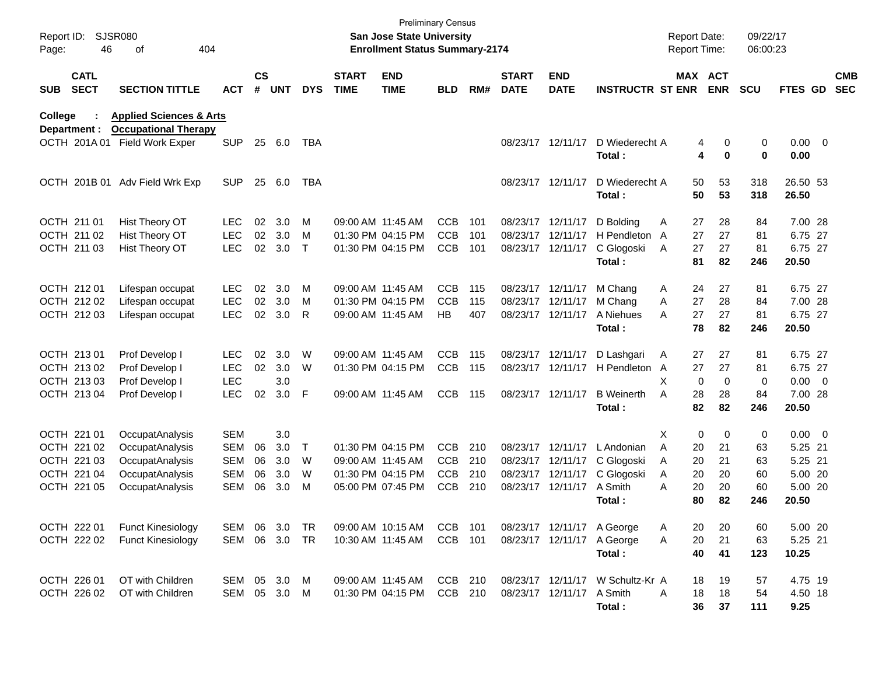| Report ID:<br>Page: | 46                         | SJSR080<br>404<br>οf                                              |               |                    |            |            |                             | <b>Preliminary Census</b><br><b>San Jose State University</b><br><b>Enrollment Status Summary-2174</b> |            |     |                             |                           |                                  | <b>Report Date:</b><br><b>Report Time:</b> |                       | 09/22/17<br>06:00:23 |                   |                          |
|---------------------|----------------------------|-------------------------------------------------------------------|---------------|--------------------|------------|------------|-----------------------------|--------------------------------------------------------------------------------------------------------|------------|-----|-----------------------------|---------------------------|----------------------------------|--------------------------------------------|-----------------------|----------------------|-------------------|--------------------------|
| <b>SUB</b>          | <b>CATL</b><br><b>SECT</b> | <b>SECTION TITTLE</b>                                             | <b>ACT</b>    | $\mathsf{cs}$<br># | <b>UNT</b> | <b>DYS</b> | <b>START</b><br><b>TIME</b> | <b>END</b><br><b>TIME</b>                                                                              | <b>BLD</b> | RM# | <b>START</b><br><b>DATE</b> | <b>END</b><br><b>DATE</b> | <b>INSTRUCTR ST ENR</b>          |                                            | MAX ACT<br><b>ENR</b> | <b>SCU</b>           | FTES GD           | <b>CMB</b><br><b>SEC</b> |
| College             | Department :               | <b>Applied Sciences &amp; Arts</b><br><b>Occupational Therapy</b> |               |                    |            |            |                             |                                                                                                        |            |     |                             |                           |                                  |                                            |                       |                      |                   |                          |
|                     |                            | OCTH 201A 01 Field Work Exper                                     | <b>SUP</b>    | 25                 | 6.0        | TBA        |                             |                                                                                                        |            |     |                             | 08/23/17 12/11/17         | D Wiederecht A                   |                                            | 0<br>4                | 0                    | $0.00 \t 0$       |                          |
|                     |                            |                                                                   |               |                    |            |            |                             |                                                                                                        |            |     |                             |                           | Total:                           |                                            | 4<br>$\mathbf 0$      | $\bf{0}$             | 0.00              |                          |
|                     |                            |                                                                   |               |                    |            |            |                             |                                                                                                        |            |     |                             |                           |                                  |                                            |                       |                      |                   |                          |
|                     | OCTH 201B 01               | Adv Field Wrk Exp                                                 | <b>SUP</b>    | 25                 | 6.0        | TBA        |                             |                                                                                                        |            |     |                             | 08/23/17 12/11/17         | D Wiederecht A                   | 50<br>50                                   | 53                    | 318                  | 26.50 53<br>26.50 |                          |
|                     |                            |                                                                   |               |                    |            |            |                             |                                                                                                        |            |     |                             |                           | Total:                           |                                            | 53                    | 318                  |                   |                          |
|                     | OCTH 211 01                | Hist Theory OT                                                    | <b>LEC</b>    | 02                 | 3.0        | M          |                             | 09:00 AM 11:45 AM                                                                                      | <b>CCB</b> | 101 |                             | 08/23/17 12/11/17         | D Bolding                        | 27<br>Α                                    | 28                    | 84                   | 7.00 28           |                          |
|                     | OCTH 211 02                | Hist Theory OT                                                    | <b>LEC</b>    | 02                 | 3.0        | M          |                             | 01:30 PM 04:15 PM                                                                                      | <b>CCB</b> | 101 |                             | 08/23/17 12/11/17         | H Pendleton A                    | 27                                         | 27                    | 81                   | 6.75 27           |                          |
|                     | OCTH 211 03                | Hist Theory OT                                                    | <b>LEC</b>    | 02                 | 3.0        | $\top$     |                             | 01:30 PM 04:15 PM                                                                                      | <b>CCB</b> | 101 |                             | 08/23/17 12/11/17         | C Glogoski                       | 27<br>Α                                    | 27                    | 81                   | 6.75 27           |                          |
|                     |                            |                                                                   |               |                    |            |            |                             |                                                                                                        |            |     |                             |                           | Total:                           | 81                                         | 82                    | 246                  | 20.50             |                          |
|                     | OCTH 212 01                | Lifespan occupat                                                  | <b>LEC</b>    | 02                 | 3.0        | M          |                             | 09:00 AM 11:45 AM                                                                                      | <b>CCB</b> | 115 |                             | 08/23/17 12/11/17         | M Chang                          | 24<br>A                                    | 27                    | 81                   | 6.75 27           |                          |
|                     | OCTH 212 02                | Lifespan occupat                                                  | LEC           | 02                 | 3.0        | M          |                             | 01:30 PM 04:15 PM                                                                                      | <b>CCB</b> | 115 |                             | 08/23/17 12/11/17         | M Chang                          | 27<br>Α                                    | 28                    | 84                   | 7.00 28           |                          |
|                     | OCTH 212 03                | Lifespan occupat                                                  | <b>LEC</b>    | 02                 | 3.0        | R          |                             | 09:00 AM 11:45 AM                                                                                      | HB         | 407 |                             | 08/23/17 12/11/17         | A Niehues                        | 27<br>A                                    | 27                    | 81                   | 6.75 27           |                          |
|                     |                            |                                                                   |               |                    |            |            |                             |                                                                                                        |            |     |                             |                           | Total:                           | 78                                         | 82                    | 246                  | 20.50             |                          |
|                     |                            |                                                                   |               |                    |            |            |                             |                                                                                                        |            |     |                             |                           |                                  |                                            |                       |                      |                   |                          |
|                     | OCTH 213 01                | Prof Develop I                                                    | <b>LEC</b>    | 02                 | 3.0        | W          |                             | 09:00 AM 11:45 AM                                                                                      | <b>CCB</b> | 115 |                             | 08/23/17 12/11/17         | D Lashgari                       | 27<br>A                                    | 27                    | 81                   | 6.75 27           |                          |
|                     | OCTH 213 02                | Prof Develop I                                                    | <b>LEC</b>    | 02                 | 3.0        | W          |                             | 01:30 PM 04:15 PM                                                                                      | <b>CCB</b> | 115 |                             | 08/23/17 12/11/17         | H Pendleton                      | A<br>27                                    | 27                    | 81                   | 6.75 27           |                          |
|                     | OCTH 213 03                | Prof Develop I                                                    | <b>LEC</b>    |                    | 3.0        |            |                             |                                                                                                        |            |     |                             |                           |                                  | X.                                         | 0<br>$\mathbf 0$      | $\mathbf 0$          | $0.00 \t 0$       |                          |
|                     | OCTH 213 04                | Prof Develop I                                                    | <b>LEC</b>    | 02                 | 3.0        | F          |                             | 09:00 AM 11:45 AM                                                                                      | <b>CCB</b> | 115 |                             | 08/23/17 12/11/17         | <b>B</b> Weinerth                | A<br>28                                    | 28                    | 84                   | 7.00 28           |                          |
|                     |                            |                                                                   |               |                    |            |            |                             |                                                                                                        |            |     |                             |                           | Total:                           | 82                                         | 82                    | 246                  | 20.50             |                          |
|                     | OCTH 221 01                | OccupatAnalysis                                                   | <b>SEM</b>    |                    | 3.0        |            |                             |                                                                                                        |            |     |                             |                           |                                  | X.                                         | 0<br>$\mathbf 0$      | 0                    | 0.00 0            |                          |
|                     | OCTH 221 02                | OccupatAnalysis                                                   | <b>SEM</b>    | 06                 | 3.0        | $\top$     |                             | 01:30 PM 04:15 PM                                                                                      | CCB        | 210 |                             | 08/23/17 12/11/17         | L Andonian                       | A<br>20                                    | 21                    | 63                   | 5.25 21           |                          |
|                     | OCTH 221 03                | OccupatAnalysis                                                   | <b>SEM</b>    | 06                 | 3.0        | W          |                             | 09:00 AM 11:45 AM                                                                                      | CCB        | 210 |                             | 08/23/17 12/11/17         | C Glogoski                       | 20<br>A                                    | 21                    | 63                   | 5.25 21           |                          |
|                     | OCTH 221 04                | OccupatAnalysis                                                   | <b>SEM</b>    | 06                 | 3.0        | W          |                             | 01:30 PM 04:15 PM                                                                                      | CCB        | 210 |                             | 08/23/17 12/11/17         | C Glogoski                       | Α<br>20                                    | 20                    | 60                   | 5.00 20           |                          |
|                     | OCTH 221 05                | OccupatAnalysis                                                   | <b>SEM</b>    | 06                 | 3.0        | M          |                             | 05:00 PM 07:45 PM                                                                                      | <b>CCB</b> | 210 |                             | 08/23/17 12/11/17         | A Smith                          | 20<br>Α                                    | 20                    | 60                   | 5.00 20           |                          |
|                     |                            |                                                                   |               |                    |            |            |                             |                                                                                                        |            |     |                             |                           | Total:                           | 80                                         | 82                    | 246                  | 20.50             |                          |
|                     |                            |                                                                   |               |                    |            |            |                             |                                                                                                        |            |     |                             |                           |                                  |                                            |                       |                      |                   |                          |
|                     | OCTH 222 01                | <b>Funct Kinesiology</b>                                          | SEM 06 3.0    |                    |            | TR         |                             | 09:00 AM 10:15 AM                                                                                      | CCB 101    |     |                             |                           | 08/23/17 12/11/17 A George       | 20<br>Α                                    | 20                    | 60                   | 5.00 20           |                          |
|                     | OCTH 222 02                | <b>Funct Kinesiology</b>                                          | SEM 06 3.0 TR |                    |            |            |                             | 10:30 AM 11:45 AM                                                                                      | CCB 101    |     |                             | 08/23/17 12/11/17         | A George                         | 20<br>Α<br>40                              | 21                    | 63                   | 5.25 21<br>10.25  |                          |
|                     |                            |                                                                   |               |                    |            |            |                             |                                                                                                        |            |     |                             |                           | Total:                           |                                            | 41                    | 123                  |                   |                          |
|                     | OCTH 226 01                | OT with Children                                                  | SEM 05 3.0 M  |                    |            |            |                             | 09:00 AM 11:45 AM                                                                                      | CCB 210    |     |                             |                           | 08/23/17 12/11/17 W Schultz-Kr A | 18                                         | 19                    | 57                   | 4.75 19           |                          |
|                     | OCTH 226 02                | OT with Children                                                  | SEM 05 3.0 M  |                    |            |            |                             | 01:30 PM 04:15 PM                                                                                      | CCB 210    |     |                             | 08/23/17 12/11/17         | A Smith                          | Α<br>18                                    | 18                    | 54                   | 4.50 18           |                          |
|                     |                            |                                                                   |               |                    |            |            |                             |                                                                                                        |            |     |                             |                           | Total:                           | 36                                         | 37                    | 111                  | 9.25              |                          |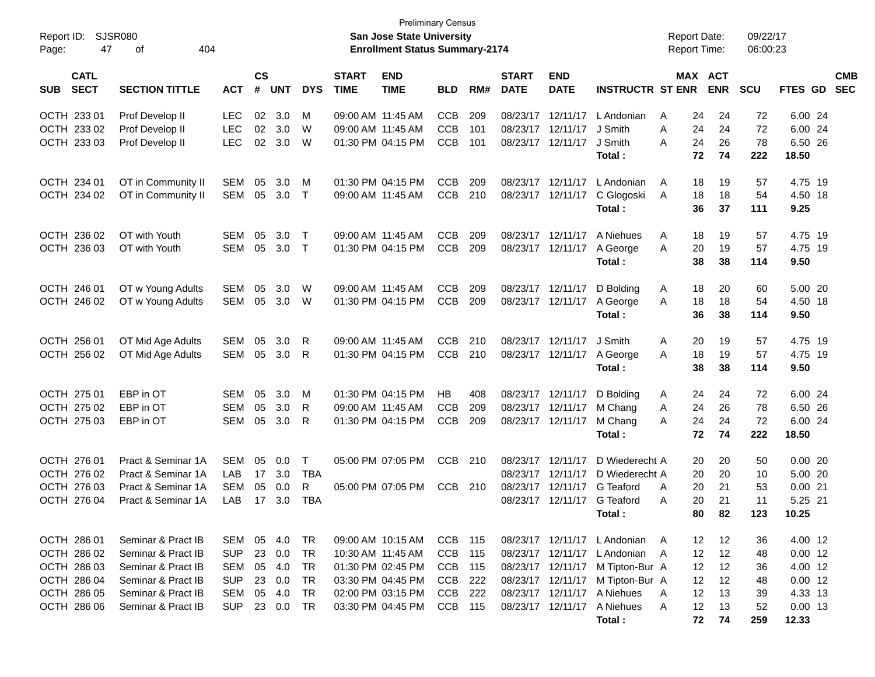| Report ID:<br>47<br>Page:                | <b>SJSR080</b><br>404<br>оf              |                          |                |            |                        |                             | <b>Preliminary Census</b><br><b>San Jose State University</b><br><b>Enrollment Status Summary-2174</b> |            |            |                                        |                           |                             | <b>Report Date:</b><br>Report Time: |                       | 09/22/17<br>06:00:23 |                      |                          |
|------------------------------------------|------------------------------------------|--------------------------|----------------|------------|------------------------|-----------------------------|--------------------------------------------------------------------------------------------------------|------------|------------|----------------------------------------|---------------------------|-----------------------------|-------------------------------------|-----------------------|----------------------|----------------------|--------------------------|
| <b>CATL</b><br><b>SECT</b><br><b>SUB</b> | <b>SECTION TITTLE</b>                    | <b>ACT</b>               | <b>CS</b><br># | <b>UNT</b> | <b>DYS</b>             | <b>START</b><br><b>TIME</b> | <b>END</b><br><b>TIME</b>                                                                              | <b>BLD</b> | RM#        | <b>START</b><br><b>DATE</b>            | <b>END</b><br><b>DATE</b> | <b>INSTRUCTR ST ENR</b>     |                                     | MAX ACT<br><b>ENR</b> | <b>SCU</b>           | FTES GD              | <b>CMB</b><br><b>SEC</b> |
| OCTH 233 01                              | Prof Develop II                          | LEC                      | 02             | 3.0        | М                      | 09:00 AM 11:45 AM           |                                                                                                        | <b>CCB</b> | 209        | 08/23/17                               | 12/11/17                  | L Andonian                  | 24<br>A                             | 24                    | 72                   | 6.00 24              |                          |
| OCTH 233 02                              | Prof Develop II                          | <b>LEC</b>               | 02             | 3.0        | W                      |                             | 09:00 AM 11:45 AM                                                                                      | <b>CCB</b> | 101        | 08/23/17                               | 12/11/17                  | J Smith                     | A<br>24                             | 24                    | 72                   | 6.00 24              |                          |
| OCTH 233 03                              | Prof Develop II                          | <b>LEC</b>               | 02             | 3.0        | W                      |                             | 01:30 PM 04:15 PM                                                                                      | <b>CCB</b> | 101        | 08/23/17                               | 12/11/17                  | J Smith                     | 24<br>Α                             | 26                    | 78                   | 6.50 26              |                          |
|                                          |                                          |                          |                |            |                        |                             |                                                                                                        |            |            |                                        |                           | Total:                      | 72                                  | 74                    | 222                  | 18.50                |                          |
| OCTH 234 01                              | OT in Community II                       | <b>SEM</b>               | 05             | 3.0        | М                      |                             | 01:30 PM 04:15 PM                                                                                      | <b>CCB</b> | 209        | 08/23/17                               | 12/11/17                  | L Andonian                  | 18<br>A                             | 19                    | 57                   | 4.75 19              |                          |
| OCTH 234 02                              | OT in Community II                       | <b>SEM</b>               | 05             | 3.0        | $\top$                 |                             | 09:00 AM 11:45 AM                                                                                      | <b>CCB</b> | 210        | 08/23/17                               | 12/11/17                  | C Glogoski                  | 18<br>Α                             | 18                    | 54                   | 4.50 18              |                          |
|                                          |                                          |                          |                |            |                        |                             |                                                                                                        |            |            |                                        |                           | Total:                      | 36                                  | 37                    | 111                  | 9.25                 |                          |
| OCTH 236 02                              | OT with Youth                            | <b>SEM</b>               | 05             | 3.0        | T                      |                             | 09:00 AM 11:45 AM                                                                                      | <b>CCB</b> | 209        | 08/23/17                               | 12/11/17                  | A Niehues                   | 18<br>A                             | 19                    | 57                   | 4.75 19              |                          |
| OCTH 236 03                              | OT with Youth                            | <b>SEM</b>               | 05             | 3.0        | $\top$                 |                             | 01:30 PM 04:15 PM                                                                                      | <b>CCB</b> | 209        |                                        | 08/23/17 12/11/17         | A George                    | 20<br>A                             | 19                    | 57                   | 4.75 19              |                          |
|                                          |                                          |                          |                |            |                        |                             |                                                                                                        |            |            |                                        |                           | Total:                      | 38                                  | 38                    | 114                  | 9.50                 |                          |
| OCTH 246 01                              | OT w Young Adults                        | <b>SEM</b>               | 05             | 3.0        | W                      |                             | 09:00 AM 11:45 AM                                                                                      | <b>CCB</b> | 209        |                                        | 08/23/17 12/11/17         | D Bolding                   | 18<br>A                             | 20                    | 60                   | 5.00 20              |                          |
| OCTH 246 02                              | OT w Young Adults                        | <b>SEM</b>               | 05             | 3.0        | W                      |                             | 01:30 PM 04:15 PM                                                                                      | <b>CCB</b> | 209        |                                        | 08/23/17 12/11/17         | A George                    | 18<br>A                             | 18                    | 54                   | 4.50 18              |                          |
|                                          |                                          |                          |                |            |                        |                             |                                                                                                        |            |            |                                        |                           | Total:                      | 36                                  | 38                    | 114                  | 9.50                 |                          |
| OCTH 256 01                              | OT Mid Age Adults                        | <b>SEM</b>               | 05             | 3.0        | R                      |                             | 09:00 AM 11:45 AM                                                                                      | <b>CCB</b> | 210        |                                        | 08/23/17 12/11/17         | J Smith                     | Α<br>20                             | 19                    | 57                   | 4.75 19              |                          |
| OCTH 256 02                              | OT Mid Age Adults                        | <b>SEM</b>               | 05             | 3.0        | R                      |                             | 01:30 PM 04:15 PM                                                                                      | <b>CCB</b> | 210        |                                        | 08/23/17 12/11/17         | A George                    | 18<br>A                             | 19                    | 57                   | 4.75 19              |                          |
|                                          |                                          |                          |                |            |                        |                             |                                                                                                        |            |            |                                        |                           | Total:                      | 38                                  | 38                    | 114                  | 9.50                 |                          |
| OCTH 275 01                              | EBP in OT                                | <b>SEM</b>               | 05             | 3.0        | М                      |                             | 01:30 PM 04:15 PM                                                                                      | HB         | 408        |                                        | 08/23/17 12/11/17         | D Bolding                   | 24<br>A                             | 24                    | 72                   | 6.00 24              |                          |
| OCTH 275 02                              | EBP in OT                                | <b>SEM</b>               | 05             | 3.0        | R                      |                             | 09:00 AM 11:45 AM                                                                                      | <b>CCB</b> | 209        | 08/23/17                               | 12/11/17                  | M Chang                     | 24<br>Α                             | 26                    | 78                   | 6.50 26              |                          |
| OCTH 275 03                              | EBP in OT                                | <b>SEM</b>               | 05             | 3.0        | R                      |                             | 01:30 PM 04:15 PM                                                                                      | <b>CCB</b> | 209        |                                        | 08/23/17 12/11/17         | M Chang                     | 24<br>Α                             | 24                    | 72                   | 6.00 24              |                          |
|                                          |                                          |                          |                |            |                        |                             |                                                                                                        |            |            |                                        |                           | Total:                      | 72                                  | 74                    | 222                  | 18.50                |                          |
| OCTH 276 01                              | Pract & Seminar 1A                       | <b>SEM</b>               | 05             | 0.0        | T                      |                             | 05:00 PM 07:05 PM                                                                                      | <b>CCB</b> | 210        | 08/23/17                               | 12/11/17                  | D Wiederecht A              | 20                                  | 20                    | 50                   | 0.0020               |                          |
| OCTH 276 02                              | Pract & Seminar 1A                       | LAB                      | 17             | 3.0        | <b>TBA</b>             |                             |                                                                                                        |            |            | 08/23/17                               | 12/11/17                  | D Wiederecht A              | 20                                  | 20                    | 10                   | 5.00 20              |                          |
| OCTH 276 03                              | Pract & Seminar 1A                       | <b>SEM</b>               | 05             | 0.0        | R                      |                             | 05:00 PM 07:05 PM                                                                                      | <b>CCB</b> | 210        | 08/23/17                               | 12/11/17                  | G Teaford                   | 20<br>A                             | 21                    | 53                   | 0.0021               |                          |
| OCTH 276 04                              | Pract & Seminar 1A                       | LAB                      | 17             | 3.0        | <b>TBA</b>             |                             |                                                                                                        |            |            |                                        | 08/23/17 12/11/17         | G Teaford                   | 20<br>A                             | 21                    | 11                   | 5.25 21              |                          |
|                                          |                                          |                          |                |            |                        |                             |                                                                                                        |            |            |                                        |                           | Total:                      | 80                                  | 82                    | 123                  | 10.25                |                          |
| OCTH 286 01                              | Seminar & Pract IB                       | SEM                      | 05             | 4.0        | TR                     |                             | 09:00 AM 10:15 AM                                                                                      | CCB        | 115        |                                        | 08/23/17 12/11/17         | L Andonian A                | 12                                  | 12                    | 36                   | 4.00 12              |                          |
| OCTH 286 02                              | Seminar & Pract IB                       | <b>SUP</b>               | 23             | 0.0        | <b>TR</b>              |                             | 10:30 AM 11:45 AM                                                                                      | CCB        | 115        | 08/23/17 12/11/17                      |                           | L Andonian                  | 12<br>A                             | 12                    | 48                   | $0.00$ 12            |                          |
| OCTH 286 03                              | Seminar & Pract IB                       | <b>SEM</b>               | 05             | 4.0        | TR                     |                             | 01:30 PM 02:45 PM                                                                                      | CCB        | 115        | 08/23/17 12/11/17                      |                           | M Tipton-Bur A              | 12                                  | 12                    | 36                   | 4.00 12              |                          |
| OCTH 286 04<br>OCTH 286 05               | Seminar & Pract IB<br>Seminar & Pract IB | <b>SUP</b><br><b>SEM</b> | 23<br>05       | 0.0<br>4.0 | <b>TR</b><br><b>TR</b> |                             | 03:30 PM 04:45 PM<br>02:00 PM 03:15 PM                                                                 | CCB<br>CCB | 222<br>222 | 08/23/17 12/11/17<br>08/23/17 12/11/17 |                           | M Tipton-Bur A<br>A Niehues | 12<br>Α<br>12                       | 12<br>13              | 48<br>39             | $0.00$ 12<br>4.33 13 |                          |
| OCTH 286 06                              | Seminar & Pract IB                       | <b>SUP</b>               | 23             | 0.0        | <b>TR</b>              |                             | 03:30 PM 04:45 PM                                                                                      | CCB 115    |            |                                        | 08/23/17 12/11/17         | A Niehues                   | Α<br>12                             | 13                    | 52                   | $0.00$ 13            |                          |
|                                          |                                          |                          |                |            |                        |                             |                                                                                                        |            |            |                                        |                           | Total:                      | 72                                  | 74                    | 259                  | 12.33                |                          |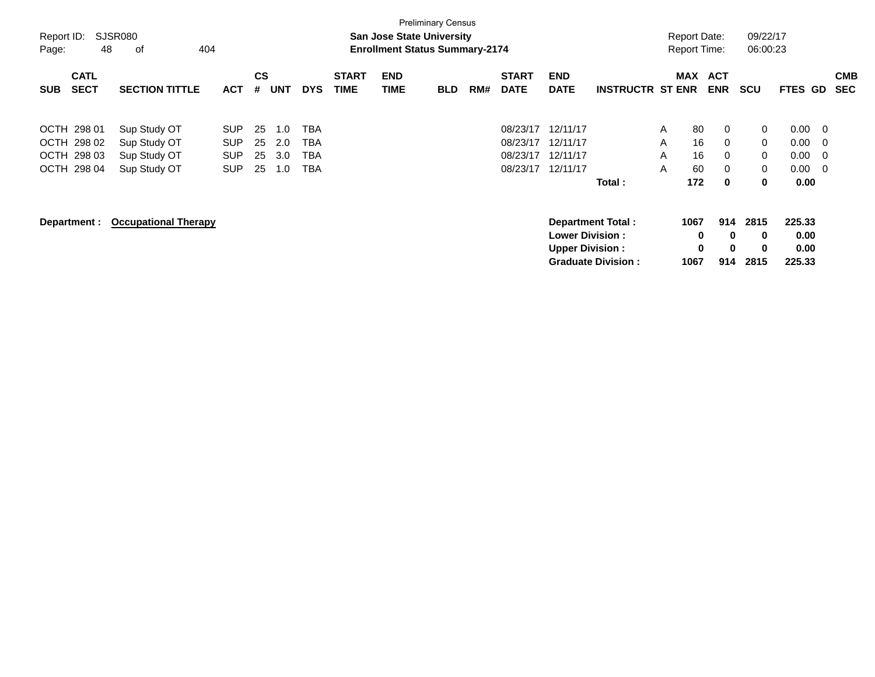| Report ID:<br>Page: | 48                                                       | <b>SJSR080</b><br>οf                                         | 404                                                  |                      |                          |                          |                             | <b>San Jose State University</b><br><b>Enrollment Status Summary-2174</b> | <b>Preliminary Census</b> |     |                                              |                                                  |                                                       |                  | <b>Report Date:</b><br><b>Report Time:</b> |                              | 09/22/17<br>06:00:23             |                                      |                                     |                          |
|---------------------|----------------------------------------------------------|--------------------------------------------------------------|------------------------------------------------------|----------------------|--------------------------|--------------------------|-----------------------------|---------------------------------------------------------------------------|---------------------------|-----|----------------------------------------------|--------------------------------------------------|-------------------------------------------------------|------------------|--------------------------------------------|------------------------------|----------------------------------|--------------------------------------|-------------------------------------|--------------------------|
| <b>SUB</b>          | <b>CATL</b><br><b>SECT</b>                               | <b>SECTION TITTLE</b>                                        | <b>ACT</b>                                           | <b>CS</b><br>#       | <b>UNT</b>               | <b>DYS</b>               | <b>START</b><br><b>TIME</b> | <b>END</b><br><b>TIME</b>                                                 | <b>BLD</b>                | RM# | <b>START</b><br><b>DATE</b>                  | <b>END</b><br><b>DATE</b>                        | <b>INSTRUCTR ST ENR</b>                               |                  | <b>MAX</b>                                 | <b>ACT</b><br><b>ENR</b>     | SCU                              | <b>FTES</b>                          | GD                                  | <b>CMB</b><br><b>SEC</b> |
|                     | OCTH 298 01<br>OCTH 298 02<br>OCTH 298 03<br>OCTH 298 04 | Sup Study OT<br>Sup Study OT<br>Sup Study OT<br>Sup Study OT | <b>SUP</b><br><b>SUP</b><br><b>SUP</b><br><b>SUP</b> | 25<br>25<br>25<br>25 | 1.0<br>2.0<br>3.0<br>1.0 | ТВА<br>TBA<br>TBA<br>TBA |                             |                                                                           |                           |     | 08/23/17<br>08/23/17<br>08/23/17<br>08/23/17 | 12/11/17<br>12/11/17<br>12/11/17<br>12/11/17     | Total:                                                | A<br>A<br>A<br>A | 80<br>16<br>16<br>60<br>172                | 0<br>0<br>$\Omega$<br>0<br>0 | 0<br>0<br>0<br>0<br>0            | 0.00<br>0.00<br>0.00<br>0.00<br>0.00 | - 0<br>- 0<br>- 0<br>$\overline{0}$ |                          |
|                     | Department :                                             | <b>Occupational Therapy</b>                                  |                                                      |                      |                          |                          |                             |                                                                           |                           |     |                                              | <b>Lower Division:</b><br><b>Upper Division:</b> | <b>Department Total:</b><br><b>Graduate Division:</b> |                  | 1067<br>$\mathbf 0$<br>$\bf{0}$<br>1067    | 914<br>0<br>$\bf{0}$<br>914  | 2815<br>$\mathbf 0$<br>0<br>2815 | 225.33<br>0.00<br>0.00<br>225.33     |                                     |                          |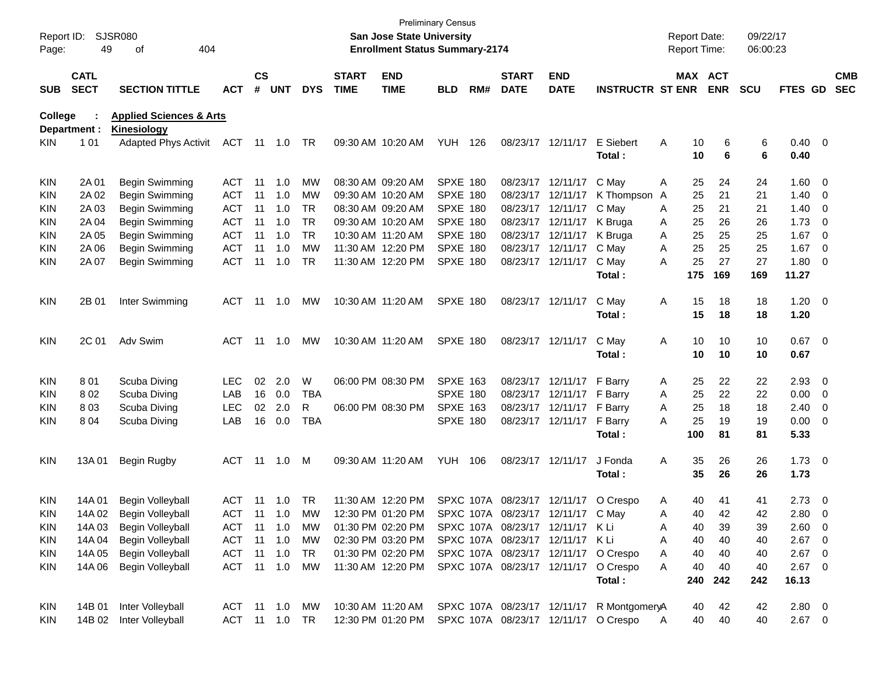| Report ID:<br>Page: | 49                         | SJSR080<br>404<br>of                              |               |                    |                |               |                             | San Jose State University<br><b>Enrollment Status Summary-2174</b> | <b>Preliminary Census</b> |     |                                   |                           |                                           |   | <b>Report Date:</b><br><b>Report Time:</b> |            | 09/22/17<br>06:00:23 |                |                         |                          |
|---------------------|----------------------------|---------------------------------------------------|---------------|--------------------|----------------|---------------|-----------------------------|--------------------------------------------------------------------|---------------------------|-----|-----------------------------------|---------------------------|-------------------------------------------|---|--------------------------------------------|------------|----------------------|----------------|-------------------------|--------------------------|
| SUB                 | <b>CATL</b><br><b>SECT</b> | <b>SECTION TITTLE</b>                             | <b>ACT</b>    | $\mathsf{cs}$<br># | <b>UNT</b>     | <b>DYS</b>    | <b>START</b><br><b>TIME</b> | <b>END</b><br><b>TIME</b>                                          | <b>BLD</b>                | RM# | <b>START</b><br><b>DATE</b>       | <b>END</b><br><b>DATE</b> | <b>INSTRUCTR ST ENR</b>                   |   | MAX ACT                                    | <b>ENR</b> | <b>SCU</b>           | FTES GD        |                         | <b>CMB</b><br><b>SEC</b> |
| College             |                            | <b>Applied Sciences &amp; Arts</b>                |               |                    |                |               |                             |                                                                    |                           |     |                                   |                           |                                           |   |                                            |            |                      |                |                         |                          |
| KIN.                | Department :<br>1 0 1      | <b>Kinesiology</b><br><b>Adapted Phys Activit</b> | <b>ACT</b>    |                    |                | - TR          |                             | 09:30 AM 10:20 AM                                                  | YUH                       | 126 |                                   | 08/23/17 12/11/17         | E Siebert                                 | Α | 10                                         | 6          | 6                    | $0.40 \quad 0$ |                         |                          |
|                     |                            |                                                   |               |                    |                |               |                             |                                                                    |                           |     |                                   |                           | Total:                                    |   | 10                                         | 6          | 6                    | 0.40           |                         |                          |
| KIN                 | 2A 01                      | Begin Swimming                                    | ACT           | 11                 | 1.0            | МW            |                             | 08:30 AM 09:20 AM                                                  | <b>SPXE 180</b>           |     |                                   | 08/23/17 12/11/17         | C May                                     | Α | 25                                         | 24         | 24                   | 1.60           | $\overline{\mathbf{0}}$ |                          |
| KIN                 | 2A 02                      | Begin Swimming                                    | <b>ACT</b>    | 11                 | 1.0            | MW            |                             | 09:30 AM 10:20 AM                                                  | <b>SPXE 180</b>           |     |                                   | 08/23/17 12/11/17         | K Thompson                                | A | 25                                         | 21         | 21                   | 1.40           | 0                       |                          |
| KIN                 | 2A 03                      | Begin Swimming                                    | <b>ACT</b>    | 11                 | 1.0            | <b>TR</b>     |                             | 08:30 AM 09:20 AM                                                  | <b>SPXE 180</b>           |     |                                   | 08/23/17 12/11/17         | C May                                     | Α | 25                                         | 21         | 21                   | 1.40           | 0                       |                          |
| KIN                 | 2A 04                      | Begin Swimming                                    | <b>ACT</b>    | 11                 | 1.0            | <b>TR</b>     |                             | 09:30 AM 10:20 AM                                                  | <b>SPXE 180</b>           |     |                                   | 08/23/17 12/11/17         | K Bruga                                   | Α | 25                                         | 26         | 26                   | 1.73           | 0                       |                          |
| KIN                 | 2A 05                      | Begin Swimming                                    | <b>ACT</b>    | 11                 | 1.0            | <b>TR</b>     |                             | 10:30 AM 11:20 AM                                                  | <b>SPXE 180</b>           |     |                                   | 08/23/17 12/11/17         | K Bruga                                   | Α | 25                                         | 25         | 25                   | 1.67           | 0                       |                          |
| KIN                 | 2A 06                      | Begin Swimming                                    | <b>ACT</b>    | 11                 | 1.0            | <b>MW</b>     |                             | 11:30 AM 12:20 PM                                                  | <b>SPXE 180</b>           |     |                                   | 08/23/17 12/11/17         | C May                                     | Α | 25                                         | 25         | 25                   | 1.67           | 0                       |                          |
| KIN                 | 2A 07                      | Begin Swimming                                    | <b>ACT</b>    | 11                 | 1.0            | <b>TR</b>     |                             | 11:30 AM 12:20 PM                                                  | <b>SPXE 180</b>           |     |                                   | 08/23/17 12/11/17         | C May                                     | A | 25                                         | 27         | 27                   | 1.80           | 0                       |                          |
|                     |                            |                                                   |               |                    |                |               |                             |                                                                    |                           |     |                                   |                           | Total:                                    |   | 175                                        | 169        | 169                  | 11.27          |                         |                          |
| KIN                 | 2B 01                      | Inter Swimming                                    | ACT           | 11                 | 1.0            | МW            |                             | 10:30 AM 11:20 AM                                                  | <b>SPXE 180</b>           |     |                                   | 08/23/17 12/11/17         | C May                                     | Α | 15                                         | 18         | 18                   | $1.20 \t 0$    |                         |                          |
|                     |                            |                                                   |               |                    |                |               |                             |                                                                    |                           |     |                                   |                           | Total:                                    |   | 15                                         | 18         | 18                   | 1.20           |                         |                          |
| KIN                 | 2C 01                      | Adv Swim                                          | <b>ACT</b>    | 11                 | 1.0            | МW            |                             | 10:30 AM 11:20 AM                                                  | SPXE 180                  |     |                                   | 08/23/17 12/11/17         | C May                                     | Α | 10                                         | 10         | 10                   | $0.67$ 0       |                         |                          |
|                     |                            |                                                   |               |                    |                |               |                             |                                                                    |                           |     |                                   |                           | Total :                                   |   | 10                                         | 10         | 10                   | 0.67           |                         |                          |
| KIN                 | 801                        | Scuba Diving                                      | <b>LEC</b>    | 02                 | 2.0            | W             |                             | 06:00 PM 08:30 PM                                                  | <b>SPXE 163</b>           |     |                                   | 08/23/17 12/11/17         | F Barry                                   | A | 25                                         | 22         | 22                   | 2.93           | $\overline{0}$          |                          |
| KIN                 | 802                        | Scuba Diving                                      | LAB           | 16                 | 0.0            | <b>TBA</b>    |                             |                                                                    | <b>SPXE 180</b>           |     |                                   | 08/23/17 12/11/17         | F Barry                                   | Α | 25                                         | 22         | 22                   | 0.00           | $\overline{0}$          |                          |
| KIN                 | 803                        | Scuba Diving                                      | <b>LEC</b>    | 02                 | 2.0            | R             |                             | 06:00 PM 08:30 PM                                                  | <b>SPXE 163</b>           |     |                                   | 08/23/17 12/11/17         | F Barry                                   | Α | 25                                         | 18         | 18                   | 2.40           | 0                       |                          |
| KIN                 | 804                        | Scuba Diving                                      | LAB           | 16                 | 0.0            | <b>TBA</b>    |                             |                                                                    | <b>SPXE 180</b>           |     |                                   | 08/23/17 12/11/17         | F Barry                                   | Α | 25                                         | 19         | 19                   | 0.00           | $\overline{0}$          |                          |
|                     |                            |                                                   |               |                    |                |               |                             |                                                                    |                           |     |                                   |                           | Total:                                    |   | 100                                        | 81         | 81                   | 5.33           |                         |                          |
| KIN                 | 13A 01                     | Begin Rugby                                       | <b>ACT</b>    |                    | 11  1.0        | M             |                             | 09:30 AM 11:20 AM                                                  | <b>YUH 106</b>            |     |                                   | 08/23/17 12/11/17         | J Fonda                                   | A | 35                                         | 26         | 26                   | $1.73 \t 0$    |                         |                          |
|                     |                            |                                                   |               |                    |                |               |                             |                                                                    |                           |     |                                   |                           | Total :                                   |   | 35                                         | 26         | 26                   | 1.73           |                         |                          |
| KIN                 | 14A 01                     | Begin Volleyball                                  | <b>ACT</b>    | 11                 | 1.0            | TR            |                             | 11:30 AM 12:20 PM                                                  |                           |     | SPXC 107A 08/23/17 12/11/17       |                           | O Crespo                                  | A | 40                                         | 41         | 41                   | 2.73           | $\overline{\mathbf{0}}$ |                          |
| <b>KIN</b>          | 14A 02                     | <b>Begin Volleyball</b>                           | <b>ACT</b>    |                    |                | 11  1.0  MW   |                             | 12:30 PM 01:20 PM                                                  |                           |     | SPXC 107A 08/23/17 12/11/17 C May |                           |                                           | A | 40                                         | 42         | 42                   | 2.80 0         |                         |                          |
| KIN                 | 14A 03                     | Begin Volleyball                                  | ACT 11 1.0    |                    |                | MW            |                             | 01:30 PM 02:20 PM                                                  |                           |     | SPXC 107A 08/23/17 12/11/17 KLi   |                           |                                           | Α | 40                                         | 39         | 39                   | 2.60 0         |                         |                          |
| KIN.                | 14A 04                     | Begin Volleyball                                  | ACT           |                    | $11 \quad 1.0$ | МW            |                             | 02:30 PM 03:20 PM                                                  |                           |     | SPXC 107A 08/23/17 12/11/17 K Li  |                           |                                           | Α | 40                                         | 40         | 40                   | $2.67$ 0       |                         |                          |
| KIN.                | 14A 05                     | Begin Volleyball                                  | ACT 11 1.0    |                    |                | TR            |                             | 01:30 PM 02:20 PM                                                  |                           |     |                                   |                           | SPXC 107A 08/23/17 12/11/17 O Crespo      | A | 40                                         | 40         | 40                   | $2.67$ 0       |                         |                          |
| KIN                 | 14A 06                     | Begin Volleyball                                  | ACT 11 1.0    |                    |                | МW            |                             | 11:30 AM 12:20 PM                                                  |                           |     |                                   |                           | SPXC 107A 08/23/17 12/11/17 O Crespo      | Α | 40                                         | 40         | 40                   | $2.67$ 0       |                         |                          |
|                     |                            |                                                   |               |                    |                |               |                             |                                                                    |                           |     |                                   |                           | Total:                                    |   | 240                                        | 242        | 242                  | 16.13          |                         |                          |
| KIN.                | 14B 01                     | Inter Volleyball                                  |               |                    |                | ACT 11 1.0 MW |                             | 10:30 AM 11:20 AM                                                  |                           |     |                                   |                           | SPXC 107A 08/23/17 12/11/17 R MontgomeryA |   | 40                                         | 42         | 42                   | $2.80 \t 0$    |                         |                          |
| KIN.                |                            | 14B 02 Inter Volleyball                           | ACT 11 1.0 TR |                    |                |               |                             | 12:30 PM 01:20 PM SPXC 107A 08/23/17 12/11/17 O Crespo             |                           |     |                                   |                           |                                           | A | 40                                         | 40         | 40                   | $2.67$ 0       |                         |                          |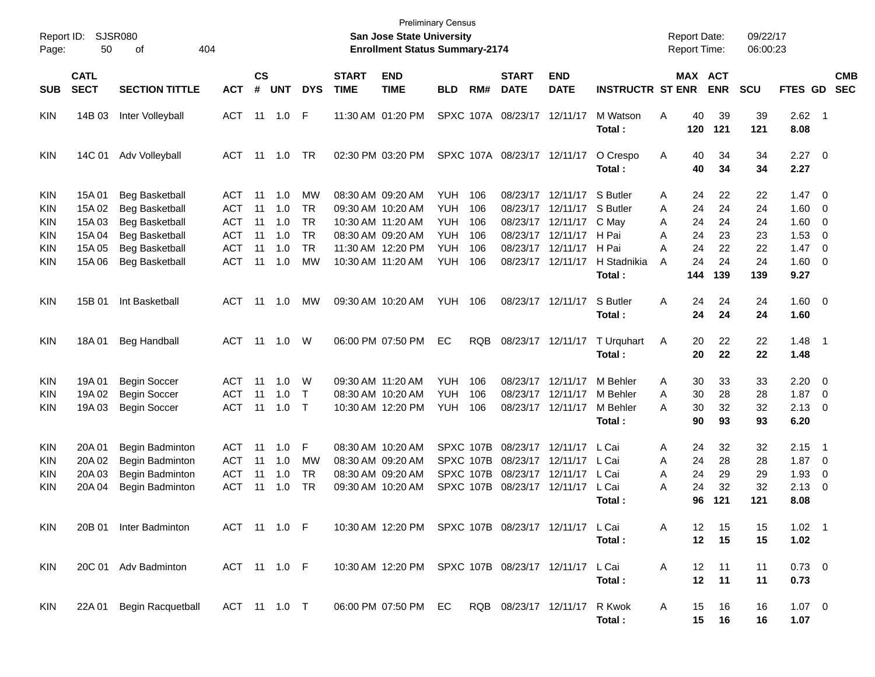| Report ID:<br>Page: | 50                         | <b>SJSR080</b><br>404<br>οf |              |                    |            |            |                             | San Jose State University<br><b>Enrollment Status Summary-2174</b> | <b>Preliminary Census</b> |            |                             |                           |                         |   | <b>Report Date:</b><br><b>Report Time:</b> |            | 09/22/17<br>06:00:23 |                        |                         |                          |
|---------------------|----------------------------|-----------------------------|--------------|--------------------|------------|------------|-----------------------------|--------------------------------------------------------------------|---------------------------|------------|-----------------------------|---------------------------|-------------------------|---|--------------------------------------------|------------|----------------------|------------------------|-------------------------|--------------------------|
| SUB                 | <b>CATL</b><br><b>SECT</b> | <b>SECTION TITTLE</b>       | <b>ACT</b>   | $\mathsf{cs}$<br># | <b>UNT</b> | <b>DYS</b> | <b>START</b><br><b>TIME</b> | <b>END</b><br><b>TIME</b>                                          | <b>BLD</b>                | RM#        | <b>START</b><br><b>DATE</b> | <b>END</b><br><b>DATE</b> | <b>INSTRUCTR ST ENR</b> |   | MAX ACT                                    | <b>ENR</b> | <b>SCU</b>           | FTES GD                |                         | <b>CMB</b><br><b>SEC</b> |
| <b>KIN</b>          | 14B 03                     | Inter Volleyball            | <b>ACT</b>   | 11                 | 1.0        | F          |                             | 11:30 AM 01:20 PM                                                  |                           | SPXC 107A  | 08/23/17                    | 12/11/17                  | M Watson<br>Total:      | Α | 40<br>120                                  | 39<br>121  | 39<br>121            | 2.62<br>8.08           | $\blacksquare$ 1        |                          |
| <b>KIN</b>          | 14C 01                     | Adv Volleyball              | ACT          | 11                 | 1.0        | <b>TR</b>  |                             | 02:30 PM 03:20 PM                                                  |                           |            | SPXC 107A 08/23/17 12/11/17 |                           | O Crespo<br>Total:      | Α | 40<br>40                                   | 34<br>34   | 34<br>34             | $2.27$ 0<br>2.27       |                         |                          |
| <b>KIN</b>          | 15A 01                     | <b>Beg Basketball</b>       | <b>ACT</b>   | 11                 | 1.0        | MW         |                             | 08:30 AM 09:20 AM                                                  | <b>YUH</b>                | 106        | 08/23/17                    | 12/11/17                  | S Butler                | A | 24                                         | 22         | 22                   | 1.47                   | $\overline{\mathbf{0}}$ |                          |
| <b>KIN</b>          | 15A 02                     | <b>Beg Basketball</b>       | <b>ACT</b>   | 11                 | 1.0        | <b>TR</b>  |                             | 09:30 AM 10:20 AM                                                  | <b>YUH</b>                | 106        | 08/23/17                    | 12/11/17                  | S Butler                | A | 24                                         | 24         | 24                   | 1.60                   | 0                       |                          |
| <b>KIN</b>          | 15A 03                     | <b>Beg Basketball</b>       | <b>ACT</b>   | 11                 | 1.0        | <b>TR</b>  |                             | 10:30 AM 11:20 AM                                                  | <b>YUH</b>                | 106        | 08/23/17                    | 12/11/17                  | C May                   | A | 24                                         | 24         | 24                   | 1.60                   | 0                       |                          |
| <b>KIN</b>          | 15A 04                     | <b>Beg Basketball</b>       | <b>ACT</b>   | 11                 | 1.0        | <b>TR</b>  |                             | 08:30 AM 09:20 AM                                                  | <b>YUH</b>                | 106        | 08/23/17                    | 12/11/17                  | H Pai                   | Α | 24                                         | 23         | 23                   | 1.53                   | 0                       |                          |
| <b>KIN</b>          | 15A 05                     | <b>Beg Basketball</b>       | <b>ACT</b>   | 11                 | 1.0        | <b>TR</b>  |                             | 11:30 AM 12:20 PM                                                  | <b>YUH</b>                | 106        | 08/23/17                    | 12/11/17                  | H Pai                   | Α | 24                                         | 22         | 22                   | 1.47                   | - 0                     |                          |
| <b>KIN</b>          | 15A 06                     | <b>Beg Basketball</b>       | <b>ACT</b>   | 11                 | 1.0        | <b>MW</b>  |                             | 10:30 AM 11:20 AM                                                  | <b>YUH</b>                | 106        | 08/23/17                    | 12/11/17                  | H Stadnikia<br>Total:   | A | 24<br>144                                  | 24<br>139  | 24<br>139            | 1.60<br>9.27           | - 0                     |                          |
| <b>KIN</b>          | 15B 01                     | Int Basketball              | <b>ACT</b>   | 11                 | 1.0        | MW         |                             | 09:30 AM 10:20 AM                                                  | <b>YUH</b>                | 106        | 08/23/17                    | 12/11/17                  | S Butler<br>Total:      | Α | 24<br>24                                   | 24<br>24   | 24<br>24             | $1.60 \t 0$<br>1.60    |                         |                          |
| <b>KIN</b>          | 18A01                      | <b>Beg Handball</b>         | <b>ACT</b>   | 11                 | 1.0        | W          |                             | 06:00 PM 07:50 PM                                                  | EC                        | <b>RQB</b> | 08/23/17 12/11/17           |                           | T Urquhart<br>Total:    | Α | 20<br>20                                   | 22<br>22   | 22<br>22             | 1.48<br>1.48           | $\blacksquare$ 1        |                          |
| <b>KIN</b>          | 19A 01                     | <b>Begin Soccer</b>         | <b>ACT</b>   | 11                 | 1.0        | W          |                             | 09:30 AM 11:20 AM                                                  | <b>YUH</b>                | 106        | 08/23/17                    | 12/11/17                  | M Behler                | A | 30                                         | 33         | 33                   | 2.20                   | $\overline{\mathbf{0}}$ |                          |
| <b>KIN</b>          | 19A 02                     | <b>Begin Soccer</b>         | <b>ACT</b>   | 11                 | 1.0        | $\top$     |                             | 08:30 AM 10:20 AM                                                  | <b>YUH</b>                | 106        | 08/23/17                    | 12/11/17                  | M Behler                | A | 30                                         | 28         | 28                   | 1.87                   | 0                       |                          |
| KIN                 | 19A 03                     | <b>Begin Soccer</b>         | <b>ACT</b>   | 11                 | 1.0        | $\top$     |                             | 10:30 AM 12:20 PM                                                  | <b>YUH</b>                | 106        | 08/23/17                    | 12/11/17                  | M Behler<br>Total:      | А | 30<br>90                                   | 32<br>93   | 32<br>93             | 2.13<br>6.20           | $\overline{\mathbf{0}}$ |                          |
| <b>KIN</b>          | 20A 01                     | Begin Badminton             | <b>ACT</b>   | 11                 | 1.0        | F          |                             | 08:30 AM 10:20 AM                                                  |                           | SPXC 107B  | 08/23/17                    | 12/11/17                  | L Cai                   | A | 24                                         | 32         | 32                   | 2.15                   | $\overline{1}$          |                          |
| <b>KIN</b>          | 20A 02                     | Begin Badminton             | <b>ACT</b>   | 11                 | 1.0        | MW         |                             | 08:30 AM 09:20 AM                                                  |                           | SPXC 107B  | 08/23/17                    | 12/11/17                  | L Cai                   | A | 24                                         | 28         | 28                   | 1.87                   | 0                       |                          |
| <b>KIN</b>          | 20A 03                     | Begin Badminton             | <b>ACT</b>   | 11                 | 1.0        | <b>TR</b>  |                             | 08:30 AM 09:20 AM                                                  |                           | SPXC 107B  | 08/23/17                    | 12/11/17                  | L Cai                   | A | 24                                         | 29         | 29                   | 1.93                   | 0                       |                          |
| KIN                 | 20A 04                     | Begin Badminton             | <b>ACT</b>   | 11                 | 1.0        | <b>TR</b>  |                             | 09:30 AM 10:20 AM                                                  |                           | SPXC 107B  | 08/23/17                    | 12/11/17                  | L Cai<br>Total:         | Α | 24<br>96                                   | 32<br>121  | 32<br>121            | 2.13<br>8.08           | 0                       |                          |
| KIN.                |                            | 20B 01 Inter Badminton      | ACT 11 1.0 F |                    |            |            |                             | 10:30 AM 12:20 PM SPXC 107B 08/23/17 12/11/17 L Cai                |                           |            |                             |                           | Total:                  | A | 12<br>12                                   | 15<br>15   | 15<br>15             | $1.02$ 1<br>1.02       |                         |                          |
| <b>KIN</b>          |                            | 20C 01 Adv Badminton        | ACT 11 1.0 F |                    |            |            |                             | 10:30 AM 12:20 PM SPXC 107B 08/23/17 12/11/17 L Cai                |                           |            |                             |                           | Total:                  | A | 12<br>12                                   | 11<br>11   | 11<br>11             | $0.73 \quad 0$<br>0.73 |                         |                          |
| KIN                 | 22A 01                     | <b>Begin Racquetball</b>    | ACT 11 1.0 T |                    |            |            |                             | 06:00 PM 07:50 PM EC                                               |                           |            | RQB 08/23/17 12/11/17       |                           | R Kwok<br>Total:        | A | 15<br>15                                   | 16<br>16   | 16<br>16             | $1.07 \t 0$<br>1.07    |                         |                          |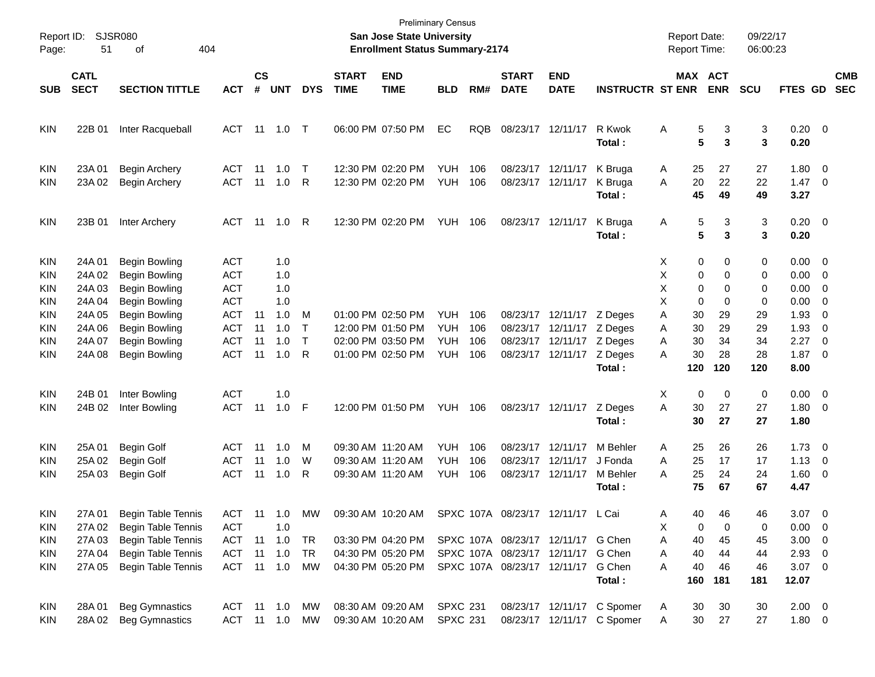| Report ID:<br>Page:             | 51                                   | <b>SJSR080</b><br>404<br>οf                                      |                                                      |                    |                          |                        |                             | San Jose State University<br><b>Enrollment Status Summary-2174</b> | <b>Preliminary Census</b>              |                   |                                                                                                                |                                                                     |                                                          | <b>Report Date:</b><br><b>Report Time:</b> |                            | 09/22/17<br>06:00:23  |                                                  |                              |                          |
|---------------------------------|--------------------------------------|------------------------------------------------------------------|------------------------------------------------------|--------------------|--------------------------|------------------------|-----------------------------|--------------------------------------------------------------------|----------------------------------------|-------------------|----------------------------------------------------------------------------------------------------------------|---------------------------------------------------------------------|----------------------------------------------------------|--------------------------------------------|----------------------------|-----------------------|--------------------------------------------------|------------------------------|--------------------------|
| <b>SUB</b>                      | <b>CATL</b><br><b>SECT</b>           | <b>SECTION TITTLE</b>                                            | <b>ACT</b>                                           | $\mathsf{cs}$<br># | <b>UNT</b>               | <b>DYS</b>             | <b>START</b><br><b>TIME</b> | <b>END</b><br><b>TIME</b>                                          | <b>BLD</b>                             | RM#               | <b>START</b><br><b>DATE</b>                                                                                    | <b>END</b><br><b>DATE</b>                                           | <b>INSTRUCTR ST ENR</b>                                  | <b>MAX ACT</b>                             | <b>ENR</b>                 | <b>SCU</b>            | FTES GD                                          |                              | <b>CMB</b><br><b>SEC</b> |
| <b>KIN</b>                      | 22B 01                               | Inter Racqueball                                                 | ACT                                                  |                    |                          |                        |                             | 06:00 PM 07:50 PM                                                  | EC                                     | <b>RQB</b>        |                                                                                                                | 08/23/17 12/11/17                                                   | R Kwok<br>Total:                                         | Α<br>5<br>5                                | 3<br>3                     | 3<br>3                | $0.20 \ 0$<br>0.20                               |                              |                          |
| <b>KIN</b><br><b>KIN</b>        | 23A 01<br>23A 02                     | <b>Begin Archery</b><br><b>Begin Archery</b>                     | ACT<br><b>ACT</b>                                    | -11<br>11          | 1.0<br>1.0               | $\top$<br>R            |                             | 12:30 PM 02:20 PM<br>12:30 PM 02:20 PM                             | <b>YUH</b><br>YUH                      | 106<br>106        | 08/23/17 12/11/17                                                                                              | 08/23/17 12/11/17                                                   | K Bruga<br>K Bruga<br>Total:                             | 25<br>A<br>20<br>A<br>45                   | 27<br>22<br>49             | 27<br>22<br>49        | 1.80<br>$1.47 \quad 0$<br>3.27                   | $\overline{\phantom{0}}$     |                          |
| <b>KIN</b>                      | 23B 01                               | Inter Archery                                                    | ACT                                                  | 11                 | 1.0 R                    |                        |                             | 12:30 PM 02:20 PM                                                  | <b>YUH 106</b>                         |                   | 08/23/17 12/11/17                                                                                              |                                                                     | K Bruga<br>Total:                                        | 5<br>Α<br>5                                | 3<br>$\mathbf{3}$          | 3<br>3                | $0.20 \ 0$<br>0.20                               |                              |                          |
| <b>KIN</b><br>KIN<br>KIN        | 24A 01<br>24A 02<br>24A 03           | <b>Begin Bowling</b><br>Begin Bowling<br>Begin Bowling           | <b>ACT</b><br><b>ACT</b><br><b>ACT</b>               |                    | 1.0<br>1.0<br>1.0        |                        |                             |                                                                    |                                        |                   |                                                                                                                |                                                                     |                                                          | 0<br>X.<br>X<br>0<br>X<br>0                | 0<br>0<br>$\Omega$         | 0<br>0<br>0           | $0.00 \t 0$<br>$0.00 \t 0$<br>$0.00 \t 0$        |                              |                          |
| KIN<br>KIN<br>KIN<br>KIN        | 24A 04<br>24A 05<br>24A 06<br>24A 07 | Begin Bowling<br>Begin Bowling<br>Begin Bowling<br>Begin Bowling | <b>ACT</b><br><b>ACT</b><br><b>ACT</b><br><b>ACT</b> | 11<br>11<br>11     | 1.0<br>1.0<br>1.0<br>1.0 | M<br>T<br>$\mathsf{T}$ |                             | 01:00 PM 02:50 PM<br>12:00 PM 01:50 PM<br>02:00 PM 03:50 PM        | <b>YUH</b><br><b>YUH</b><br><b>YUH</b> | 106<br>106<br>106 |                                                                                                                | 08/23/17 12/11/17 Z Deges<br>08/23/17 12/11/17<br>08/23/17 12/11/17 | Z Deges<br>Z Deges                                       | X<br>0<br>30<br>A<br>30<br>A<br>30<br>A    | $\Omega$<br>29<br>29<br>34 | 0<br>29<br>29<br>34   | $0.00 \t 0$<br>1.93<br>1.93<br>2.27              | $\overline{0}$<br>- 0<br>- 0 |                          |
| <b>KIN</b>                      | 24A 08                               | Begin Bowling                                                    | <b>ACT</b>                                           | 11                 | 1.0                      | R                      |                             | 01:00 PM 02:50 PM                                                  | YUH                                    | 106               |                                                                                                                | 08/23/17 12/11/17                                                   | Z Deges<br>Total:                                        | 30<br>A<br>120                             | 28<br>120                  | 28<br>120             | $1.87 \t 0$<br>8.00                              |                              |                          |
| <b>KIN</b><br><b>KIN</b>        | 24B 01<br>24B 02                     | Inter Bowling<br>Inter Bowling                                   | <b>ACT</b><br><b>ACT</b>                             | 11                 | 1.0<br>$1.0$ F           |                        |                             | 12:00 PM 01:50 PM                                                  | <b>YUH 106</b>                         |                   |                                                                                                                | 08/23/17 12/11/17                                                   | Z Deges<br>Total:                                        | 0<br>X<br>A<br>30<br>30                    | $\mathbf 0$<br>27<br>27    | 0<br>27<br>27         | $0.00 \t 0$<br>$1.80 \ 0$<br>1.80                |                              |                          |
| <b>KIN</b><br>KIN<br><b>KIN</b> | 25A 01<br>25A 02<br>25A 03           | Begin Golf<br>Begin Golf<br>Begin Golf                           | ACT<br><b>ACT</b><br><b>ACT</b>                      | 11<br>11<br>11     | 1.0<br>1.0<br>1.0        | M<br>W<br>R            |                             | 09:30 AM 11:20 AM<br>09:30 AM 11:20 AM<br>09:30 AM 11:20 AM        | <b>YUH</b><br><b>YUH</b><br><b>YUH</b> | 106<br>106<br>106 |                                                                                                                | 08/23/17 12/11/17<br>08/23/17 12/11/17<br>08/23/17 12/11/17         | M Behler<br>J Fonda<br>M Behler<br>Total:                | 25<br>A<br>25<br>A<br>25<br>A<br>75        | 26<br>17<br>24<br>67       | 26<br>17<br>24<br>67  | $1.73 \t 0$<br>$1.13 \ 0$<br>$1.60 \t 0$<br>4.47 |                              |                          |
| <b>KIN</b><br>KIN               | 27A 01<br>27A 02                     | <b>Begin Table Tennis</b><br>Begin Table Tennis                  | <b>ACT</b><br><b>ACT</b>                             |                    | 11  1.0  MW<br>1.0       |                        |                             | 09:30 AM 10:20 AM SPXC 107A 08/23/17 12/11/17 L Cai                |                                        |                   |                                                                                                                |                                                                     |                                                          | 40<br>Α<br>х<br>0                          | 46<br>0                    | 46<br>0               | $3.07$ 0<br>$0.00 \t 0$                          |                              |                          |
| <b>KIN</b><br><b>KIN</b><br>KIN | 27A 03<br>27A 04<br>27A 05           | Begin Table Tennis<br>Begin Table Tennis<br>Begin Table Tennis   | ACT<br><b>ACT</b><br>ACT 11 1.0 MW                   | 11<br>11           | 1.0<br>1.0               | TR<br>TR               |                             | 03:30 PM 04:20 PM<br>04:30 PM 05:20 PM<br>04:30 PM 05:20 PM        |                                        |                   | SPXC 107A 08/23/17 12/11/17 G Chen<br>SPXC 107A 08/23/17 12/11/17 G Chen<br>SPXC 107A 08/23/17 12/11/17 G Chen |                                                                     | Total:                                                   | 40<br>Α<br>40<br>Α<br>40<br>А<br>160       | 45<br>44<br>46<br>181      | 45<br>44<br>46<br>181 | $3.00 \ 0$<br>$2.93$ 0<br>$3.07$ 0<br>12.07      |                              |                          |
| KIN<br>KIN                      | 28A 01<br>28A 02                     | <b>Beg Gymnastics</b><br><b>Beg Gymnastics</b>                   | ACT 11 1.0 MW<br>ACT 11 1.0 MW                       |                    |                          |                        |                             | 08:30 AM 09:20 AM<br>09:30 AM 10:20 AM                             | <b>SPXC 231</b><br><b>SPXC 231</b>     |                   |                                                                                                                |                                                                     | 08/23/17 12/11/17 C Spomer<br>08/23/17 12/11/17 C Spomer | 30<br>Α<br>30<br>Α                         | 30<br>27                   | 30<br>27              | $2.00 \t 0$<br>$1.80 \t 0$                       |                              |                          |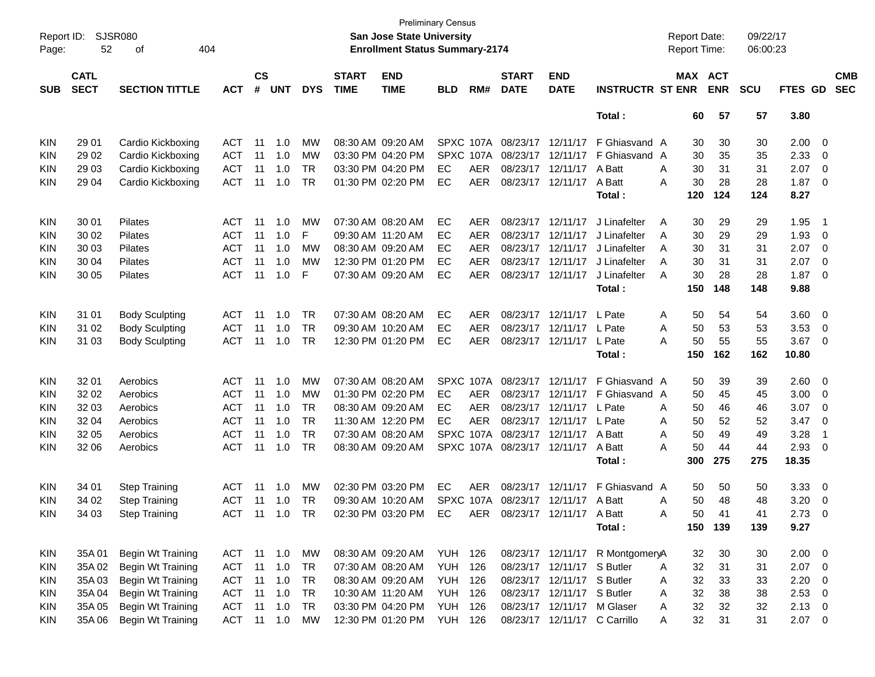| Report ID:<br>Page: | 52                         | <b>SJSR080</b><br>404<br>οf |            |                    |            |            |                             | San Jose State University<br><b>Enrollment Status Summary-2174</b> | <b>Preliminary Census</b> |            |                             |                             |                                 |   | <b>Report Date:</b><br><b>Report Time:</b> |                       | 09/22/17<br>06:00:23 |                |                         |                          |
|---------------------|----------------------------|-----------------------------|------------|--------------------|------------|------------|-----------------------------|--------------------------------------------------------------------|---------------------------|------------|-----------------------------|-----------------------------|---------------------------------|---|--------------------------------------------|-----------------------|----------------------|----------------|-------------------------|--------------------------|
| <b>SUB</b>          | <b>CATL</b><br><b>SECT</b> | <b>SECTION TITTLE</b>       | <b>ACT</b> | $\mathsf{cs}$<br># | <b>UNT</b> | <b>DYS</b> | <b>START</b><br><b>TIME</b> | <b>END</b><br><b>TIME</b>                                          | <b>BLD</b>                | RM#        | <b>START</b><br><b>DATE</b> | <b>END</b><br><b>DATE</b>   | <b>INSTRUCTR ST ENR</b>         |   |                                            | MAX ACT<br><b>ENR</b> | <b>SCU</b>           | FTES GD        |                         | <b>CMB</b><br><b>SEC</b> |
|                     |                            |                             |            |                    |            |            |                             |                                                                    |                           |            |                             |                             | Total:                          |   | 60                                         | 57                    | 57                   | 3.80           |                         |                          |
| <b>KIN</b>          | 29 01                      | Cardio Kickboxing           | ACT        | 11                 | 1.0        | MW         |                             | 08:30 AM 09:20 AM                                                  |                           |            | SPXC 107A 08/23/17 12/11/17 |                             | F Ghiasvand A                   |   | 30                                         | 30                    | 30                   | 2.00           | - 0                     |                          |
| <b>KIN</b>          | 29 02                      | Cardio Kickboxing           | <b>ACT</b> | 11                 | 1.0        | <b>MW</b>  |                             | 03:30 PM 04:20 PM                                                  |                           | SPXC 107A  |                             | 08/23/17 12/11/17           | F Ghiasvand                     | A | 30                                         | 35                    | 35                   | 2.33           | 0                       |                          |
| KIN                 | 29 03                      | Cardio Kickboxing           | <b>ACT</b> | 11                 | 1.0        | <b>TR</b>  |                             | 03:30 PM 04:20 PM                                                  | EC                        | AER        |                             | 08/23/17 12/11/17           | A Batt                          | A | 30                                         | 31                    | 31                   | 2.07           | 0                       |                          |
| KIN                 | 29 04                      | Cardio Kickboxing           | <b>ACT</b> | 11                 | 1.0        | <b>TR</b>  |                             | 01:30 PM 02:20 PM                                                  | EC                        | AER        |                             | 08/23/17 12/11/17           | A Batt                          | Α | 30                                         | 28                    | 28                   | 1.87           | 0                       |                          |
|                     |                            |                             |            |                    |            |            |                             |                                                                    |                           |            |                             |                             | Total :                         |   | 120                                        | 124                   | 124                  | 8.27           |                         |                          |
| <b>KIN</b>          | 30 01                      | <b>Pilates</b>              | ACT        | -11                | 1.0        | MW         |                             | 07:30 AM 08:20 AM                                                  | EC                        | <b>AER</b> |                             | 08/23/17 12/11/17           | J Linafelter                    | A | 30                                         | 29                    | 29                   | 1.95           | -1                      |                          |
| <b>KIN</b>          | 30 02                      | Pilates                     | <b>ACT</b> | 11                 | 1.0        | F          | 09:30 AM 11:20 AM           |                                                                    | EС                        | <b>AER</b> |                             | 08/23/17 12/11/17           | J Linafelter                    | A | 30                                         | 29                    | 29                   | 1.93           | 0                       |                          |
| <b>KIN</b>          | 30 03                      | Pilates                     | <b>ACT</b> | 11                 | 1.0        | <b>MW</b>  |                             | 08:30 AM 09:20 AM                                                  | EС                        | <b>AER</b> |                             | 08/23/17 12/11/17           | J Linafelter                    | A | 30                                         | 31                    | 31                   | 2.07           | 0                       |                          |
| KIN                 | 30 04                      | Pilates                     | <b>ACT</b> | 11                 | 1.0        | <b>MW</b>  |                             | 12:30 PM 01:20 PM                                                  | EС                        | <b>AER</b> |                             | 08/23/17 12/11/17           | J Linafelter                    | A | 30                                         | 31                    | 31                   | 2.07           | 0                       |                          |
| KIN                 | 30 05                      | <b>Pilates</b>              | <b>ACT</b> | 11                 | 1.0        | F          |                             | 07:30 AM 09:20 AM                                                  | EC                        | <b>AER</b> |                             | 08/23/17 12/11/17           | J Linafelter                    | A | 30                                         | 28                    | 28                   | 1.87           | 0                       |                          |
|                     |                            |                             |            |                    |            |            |                             |                                                                    |                           |            |                             |                             | Total:                          |   | 150                                        | 148                   | 148                  | 9.88           |                         |                          |
| <b>KIN</b>          | 31 01                      | <b>Body Sculpting</b>       | ACT        | 11                 | 1.0        | <b>TR</b>  |                             | 07:30 AM 08:20 AM                                                  | EC                        | <b>AER</b> |                             | 08/23/17 12/11/17           | L Pate                          | Α | 50                                         | 54                    | 54                   | 3.60           | $\overline{\mathbf{0}}$ |                          |
| <b>KIN</b>          | 31 02                      | <b>Body Sculpting</b>       | <b>ACT</b> | 11                 | 1.0        | <b>TR</b>  |                             | 09:30 AM 10:20 AM                                                  | EС                        | <b>AER</b> |                             | 08/23/17 12/11/17 L Pate    |                                 | A | 50                                         | 53                    | 53                   | 3.53           | 0                       |                          |
| KIN                 | 31 03                      | <b>Body Sculpting</b>       | <b>ACT</b> | 11                 | 1.0        | <b>TR</b>  |                             | 12:30 PM 01:20 PM                                                  | EС                        | <b>AER</b> |                             | 08/23/17 12/11/17           | L Pate                          | A | 50                                         | 55                    | 55                   | 3.67           | 0                       |                          |
|                     |                            |                             |            |                    |            |            |                             |                                                                    |                           |            |                             |                             | Total :                         |   | 150                                        | 162                   | 162                  | 10.80          |                         |                          |
| <b>KIN</b>          | 32 01                      | Aerobics                    | ACT        | 11                 | 1.0        | <b>MW</b>  |                             | 07:30 AM 08:20 AM                                                  |                           |            | SPXC 107A 08/23/17 12/11/17 |                             | F Ghiasvand A                   |   | 50                                         | 39                    | 39                   | 2.60           | $\overline{0}$          |                          |
| KIN                 | 32 02                      | Aerobics                    | <b>ACT</b> | 11                 | 1.0        | MW         |                             | 01:30 PM 02:20 PM                                                  | EС                        | <b>AER</b> |                             | 08/23/17 12/11/17           | F Ghiasvand                     | A | 50                                         | 45                    | 45                   | 3.00           | 0                       |                          |
| <b>KIN</b>          | 32 03                      | Aerobics                    | <b>ACT</b> | 11                 | 1.0        | <b>TR</b>  |                             | 08:30 AM 09:20 AM                                                  | EС                        | <b>AER</b> |                             | 08/23/17 12/11/17           | L Pate                          | A | 50                                         | 46                    | 46                   | 3.07           | 0                       |                          |
| <b>KIN</b>          | 32 04                      | Aerobics                    | <b>ACT</b> | 11                 | 1.0        | <b>TR</b>  |                             | 11:30 AM 12:20 PM                                                  | EC                        | AER        |                             | 08/23/17 12/11/17           | L Pate                          | A | 50                                         | 52                    | 52                   | 3.47           | 0                       |                          |
| KIN                 | 32 05                      | Aerobics                    | <b>ACT</b> | 11                 | 1.0        | <b>TR</b>  |                             | 07:30 AM 08:20 AM                                                  |                           |            |                             | SPXC 107A 08/23/17 12/11/17 | A Batt                          | A | 50                                         | 49                    | 49                   | 3.28           | -1                      |                          |
| KIN                 | 32 06                      | Aerobics                    | <b>ACT</b> | 11                 | 1.0        | <b>TR</b>  |                             | 08:30 AM 09:20 AM                                                  |                           |            | SPXC 107A 08/23/17 12/11/17 |                             | A Batt                          | A | 50                                         | 44                    | 44                   | 2.93           | 0                       |                          |
|                     |                            |                             |            |                    |            |            |                             |                                                                    |                           |            |                             |                             | Total :                         |   | 300                                        | 275                   | 275                  | 18.35          |                         |                          |
| <b>KIN</b>          | 34 01                      | <b>Step Training</b>        | ACT        | 11                 | 1.0        | MW         |                             | 02:30 PM 03:20 PM                                                  | EC                        | <b>AER</b> |                             | 08/23/17 12/11/17           | F Ghiasvand                     | A | 50                                         | 50                    | 50                   | 3.33           | $\overline{0}$          |                          |
| <b>KIN</b>          | 34 02                      | <b>Step Training</b>        | <b>ACT</b> | 11                 | 1.0        | TR         |                             | 09:30 AM 10:20 AM                                                  |                           | SPXC 107A  |                             | 08/23/17 12/11/17 A Batt    |                                 | Α | 50                                         | 48                    | 48                   | 3.20           | 0                       |                          |
| <b>KIN</b>          | 34 03                      | <b>Step Training</b>        | ACT 11 1.0 |                    |            | TR         |                             | 02:30 PM 03:20 PM                                                  | EC                        | AER        |                             | 08/23/17 12/11/17 A Batt    |                                 | A | 50                                         | 41                    | 41                   | 2.73           | $\Omega$                |                          |
|                     |                            |                             |            |                    |            |            |                             |                                                                    |                           |            |                             |                             | Total:                          |   |                                            | 150 139               | 139                  | 9.27           |                         |                          |
| <b>KIN</b>          | 35A01                      | <b>Begin Wt Training</b>    | ACT 11 1.0 |                    |            | МW         |                             | 08:30 AM 09:20 AM                                                  | <b>YUH 126</b>            |            |                             |                             | 08/23/17 12/11/17 R MontgomeryA |   | 32                                         | 30                    | 30                   | $2.00 \t 0$    |                         |                          |
| <b>KIN</b>          | 35A 02                     | Begin Wt Training           | <b>ACT</b> | 11                 | 1.0        | <b>TR</b>  |                             | 07:30 AM 08:20 AM                                                  | YUH                       | 126        |                             | 08/23/17 12/11/17 S Butler  |                                 | A | 32                                         | 31                    | 31                   | $2.07$ 0       |                         |                          |
| <b>KIN</b>          | 35A03                      | Begin Wt Training           | ACT        | 11                 | 1.0        | TR         |                             | 08:30 AM 09:20 AM                                                  | <b>YUH 126</b>            |            |                             | 08/23/17 12/11/17 S Butler  |                                 | Α | 32                                         | 33                    | 33                   | 2.20           | 0                       |                          |
| <b>KIN</b>          | 35A 04                     | Begin Wt Training           | ACT        | 11                 | 1.0        | <b>TR</b>  |                             | 10:30 AM 11:20 AM                                                  | <b>YUH 126</b>            |            |                             | 08/23/17 12/11/17 S Butler  |                                 | Α | 32                                         | 38                    | 38                   | $2.53$ 0       |                         |                          |
| <b>KIN</b>          | 35A 05                     | Begin Wt Training           | ACT        | 11                 | 1.0        | <b>TR</b>  |                             | 03:30 PM 04:20 PM                                                  | <b>YUH 126</b>            |            |                             | 08/23/17 12/11/17 M Glaser  |                                 | Α | 32                                         | 32                    | 32                   | $2.13 \quad 0$ |                         |                          |
| <b>KIN</b>          | 35A 06                     | Begin Wt Training           | ACT 11     |                    | 1.0        | <b>MW</b>  |                             | 12:30 PM 01:20 PM                                                  | <b>YUH 126</b>            |            |                             |                             | 08/23/17 12/11/17 C Carrillo    | A | 32                                         | 31                    | 31                   | $2.07 \t 0$    |                         |                          |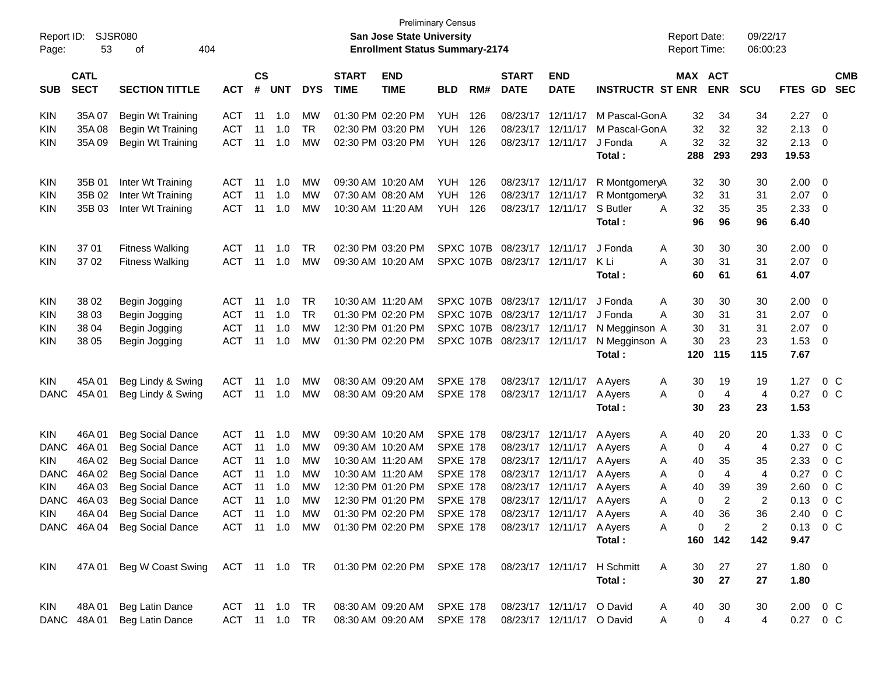| Report ID:<br>Page: | 53                         | <b>SJSR080</b><br>404<br>οf                                          |               |                |            |            |                             | <b>San Jose State University</b><br><b>Enrollment Status Summary-2174</b> | <b>Preliminary Census</b> |                  |                             |                           |                             | <b>Report Date:</b><br><b>Report Time:</b> |                | 09/22/17<br>06:00:23 |             |                          |  |
|---------------------|----------------------------|----------------------------------------------------------------------|---------------|----------------|------------|------------|-----------------------------|---------------------------------------------------------------------------|---------------------------|------------------|-----------------------------|---------------------------|-----------------------------|--------------------------------------------|----------------|----------------------|-------------|--------------------------|--|
|                     |                            |                                                                      |               |                |            |            |                             |                                                                           |                           |                  |                             |                           |                             |                                            |                |                      |             |                          |  |
| <b>SUB</b>          | <b>CATL</b><br><b>SECT</b> | <b>SECTION TITTLE</b>                                                | АСТ           | <b>CS</b><br># | <b>UNT</b> | <b>DYS</b> | <b>START</b><br><b>TIME</b> | <b>END</b><br><b>TIME</b>                                                 | <b>BLD</b>                | RM#              | <b>START</b><br><b>DATE</b> | <b>END</b><br><b>DATE</b> | <b>INSTRUCTR ST ENR</b>     | MAX ACT                                    | <b>ENR</b>     | <b>SCU</b>           | FTES GD     | <b>CMB</b><br><b>SEC</b> |  |
| KIN                 | 35A 07                     | <b>Begin Wt Training</b>                                             | <b>ACT</b>    | 11             | 1.0        | <b>MW</b>  |                             | 01:30 PM 02:20 PM                                                         | YUH                       | 126              | 08/23/17 12/11/17           |                           | M Pascal-GonA               | 32                                         | 34             | 34                   | 2.27        | - 0                      |  |
| KIN                 | 35A08                      | Begin Wt Training                                                    | <b>ACT</b>    | 11             | 1.0        | <b>TR</b>  |                             | 02:30 PM 03:20 PM                                                         | <b>YUH</b>                | 126              |                             | 08/23/17 12/11/17         | M Pascal-GonA               | 32                                         | 32             | 32                   | 2.13        | $\mathbf 0$              |  |
| KIN                 | 35A09                      | Begin Wt Training                                                    | <b>ACT</b>    | 11             | 1.0        | MW         |                             | 02:30 PM 03:20 PM                                                         | YUH                       | 126              |                             | 08/23/17 12/11/17         | J Fonda                     | 32<br>A                                    | 32             | 32                   | 2.13        | - 0                      |  |
|                     |                            |                                                                      |               |                |            |            |                             |                                                                           |                           |                  |                             |                           | Total:                      | 288                                        | 293            | 293                  | 19.53       |                          |  |
| <b>KIN</b>          | 35B 01                     | Inter Wt Training                                                    | <b>ACT</b>    | 11             | 1.0        | <b>MW</b>  |                             | 09:30 AM 10:20 AM                                                         | YUH                       | 126              |                             | 08/23/17 12/11/17         | R MontgomeryA               | 32                                         | 30             | 30                   | 2.00        | - 0                      |  |
| KIN                 | 35B 02                     | Inter Wt Training                                                    | <b>ACT</b>    | 11             | 1.0        | МW         |                             | 07:30 AM 08:20 AM                                                         | <b>YUH</b>                | 126              |                             | 08/23/17 12/11/17         | R MontgomeryA               | 32                                         | 31             | 31                   | 2.07        | $\overline{0}$           |  |
| KIN                 | 35B 03                     | Inter Wt Training                                                    | <b>ACT</b>    | 11             | 1.0        | MW         |                             | 10:30 AM 11:20 AM                                                         | YUH                       | 126              |                             | 08/23/17 12/11/17         | S Butler                    | 32<br>A                                    | 35             | 35                   | 2.33        | $\overline{0}$           |  |
|                     |                            |                                                                      |               |                |            |            |                             |                                                                           |                           |                  |                             |                           | Total:                      | 96                                         | 96             | 96                   | 6.40        |                          |  |
| <b>KIN</b>          | 37 01                      | <b>Fitness Walking</b>                                               | <b>ACT</b>    | 11             | 1.0        | TR.        |                             | 02:30 PM 03:20 PM                                                         |                           | SPXC 107B        |                             | 08/23/17 12/11/17         | J Fonda                     | 30<br>A                                    | 30             | 30                   | 2.00        | $\overline{\mathbf{0}}$  |  |
| KIN                 | 37 02                      | <b>Fitness Walking</b>                                               | <b>ACT</b>    | 11             | $-1.0$     | МW         |                             | 09:30 AM 10:20 AM                                                         |                           | <b>SPXC 107B</b> | 08/23/17 12/11/17           |                           | K Li                        | 30<br>А                                    | 31             | 31                   | 2.07        | $\overline{\mathbf{0}}$  |  |
|                     |                            |                                                                      |               |                |            |            |                             |                                                                           |                           |                  |                             |                           | Total:                      | 60                                         | 61             | 61                   | 4.07        |                          |  |
| <b>KIN</b>          | 38 02                      | Begin Jogging                                                        | <b>ACT</b>    | 11             | 1.0        | <b>TR</b>  |                             | 10:30 AM 11:20 AM                                                         |                           | SPXC 107B        | 08/23/17 12/11/17           |                           | J Fonda                     | 30<br>A                                    | 30             | 30                   | 2.00        | $\overline{0}$           |  |
| KIN                 | 38 03                      | Begin Jogging                                                        | <b>ACT</b>    | 11             | 1.0        | <b>TR</b>  |                             | 01:30 PM 02:20 PM                                                         |                           | SPXC 107B        | 08/23/17 12/11/17           |                           | J Fonda                     | 30<br>A                                    | 31             | 31                   | 2.07        | - 0                      |  |
| KIN                 | 38 04                      | Begin Jogging                                                        | <b>ACT</b>    | 11             | 1.0        | МW         |                             | 12:30 PM 01:20 PM                                                         |                           | SPXC 107B        | 08/23/17 12/11/17           |                           | N Megginson A               | 30                                         | 31             | 31                   | 2.07        | $\mathbf 0$              |  |
| KIN                 | 38 05                      | Begin Jogging                                                        | <b>ACT</b>    | 11             | 1.0        | МW         |                             | 01:30 PM 02:20 PM                                                         |                           |                  | SPXC 107B 08/23/17 12/11/17 |                           | N Megginson A               | 30                                         | 23             | 23                   | 1.53        | $\overline{0}$           |  |
|                     |                            |                                                                      |               |                |            |            |                             |                                                                           |                           |                  |                             |                           | Total:                      | 120                                        | 115            | 115                  | 7.67        |                          |  |
| <b>KIN</b>          | 45A 01                     | Beg Lindy & Swing                                                    | <b>ACT</b>    | 11             | 1.0        | <b>MW</b>  |                             | 08:30 AM 09:20 AM                                                         | <b>SPXE 178</b>           |                  |                             | 08/23/17 12/11/17         | A Ayers                     | 30<br>A                                    | 19             | 19                   | 1.27        | $0\,$ C                  |  |
| <b>DANC</b>         | 45A 01                     | Beg Lindy & Swing                                                    | ACT           | 11             | 1.0        | MW         |                             | 08:30 AM 09:20 AM                                                         | <b>SPXE 178</b>           |                  |                             | 08/23/17 12/11/17         | A Ayers                     | 0<br>A                                     | 4              | $\overline{4}$       | 0.27        | $0\,$ C                  |  |
|                     |                            |                                                                      |               |                |            |            |                             |                                                                           |                           |                  |                             |                           | Total:                      | 30                                         | 23             | 23                   | 1.53        |                          |  |
| <b>KIN</b>          | 46A 01                     | <b>Beg Social Dance</b>                                              | ACT           | 11             | 1.0        | <b>MW</b>  |                             | 09:30 AM 10:20 AM                                                         | <b>SPXE 178</b>           |                  |                             | 08/23/17 12/11/17         | A Ayers                     | 40<br>A                                    | 20             | 20                   | 1.33        | $0\,$ C                  |  |
| <b>DANC</b>         | 46A 01                     | <b>Beg Social Dance</b>                                              | <b>ACT</b>    | 11             | 1.0        | MW         |                             | 09:30 AM 10:20 AM                                                         | <b>SPXE 178</b>           |                  |                             | 08/23/17 12/11/17         | A Ayers                     | 0<br>Α                                     | 4              | 4                    | 0.27        | $0\,$ C                  |  |
| KIN.                | 46A 02                     | <b>Beg Social Dance</b>                                              | <b>ACT</b>    | 11             | 1.0        | MW         |                             | 10:30 AM 11:20 AM                                                         | <b>SPXE 178</b>           |                  |                             | 08/23/17 12/11/17         | A Ayers                     | 40<br>Α                                    | 35             | 35                   | 2.33        | $0\,$ C                  |  |
| <b>DANC</b>         | 46A 02                     | <b>Beg Social Dance</b>                                              | <b>ACT</b>    | 11             | 1.0        | MW         |                             | 10:30 AM 11:20 AM                                                         | <b>SPXE 178</b>           |                  |                             | 08/23/17 12/11/17         | A Ayers                     | 0<br>Α                                     | 4              | $\overline{4}$       | 0.27        | 0 <sup>C</sup>           |  |
| KIN                 | 46A03                      | <b>Beg Social Dance</b>                                              | <b>ACT</b>    | 11             | 1.0        | MW         |                             | 12:30 PM 01:20 PM                                                         | <b>SPXE 178</b>           |                  |                             | 08/23/17 12/11/17         | A Ayers                     | 40<br>Α                                    | 39             | 39                   | 2.60        | 0 <sup>C</sup>           |  |
| <b>DANC</b>         | 46A 03                     | <b>Beg Social Dance</b>                                              | <b>ACT</b>    | 11             | 1.0        | МW         |                             | 12:30 PM 01:20 PM                                                         | <b>SPXE 178</b>           |                  |                             | 08/23/17 12/11/17 A Ayers |                             | $\mathbf 0$<br>Α                           | $\overline{2}$ | 2                    | 0.13        | 0 <sup>o</sup>           |  |
|                     |                            | KIN 46A 04 Beg Social Dance                                          |               |                |            |            |                             | ACT 11 1.0 MW 01:30 PM 02:20 PM SPXE 178 08/23/17 12/11/17 AAyers         |                           |                  |                             |                           |                             | A<br>40                                    | 36             | 36                   |             | 2.40 0 C                 |  |
|                     |                            | DANC 46A 04 Beg Social Dance                                         |               |                |            |            |                             | ACT 11 1.0 MW 01:30 PM 02:20 PM SPXE 178                                  |                           |                  | 08/23/17 12/11/17 A Ayers   |                           |                             | 0<br>A                                     | 2              | $\overline{c}$       |             | $0.13 \quad 0 \quad C$   |  |
|                     |                            |                                                                      |               |                |            |            |                             |                                                                           |                           |                  |                             |                           | Total:                      |                                            | 160 142        | 142                  | 9.47        |                          |  |
| KIN                 |                            | 47A 01 Beg W Coast Swing ACT 11 1.0 TR  01:30 PM 02:20 PM  SPXE  178 |               |                |            |            |                             |                                                                           |                           |                  |                             |                           | 08/23/17 12/11/17 H Schmitt | A<br>30                                    | 27             | 27                   | $1.80 \t 0$ |                          |  |
|                     |                            |                                                                      |               |                |            |            |                             |                                                                           |                           |                  |                             |                           | Total:                      | 30                                         | 27             | 27                   | 1.80        |                          |  |
| KIN                 |                            | 48A 01 Beg Latin Dance                                               | ACT 11 1.0 TR |                |            |            |                             | 08:30 AM 09:20 AM SPXE 178                                                |                           |                  |                             | 08/23/17 12/11/17 O David |                             | 40<br>A                                    | 30             | 30                   |             | $2.00 \t 0 \t C$         |  |
|                     | DANC 48A 01                | Beg Latin Dance                                                      | ACT 11 1.0 TR |                |            |            |                             | 08:30 AM 09:20 AM SPXE 178                                                |                           |                  |                             | 08/23/17 12/11/17 O David |                             | 0<br>A                                     | $\overline{4}$ | 4                    |             | 0.27 0 C                 |  |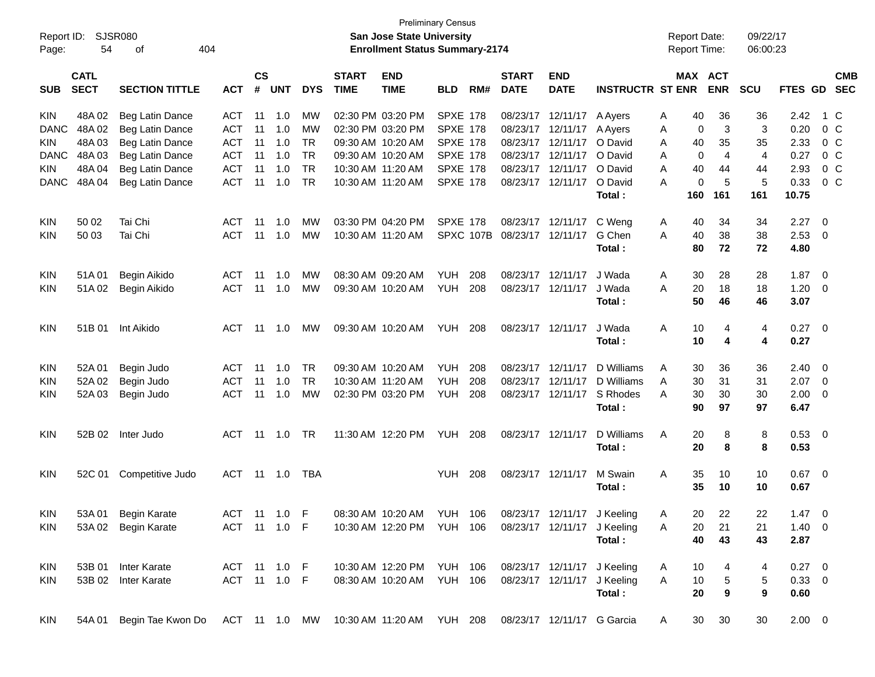| Report ID:<br>Page: | 54                         | SJSR080<br>404<br>оf  |               |                    |            |            |                             | <b>San Jose State University</b><br><b>Enrollment Status Summary-2174</b> | <b>Preliminary Census</b> |     |                             |                             |                         | <b>Report Date:</b><br>Report Time: |            | 09/22/17<br>06:00:23 |             |                           |
|---------------------|----------------------------|-----------------------|---------------|--------------------|------------|------------|-----------------------------|---------------------------------------------------------------------------|---------------------------|-----|-----------------------------|-----------------------------|-------------------------|-------------------------------------|------------|----------------------|-------------|---------------------------|
| <b>SUB</b>          | <b>CATL</b><br><b>SECT</b> | <b>SECTION TITTLE</b> | <b>ACT</b>    | $\mathsf{cs}$<br># | <b>UNT</b> | <b>DYS</b> | <b>START</b><br><b>TIME</b> | <b>END</b><br><b>TIME</b>                                                 | <b>BLD</b>                | RM# | <b>START</b><br><b>DATE</b> | <b>END</b><br><b>DATE</b>   | <b>INSTRUCTR ST ENR</b> | MAX ACT                             | <b>ENR</b> | <b>SCU</b>           |             | <b>CMB</b><br>FTES GD SEC |
| <b>KIN</b>          | 48A 02                     | Beg Latin Dance       | ACT           | 11                 | 1.0        | MW         |                             | 02:30 PM 03:20 PM                                                         | <b>SPXE 178</b>           |     |                             | 08/23/17 12/11/17           | A Ayers                 | 40<br>Α                             | 36         | 36                   | 2.42        | 1 C                       |
| <b>DANC</b>         | 48A 02                     | Beg Latin Dance       | <b>ACT</b>    | 11                 | 1.0        | <b>MW</b>  |                             | 02:30 PM 03:20 PM                                                         | <b>SPXE 178</b>           |     |                             | 08/23/17 12/11/17           | A Ayers                 | 0<br>Α                              | 3          | 3                    | 0.20        | $0\,C$                    |
| KIN                 | 48A03                      | Beg Latin Dance       | <b>ACT</b>    | 11                 | 1.0        | <b>TR</b>  |                             | 09:30 AM 10:20 AM                                                         | <b>SPXE 178</b>           |     |                             | 08/23/17 12/11/17           | O David                 | 40<br>A                             | 35         | 35                   | 2.33        | $0\,C$                    |
| <b>DANC</b>         | 48A03                      | Beg Latin Dance       | <b>ACT</b>    | 11                 | 1.0        | <b>TR</b>  |                             | 09:30 AM 10:20 AM                                                         | <b>SPXE 178</b>           |     |                             | 08/23/17 12/11/17           | O David                 | 0<br>A                              | 4          | $\overline{4}$       | 0.27        | $0\,C$                    |
| KIN                 | 48A04                      | Beg Latin Dance       | <b>ACT</b>    | 11                 | 1.0        | <b>TR</b>  |                             | 10:30 AM 11:20 AM                                                         | <b>SPXE 178</b>           |     |                             | 08/23/17 12/11/17           | O David                 | 40<br>Α                             | 44         | 44                   | 2.93        | 0 <sup>o</sup>            |
| <b>DANC</b>         | 48A04                      | Beg Latin Dance       | <b>ACT</b>    | 11                 | 1.0        | <b>TR</b>  |                             | 10:30 AM 11:20 AM                                                         | <b>SPXE 178</b>           |     |                             | 08/23/17 12/11/17           | O David                 | $\mathbf 0$<br>A                    | 5          | 5                    | 0.33        | 0 <sup>o</sup>            |
|                     |                            |                       |               |                    |            |            |                             |                                                                           |                           |     |                             |                             | Total:                  | 160                                 | 161        | 161                  | 10.75       |                           |
| <b>KIN</b>          | 50 02                      | Tai Chi               | ACT           | 11                 | 1.0        | MW         |                             | 03:30 PM 04:20 PM                                                         | <b>SPXE 178</b>           |     |                             | 08/23/17 12/11/17           | C Weng                  | 40<br>A                             | 34         | 34                   | 2.27        | - 0                       |
| KIN                 | 50 03                      | Tai Chi               | <b>ACT</b>    | 11                 | 1.0        | <b>MW</b>  |                             | 10:30 AM 11:20 AM                                                         |                           |     | SPXC 107B 08/23/17 12/11/17 |                             | G Chen                  | 40<br>A                             | 38         | 38                   | 2.53        | - 0                       |
|                     |                            |                       |               |                    |            |            |                             |                                                                           |                           |     |                             |                             | Total:                  | 80                                  | 72         | 72                   | 4.80        |                           |
| <b>KIN</b>          | 51A 01                     | Begin Aikido          | ACT           | -11                | 1.0        | MW         |                             | 08:30 AM 09:20 AM                                                         | YUH                       | 208 |                             | 08/23/17 12/11/17           | J Wada                  | 30<br>A                             | 28         | 28                   | 1.87        | $\overline{\phantom{0}}$  |
| <b>KIN</b>          | 51A02                      | Begin Aikido          | <b>ACT</b>    | 11                 | 1.0        | <b>MW</b>  |                             | 09:30 AM 10:20 AM                                                         | YUH                       | 208 |                             | 08/23/17 12/11/17           | J Wada                  | 20<br>A                             | 18         | 18                   | 1.20        | - 0                       |
|                     |                            |                       |               |                    |            |            |                             |                                                                           |                           |     |                             |                             | Total:                  | 50                                  | 46         | 46                   | 3.07        |                           |
| <b>KIN</b>          | 51B 01                     | Int Aikido            | ACT           |                    | 11 1.0     | MW         |                             | 09:30 AM 10:20 AM                                                         | <b>YUH 208</b>            |     |                             | 08/23/17 12/11/17           | J Wada                  | 10<br>A                             | 4          | 4                    | $0.27$ 0    |                           |
|                     |                            |                       |               |                    |            |            |                             |                                                                           |                           |     |                             |                             | Total:                  | 10                                  | 4          | 4                    | 0.27        |                           |
| <b>KIN</b>          | 52A 01                     | Begin Judo            | ACT           | 11                 | 1.0        | TR.        |                             | 09:30 AM 10:20 AM                                                         | YUH                       | 208 |                             | 08/23/17 12/11/17           | D Williams              | A<br>30                             | 36         | 36                   | 2.40        | - 0                       |
| <b>KIN</b>          | 52A 02                     | Begin Judo            | <b>ACT</b>    | 11                 | 1.0        | <b>TR</b>  |                             | 10:30 AM 11:20 AM                                                         | <b>YUH</b>                | 208 | 08/23/17 12/11/17           |                             | D Williams              | 30<br>A                             | 31         | 31                   | 2.07        | - 0                       |
| KIN                 | 52A03                      | Begin Judo            | <b>ACT</b>    | 11                 | 1.0        | <b>MW</b>  |                             | 02:30 PM 03:20 PM                                                         | YUH                       | 208 |                             | 08/23/17 12/11/17           | S Rhodes                | 30<br>Α                             | 30         | 30                   | 2.00        | $\overline{0}$            |
|                     |                            |                       |               |                    |            |            |                             |                                                                           |                           |     |                             |                             | Total:                  | 90                                  | 97         | 97                   | 6.47        |                           |
| <b>KIN</b>          | 52B 02                     | Inter Judo            | ACT           |                    | 11  1.0    | <b>TR</b>  |                             | 11:30 AM 12:20 PM                                                         | YUH                       | 208 | 08/23/17 12/11/17           |                             | D Williams              | A<br>20                             | 8          | 8                    | $0.53$ 0    |                           |
|                     |                            |                       |               |                    |            |            |                             |                                                                           |                           |     |                             |                             | Total:                  | 20                                  | 8          | 8                    | 0.53        |                           |
| <b>KIN</b>          | 52C 01                     | Competitive Judo      | ACT           |                    | 11  1.0    | TBA        |                             |                                                                           | YUH                       | 208 |                             | 08/23/17 12/11/17           | M Swain                 | A<br>35                             | 10         | 10                   | $0.67$ 0    |                           |
|                     |                            |                       |               |                    |            |            |                             |                                                                           |                           |     |                             |                             | Total:                  | 35                                  | 10         | 10                   | 0.67        |                           |
| <b>KIN</b>          |                            | 53A 01 Begin Karate   |               |                    |            |            |                             | ACT 11 1.0 F 08:30 AM 10:20 AM YUH 106 08/23/17 12/11/17 J Keeling        |                           |     |                             |                             |                         | 20<br>Α                             | 22         | 22                   | $1.47 \ 0$  |                           |
| <b>KIN</b>          | 53A 02                     | <b>Begin Karate</b>   | ACT 11 1.0 F  |                    |            |            |                             | 10:30 AM 12:20 PM YUH 106                                                 |                           |     |                             | 08/23/17 12/11/17 J Keeling |                         | 20<br>Α                             | 21         | 21                   | $1.40 \ 0$  |                           |
|                     |                            |                       |               |                    |            |            |                             |                                                                           |                           |     |                             |                             | Total:                  | 40                                  | 43         | 43                   | 2.87        |                           |
| KIN                 |                            | 53B 01 Inter Karate   | ACT 11 1.0 F  |                    |            |            |                             | 10:30 AM 12:20 PM YUH 106                                                 |                           |     |                             | 08/23/17 12/11/17 J Keeling |                         | 10<br>A                             | 4          | 4                    | $0.27$ 0    |                           |
| <b>KIN</b>          |                            | 53B 02 Inter Karate   | ACT 11 1.0 F  |                    |            |            |                             | 08:30 AM 10:20 AM YUH 106                                                 |                           |     |                             | 08/23/17 12/11/17 J Keeling |                         | A<br>$10$                           | 5          | 5                    | 0.33 0      |                           |
|                     |                            |                       |               |                    |            |            |                             |                                                                           |                           |     |                             |                             | Total:                  | 20                                  | 9          | 9                    | 0.60        |                           |
| KIN                 | 54A 01                     | Begin Tae Kwon Do     | ACT 11 1.0 MW |                    |            |            |                             | 10:30 AM 11:20 AM YUH 208                                                 |                           |     |                             | 08/23/17 12/11/17 G Garcia  |                         | 30<br>A                             | 30         | 30                   | $2.00 \t 0$ |                           |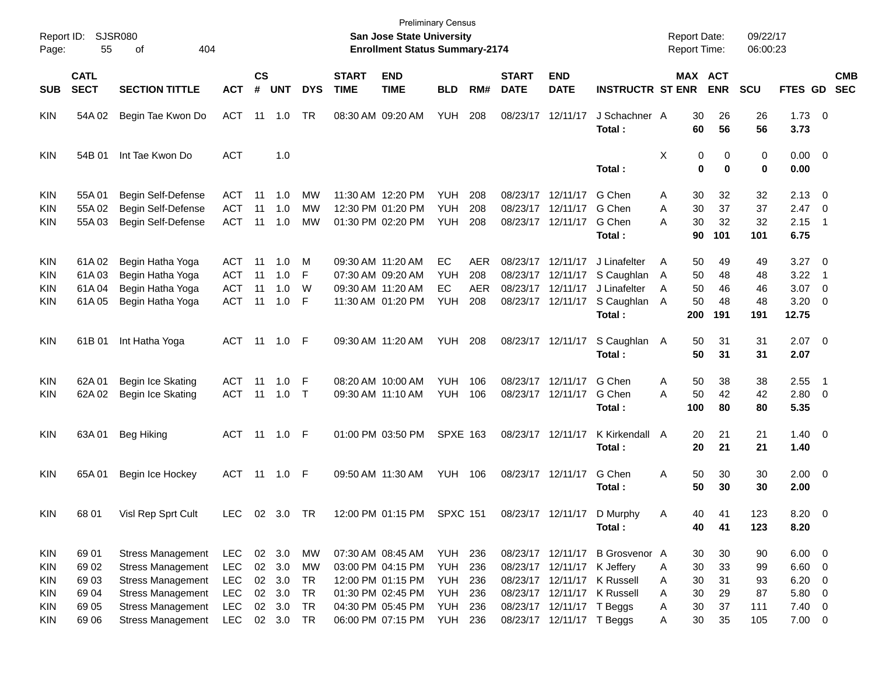| Report ID:<br>Page:                                                | 55                                        | <b>SJSR080</b><br>404<br>оf                                                                                                              |                                                                    |                             |                                                |                            |                             | San Jose State University<br><b>Enrollment Status Summary-2174</b>                                    | <b>Preliminary Census</b>            |                                 |                             |                                                                         |                                                                                          |                  | <b>Report Date:</b><br><b>Report Time:</b> |                                                           | 09/22/17<br>06:00:23                                    |                                                                                                             |                          |
|--------------------------------------------------------------------|-------------------------------------------|------------------------------------------------------------------------------------------------------------------------------------------|--------------------------------------------------------------------|-----------------------------|------------------------------------------------|----------------------------|-----------------------------|-------------------------------------------------------------------------------------------------------|--------------------------------------|---------------------------------|-----------------------------|-------------------------------------------------------------------------|------------------------------------------------------------------------------------------|------------------|--------------------------------------------|-----------------------------------------------------------|---------------------------------------------------------|-------------------------------------------------------------------------------------------------------------|--------------------------|
| <b>SUB</b>                                                         | <b>CATL</b><br><b>SECT</b>                | <b>SECTION TITTLE</b>                                                                                                                    | <b>ACT</b>                                                         | $\mathsf{cs}$<br>$\pmb{\#}$ | <b>UNT</b>                                     | <b>DYS</b>                 | <b>START</b><br><b>TIME</b> | <b>END</b><br><b>TIME</b>                                                                             | <b>BLD</b>                           | RM#                             | <b>START</b><br><b>DATE</b> | <b>END</b><br><b>DATE</b>                                               | <b>INSTRUCTR ST ENR</b>                                                                  |                  | MAX ACT<br><b>ENR</b>                      | <b>SCU</b>                                                | <b>FTES GD</b>                                          |                                                                                                             | <b>CMB</b><br><b>SEC</b> |
| <b>KIN</b>                                                         | 54A 02                                    | Begin Tae Kwon Do                                                                                                                        | <b>ACT</b>                                                         |                             | 11  1.0                                        | TR                         |                             | 08:30 AM 09:20 AM                                                                                     | <b>YUH</b>                           | 208                             |                             | 08/23/17 12/11/17                                                       | J Schachner A<br>Total:                                                                  |                  | 30<br>60                                   | 26<br>26<br>56<br>56                                      | $1.73 \t 0$<br>3.73                                     |                                                                                                             |                          |
| <b>KIN</b>                                                         | 54B 01                                    | Int Tae Kwon Do                                                                                                                          | <b>ACT</b>                                                         |                             | 1.0                                            |                            |                             |                                                                                                       |                                      |                                 |                             |                                                                         | Total:                                                                                   | X                | 0<br>$\bf{0}$                              | 0<br>0<br>$\bf{0}$<br>0                                   | $0.00 \t 0$<br>0.00                                     |                                                                                                             |                          |
| <b>KIN</b><br><b>KIN</b><br>KIN                                    | 55A01<br>55A 02<br>55A03                  | Begin Self-Defense<br>Begin Self-Defense<br>Begin Self-Defense                                                                           | ACT<br><b>ACT</b><br><b>ACT</b>                                    | 11<br>11<br>11              | 1.0<br>1.0<br>1.0                              | МW<br>МW<br>MW             |                             | 11:30 AM 12:20 PM<br>12:30 PM 01:20 PM<br>01:30 PM 02:20 PM                                           | YUH.<br><b>YUH</b><br><b>YUH</b>     | 208<br>208<br>208               |                             | 08/23/17 12/11/17<br>08/23/17 12/11/17<br>08/23/17 12/11/17             | G Chen<br>G Chen<br>G Chen<br>Total:                                                     | Α<br>Α<br>А      | 30<br>30<br>30<br>90<br>101                | 32<br>32<br>37<br>37<br>32<br>32<br>101                   | $2.13 \quad 0$<br>2.47<br>2.15<br>6.75                  | $\overline{\phantom{0}}$<br>$\overline{\phantom{1}}$                                                        |                          |
| <b>KIN</b><br><b>KIN</b><br><b>KIN</b><br>KIN                      | 61A02<br>61A03<br>61A04<br>61A05          | Begin Hatha Yoga<br>Begin Hatha Yoga<br>Begin Hatha Yoga<br>Begin Hatha Yoga                                                             | ACT<br>ACT<br><b>ACT</b><br><b>ACT</b>                             | -11<br>11<br>11<br>11       | 1.0<br>1.0<br>1.0<br>1.0                       | м<br>F<br>W<br>F           |                             | 09:30 AM 11:20 AM<br>07:30 AM 09:20 AM<br>09:30 AM 11:20 AM<br>11:30 AM 01:20 PM                      | EС<br><b>YUH</b><br>EC<br><b>YUH</b> | AER<br>208<br><b>AER</b><br>208 | 08/23/17                    | 08/23/17 12/11/17<br>12/11/17<br>08/23/17 12/11/17<br>08/23/17 12/11/17 | J Linafelter<br>S Caughlan<br>J Linafelter<br>S Caughlan<br>Total:                       | A<br>A<br>A<br>A | 50<br>50<br>50<br>50<br>200<br>191         | 49<br>49<br>48<br>48<br>46<br>46<br>48<br>48<br>191       | 3.27<br>3.22<br>3.07<br>3.20<br>12.75                   | $\overline{\phantom{0}}$<br>$\overline{\mathbf{1}}$<br>$\overline{\phantom{0}}$<br>$\overline{\phantom{0}}$ |                          |
| <b>KIN</b>                                                         | 61B 01                                    | Int Hatha Yoga                                                                                                                           | ACT 11 1.0 F                                                       |                             |                                                |                            |                             | 09:30 AM 11:20 AM                                                                                     | YUH                                  | 208                             |                             | 08/23/17 12/11/17                                                       | S Caughlan<br>Total:                                                                     | A                | 50<br>50                                   | 31<br>31<br>31<br>31                                      | $2.07$ 0<br>2.07                                        |                                                                                                             |                          |
| <b>KIN</b><br>KIN                                                  | 62A 01<br>62A 02                          | Begin Ice Skating<br>Begin Ice Skating                                                                                                   | ACT<br><b>ACT</b>                                                  | 11<br>11                    | 1.0<br>1.0                                     | F<br>$\top$                |                             | 08:20 AM 10:00 AM<br>09:30 AM 11:10 AM                                                                | <b>YUH</b><br><b>YUH</b>             | 106<br>106                      |                             | 08/23/17 12/11/17<br>08/23/17 12/11/17                                  | G Chen<br>G Chen<br>Total:                                                               | A<br>A           | 50<br>50<br>100                            | 38<br>38<br>42<br>42<br>80<br>80                          | 2.55<br>$2.80 \t 0$<br>5.35                             | - 1                                                                                                         |                          |
| <b>KIN</b>                                                         | 63A01                                     | Beg Hiking                                                                                                                               | ACT 11 1.0 F                                                       |                             |                                                |                            |                             | 01:00 PM 03:50 PM                                                                                     | <b>SPXE 163</b>                      |                                 |                             | 08/23/17 12/11/17                                                       | K Kirkendall<br>Total:                                                                   | A                | 20<br>20                                   | 21<br>21<br>21<br>21                                      | $1.40 \ 0$<br>1.40                                      |                                                                                                             |                          |
| <b>KIN</b>                                                         | 65A 01                                    | Begin Ice Hockey                                                                                                                         | ACT                                                                |                             |                                                |                            |                             | 09:50 AM 11:30 AM                                                                                     | YUH                                  | 106                             |                             | 08/23/17 12/11/17                                                       | G Chen<br>Total:                                                                         | A                | 50<br>50                                   | 30<br>30<br>30<br>30                                      | $2.00 \t 0$<br>2.00                                     |                                                                                                             |                          |
| <b>KIN</b>                                                         | 68 01                                     | Visl Rep Sprt Cult                                                                                                                       | <b>LEC</b>                                                         |                             | 02 3.0 TR                                      |                            |                             | 12:00 PM 01:15 PM SPXC 151                                                                            |                                      |                                 |                             | 08/23/17 12/11/17                                                       | D Murphy<br>Total:                                                                       | Α                | 40<br>40                                   | 41<br>123<br>123<br>41                                    | $8.20 \ 0$<br>8.20                                      |                                                                                                             |                          |
| <b>KIN</b><br><b>KIN</b><br><b>KIN</b><br><b>KIN</b><br><b>KIN</b> | 69 01<br>69 02<br>69 03<br>69 04<br>69 05 | <b>Stress Management</b><br><b>Stress Management</b><br><b>Stress Management</b><br><b>Stress Management</b><br><b>Stress Management</b> | <b>LEC</b><br><b>LEC</b><br><b>LEC</b><br><b>LEC</b><br><b>LEC</b> |                             | 02 3.0<br>02 3.0<br>02 3.0<br>02 3.0<br>02 3.0 | МW<br>MW<br>TR<br>TR<br>TR |                             | 07:30 AM 08:45 AM<br>03:00 PM 04:15 PM<br>12:00 PM 01:15 PM<br>01:30 PM 02:45 PM<br>04:30 PM 05:45 PM | YUH<br>YUH<br>YUH<br>YUH<br>YUH      | 236<br>236<br>236<br>236<br>236 |                             | 08/23/17 12/11/17<br>08/23/17 12/11/17<br>08/23/17 12/11/17 T Beggs     | 08/23/17 12/11/17 B Grosvenor A<br>K Jeffery<br>K Russell<br>08/23/17 12/11/17 K Russell | Α<br>Α<br>Α<br>Α | 30<br>30<br>30<br>30<br>30                 | 30<br>90<br>33<br>99<br>31<br>93<br>29<br>87<br>37<br>111 | $6.00 \t 0$<br>$6.60$ 0<br>6.20<br>5.80 0<br>$7.40 \ 0$ | $\overline{\phantom{0}}$                                                                                    |                          |
| KIN                                                                | 69 06                                     | <b>Stress Management</b>                                                                                                                 | LEC                                                                |                             | 02 3.0 TR                                      |                            |                             | 06:00 PM 07:15 PM                                                                                     | <b>YUH 236</b>                       |                                 |                             | 08/23/17 12/11/17 T Beggs                                               |                                                                                          | Α                | 30                                         | 35<br>105                                                 | $7.00 \t 0$                                             |                                                                                                             |                          |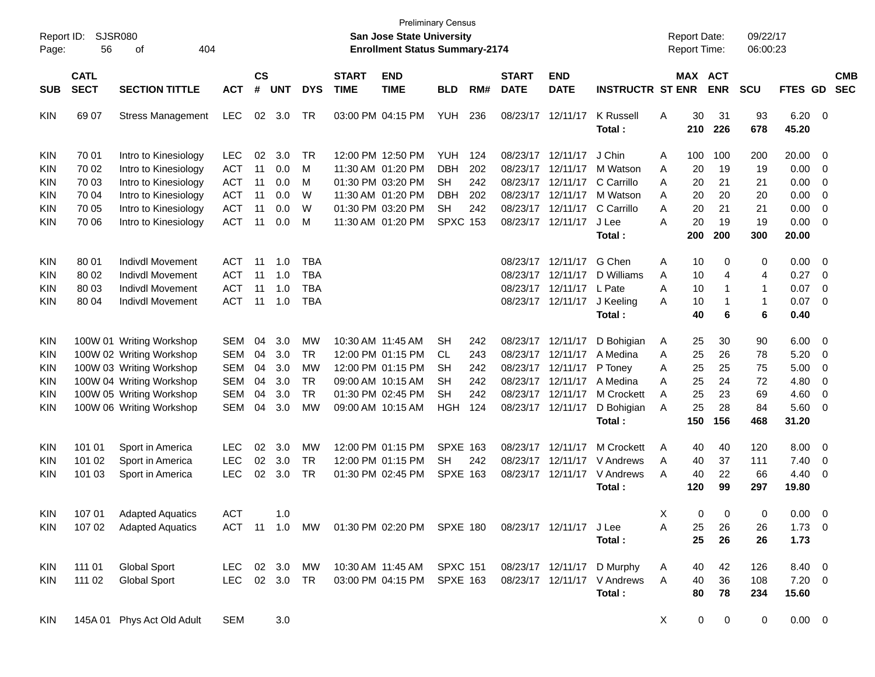| Report ID:<br>Page:                    | 56                         | <b>SJSR080</b><br>404<br>οf                                                      |                                        |                |                   |                                        |                             | <b>San Jose State University</b><br><b>Enrollment Status Summary-2174</b> | <b>Preliminary Census</b>    |                   |                             |                                                             |                                                                     | <b>Report Date:</b><br>Report Time: |                 |                 | 09/22/17<br>06:00:23                |                                |                                   |                          |
|----------------------------------------|----------------------------|----------------------------------------------------------------------------------|----------------------------------------|----------------|-------------------|----------------------------------------|-----------------------------|---------------------------------------------------------------------------|------------------------------|-------------------|-----------------------------|-------------------------------------------------------------|---------------------------------------------------------------------|-------------------------------------|-----------------|-----------------|-------------------------------------|--------------------------------|-----------------------------------|--------------------------|
| SUB                                    | <b>CATL</b><br><b>SECT</b> | <b>SECTION TITTLE</b>                                                            | <b>ACT</b>                             | <b>CS</b><br># | <b>UNT</b>        | <b>DYS</b>                             | <b>START</b><br><b>TIME</b> | <b>END</b><br><b>TIME</b>                                                 | <b>BLD</b>                   | RM#               | <b>START</b><br><b>DATE</b> | <b>END</b><br><b>DATE</b>                                   | <b>INSTRUCTR ST ENR</b>                                             |                                     | MAX ACT         | <b>ENR</b>      | <b>SCU</b>                          | FTES GD                        |                                   | <b>CMB</b><br><b>SEC</b> |
| <b>KIN</b>                             | 69 07                      | <b>Stress Management</b>                                                         | <b>LEC</b>                             | 02             | 3.0               | TR                                     |                             | 03:00 PM 04:15 PM                                                         | YUH                          | 236               | 08/23/17 12/11/17           |                                                             | <b>K</b> Russell<br>Total:                                          | Α                                   | 30<br>210       | 31<br>226       | 93<br>678                           | $6.20 \t 0$<br>45.20           |                                   |                          |
| <b>KIN</b><br><b>KIN</b>               | 70 01<br>70 02             | Intro to Kinesiology<br>Intro to Kinesiology                                     | <b>LEC</b><br>ACT                      | 02<br>11       | 3.0<br>0.0        | TR<br>М                                |                             | 12:00 PM 12:50 PM<br>11:30 AM 01:20 PM                                    | <b>YUH</b><br><b>DBH</b>     | 124<br>202        |                             | 08/23/17 12/11/17<br>08/23/17 12/11/17                      | J Chin<br>M Watson                                                  | A<br>A                              | 100<br>20       | 100<br>19       | 200<br>19                           | 20.00<br>0.00                  | 0<br>0                            |                          |
| <b>KIN</b><br><b>KIN</b>               | 70 03<br>70 04             | Intro to Kinesiology<br>Intro to Kinesiology                                     | <b>ACT</b><br><b>ACT</b>               | 11<br>11       | 0.0<br>0.0        | М<br>W                                 |                             | 01:30 PM 03:20 PM<br>11:30 AM 01:20 PM                                    | SH<br><b>DBH</b>             | 242<br>202        |                             | 08/23/17 12/11/17<br>08/23/17 12/11/17                      | C Carrillo<br>M Watson                                              | A<br>A                              | 20<br>20        | 21<br>20        | 21<br>20                            | 0.00<br>0.00                   | 0<br>0                            |                          |
| <b>KIN</b><br>KIN                      | 70 05<br>70 06             | Intro to Kinesiology<br>Intro to Kinesiology                                     | ACT<br><b>ACT</b>                      | 11<br>11       | 0.0<br>0.0        | W<br>M                                 |                             | 01:30 PM 03:20 PM<br>11:30 AM 01:20 PM                                    | <b>SH</b><br><b>SPXC 153</b> | 242               |                             | 08/23/17 12/11/17<br>08/23/17 12/11/17                      | C Carrillo<br>J Lee<br>Total:                                       | Α<br>А                              | 20<br>20<br>200 | 21<br>19<br>200 | 21<br>19<br>300                     | 0.00<br>0.00<br>20.00          | 0<br>0                            |                          |
| <b>KIN</b>                             | 80 01                      | <b>Indivdl Movement</b>                                                          | <b>ACT</b>                             | 11             | 1.0               | <b>TBA</b>                             |                             |                                                                           |                              |                   |                             | 08/23/17 12/11/17                                           | G Chen                                                              | Α                                   | 10              | 0               | 0                                   | 0.00                           | $\overline{\mathbf{0}}$           |                          |
| <b>KIN</b><br><b>KIN</b><br><b>KIN</b> | 80 02<br>80 03<br>80 04    | Indivdl Movement<br><b>Indivdl Movement</b><br><b>Indivdl Movement</b>           | <b>ACT</b><br><b>ACT</b><br><b>ACT</b> | 11<br>11<br>11 | 1.0<br>1.0<br>1.0 | <b>TBA</b><br><b>TBA</b><br><b>TBA</b> |                             |                                                                           |                              |                   |                             | 08/23/17 12/11/17<br>08/23/17 12/11/17<br>08/23/17 12/11/17 | D Williams<br>L Pate<br>J Keeling                                   | Α<br>Α<br>A                         | 10<br>10<br>10  | 4<br>-1<br>-1   | 4<br>$\overline{1}$<br>$\mathbf{1}$ | 0.27<br>0.07<br>0.07           | 0<br>0<br>$\overline{\mathbf{0}}$ |                          |
|                                        |                            |                                                                                  |                                        |                |                   |                                        |                             |                                                                           |                              |                   |                             |                                                             | Total:                                                              |                                     | 40              | 6               | 6                                   | 0.40                           |                                   |                          |
| <b>KIN</b><br><b>KIN</b>               |                            | 100W 01 Writing Workshop<br>100W 02 Writing Workshop                             | <b>SEM</b><br><b>SEM</b>               | 04<br>04       | 3.0<br>3.0        | <b>MW</b><br>TR                        |                             | 10:30 AM 11:45 AM<br>12:00 PM 01:15 PM                                    | <b>SH</b><br>CL.             | 242<br>243        |                             | 08/23/17 12/11/17<br>08/23/17 12/11/17                      | D Bohigian<br>A Medina                                              | A<br>Α                              | 25<br>25        | 30<br>26        | 90<br>78                            | 6.00<br>5.20                   | $\overline{\mathbf{0}}$<br>0      |                          |
| <b>KIN</b><br><b>KIN</b><br><b>KIN</b> |                            | 100W 03 Writing Workshop<br>100W 04 Writing Workshop<br>100W 05 Writing Workshop | <b>SEM</b><br><b>SEM</b><br><b>SEM</b> | 04<br>04<br>04 | 3.0<br>3.0<br>3.0 | MW<br><b>TR</b><br><b>TR</b>           |                             | 12:00 PM 01:15 PM<br>09:00 AM 10:15 AM<br>01:30 PM 02:45 PM               | SН<br>SН<br><b>SH</b>        | 242<br>242<br>242 | 08/23/17 12/11/17           | 08/23/17 12/11/17<br>08/23/17 12/11/17                      | P Toney<br>A Medina<br>M Crockett                                   | Α<br>Α<br>Α                         | 25<br>25<br>25  | 25<br>24<br>23  | 75<br>72<br>69                      | 5.00<br>4.80<br>4.60           | 0<br>0<br>0                       |                          |
| <b>KIN</b>                             |                            | 100W 06 Writing Workshop                                                         | <b>SEM</b>                             | 04             | 3.0               | MW                                     |                             | 09:00 AM 10:15 AM                                                         | <b>HGH</b>                   | 124               |                             | 08/23/17 12/11/17                                           | D Bohigian<br>Total:                                                | Α                                   | 25<br>150       | 28<br>156       | 84<br>468                           | 5.60<br>31.20                  | 0                                 |                          |
| <b>KIN</b><br><b>KIN</b>               | 101 01<br>101 02           | Sport in America<br>Sport in America                                             | <b>LEC</b><br><b>LEC</b>               | 02<br>02       | 3.0<br>3.0        | MW<br>TR                               |                             | 12:00 PM 01:15 PM<br>12:00 PM 01:15 PM                                    | <b>SPXE 163</b><br><b>SH</b> | 242               |                             | 08/23/17 12/11/17<br>08/23/17 12/11/17                      | <b>M Crockett</b><br>V Andrews                                      | A<br>Α                              | 40<br>40        | 40<br>37        | 120<br>111                          | 8.00<br>7.40                   | $\overline{\mathbf{0}}$<br>0      |                          |
| <b>KIN</b>                             | 101 03                     | Sport in America                                                                 | <b>LEC</b>                             | 02             | 3.0               | <b>TR</b>                              |                             | 01:30 PM 02:45 PM                                                         | <b>SPXE 163</b>              |                   |                             | 08/23/17 12/11/17                                           | V Andrews<br>Total:                                                 | A                                   | 40<br>120       | 22<br>99        | 66<br>297                           | 4.40<br>19.80                  | 0                                 |                          |
| KIN<br>KIN.                            | 107 01                     | <b>Adapted Aquatics</b><br>107 02 Adapted Aquatics                               | <b>ACT</b>                             |                | 1.0               |                                        |                             | ACT 11 1.0 MW 01:30 PM 02:20 PM SPXE 180 08/23/17 12/11/17 J Lee          |                              |                   |                             |                                                             |                                                                     | X<br>Α                              | $\Omega$<br>25  | $\Omega$<br>26  | $\Omega$<br>26                      | $0.00 \quad 0$<br>$1.73 \t 0$  |                                   |                          |
|                                        |                            |                                                                                  |                                        |                |                   |                                        |                             |                                                                           |                              |                   |                             |                                                             | Total:                                                              |                                     | 25              | 26              | 26                                  | 1.73                           |                                   |                          |
| KIN<br><b>KIN</b>                      | 111 01<br>111 02           | <b>Global Sport</b><br><b>Global Sport</b>                                       | LEC 02 3.0 MW<br>LEC 02 3.0 TR         |                |                   |                                        |                             | 10:30 AM 11:45 AM SPXC 151<br>03:00 PM 04:15 PM SPXE 163                  |                              |                   |                             |                                                             | 08/23/17 12/11/17 D Murphy<br>08/23/17 12/11/17 V Andrews<br>Total: | A<br>Α                              | 40<br>40<br>80  | 42<br>36<br>78  | 126<br>108<br>234                   | 8.40 0<br>$7.20 \t 0$<br>15.60 |                                   |                          |
| KIN                                    |                            | 145A 01 Phys Act Old Adult                                                       | <b>SEM</b>                             |                | 3.0               |                                        |                             |                                                                           |                              |                   |                             |                                                             |                                                                     | X                                   | 0               | 0               | 0                                   | $0.00 \t 0$                    |                                   |                          |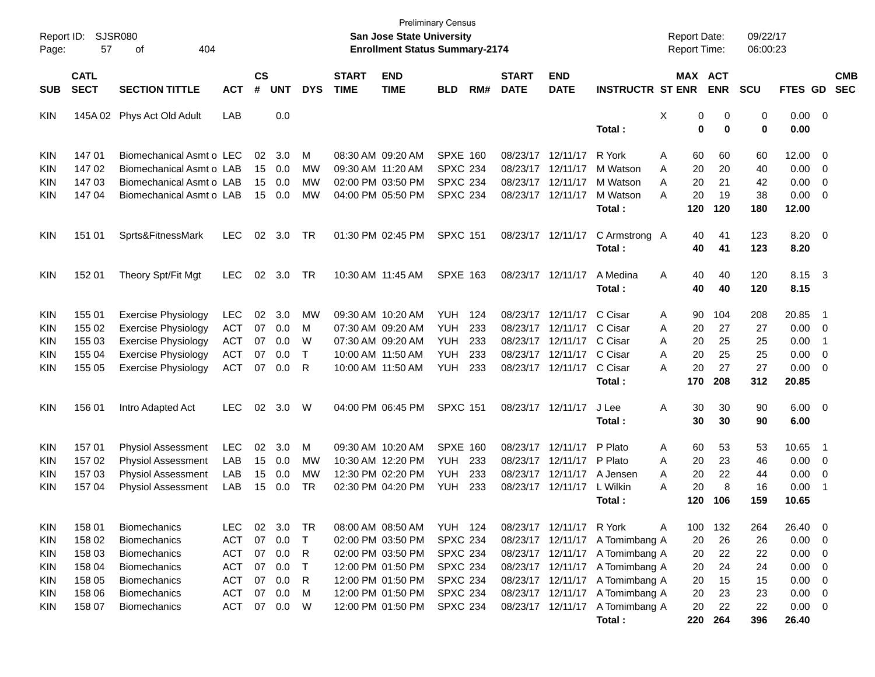| Report ID:<br>Page: | 57                         | <b>SJSR080</b><br>404<br>оf |            |                |            |              |                             | San Jose State University<br><b>Enrollment Status Summary-2174</b> | <b>Preliminary Census</b> |     |                             |                           |                         | <b>Report Date:</b><br>Report Time: |                                   | 09/22/17<br>06:00:23 |                        |                          |                          |
|---------------------|----------------------------|-----------------------------|------------|----------------|------------|--------------|-----------------------------|--------------------------------------------------------------------|---------------------------|-----|-----------------------------|---------------------------|-------------------------|-------------------------------------|-----------------------------------|----------------------|------------------------|--------------------------|--------------------------|
| <b>SUB</b>          | <b>CATL</b><br><b>SECT</b> | <b>SECTION TITTLE</b>       | <b>ACT</b> | <b>CS</b><br># | <b>UNT</b> | <b>DYS</b>   | <b>START</b><br><b>TIME</b> | <b>END</b><br><b>TIME</b>                                          | BLD                       | RM# | <b>START</b><br><b>DATE</b> | <b>END</b><br><b>DATE</b> | <b>INSTRUCTR ST ENR</b> |                                     | MAX ACT<br><b>ENR</b>             | <b>SCU</b>           | FTES GD                |                          | <b>CMB</b><br><b>SEC</b> |
| <b>KIN</b>          |                            | 145A 02 Phys Act Old Adult  | LAB        |                | 0.0        |              |                             |                                                                    |                           |     |                             |                           | Total:                  | X                                   | 0<br>0<br>$\mathbf 0$<br>$\bf{0}$ | 0<br>0               | $0.00 \t 0$<br>0.00    |                          |                          |
| <b>KIN</b>          | 14701                      | Biomechanical Asmt o LEC    |            | 02             | 3.0        | М            |                             | 08:30 AM 09:20 AM                                                  | <b>SPXE 160</b>           |     |                             | 08/23/17 12/11/17         | R York                  | 60<br>A                             | 60                                | 60                   | 12.00                  | 0                        |                          |
| <b>KIN</b>          | 14702                      | Biomechanical Asmt o LAB    |            | 15             | 0.0        | МW           |                             | 09:30 AM 11:20 AM                                                  | <b>SPXC 234</b>           |     |                             | 08/23/17 12/11/17         | M Watson                | 20<br>Α                             | 20                                | 40                   | 0.00                   | $\overline{0}$           |                          |
| KIN                 | 14703                      | Biomechanical Asmt o LAB    |            | 15             | 0.0        | МW           |                             | 02:00 PM 03:50 PM                                                  | <b>SPXC 234</b>           |     |                             | 08/23/17 12/11/17         | M Watson                | 20<br>A                             | 21                                | 42                   | 0.00                   | 0                        |                          |
| <b>KIN</b>          | 147 04                     | Biomechanical Asmt o LAB    |            | 15             | 0.0        | MW           |                             | 04:00 PM 05:50 PM                                                  | <b>SPXC 234</b>           |     |                             | 08/23/17 12/11/17         | M Watson<br>Total:      | 20<br>А<br>120                      | 19<br>120                         | 38<br>180            | 0.00<br>12.00          | $\overline{0}$           |                          |
| <b>KIN</b>          | 151 01                     | Sprts&FitnessMark           | <b>LEC</b> | 02             | 3.0        | TR           |                             | 01:30 PM 02:45 PM                                                  | <b>SPXC 151</b>           |     |                             | 08/23/17 12/11/17         | C Armstrong A<br>Total: | 40<br>40                            | 41<br>41                          | 123<br>123           | 8.20<br>8.20           | $\overline{\phantom{0}}$ |                          |
| <b>KIN</b>          | 152 01                     | Theory Spt/Fit Mgt          | <b>LEC</b> | 02             | 3.0        | TR           |                             | 10:30 AM 11:45 AM                                                  | <b>SPXE 163</b>           |     |                             | 08/23/17 12/11/17         | A Medina<br>Total:      | A<br>40<br>40                       | 40<br>40                          | 120<br>120           | 8.15<br>8.15           | $\overline{\mathbf{3}}$  |                          |
| <b>KIN</b>          | 155 01                     | <b>Exercise Physiology</b>  | <b>LEC</b> | 02             | 3.0        | MW           |                             | 09:30 AM 10:20 AM                                                  | YUH.                      | 124 |                             | 08/23/17 12/11/17         | C Cisar                 | 90<br>A                             | 104                               | 208                  | 20.85                  | -1                       |                          |
| KIN                 | 155 02                     | <b>Exercise Physiology</b>  | <b>ACT</b> | 07             | 0.0        | М            |                             | 07:30 AM 09:20 AM                                                  | <b>YUH</b>                | 233 |                             | 08/23/17 12/11/17         | C Cisar                 | Α<br>20                             | 27                                | 27                   | 0.00                   | 0                        |                          |
| KIN                 | 155 03                     | <b>Exercise Physiology</b>  | ACT        | 07             | 0.0        | W            |                             | 07:30 AM 09:20 AM                                                  | YUH                       | 233 |                             | 08/23/17 12/11/17         | C Cisar                 | 20<br>A                             | 25                                | 25                   | 0.00                   | -1                       |                          |
| KIN                 | 155 04                     | <b>Exercise Physiology</b>  | <b>ACT</b> | 07             | 0.0        | т            |                             | 10:00 AM 11:50 AM                                                  | <b>YUH</b>                | 233 |                             | 08/23/17 12/11/17         | C Cisar                 | 20<br>A                             | 25                                | 25                   | 0.00                   | 0                        |                          |
| <b>KIN</b>          | 155 05                     | <b>Exercise Physiology</b>  | <b>ACT</b> | 07             | 0.0        | R            |                             | 10:00 AM 11:50 AM                                                  | YUH                       | 233 |                             | 08/23/17 12/11/17         | C Cisar                 | 20<br>А                             | 27                                | 27                   | 0.00                   | $\overline{0}$           |                          |
|                     |                            |                             |            |                |            |              |                             |                                                                    |                           |     |                             |                           | Total:                  | 170                                 | 208                               | 312                  | 20.85                  |                          |                          |
| <b>KIN</b>          | 156 01                     | Intro Adapted Act           | <b>LEC</b> | 02             | 3.0        | W            |                             | 04:00 PM 06:45 PM                                                  | <b>SPXC 151</b>           |     |                             | 08/23/17 12/11/17         | J Lee<br>Total:         | Α<br>30<br>30                       | 30<br>30                          | 90<br>90             | $6.00 \quad 0$<br>6.00 |                          |                          |
| <b>KIN</b>          | 15701                      | <b>Physiol Assessment</b>   | LEC        | 02             | 3.0        | м            |                             | 09:30 AM 10:20 AM                                                  | <b>SPXE 160</b>           |     |                             | 08/23/17 12/11/17         | P Plato                 | 60<br>A                             | 53                                | 53                   | 10.65                  | -1                       |                          |
| KIN                 | 15702                      | <b>Physiol Assessment</b>   | LAB        | 15             | 0.0        | МW           |                             | 10:30 AM 12:20 PM                                                  | YUH.                      | 233 |                             | 08/23/17 12/11/17         | P Plato                 | 20<br>A                             | 23                                | 46                   | 0.00                   | 0                        |                          |
| KIN                 | 15703                      | <b>Physiol Assessment</b>   | LAB        | 15             | 0.0        | МW           |                             | 12:30 PM 02:20 PM                                                  | <b>YUH</b>                | 233 |                             | 08/23/17 12/11/17         | A Jensen                | 20<br>A                             | 22                                | 44                   | 0.00                   | 0                        |                          |
| <b>KIN</b>          | 15704                      | <b>Physiol Assessment</b>   | LAB        | 15             | 0.0        | TR           |                             | 02:30 PM 04:20 PM                                                  | YUH                       | 233 |                             | 08/23/17 12/11/17         | L Wilkin                | 20<br>А                             | 8                                 | 16                   | 0.00                   | -1                       |                          |
|                     |                            |                             |            |                |            |              |                             |                                                                    |                           |     |                             |                           | Total :                 | 120                                 | 106                               | 159                  | 10.65                  |                          |                          |
| KIN                 | 158 01                     | Biomechanics                | <b>LEC</b> | 02             | 3.0        | TR           |                             | 08:00 AM 08:50 AM                                                  | <b>YUH 124</b>            |     |                             | 08/23/17 12/11/17 R York  |                         | 100<br>A                            | 132                               | 264                  | 26.40                  | $\overline{\mathbf{0}}$  |                          |
| <b>KIN</b>          | 158 02                     | <b>Biomechanics</b>         | <b>ACT</b> | 07             | 0.0        | $\mathsf{T}$ |                             | 02:00 PM 03:50 PM                                                  | <b>SPXC 234</b>           |     |                             | 08/23/17 12/11/17         | A Tomimbang A           | 20                                  | 26                                | 26                   | 0.00                   | $\overline{\mathbf{0}}$  |                          |
| <b>KIN</b>          | 158 03                     | Biomechanics                | <b>ACT</b> | 07             | 0.0        | R            |                             | 02:00 PM 03:50 PM                                                  | <b>SPXC 234</b>           |     |                             | 08/23/17 12/11/17         | A Tomimbang A           | 20                                  | 22                                | 22                   | 0.00                   | $\mathbf 0$              |                          |
| <b>KIN</b>          | 158 04                     | Biomechanics                | <b>ACT</b> | 07             | 0.0        | Т            |                             | 12:00 PM 01:50 PM                                                  | <b>SPXC 234</b>           |     |                             | 08/23/17 12/11/17         | A Tomimbang A           | 20                                  | 24                                | 24                   | 0.00                   | 0                        |                          |
| <b>KIN</b>          | 158 05                     | Biomechanics                | <b>ACT</b> | 07             | 0.0        | R            |                             | 12:00 PM 01:50 PM                                                  | <b>SPXC 234</b>           |     |                             | 08/23/17 12/11/17         | A Tomimbang A           | 20                                  | 15                                | 15                   | 0.00                   | 0                        |                          |
| <b>KIN</b>          | 158 06                     | Biomechanics                | <b>ACT</b> | 07             | 0.0        | M            |                             | 12:00 PM 01:50 PM                                                  | <b>SPXC 234</b>           |     |                             | 08/23/17 12/11/17         | A Tomimbang A           | 20                                  | 23                                | 23                   | 0.00                   | $\overline{\mathbf{0}}$  |                          |
| KIN                 | 158 07                     | Biomechanics                | <b>ACT</b> | 07             | 0.0        | W            |                             | 12:00 PM 01:50 PM                                                  | <b>SPXC 234</b>           |     |                             | 08/23/17 12/11/17         | A Tomimbang A           | 20                                  | 22                                | 22                   | 0.00                   | $\overline{\phantom{0}}$ |                          |
|                     |                            |                             |            |                |            |              |                             |                                                                    |                           |     |                             |                           | Total:                  | 220                                 | 264                               | 396                  | 26.40                  |                          |                          |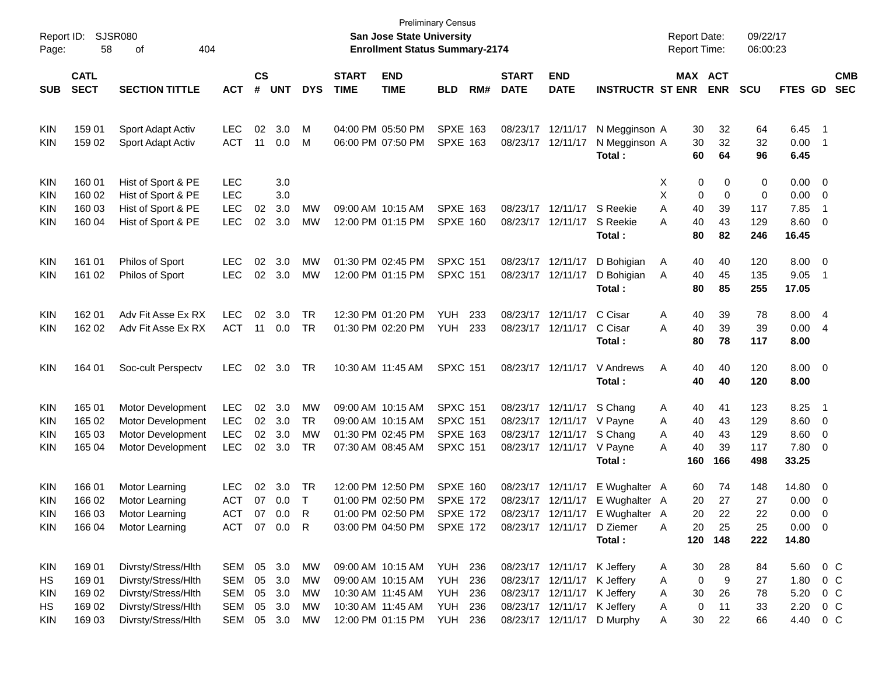| Report ID:<br>Page: | 58                         | <b>SJSR080</b><br>404<br>οf |              |                    |                |            |                             | San Jose State University<br><b>Enrollment Status Summary-2174</b> | <b>Preliminary Census</b> |     |                             |                             |                                 | <b>Report Date:</b><br><b>Report Time:</b> |            | 09/22/17<br>06:00:23 |                |                          |                          |
|---------------------|----------------------------|-----------------------------|--------------|--------------------|----------------|------------|-----------------------------|--------------------------------------------------------------------|---------------------------|-----|-----------------------------|-----------------------------|---------------------------------|--------------------------------------------|------------|----------------------|----------------|--------------------------|--------------------------|
| <b>SUB</b>          | <b>CATL</b><br><b>SECT</b> | <b>SECTION TITTLE</b>       | <b>ACT</b>   | $\mathsf{cs}$<br># | <b>UNT</b>     | <b>DYS</b> | <b>START</b><br><b>TIME</b> | <b>END</b><br><b>TIME</b>                                          | <b>BLD</b>                | RM# | <b>START</b><br><b>DATE</b> | <b>END</b><br><b>DATE</b>   | <b>INSTRUCTR ST ENR</b>         | MAX ACT                                    | <b>ENR</b> | <b>SCU</b>           | <b>FTES GD</b> |                          | <b>CMB</b><br><b>SEC</b> |
|                     |                            |                             |              |                    |                |            |                             |                                                                    |                           |     |                             |                             |                                 |                                            |            |                      |                |                          |                          |
| KIN                 | 159 01                     | Sport Adapt Activ           | <b>LEC</b>   | 02                 | 3.0            | M          | 04:00 PM 05:50 PM           |                                                                    | <b>SPXE 163</b>           |     | 08/23/17 12/11/17           |                             | N Megginson A                   | 30                                         | 32         | 64                   | 6.45           | $\overline{\phantom{1}}$ |                          |
| KIN                 | 159 02                     | Sport Adapt Activ           | <b>ACT</b>   | 11                 | 0.0            | М          |                             | 06:00 PM 07:50 PM                                                  | <b>SPXE 163</b>           |     | 08/23/17 12/11/17           |                             | N Megginson A                   | 30                                         | 32         | 32                   | 0.00           | $\overline{\phantom{1}}$ |                          |
|                     |                            |                             |              |                    |                |            |                             |                                                                    |                           |     |                             |                             | Total:                          | 60                                         | 64         | 96                   | 6.45           |                          |                          |
| KIN                 | 160 01                     | Hist of Sport & PE          | LEC          |                    | 3.0            |            |                             |                                                                    |                           |     |                             |                             |                                 | Х<br>0                                     | 0          | 0                    | 0.00           | $\overline{\phantom{0}}$ |                          |
| KIN                 | 160 02                     | Hist of Sport & PE          | <b>LEC</b>   |                    | 3.0            |            |                             |                                                                    |                           |     |                             |                             |                                 | Х<br>0                                     | 0          | 0                    | 0.00           | $\overline{\mathbf{0}}$  |                          |
| KIN                 | 160 03                     | Hist of Sport & PE          | <b>LEC</b>   | 02                 | 3.0            | MW         |                             | 09:00 AM 10:15 AM                                                  | <b>SPXE 163</b>           |     |                             | 08/23/17 12/11/17           | S Reekie                        | Α<br>40                                    | 39         | 117                  | 7.85           | -1                       |                          |
| KIN                 | 160 04                     | Hist of Sport & PE          | <b>LEC</b>   | 02                 | 3.0            | <b>MW</b>  |                             | 12:00 PM 01:15 PM                                                  | <b>SPXE 160</b>           |     |                             | 08/23/17 12/11/17           | S Reekie                        | 40<br>А                                    | 43         | 129                  | 8.60           | $\overline{\mathbf{0}}$  |                          |
|                     |                            |                             |              |                    |                |            |                             |                                                                    |                           |     |                             |                             | Total:                          | 80                                         | 82         | 246                  | 16.45          |                          |                          |
| KIN                 | 161 01                     | Philos of Sport             | <b>LEC</b>   | 02                 | 3.0            | MW         | 01:30 PM 02:45 PM           |                                                                    | <b>SPXC 151</b>           |     |                             | 08/23/17 12/11/17           | D Bohigian                      | A<br>40                                    | 40         | 120                  | 8.00           | $\overline{\phantom{0}}$ |                          |
| KIN                 | 161 02                     | Philos of Sport             | <b>LEC</b>   |                    | $02 \quad 3.0$ | <b>MW</b>  |                             | 12:00 PM 01:15 PM                                                  | <b>SPXC 151</b>           |     |                             | 08/23/17 12/11/17           | D Bohigian                      | A<br>40                                    | 45         | 135                  | 9.05           | $\overline{1}$           |                          |
|                     |                            |                             |              |                    |                |            |                             |                                                                    |                           |     |                             |                             | Total:                          | 80                                         | 85         | 255                  | 17.05          |                          |                          |
| KIN                 | 162 01                     | Adv Fit Asse Ex RX          | <b>LEC</b>   | 02                 | 3.0            | TR         | 12:30 PM 01:20 PM           |                                                                    | <b>YUH</b>                | 233 |                             | 08/23/17 12/11/17           | C Cisar                         | Α<br>40                                    | 39         | 78                   | 8.00 4         |                          |                          |
| KIN                 | 162 02                     | Adv Fit Asse Ex RX          | <b>ACT</b>   | 11                 | 0.0            | TR         |                             | 01:30 PM 02:20 PM                                                  | YUH                       | 233 |                             | 08/23/17 12/11/17           | C Cisar                         | 40<br>A                                    | 39         | 39                   | 0.00           | $\overline{4}$           |                          |
|                     |                            |                             |              |                    |                |            |                             |                                                                    |                           |     |                             |                             | Total:                          | 80                                         | 78         | 117                  | 8.00           |                          |                          |
| KIN                 | 164 01                     | Soc-cult Perspectv          | <b>LEC</b>   | 02                 | 3.0            | TR         | 10:30 AM 11:45 AM           |                                                                    | <b>SPXC 151</b>           |     |                             | 08/23/17 12/11/17           | V Andrews                       | Α<br>40                                    | 40         | 120                  | $8.00 \t 0$    |                          |                          |
|                     |                            |                             |              |                    |                |            |                             |                                                                    |                           |     |                             |                             | Total:                          | 40                                         | 40         | 120                  | 8.00           |                          |                          |
| <b>KIN</b>          | 165 01                     | Motor Development           | <b>LEC</b>   | 02                 | 3.0            | MW         |                             | 09:00 AM 10:15 AM                                                  | <b>SPXC 151</b>           |     |                             | 08/23/17 12/11/17           | S Chang                         | A<br>40                                    | 41         | 123                  | 8.25           | $\overline{\phantom{1}}$ |                          |
| KIN                 | 165 02                     | Motor Development           | <b>LEC</b>   | 02                 | 3.0            | TR         |                             | 09:00 AM 10:15 AM                                                  | <b>SPXC 151</b>           |     |                             | 08/23/17 12/11/17 V Payne   |                                 | 40<br>A                                    | 43         | 129                  | 8.60           | $\overline{\phantom{0}}$ |                          |
| KIN                 | 165 03                     | Motor Development           | <b>LEC</b>   | 02                 | 3.0            | MW         |                             | 01:30 PM 02:45 PM                                                  | <b>SPXE 163</b>           |     |                             | 08/23/17 12/11/17 S Chang   |                                 | 40<br>A                                    | 43         | 129                  | 8.60           | $\overline{\mathbf{0}}$  |                          |
| KIN                 | 165 04                     | Motor Development           | <b>LEC</b>   |                    | 02 3.0         | TR         |                             | 07:30 AM 08:45 AM                                                  | <b>SPXC 151</b>           |     |                             | 08/23/17 12/11/17 V Payne   |                                 | 40<br>A                                    | 39         | 117                  | 7.80           | $\overline{\mathbf{0}}$  |                          |
|                     |                            |                             |              |                    |                |            |                             |                                                                    |                           |     |                             |                             | Total:                          | 160                                        | 166        | 498                  | 33.25          |                          |                          |
| KIN                 | 166 01                     | Motor Learning              | <b>LEC</b>   | 02                 | 3.0            | TR         | 12:00 PM 12:50 PM           |                                                                    | <b>SPXE 160</b>           |     |                             | 08/23/17 12/11/17           | E Wughalter A                   | 60                                         | 74         | 148                  | 14.80          | $\overline{\phantom{0}}$ |                          |
| KIN                 | 166 02                     | Motor Learning              | <b>ACT</b>   |                    | 07 0.0         | $\top$     |                             | 01:00 PM 02:50 PM                                                  | <b>SPXE 172</b>           |     |                             | 08/23/17 12/11/17           | E Wughalter A                   | 20                                         | 27         | 27                   | 0.00           | $\overline{0}$           |                          |
| KIN                 | 166 03                     | Motor Learning              | ACT          |                    | 07 0.0         | R          |                             | 01:00 PM 02:50 PM                                                  | <b>SPXE 172</b>           |     |                             |                             | 08/23/17 12/11/17 E Wughalter A | 20.                                        | 22         | 22                   | $0.00 \quad 0$ |                          |                          |
| <b>KIN</b>          | 166 04                     | Motor Learning              | ACT 07 0.0 R |                    |                |            |                             | 03:00 PM 04:50 PM                                                  | SPXE 172                  |     |                             |                             | 08/23/17 12/11/17 D Ziemer      | 20<br>A                                    | 25         | 25                   | $0.00 \t 0$    |                          |                          |
|                     |                            |                             |              |                    |                |            |                             |                                                                    |                           |     |                             |                             | Total:                          | 120                                        | 148        | 222                  | 14.80          |                          |                          |
| KIN                 | 169 01                     | Divrsty/Stress/Hlth         | SEM 05 3.0   |                    |                | МW         |                             | 09:00 AM 10:15 AM                                                  | <b>YUH 236</b>            |     |                             | 08/23/17 12/11/17 K Jeffery |                                 | 30<br>A                                    | 28         | 84                   | 5.60           | $0\,$ C                  |                          |
| HS                  | 169 01                     | Divrsty/Stress/Hlth         | SEM          | 05                 | 3.0            | MW         |                             | 09:00 AM 10:15 AM                                                  | YUH                       | 236 |                             | 08/23/17 12/11/17           | K Jeffery                       | 0<br>A                                     | 9          | 27                   | 1.80           |                          | $0\,C$                   |
| <b>KIN</b>          | 169 02                     | Divrsty/Stress/Hlth         | SEM          | 05                 | 3.0            | MW         | 10:30 AM 11:45 AM           |                                                                    | YUH                       | 236 |                             | 08/23/17 12/11/17           | K Jeffery                       | 30<br>A                                    | 26         | 78                   | 5.20           | $0\,$ C                  |                          |
| HS                  | 169 02                     | Divrsty/Stress/Hlth         | SEM          | 05                 | 3.0            | MW         | 10:30 AM 11:45 AM           |                                                                    | YUH                       | 236 |                             | 08/23/17 12/11/17 K Jeffery |                                 | 0<br>A                                     | 11         | 33                   | 2.20           | $0\,$ C                  |                          |
| KIN                 | 169 03                     | Divrsty/Stress/Hlth         | SEM 05 3.0   |                    |                | МW         |                             | 12:00 PM 01:15 PM                                                  | YUH                       | 236 |                             |                             | 08/23/17 12/11/17 D Murphy      | Α<br>30                                    | 22         | 66                   | 4.40           | 0 C                      |                          |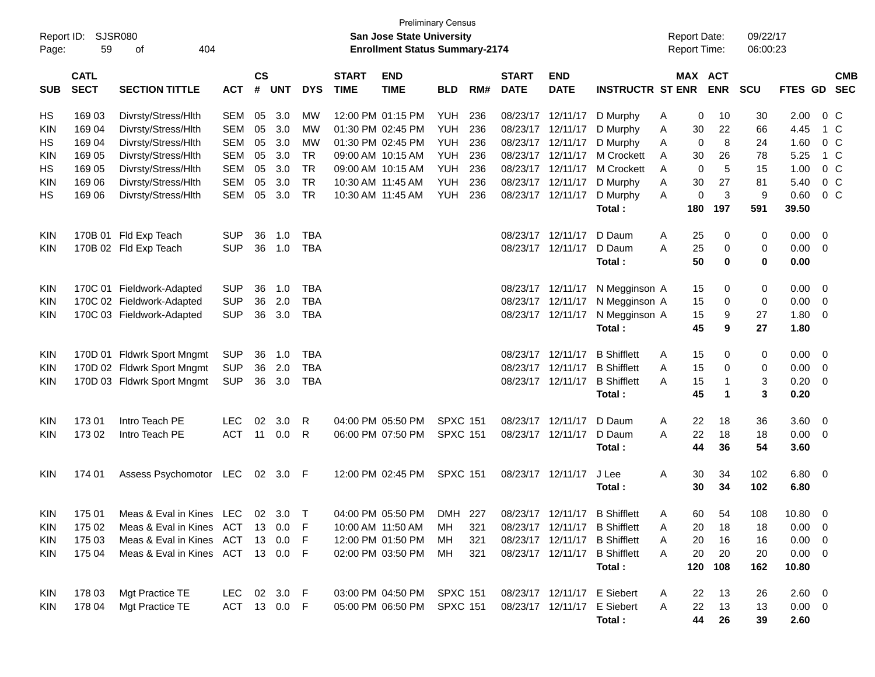| Report ID: |                            | <b>SJSR080</b>                    |              |                |            |            |                                       | San Jose State University  | <b>Preliminary Census</b> |     |                             |                           |                               | <b>Report Date:</b> |              | 09/22/17   |                |                          |
|------------|----------------------------|-----------------------------------|--------------|----------------|------------|------------|---------------------------------------|----------------------------|---------------------------|-----|-----------------------------|---------------------------|-------------------------------|---------------------|--------------|------------|----------------|--------------------------|
| Page:      | 59                         |                                   |              |                |            |            | <b>Enrollment Status Summary-2174</b> |                            |                           |     |                             |                           | Report Time:                  |                     | 06:00:23     |            |                |                          |
| <b>SUB</b> | <b>CATL</b><br><b>SECT</b> | <b>SECTION TITTLE</b>             | <b>ACT</b>   | <b>CS</b><br># | <b>UNT</b> | <b>DYS</b> | <b>START</b><br><b>TIME</b>           | <b>END</b><br><b>TIME</b>  | <b>BLD</b>                | RM# | <b>START</b><br><b>DATE</b> | <b>END</b><br><b>DATE</b> | <b>INSTRUCTR ST ENR</b>       | MAX ACT             | <b>ENR</b>   | <b>SCU</b> | <b>FTES GD</b> | <b>CMB</b><br><b>SEC</b> |
| HS         | 169 03                     | Divrsty/Stress/Hlth               | <b>SEM</b>   | 05             | 3.0        | MW         |                                       | 12:00 PM 01:15 PM          | YUH                       | 236 | 08/23/17 12/11/17           |                           | D Murphy                      | 0<br>Α              | 10           | 30         | 2.00           | 0 <sup>o</sup>           |
| KIN        | 169 04                     | Divrsty/Stress/Hlth               | <b>SEM</b>   | 05             | 3.0        | МW         |                                       | 01:30 PM 02:45 PM          | YUH                       | 236 | 08/23/17 12/11/17           |                           | D Murphy                      | 30<br>Α             | 22           | 66         | 4.45           | 1 C                      |
| HS         | 169 04                     | Divrsty/Stress/Hlth               | <b>SEM</b>   | 05             | 3.0        | <b>MW</b>  |                                       | 01:30 PM 02:45 PM          | <b>YUH</b>                | 236 | 08/23/17 12/11/17           |                           | D Murphy                      | 0<br>Α              | 8            | 24         | 1.60           | 0 <sup>o</sup>           |
| KIN        | 169 05                     | Divrsty/Stress/Hlth               | <b>SEM</b>   | 05             | 3.0        | <b>TR</b>  |                                       | 09:00 AM 10:15 AM          | <b>YUH</b>                | 236 | 08/23/17 12/11/17           |                           | M Crockett                    | 30<br>A             | 26           | 78         | 5.25           | 1 C                      |
| HS         | 169 05                     | Divrsty/Stress/Hlth               | <b>SEM</b>   | 05             | 3.0        | <b>TR</b>  |                                       | 09:00 AM 10:15 AM          | <b>YUH</b>                | 236 | 08/23/17 12/11/17           |                           | M Crockett                    | 0<br>Α              | 5            | 15         | 1.00           | 0 <sup>o</sup>           |
| <b>KIN</b> | 169 06                     | Divrsty/Stress/Hlth               | <b>SEM</b>   | 05             | 3.0        | <b>TR</b>  |                                       | 10:30 AM 11:45 AM          | <b>YUH</b>                | 236 | 08/23/17 12/11/17           |                           | D Murphy                      | 30<br>Α             | 27           | 81         | 5.40           | 0 <sup>o</sup>           |
| НS         | 169 06                     | Divrsty/Stress/Hlth               | <b>SEM</b>   | 05             | 3.0        | <b>TR</b>  |                                       | 10:30 AM 11:45 AM          | <b>YUH</b>                | 236 |                             | 08/23/17 12/11/17         | D Murphy                      | $\mathbf 0$<br>Α    | 3            | 9          | 0.60           | $0\,C$                   |
|            |                            |                                   |              |                |            |            |                                       |                            |                           |     |                             |                           | Total:                        | 180                 | 197          | 591        | 39.50          |                          |
| <b>KIN</b> |                            | 170B 01 Fld Exp Teach             | <b>SUP</b>   | 36             | 1.0        | <b>TBA</b> |                                       |                            |                           |     |                             | 08/23/17 12/11/17         | D Daum                        | Α<br>25             | 0            | 0          | 0.00           | - 0                      |
| <b>KIN</b> |                            | 170B 02 Fld Exp Teach             | <b>SUP</b>   | 36             | 1.0        | <b>TBA</b> |                                       |                            |                           |     |                             | 08/23/17 12/11/17         | D Daum                        | 25<br>А             | 0            | 0          | 0.00           | $\overline{\mathbf{0}}$  |
|            |                            |                                   |              |                |            |            |                                       |                            |                           |     |                             |                           | Total :                       | 50                  | 0            | 0          | 0.00           |                          |
| <b>KIN</b> |                            | 170C 01 Fieldwork-Adapted         | <b>SUP</b>   | 36             | 1.0        | <b>TBA</b> |                                       |                            |                           |     |                             | 08/23/17 12/11/17         | N Megginson A                 | 15                  | 0            | 0          | 0.00           | $\overline{\phantom{0}}$ |
| <b>KIN</b> |                            | 170C 02 Fieldwork-Adapted         | <b>SUP</b>   | 36             | 2.0        | <b>TBA</b> |                                       |                            |                           |     | 08/23/17 12/11/17           |                           | N Megginson A                 | 15                  | 0            | 0          | 0.00           | $\overline{\mathbf{0}}$  |
| <b>KIN</b> |                            | 170C 03 Fieldwork-Adapted         | <b>SUP</b>   | 36             | 3.0        | <b>TBA</b> |                                       |                            |                           |     |                             | 08/23/17 12/11/17         | N Megginson A                 | 15                  | 9            | 27         | 1.80           | $\overline{\mathbf{0}}$  |
|            |                            |                                   |              |                |            |            |                                       |                            |                           |     |                             |                           | Total:                        | 45                  | 9            | 27         | 1.80           |                          |
| <b>KIN</b> |                            | 170D 01 Fldwrk Sport Mngmt        | <b>SUP</b>   | 36             | 1.0        | TBA        |                                       |                            |                           |     |                             | 08/23/17 12/11/17         | <b>B</b> Shifflett            | 15<br>Α             | 0            | 0          | 0.00           | $\overline{\phantom{0}}$ |
| <b>KIN</b> |                            | 170D 02 Fldwrk Sport Mngmt        | <b>SUP</b>   | 36             | 2.0        | <b>TBA</b> |                                       |                            |                           |     |                             | 08/23/17 12/11/17         | <b>B</b> Shifflett            | 15<br>Α             | 0            | 0          | 0.00           | $\overline{\mathbf{0}}$  |
| <b>KIN</b> |                            | 170D 03 Fldwrk Sport Mngmt        | <b>SUP</b>   | 36             | 3.0        | <b>TBA</b> |                                       |                            |                           |     |                             | 08/23/17 12/11/17         | <b>B</b> Shifflett            | 15<br>А             | $\mathbf{1}$ | 3          | 0.20           | $\overline{\mathbf{0}}$  |
|            |                            |                                   |              |                |            |            |                                       |                            |                           |     |                             |                           | Total:                        | 45                  | $\mathbf 1$  | 3          | 0.20           |                          |
| <b>KIN</b> | 17301                      | Intro Teach PE                    | <b>LEC</b>   | 02             | 3.0        | R          |                                       | 04:00 PM 05:50 PM          | <b>SPXC 151</b>           |     |                             | 08/23/17 12/11/17         | D Daum                        | Α<br>22             | 18           | 36         | 3.60           | $\overline{\phantom{0}}$ |
| <b>KIN</b> | 173 02                     | Intro Teach PE                    | <b>ACT</b>   | 11             | 0.0        | R          |                                       | 06:00 PM 07:50 PM          | <b>SPXC 151</b>           |     |                             | 08/23/17 12/11/17         | D Daum                        | 22<br>А             | 18           | 18         | 0.00           | $\overline{\mathbf{0}}$  |
|            |                            |                                   |              |                |            |            |                                       |                            |                           |     |                             |                           | Total:                        | 44                  | 36           | 54         | 3.60           |                          |
| KIN        | 174 01                     | Assess Psychomotor                | LEC          | 02             | 3.0 F      |            |                                       | 12:00 PM 02:45 PM          | <b>SPXC 151</b>           |     |                             | 08/23/17 12/11/17         | J Lee                         | A<br>30             | 34           | 102        | $6.80\quad 0$  |                          |
|            |                            |                                   |              |                |            |            |                                       |                            |                           |     |                             |                           | Total:                        | 30                  | 34           | 102        | 6.80           |                          |
| KIN        | 175 01                     | Meas & Eval in Kines LEC 02 3.0 T |              |                |            |            |                                       | 04:00 PM 05:50 PM          | DMH 227                   |     |                             |                           | 08/23/17 12/11/17 B Shifflett | 60<br>A             | 54           | 108        | $10.80 \t 0$   |                          |
| <b>KIN</b> | 175 02                     | Meas & Eval in Kines ACT 13 0.0   |              |                |            | - F        |                                       | 10:00 AM 11:50 AM          | MН                        | 321 |                             |                           | 08/23/17 12/11/17 B Shifflett | 20<br>Α             | 18           | 18         | $0.00 \t 0$    |                          |
| KIN        | 175 03                     | Meas & Eval in Kines ACT          |              |                | 13 0.0     | - F        |                                       | 12:00 PM 01:50 PM          | MН                        | 321 |                             |                           | 08/23/17 12/11/17 B Shifflett | 20<br>A             | 16           | 16         | $0.00 \t 0$    |                          |
| <b>KIN</b> | 175 04                     | Meas & Eval in Kines ACT 13 0.0 F |              |                |            |            |                                       | 02:00 PM 03:50 PM MH       |                           | 321 |                             |                           | 08/23/17 12/11/17 B Shifflett | 20<br>A             | 20           | 20         | $0.00 \t 0$    |                          |
|            |                            |                                   |              |                |            |            |                                       |                            |                           |     |                             |                           | Total:                        | 120                 | 108          | 162        | 10.80          |                          |
| KIN        | 178 03                     | Mgt Practice TE                   | LEC 02 3.0 F |                |            |            |                                       | 03:00 PM 04:50 PM SPXC 151 |                           |     |                             |                           | 08/23/17 12/11/17 E Siebert   | 22<br>A             | 13           | 26         | $2.60 \quad 0$ |                          |
| <b>KIN</b> | 178 04                     | Mgt Practice TE                   | ACT 13 0.0 F |                |            |            |                                       | 05:00 PM 06:50 PM SPXC 151 |                           |     |                             |                           | 08/23/17 12/11/17 E Siebert   | 22<br>A             | 13           | 13         | $0.00 \quad 0$ |                          |
|            |                            |                                   |              |                |            |            |                                       |                            |                           |     |                             |                           | Total:                        | 44                  | 26           | 39         | 2.60           |                          |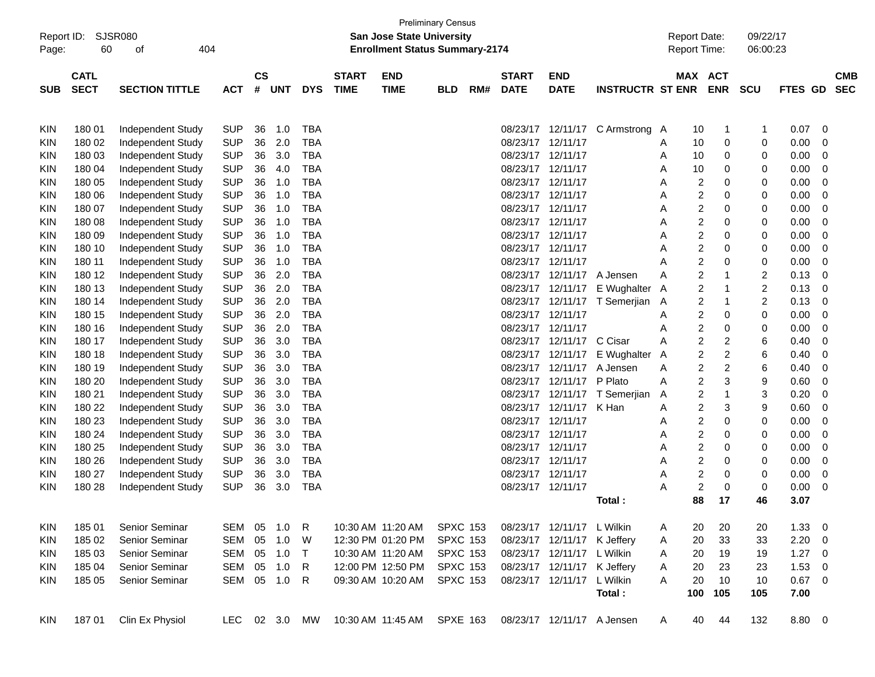| Report ID: |                 | <b>SJSR080</b>        |            |           |            |            |              | <b>Preliminary Census</b><br>San Jose State University |                 |     |              |                             |                         |   | <b>Report Date:</b>     |                         | 09/22/17                |         |                         |            |
|------------|-----------------|-----------------------|------------|-----------|------------|------------|--------------|--------------------------------------------------------|-----------------|-----|--------------|-----------------------------|-------------------------|---|-------------------------|-------------------------|-------------------------|---------|-------------------------|------------|
| Page:      | 60              | 404<br>οf             |            |           |            |            |              | <b>Enrollment Status Summary-2174</b>                  |                 |     |              |                             |                         |   | Report Time:            |                         | 06:00:23                |         |                         |            |
|            | <b>CATL</b>     |                       |            | <b>CS</b> |            |            | <b>START</b> | <b>END</b>                                             |                 |     | <b>START</b> | <b>END</b>                  |                         |   | MAX                     | <b>ACT</b>              |                         |         |                         | <b>CMB</b> |
| <b>SUB</b> | <b>SECT</b>     | <b>SECTION TITTLE</b> | <b>ACT</b> | #         | <b>UNT</b> | <b>DYS</b> | <b>TIME</b>  | <b>TIME</b>                                            | <b>BLD</b>      | RM# | <b>DATE</b>  | <b>DATE</b>                 | <b>INSTRUCTR ST ENR</b> |   |                         | <b>ENR</b>              | <b>SCU</b>              | FTES GD |                         | <b>SEC</b> |
|            |                 | Independent Study     | <b>SUP</b> | 36        | 1.0        | TBA        |              |                                                        |                 |     | 08/23/17     | 12/11/17                    | C Armstrong A           |   |                         |                         | -1                      | 0.07    | 0                       |            |
| KIN<br>KIN | 18001<br>180 02 | Independent Study     | <b>SUP</b> | 36        | 2.0        | <b>TBA</b> |              |                                                        |                 |     | 08/23/17     | 12/11/17                    |                         | A | 10<br>10                | 1<br>0                  | 0                       | 0.00    | 0                       |            |
| KIN        | 180 03          | Independent Study     | <b>SUP</b> | 36        | 3.0        | TBA        |              |                                                        |                 |     | 08/23/17     | 12/11/17                    |                         | A | 10                      | 0                       | 0                       | 0.00    | 0                       |            |
| KIN        | 180 04          | Independent Study     | <b>SUP</b> | 36        | 4.0        | TBA        |              |                                                        |                 |     | 08/23/17     | 12/11/17                    |                         | A | 10                      | 0                       | 0                       | 0.00    | 0                       |            |
| KIN        | 180 05          | Independent Study     | <b>SUP</b> | 36        | 1.0        | <b>TBA</b> |              |                                                        |                 |     | 08/23/17     | 12/11/17                    |                         | A | 2                       | 0                       | 0                       | 0.00    | 0                       |            |
| KIN        | 180 06          | Independent Study     | <b>SUP</b> | 36        | 1.0        | <b>TBA</b> |              |                                                        |                 |     | 08/23/17     | 12/11/17                    |                         | A | 2                       | 0                       | 0                       | 0.00    | 0                       |            |
| KIN        | 180 07          | Independent Study     | <b>SUP</b> | 36        | 1.0        | <b>TBA</b> |              |                                                        |                 |     | 08/23/17     | 12/11/17                    |                         | A | $\overline{c}$          | 0                       | 0                       | 0.00    | 0                       |            |
| KIN        | 180 08          | Independent Study     | <b>SUP</b> | 36        | 1.0        | <b>TBA</b> |              |                                                        |                 |     | 08/23/17     | 12/11/17                    |                         | Α | $\boldsymbol{2}$        | 0                       | 0                       | 0.00    | 0                       |            |
| KIN        | 180 09          | Independent Study     | <b>SUP</b> | 36        | 1.0        | <b>TBA</b> |              |                                                        |                 |     | 08/23/17     | 12/11/17                    |                         | Α | $\overline{c}$          | 0                       | 0                       | 0.00    | 0                       |            |
| KIN        | 180 10          | Independent Study     | <b>SUP</b> | 36        | 1.0        | <b>TBA</b> |              |                                                        |                 |     | 08/23/17     | 12/11/17                    |                         | A | $\overline{c}$          | 0                       | 0                       | 0.00    | 0                       |            |
| KIN        | 180 11          | Independent Study     | <b>SUP</b> | 36        | 1.0        | <b>TBA</b> |              |                                                        |                 |     | 08/23/17     | 12/11/17                    |                         | A | $\boldsymbol{2}$        | 0                       | 0                       | 0.00    | 0                       |            |
| KIN        | 180 12          | Independent Study     | <b>SUP</b> | 36        | 2.0        | <b>TBA</b> |              |                                                        |                 |     | 08/23/17     | 12/11/17                    | A Jensen                | A | $\overline{c}$          | 1                       | $\overline{\mathbf{c}}$ | 0.13    | 0                       |            |
| KIN        | 180 13          | Independent Study     | <b>SUP</b> | 36        | 2.0        | <b>TBA</b> |              |                                                        |                 |     | 08/23/17     | 12/11/17                    | E Wughalter             | A | $\overline{c}$          | 1                       | $\overline{c}$          | 0.13    | 0                       |            |
| KIN        | 180 14          | Independent Study     | <b>SUP</b> | 36        | 2.0        | <b>TBA</b> |              |                                                        |                 |     | 08/23/17     | 12/11/17                    | T Semerjian             | A | 2                       | 1                       | $\overline{c}$          | 0.13    | 0                       |            |
| KIN        | 180 15          | Independent Study     | <b>SUP</b> | 36        | 2.0        | TBA        |              |                                                        |                 |     | 08/23/17     | 12/11/17                    |                         | A | $\overline{\mathbf{c}}$ | 0                       | 0                       | 0.00    | 0                       |            |
| KIN        | 180 16          | Independent Study     | <b>SUP</b> | 36        | 2.0        | <b>TBA</b> |              |                                                        |                 |     | 08/23/17     | 12/11/17                    |                         | Α | $\overline{c}$          | 0                       | 0                       | 0.00    | 0                       |            |
| KIN        | 180 17          | Independent Study     | <b>SUP</b> | 36        | 3.0        | <b>TBA</b> |              |                                                        |                 |     | 08/23/17     | 12/11/17                    | C Cisar                 | Α | $\overline{c}$          | 2                       | 6                       | 0.40    | 0                       |            |
| KIN        | 180 18          | Independent Study     | <b>SUP</b> | 36        | 3.0        | TBA        |              |                                                        |                 |     | 08/23/17     | 12/11/17                    | E Wughalter             | A | $\boldsymbol{2}$        | $\overline{\mathbf{c}}$ | 6                       | 0.40    | 0                       |            |
| KIN        | 180 19          | Independent Study     | <b>SUP</b> | 36        | 3.0        | TBA        |              |                                                        |                 |     | 08/23/17     | 12/11/17                    | A Jensen                | Α | $\overline{\mathbf{c}}$ | $\overline{\mathbf{c}}$ | 6                       | 0.40    | 0                       |            |
| KIN        | 180 20          | Independent Study     | <b>SUP</b> | 36        | 3.0        | <b>TBA</b> |              |                                                        |                 |     | 08/23/17     | 12/11/17                    | P Plato                 | A | $\boldsymbol{2}$        | 3                       | 9                       | 0.60    | 0                       |            |
| KIN        | 180 21          | Independent Study     | <b>SUP</b> | 36        | 3.0        | TBA        |              |                                                        |                 |     | 08/23/17     | 12/11/17                    | T Semerjian             | Α | 2                       | 1                       | 3                       | 0.20    | 0                       |            |
| KIN        | 180 22          | Independent Study     | <b>SUP</b> | 36        | 3.0        | TBA        |              |                                                        |                 |     | 08/23/17     | 12/11/17                    | K Han                   | A | $\boldsymbol{2}$        | 3                       | 9                       | 0.60    | 0                       |            |
| KIN        | 180 23          | Independent Study     | <b>SUP</b> | 36        | 3.0        | TBA        |              |                                                        |                 |     | 08/23/17     | 12/11/17                    |                         | A | $\overline{c}$          | 0                       | 0                       | 0.00    | 0                       |            |
| KIN        | 180 24          | Independent Study     | <b>SUP</b> | 36        | 3.0        | <b>TBA</b> |              |                                                        |                 |     | 08/23/17     | 12/11/17                    |                         | A | $\overline{c}$          | 0                       | 0                       | 0.00    | 0                       |            |
| KIN        | 180 25          | Independent Study     | <b>SUP</b> | 36        | 3.0        | TBA        |              |                                                        |                 |     | 08/23/17     | 12/11/17                    |                         | Α | $\overline{c}$          | 0                       | 0                       | 0.00    | 0                       |            |
| KIN        | 180 26          | Independent Study     | <b>SUP</b> | 36        | 3.0        | TBA        |              |                                                        |                 |     | 08/23/17     | 12/11/17                    |                         | Α | $\boldsymbol{2}$        | 0                       | 0                       | 0.00    | 0                       |            |
| KIN        | 180 27          | Independent Study     | <b>SUP</b> | 36        | 3.0        | TBA        |              |                                                        |                 |     | 08/23/17     | 12/11/17                    |                         | A | $\overline{c}$          | 0                       | 0                       | 0.00    | 0                       |            |
| KIN        | 180 28          | Independent Study     | <b>SUP</b> | 36        | 3.0        | <b>TBA</b> |              |                                                        |                 |     |              | 08/23/17 12/11/17           |                         | Α | $\overline{c}$          | 0                       | 0                       | 0.00    | 0                       |            |
|            |                 |                       |            |           |            |            |              |                                                        |                 |     |              |                             | Total:                  |   | 88                      | 17                      | 46                      | 3.07    |                         |            |
| KIN        | 185 01          | Senior Seminar        | SEM 05     |           | 1.0        | R          |              | 10:30 AM 11:20 AM                                      | <b>SPXC 153</b> |     |              | 08/23/17 12/11/17 L Wilkin  |                         | A | 20                      | 20                      | 20                      | 1.33    | $\overline{\mathbf{0}}$ |            |
| KIN        | 185 02          | Senior Seminar        | SEM 05     |           | 1.0        | W          |              | 12:30 PM 01:20 PM                                      | <b>SPXC 153</b> |     |              | 08/23/17 12/11/17 K Jeffery |                         | A | 20                      | 33                      | 33                      | 2.20    | 0                       |            |
| KIN        | 185 03          | Senior Seminar        | SEM 05 1.0 |           |            | T.         |              | 10:30 AM 11:20 AM                                      | <b>SPXC 153</b> |     |              | 08/23/17 12/11/17 L Wilkin  |                         | A | 20                      | 19                      | 19                      | 1.27    | $\mathbf 0$             |            |
| KIN        | 185 04          | Senior Seminar        | SEM 05     |           | 1.0        | R.         |              | 12:00 PM 12:50 PM                                      | <b>SPXC 153</b> |     |              | 08/23/17 12/11/17 K Jeffery |                         | A | 20                      | 23                      | 23                      | 1.53    | 0                       |            |
| KIN        | 185 05          | Senior Seminar        |            |           | SEM 05 1.0 | R          |              | 09:30 AM 10:20 AM                                      | <b>SPXC 153</b> |     |              | 08/23/17 12/11/17 L Wilkin  |                         | Α | 20                      | 10                      | 10                      | 0.67    | $\overline{\mathbf{0}}$ |            |
|            |                 |                       |            |           |            |            |              |                                                        |                 |     |              |                             | Total:                  |   | 100                     | 105                     | 105                     | 7.00    |                         |            |
| KIN        | 18701           | Clin Ex Physiol       | LEC 02 3.0 |           |            | MW         |              | 10:30 AM 11:45 AM                                      | <b>SPXE 163</b> |     |              | 08/23/17 12/11/17 A Jensen  |                         | A | 40                      | 44                      | 132                     | 8.80 0  |                         |            |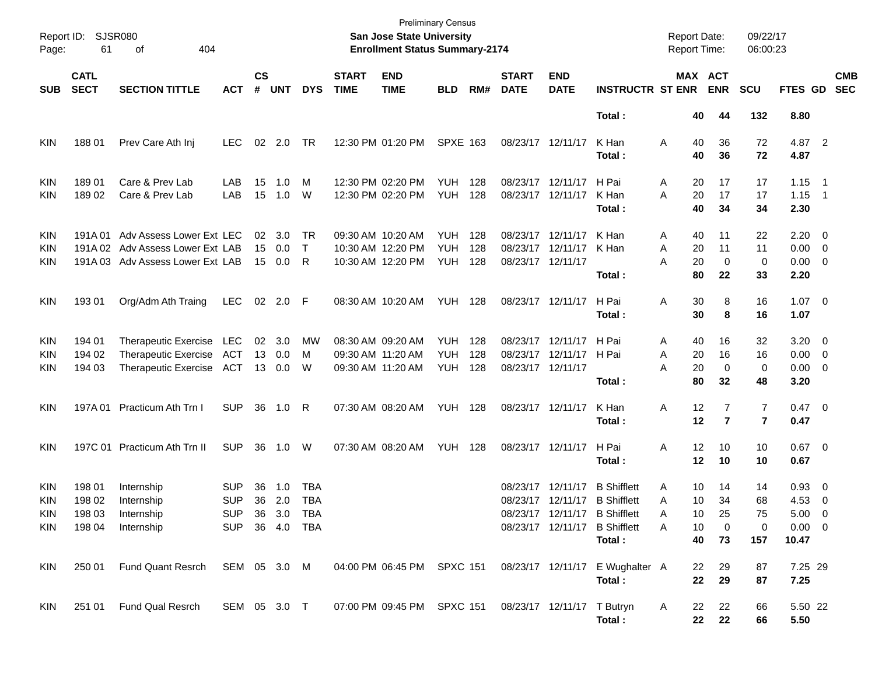| Report ID:<br>Page:                           | <b>SJSR080</b><br>61                 |                                                                                                  |                                                              |                    |                       |                          | San Jose State University<br><b>Enrollment Status Summary-2174</b> | <b>Preliminary Census</b>                                   |                                  |                   |                                        |                            | <b>Report Date:</b><br><b>Report Time:</b>                                                                                      |                                                | 09/22/17<br>06:00:23                |                                           |                                                         |                                 |                          |
|-----------------------------------------------|--------------------------------------|--------------------------------------------------------------------------------------------------|--------------------------------------------------------------|--------------------|-----------------------|--------------------------|--------------------------------------------------------------------|-------------------------------------------------------------|----------------------------------|-------------------|----------------------------------------|----------------------------|---------------------------------------------------------------------------------------------------------------------------------|------------------------------------------------|-------------------------------------|-------------------------------------------|---------------------------------------------------------|---------------------------------|--------------------------|
| <b>SUB</b>                                    | <b>CATL</b><br><b>SECT</b>           | <b>SECTION TITTLE</b>                                                                            | <b>ACT</b>                                                   | $\mathsf{cs}$<br># | <b>UNT</b>            | <b>DYS</b>               | <b>START</b><br><b>TIME</b>                                        | <b>END</b><br><b>TIME</b>                                   | <b>BLD</b>                       | RM#               | <b>START</b><br><b>DATE</b>            | <b>END</b><br><b>DATE</b>  | <b>INSTRUCTR ST ENR</b>                                                                                                         |                                                | MAX ACT<br><b>ENR</b>               | <b>SCU</b>                                | FTES GD                                                 |                                 | <b>CMB</b><br><b>SEC</b> |
|                                               |                                      |                                                                                                  |                                                              |                    |                       |                          |                                                                    |                                                             |                                  |                   |                                        |                            | Total:                                                                                                                          | 40                                             | 44                                  | 132                                       | 8.80                                                    |                                 |                          |
| <b>KIN</b>                                    | 18801                                | Prev Care Ath Inj                                                                                | LEC.                                                         | 02                 | 2.0                   | TR                       |                                                                    | 12:30 PM 01:20 PM                                           | <b>SPXE 163</b>                  |                   | 08/23/17 12/11/17                      |                            | K Han<br>Total:                                                                                                                 | Α<br>40<br>40                                  | 36<br>36                            | 72<br>72                                  | 4.87 2<br>4.87                                          |                                 |                          |
| <b>KIN</b><br><b>KIN</b>                      | 189 01<br>18902                      | Care & Prev Lab<br>Care & Prev Lab                                                               | LAB<br>LAB                                                   | 15<br>15           | 1.0<br>1.0            | м<br>W                   |                                                                    | 12:30 PM 02:20 PM<br>12:30 PM 02:20 PM                      | YUH.<br><b>YUH</b>               | 128<br>128        | 08/23/17 12/11/17                      | 08/23/17 12/11/17          | H Pai<br>K Han<br>Total:                                                                                                        | 20<br>A<br>A<br>20<br>40                       | 17<br>17<br>34                      | 17<br>17<br>34                            | 1.15<br>1.15<br>2.30                                    | - 1<br>$\overline{\phantom{1}}$ |                          |
| <b>KIN</b><br><b>KIN</b><br>KIN               | 191A 01                              | Adv Assess Lower Ext LEC<br>191A 02 Adv Assess Lower Ext LAB<br>191A 03 Adv Assess Lower Ext LAB |                                                              | 02<br>15<br>15     | 3.0<br>0.0<br>$0.0\,$ | TR<br>$\mathsf{T}$<br>R  |                                                                    | 09:30 AM 10:20 AM<br>10:30 AM 12:20 PM<br>10:30 AM 12:20 PM | YUH.<br><b>YUH</b><br><b>YUH</b> | 128<br>128<br>128 | 08/23/17 12/11/17<br>08/23/17 12/11/17 | 08/23/17 12/11/17          | K Han<br>K Han<br>Total:                                                                                                        | 40<br>A<br>A<br>20<br>A<br>20<br>80            | 11<br>11<br>$\mathbf 0$<br>22       | 22<br>11<br>0<br>33                       | $2.20 \t 0$<br>$0.00 \t 0$<br>$0.00 \t 0$<br>2.20       |                                 |                          |
| <b>KIN</b>                                    | 193 01                               | Org/Adm Ath Traing                                                                               | LEC                                                          |                    | 02 2.0 F              |                          |                                                                    | 08:30 AM 10:20 AM                                           | YUH                              | 128               | 08/23/17 12/11/17                      |                            | H Pai<br>Total:                                                                                                                 | Α<br>30<br>30                                  | 8<br>8                              | 16<br>16                                  | $1.07 \t 0$<br>1.07                                     |                                 |                          |
| <b>KIN</b><br><b>KIN</b><br>KIN               | 194 01<br>194 02<br>194 03           | Therapeutic Exercise LEC<br>Therapeutic Exercise ACT<br>Therapeutic Exercise ACT                 |                                                              | 02<br>13<br>13     | 3.0<br>0.0<br>0.0     | <b>MW</b><br>м<br>W      | 09:30 AM 11:20 AM                                                  | 08:30 AM 09:20 AM<br>09:30 AM 11:20 AM                      | YUH.<br><b>YUH</b><br><b>YUH</b> | 128<br>128<br>128 | 08/23/17 12/11/17<br>08/23/17 12/11/17 | 08/23/17 12/11/17          | H Pai<br>H Pai<br>Total:                                                                                                        | 40<br>A<br>20<br>Α<br>A<br>20<br>80            | 16<br>16<br>$\mathbf 0$<br>32       | 32<br>16<br>0<br>48                       | $3.20 \ 0$<br>$0.00 \t 0$<br>$0.00 \t 0$<br>3.20        |                                 |                          |
| <b>KIN</b>                                    |                                      | 197A 01 Practicum Ath Trn I                                                                      | <b>SUP</b>                                                   | 36                 | 1.0                   | R                        |                                                                    | 07:30 AM 08:20 AM                                           | YUH                              | 128               | 08/23/17 12/11/17                      |                            | K Han<br>Total:                                                                                                                 | 12<br>Α<br>12                                  | $\overline{7}$<br>$\overline{7}$    | $\overline{7}$<br>$\overline{\mathbf{r}}$ | $0.47 \quad 0$<br>0.47                                  |                                 |                          |
| KIN                                           |                                      | 197C 01 Practicum Ath Trn II                                                                     | <b>SUP</b>                                                   | 36                 | 1.0                   | W                        |                                                                    | 07:30 AM 08:20 AM                                           | YUH                              | 128               | 08/23/17 12/11/17                      |                            | H Pai<br>Total:                                                                                                                 | 12<br>A<br>12                                  | 10<br>10                            | 10<br>10                                  | $0.67$ 0<br>0.67                                        |                                 |                          |
| <b>KIN</b><br><b>KIN</b><br>KIN<br><b>KIN</b> | 198 01<br>198 02<br>198 03<br>198 04 | Internship<br>Internship<br>Internship<br>Internship                                             | <b>SUP</b><br><b>SUP</b><br>SUP 36 3.0 TBA<br>SUP 36 4.0 TBA | 36<br>36           | 1.0<br>2.0            | <b>TBA</b><br><b>TBA</b> |                                                                    |                                                             |                                  |                   | 08/23/17                               | 12/11/17                   | <b>B</b> Shifflett<br>08/23/17 12/11/17 B Shifflett<br>08/23/17 12/11/17 B Shifflett<br>08/23/17 12/11/17 B Shifflett<br>Total: | 10<br>Α<br>10<br>Α<br>10<br>A<br>10<br>A<br>40 | 14<br>34<br>25<br>$\mathbf 0$<br>73 | 14<br>68<br>75<br>0<br>157                | $0.93$ 0<br>4.53<br>$5.00 \t 0$<br>$0.00 \t 0$<br>10.47 | $\overline{\phantom{0}}$        |                          |
| KIN                                           | 250 01                               | Fund Quant Resrch                                                                                | SEM 05 3.0 M                                                 |                    |                       |                          |                                                                    | 04:00 PM 06:45 PM SPXC 151                                  |                                  |                   |                                        |                            | 08/23/17 12/11/17 E Wughalter A<br>Total:                                                                                       | 22<br>22                                       | 29<br>29                            | 87<br>87                                  | 7.25 29<br>7.25                                         |                                 |                          |
| <b>KIN</b>                                    | 251 01                               | Fund Qual Resrch                                                                                 | SEM 05 3.0 T                                                 |                    |                       |                          |                                                                    | 07:00 PM 09:45 PM SPXC 151                                  |                                  |                   |                                        | 08/23/17 12/11/17 T Butryn | Total:                                                                                                                          | 22<br>A                                        | 22<br>22<br>22                      | 66<br>66                                  | 5.50 22<br>5.50                                         |                                 |                          |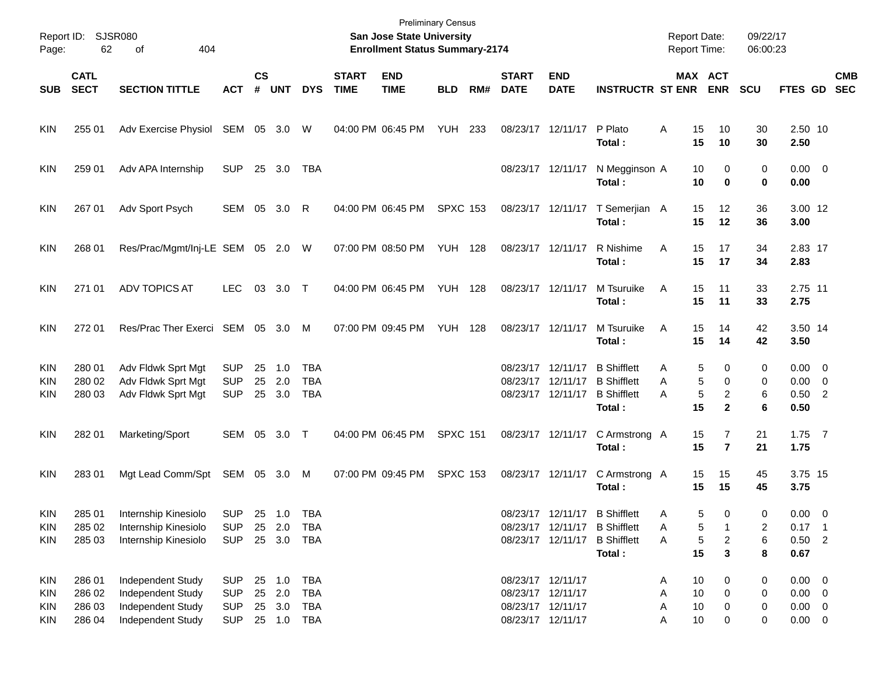| Page:                                         | Report ID: SJSR080<br>62             | 404<br>of                                                                        |                                                      |                    |                                          |                                 |                             | <b>Preliminary Census</b><br>San Jose State University<br><b>Enrollment Status Summary-2174</b> |                 |     |                                                             |                                                             |                                                                                                | <b>Report Date:</b><br><b>Report Time:</b> |                                                         | 09/22/17<br>06:00:23    |                                                          |            |
|-----------------------------------------------|--------------------------------------|----------------------------------------------------------------------------------|------------------------------------------------------|--------------------|------------------------------------------|---------------------------------|-----------------------------|-------------------------------------------------------------------------------------------------|-----------------|-----|-------------------------------------------------------------|-------------------------------------------------------------|------------------------------------------------------------------------------------------------|--------------------------------------------|---------------------------------------------------------|-------------------------|----------------------------------------------------------|------------|
| <b>SUB</b>                                    | <b>CATL</b><br><b>SECT</b>           | <b>SECTION TITTLE</b>                                                            | <b>ACT</b>                                           | $\mathsf{cs}$<br># | <b>UNT</b>                               | <b>DYS</b>                      | <b>START</b><br><b>TIME</b> | <b>END</b><br><b>TIME</b>                                                                       | <b>BLD</b>      | RM# | <b>START</b><br><b>DATE</b>                                 | <b>END</b><br><b>DATE</b>                                   | <b>INSTRUCTR ST ENR</b>                                                                        |                                            | MAX ACT<br><b>ENR</b>                                   | <b>SCU</b>              | FTES GD SEC                                              | <b>CMB</b> |
| <b>KIN</b>                                    | 255 01                               | Adv Exercise Physiol                                                             | SEM 05 3.0 W                                         |                    |                                          |                                 | 04:00 PM 06:45 PM           |                                                                                                 | <b>YUH 233</b>  |     |                                                             | 08/23/17 12/11/17                                           | P Plato<br>Total:                                                                              | 15<br>Α<br>15                              | 10<br>10                                                | 30<br>30                | 2.50 10<br>2.50                                          |            |
| <b>KIN</b>                                    | 259 01                               | Adv APA Internship                                                               | <b>SUP</b>                                           |                    | 25 3.0                                   | TBA                             |                             |                                                                                                 |                 |     |                                                             | 08/23/17 12/11/17                                           | N Megginson A<br>Total:                                                                        | 10<br>10                                   | 0<br>0                                                  | 0<br>0                  | $0.00 \t 0$<br>0.00                                      |            |
| <b>KIN</b>                                    | 267 01                               | Adv Sport Psych                                                                  | SEM                                                  | 05                 | 3.0                                      | R                               |                             | 04:00 PM 06:45 PM                                                                               | <b>SPXC 153</b> |     |                                                             | 08/23/17 12/11/17                                           | T Semerjian A<br>Total:                                                                        | 15<br>15                                   | 12<br>12                                                | 36<br>36                | 3.00 12<br>3.00                                          |            |
| <b>KIN</b>                                    | 268 01                               | Res/Prac/Mgmt/Inj-LE SEM 05 2.0 W                                                |                                                      |                    |                                          |                                 |                             | 07:00 PM 08:50 PM                                                                               | <b>YUH 128</b>  |     | 08/23/17 12/11/17                                           |                                                             | R Nishime<br>Total:                                                                            | Α<br>15<br>15                              | 17<br>17                                                | 34<br>34                | 2.83 17<br>2.83                                          |            |
| <b>KIN</b>                                    | 271 01                               | <b>ADV TOPICS AT</b>                                                             | LEC.                                                 | 03                 | $3.0$ T                                  |                                 |                             | 04:00 PM 06:45 PM                                                                               | <b>YUH 128</b>  |     | 08/23/17 12/11/17                                           |                                                             | M Tsuruike<br>Total:                                                                           | Α<br>15<br>15                              | 11<br>11                                                | 33<br>33                | 2.75 11<br>2.75                                          |            |
| <b>KIN</b>                                    | 272 01                               | Res/Prac Ther Exerci SEM 05 3.0                                                  |                                                      |                    |                                          | M                               | 07:00 PM 09:45 PM           |                                                                                                 | <b>YUH 128</b>  |     | 08/23/17 12/11/17                                           |                                                             | M Tsuruike<br>Total:                                                                           | Α<br>15<br>15                              | 14<br>14                                                | 42<br>42                | 3.50 14<br>3.50                                          |            |
| KIN<br>KIN<br><b>KIN</b>                      | 280 01<br>280 02<br>280 03           | Adv Fldwk Sprt Mgt<br>Adv Fldwk Sprt Mgt<br>Adv Fldwk Sprt Mgt                   | <b>SUP</b><br><b>SUP</b><br><b>SUP</b>               | 25                 | 1.0<br>25 2.0<br>25 3.0                  | TBA<br><b>TBA</b><br><b>TBA</b> |                             |                                                                                                 |                 |     |                                                             | 08/23/17 12/11/17<br>08/23/17 12/11/17<br>08/23/17 12/11/17 | <b>B</b> Shifflett<br><b>B</b> Shifflett<br><b>B</b> Shifflett<br>Total:                       | Α<br>A<br>A<br>15                          | 0<br>5<br>5<br>0<br>5<br>$\overline{c}$<br>$\mathbf{2}$ | 0<br>0<br>6<br>6        | $0.00 \t 0$<br>$0.00 \t 0$<br>$0.50$ 2<br>0.50           |            |
| <b>KIN</b>                                    | 282 01                               | Marketing/Sport                                                                  | SEM 05                                               |                    | $3.0$ T                                  |                                 |                             | 04:00 PM 06:45 PM                                                                               | <b>SPXC 151</b> |     |                                                             |                                                             | 08/23/17 12/11/17 C Armstrong A<br>Total:                                                      | 15<br>15                                   | 7<br>$\overline{7}$                                     | 21<br>21                | $1.75$ 7<br>1.75                                         |            |
| <b>KIN</b>                                    | 283 01                               | Mgt Lead Comm/Spt                                                                | SEM 05 3.0 M                                         |                    |                                          |                                 |                             | 07:00 PM 09:45 PM                                                                               | <b>SPXC 153</b> |     |                                                             | 08/23/17 12/11/17                                           | C Armstrong A<br>Total:                                                                        | 15<br>15                                   | 15<br>15                                                | 45<br>45                | 3.75 15<br>3.75                                          |            |
| <b>KIN</b><br><b>KIN</b><br><b>KIN</b>        | 285 01<br>285 02<br>285 03           | Internship Kinesiolo<br>Internship Kinesiolo<br>Internship Kinesiolo             | SUP 25 1.0 TBA<br><b>SUP</b><br><b>SUP</b>           |                    | 25 2.0<br>25 3.0                         | TBA<br>TBA                      |                             |                                                                                                 |                 |     |                                                             | 08/23/17 12/11/17                                           | 08/23/17 12/11/17 B Shifflett<br>08/23/17 12/11/17 B Shifflett<br><b>B</b> Shifflett<br>Total: | A<br>Α<br>Α<br>15                          | 5<br>0<br>5<br>5<br>2<br>3                              | $\Omega$<br>2<br>6<br>8 | $0.00 \quad 0$<br>$0.17$ 1<br>$0.50$ 2<br>0.67           |            |
| KIN<br><b>KIN</b><br><b>KIN</b><br><b>KIN</b> | 286 01<br>286 02<br>286 03<br>286 04 | Independent Study<br>Independent Study<br>Independent Study<br>Independent Study | <b>SUP</b><br><b>SUP</b><br><b>SUP</b><br><b>SUP</b> |                    | 25 1.0<br>25 2.0<br>25 3.0<br>25 1.0 TBA | TBA<br><b>TBA</b><br>TBA        |                             |                                                                                                 |                 |     | 08/23/17 12/11/17<br>08/23/17 12/11/17<br>08/23/17 12/11/17 | 08/23/17 12/11/17                                           |                                                                                                | 10<br>Α<br>10<br>Α<br>10<br>Α<br>10<br>Α   | 0<br>0<br>0<br>0                                        | 0<br>0<br>0<br>0        | $0.00 \t 0$<br>$0.00 \t 0$<br>$0.00 \t 0$<br>$0.00 \t 0$ |            |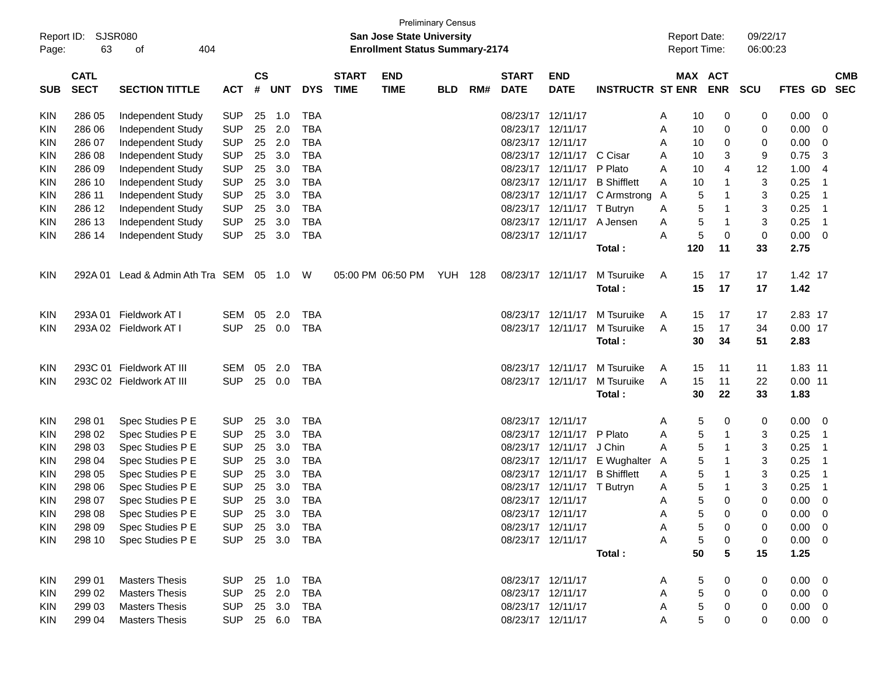|                     |                            | <b>SJSR080</b>                  |            |                    |            |            |                             |                                                                    | <b>Preliminary Census</b> |     |                             |                            |                         |                                            |            |                       | 09/22/17   |                 |                         |                          |
|---------------------|----------------------------|---------------------------------|------------|--------------------|------------|------------|-----------------------------|--------------------------------------------------------------------|---------------------------|-----|-----------------------------|----------------------------|-------------------------|--------------------------------------------|------------|-----------------------|------------|-----------------|-------------------------|--------------------------|
| Report ID:<br>Page: | 63                         | 404<br>оf                       |            |                    |            |            |                             | San Jose State University<br><b>Enrollment Status Summary-2174</b> |                           |     |                             |                            |                         | <b>Report Date:</b><br><b>Report Time:</b> |            |                       | 06:00:23   |                 |                         |                          |
| <b>SUB</b>          | <b>CATL</b><br><b>SECT</b> | <b>SECTION TITTLE</b>           | <b>ACT</b> | $\mathsf{cs}$<br># | <b>UNT</b> | <b>DYS</b> | <b>START</b><br><b>TIME</b> | <b>END</b><br><b>TIME</b>                                          | <b>BLD</b>                | RM# | <b>START</b><br><b>DATE</b> | <b>END</b><br><b>DATE</b>  | <b>INSTRUCTR ST ENR</b> |                                            |            | MAX ACT<br><b>ENR</b> | <b>SCU</b> | FTES GD         |                         | <b>CMB</b><br><b>SEC</b> |
| <b>KIN</b>          | 286 05                     | Independent Study               | <b>SUP</b> | 25                 | 1.0        | <b>TBA</b> |                             |                                                                    |                           |     |                             | 08/23/17 12/11/17          |                         | A                                          | 10         | 0                     | 0          | 0.00            | 0                       |                          |
| KIN                 | 286 06                     | Independent Study               | <b>SUP</b> | 25                 | 2.0        | <b>TBA</b> |                             |                                                                    |                           |     |                             | 08/23/17 12/11/17          |                         | A                                          | 10         | 0                     | 0          | 0.00            | 0                       |                          |
| <b>KIN</b>          | 286 07                     | Independent Study               | <b>SUP</b> | 25                 | 2.0        | <b>TBA</b> |                             |                                                                    |                           |     |                             | 08/23/17 12/11/17          |                         | A                                          | 10         | 0                     | 0          | 0.00            | 0                       |                          |
| <b>KIN</b>          | 286 08                     | Independent Study               | <b>SUP</b> | 25                 | 3.0        | <b>TBA</b> |                             |                                                                    |                           |     | 08/23/17                    | 12/11/17                   | C Cisar                 | A                                          | 10         | 3                     | 9          | 0.75            | 3                       |                          |
| <b>KIN</b>          | 286 09                     | Independent Study               | <b>SUP</b> | 25                 | 3.0        | <b>TBA</b> |                             |                                                                    |                           |     | 08/23/17                    | 12/11/17 P Plato           |                         | A                                          | 10         | 4                     | 12         | 1.00            | $\overline{4}$          |                          |
| <b>KIN</b>          | 286 10                     | Independent Study               | <b>SUP</b> | 25                 | 3.0        | <b>TBA</b> |                             |                                                                    |                           |     |                             | 08/23/17 12/11/17          | <b>B</b> Shifflett      | A                                          | 10         | $\mathbf{1}$          | 3          | 0.25            | -1                      |                          |
| <b>KIN</b>          | 286 11                     | Independent Study               | <b>SUP</b> | 25                 | 3.0        | <b>TBA</b> |                             |                                                                    |                           |     |                             | 08/23/17 12/11/17          | C Armstrong             | A                                          | 5          | 1                     | 3          | 0.25            | -1                      |                          |
| <b>KIN</b>          | 286 12                     | Independent Study               | <b>SUP</b> | 25                 | 3.0        | <b>TBA</b> |                             |                                                                    |                           |     |                             | 08/23/17 12/11/17          | T Butryn                | A                                          | 5          | 1                     | 3          | 0.25            | -1                      |                          |
| <b>KIN</b>          | 286 13                     | Independent Study               | <b>SUP</b> | 25                 | 3.0        | <b>TBA</b> |                             |                                                                    |                           |     | 08/23/17                    | 12/11/17                   | A Jensen                | Α                                          | 5          | $\mathbf 1$           | 3          | 0.25            | -1                      |                          |
| <b>KIN</b>          | 286 14                     | Independent Study               | <b>SUP</b> | 25                 | 3.0        | <b>TBA</b> |                             |                                                                    |                           |     |                             | 08/23/17 12/11/17          |                         | A                                          | 5          | 0                     | 0          | 0.00            | 0                       |                          |
|                     |                            |                                 |            |                    |            |            |                             |                                                                    |                           |     |                             |                            | Total:                  |                                            | 120        | 11                    | 33         | 2.75            |                         |                          |
| <b>KIN</b>          | 292A 01                    | Lead & Admin Ath Tra SEM 05 1.0 |            |                    |            | W          |                             | 05:00 PM 06:50 PM                                                  | <b>YUH 128</b>            |     |                             | 08/23/17 12/11/17          | M Tsuruike<br>Total:    | A                                          | 15<br>15   | 17<br>17              | 17<br>17   | 1.42 17<br>1.42 |                         |                          |
| <b>KIN</b>          |                            | 293A 01 Fieldwork AT I          | <b>SEM</b> | 05                 | 2.0        | <b>TBA</b> |                             |                                                                    |                           |     |                             | 08/23/17 12/11/17          | M Tsuruike              | A                                          | 15         | 17                    | 17         | 2.83 17         |                         |                          |
| KIN                 |                            | 293A 02 Fieldwork AT I          | <b>SUP</b> | 25                 | 0.0        | TBA        |                             |                                                                    |                           |     |                             | 08/23/17 12/11/17          | M Tsuruike              | A                                          | 15         | 17                    | 34         | $0.00$ 17       |                         |                          |
|                     |                            |                                 |            |                    |            |            |                             |                                                                    |                           |     |                             |                            | Total:                  |                                            | 30         | 34                    | 51         | 2.83            |                         |                          |
| <b>KIN</b>          |                            | 293C 01 Fieldwork AT III        | <b>SEM</b> | 05                 | 2.0        | <b>TBA</b> |                             |                                                                    |                           |     |                             | 08/23/17 12/11/17          | M Tsuruike              | A                                          | 15         | 11                    | 11         | 1.83 11         |                         |                          |
| KIN                 |                            | 293C 02 Fieldwork AT III        | <b>SUP</b> | 25                 | 0.0        | TBA        |                             |                                                                    |                           |     |                             | 08/23/17 12/11/17          | M Tsuruike              | A                                          | 15         | 11                    | 22         | $0.00$ 11       |                         |                          |
|                     |                            |                                 |            |                    |            |            |                             |                                                                    |                           |     |                             |                            | Total:                  |                                            | 30         | 22                    | 33         | 1.83            |                         |                          |
| <b>KIN</b>          | 298 01                     | Spec Studies P E                | <b>SUP</b> | 25                 | 3.0        | <b>TBA</b> |                             |                                                                    |                           |     | 08/23/17 12/11/17           |                            |                         | A                                          | 5          | 0                     | 0          | 0.00            | $\overline{0}$          |                          |
| <b>KIN</b>          | 298 02                     | Spec Studies P E                | <b>SUP</b> | 25                 | 3.0        | <b>TBA</b> |                             |                                                                    |                           |     |                             | 08/23/17 12/11/17          | P Plato                 | A                                          | 5          | 1                     | 3          | 0.25            | -1                      |                          |
| <b>KIN</b>          | 298 03                     | Spec Studies P E                | <b>SUP</b> | 25                 | 3.0        | <b>TBA</b> |                             |                                                                    |                           |     |                             | 08/23/17 12/11/17          | J Chin                  | A                                          | 5          | 1                     | 3          | 0.25            | -1                      |                          |
| <b>KIN</b>          | 298 04                     | Spec Studies P E                | <b>SUP</b> | 25                 | 3.0        | <b>TBA</b> |                             |                                                                    |                           |     |                             | 08/23/17 12/11/17          | E Wughalter             | A                                          | 5          | 1                     | 3          | 0.25            | -1                      |                          |
| <b>KIN</b>          | 298 05                     | Spec Studies P E                | <b>SUP</b> | 25                 | 3.0        | <b>TBA</b> |                             |                                                                    |                           |     |                             | 08/23/17 12/11/17          | <b>B</b> Shifflett      | A                                          | 5          | $\mathbf{1}$          | 3          | 0.25            | -1                      |                          |
| <b>KIN</b>          | 298 06                     | Spec Studies P E                | <b>SUP</b> | 25                 | 3.0        | <b>TBA</b> |                             |                                                                    |                           |     |                             | 08/23/17 12/11/17 T Butryn |                         | A                                          | 5          | $\mathbf{1}$          | 3          | 0.25            | -1                      |                          |
| KIN                 | 298 07                     | Spec Studies P E                | <b>SUP</b> | 25                 | 3.0        | <b>TBA</b> |                             |                                                                    |                           |     | 08/23/17 12/11/17           |                            |                         | A                                          | 5          | 0                     | 0          | 0.00            | 0                       |                          |
| $\textsf{KIN}$      | 298 08                     | Spec Studies P E                | SUP 25 3.0 |                    |            | <b>TBA</b> |                             |                                                                    |                           |     |                             | 08/23/17 12/11/17          |                         | Α                                          | 5          | $\mathbf 0$           | 0          | 0.00            | $\overline{\mathbf{0}}$ |                          |
| <b>KIN</b>          | 298 09                     | Spec Studies P E                | <b>SUP</b> |                    | 25 3.0     | TBA        |                             |                                                                    |                           |     |                             | 08/23/17 12/11/17          |                         | A                                          | 5          | 0                     | 0          | 0.00            | - 0                     |                          |
| <b>KIN</b>          | 298 10                     | Spec Studies P E                | <b>SUP</b> |                    | 25 3.0     | TBA        |                             |                                                                    |                           |     |                             | 08/23/17 12/11/17          |                         | Α                                          | 5          | 0                     | 0          | $0.00 \t 0$     |                         |                          |
|                     |                            |                                 |            |                    |            |            |                             |                                                                    |                           |     |                             |                            | Total:                  |                                            | 50         | 5                     | 15         | 1.25            |                         |                          |
| KIN                 | 299 01                     | <b>Masters Thesis</b>           | <b>SUP</b> |                    | 25 1.0     | <b>TBA</b> |                             |                                                                    |                           |     |                             | 08/23/17 12/11/17          |                         | A                                          | 5          | 0                     | 0          | $0.00 \t 0$     |                         |                          |
| <b>KIN</b>          | 299 02                     | <b>Masters Thesis</b>           | <b>SUP</b> |                    | 25 2.0     | <b>TBA</b> |                             |                                                                    |                           |     |                             | 08/23/17 12/11/17          |                         | Α                                          | $\sqrt{5}$ | 0                     | 0          | 0.00            | $\overline{\mathbf{0}}$ |                          |
| <b>KIN</b>          | 299 03                     | <b>Masters Thesis</b>           | <b>SUP</b> |                    | 25 3.0     | TBA        |                             |                                                                    |                           |     |                             | 08/23/17 12/11/17          |                         | Α                                          | $\sqrt{5}$ | 0                     | 0          | 0.00            | $\overline{\mathbf{0}}$ |                          |
| KIN                 | 299 04                     | <b>Masters Thesis</b>           | <b>SUP</b> |                    | 25 6.0 TBA |            |                             |                                                                    |                           |     |                             | 08/23/17 12/11/17          |                         | Α                                          | 5          | $\mathbf 0$           | 0          | $0.00 \t 0$     |                         |                          |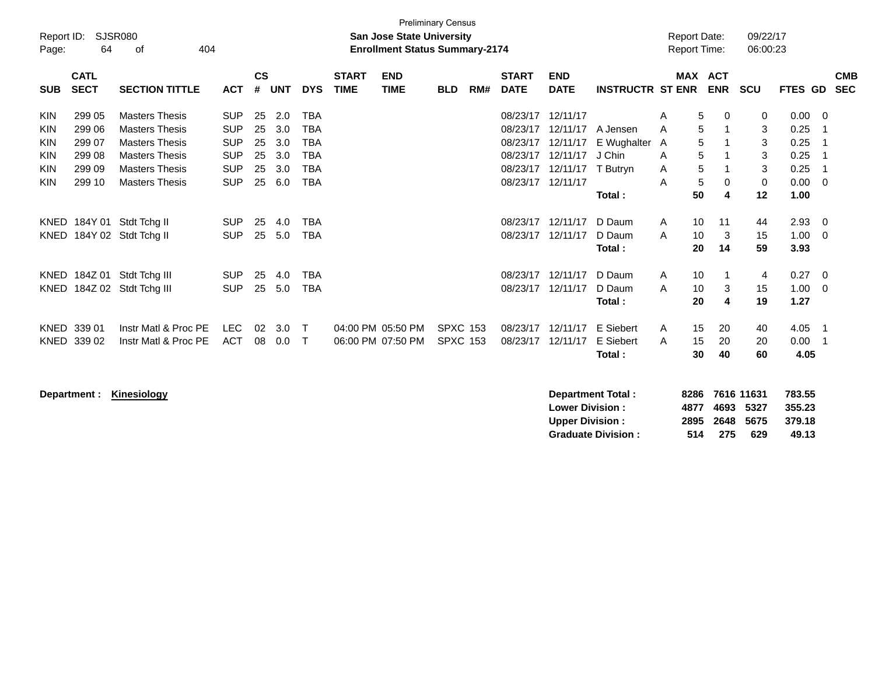| Page:                                                                                    | <b>Preliminary Census</b><br>Report ID:<br><b>SJSR080</b><br><b>San Jose State University</b><br>64<br><b>Enrollment Status Summary-2174</b><br>404<br>οf |                                                                                                                                                                            |                                                                                                |                                        |                                               |                                                                                                |                             |                                        |                                    |     |                                                                                           |                                                                      |                                                                     |                            | <b>Report Date:</b><br><b>Report Time:</b> |                             | 09/22/17<br>06:00:23                             |                                                              |                          |                          |
|------------------------------------------------------------------------------------------|-----------------------------------------------------------------------------------------------------------------------------------------------------------|----------------------------------------------------------------------------------------------------------------------------------------------------------------------------|------------------------------------------------------------------------------------------------|----------------------------------------|-----------------------------------------------|------------------------------------------------------------------------------------------------|-----------------------------|----------------------------------------|------------------------------------|-----|-------------------------------------------------------------------------------------------|----------------------------------------------------------------------|---------------------------------------------------------------------|----------------------------|--------------------------------------------|-----------------------------|--------------------------------------------------|--------------------------------------------------------------|--------------------------|--------------------------|
| <b>SUB</b>                                                                               | <b>CATL</b><br><b>SECT</b>                                                                                                                                | <b>SECTION TITTLE</b>                                                                                                                                                      | <b>ACT</b>                                                                                     | $\mathsf{cs}$<br>#                     | <b>UNT</b>                                    | <b>DYS</b>                                                                                     | <b>START</b><br><b>TIME</b> | <b>END</b><br><b>TIME</b>              | <b>BLD</b>                         | RM# | <b>START</b><br><b>DATE</b>                                                               | <b>END</b><br><b>DATE</b>                                            | <b>INSTRUCTR ST ENR</b>                                             | <b>MAX</b>                 |                                            | <b>ACT</b><br><b>ENR</b>    | <b>SCU</b>                                       | FTES GD                                                      |                          | <b>CMB</b><br><b>SEC</b> |
| <b>KIN</b><br><b>KIN</b><br><b>KIN</b><br><b>KIN</b><br><b>KIN</b><br><b>KIN</b><br>KNED | 299 05<br>299 06<br>299 07<br>299 08<br>299 09<br>299 10                                                                                                  | <b>Masters Thesis</b><br><b>Masters Thesis</b><br><b>Masters Thesis</b><br><b>Masters Thesis</b><br><b>Masters Thesis</b><br><b>Masters Thesis</b><br>184Y 01 Stdt Tchg II | <b>SUP</b><br><b>SUP</b><br><b>SUP</b><br><b>SUP</b><br><b>SUP</b><br><b>SUP</b><br><b>SUP</b> | 25<br>25<br>25<br>25<br>25<br>25<br>25 | 2.0<br>3.0<br>3.0<br>3.0<br>3.0<br>6.0<br>4.0 | <b>TBA</b><br><b>TBA</b><br><b>TBA</b><br><b>TBA</b><br><b>TBA</b><br><b>TBA</b><br><b>TBA</b> |                             |                                        |                                    |     | 08/23/17<br>08/23/17<br>08/23/17<br>08/23/17<br>08/23/17<br>08/23/17 12/11/17<br>08/23/17 | 12/11/17<br>12/11/17<br>12/11/17<br>12/11/17<br>12/11/17<br>12/11/17 | A Jensen<br>E Wughalter A<br>J Chin<br>T Butrvn<br>Total:<br>D Daum | A<br>A<br>A<br>Α<br>A<br>A | 5<br>5<br>5<br>5<br>5<br>5<br>50<br>10     | $\mathbf 0$<br>0<br>4<br>11 | 0<br>3<br>3<br>3<br>3<br>$\mathbf 0$<br>12<br>44 | 0.00<br>0.25<br>0.25<br>0.25<br>0.25<br>0.00<br>1.00<br>2.93 | 0<br>0<br>$\overline{0}$ |                          |
|                                                                                          | KNED 184Z 01                                                                                                                                              | KNED 184Y 02 Stdt Tchg II<br>Stdt Tchg III                                                                                                                                 | <b>SUP</b><br><b>SUP</b>                                                                       | 25<br>25                               | 5.0<br>4.0                                    | <b>TBA</b><br><b>TBA</b>                                                                       |                             |                                        |                                    |     | 08/23/17<br>08/23/17                                                                      | 12/11/17<br>12/11/17                                                 | D Daum<br>Total:<br>D Daum                                          | A<br>A                     | 10<br>20<br>10                             | 3<br>14                     | 15<br>59<br>4                                    | 1.00<br>3.93<br>0.27                                         | -0<br>- 0                |                          |
| <b>KNED</b>                                                                              | 184Z 02                                                                                                                                                   | Stdt Tchg III                                                                                                                                                              | <b>SUP</b>                                                                                     | 25                                     | 5.0                                           | <b>TBA</b>                                                                                     |                             |                                        |                                    |     | 08/23/17                                                                                  | 12/11/17                                                             | D Daum<br>Total:                                                    | A                          | 10<br>20                                   | 3<br>4                      | 15<br>19                                         | 1.00<br>1.27                                                 | 0                        |                          |
| KNED<br><b>KNED</b>                                                                      | 339 01<br>339 02                                                                                                                                          | Instr Matl & Proc PE<br>Instr Matl & Proc PE                                                                                                                               | <b>LEC</b><br><b>ACT</b>                                                                       | 02<br>08                               | 3.0<br>0.0                                    | $\mathsf{T}$<br>Т                                                                              |                             | 04:00 PM 05:50 PM<br>06:00 PM 07:50 PM | <b>SPXC 153</b><br><b>SPXC 153</b> |     | 08/23/17<br>08/23/17                                                                      | 12/11/17<br>12/11/17                                                 | E Siebert<br>E Siebert<br>Total:                                    | $\mathsf{A}$<br>A          | 15<br>15<br>30                             | 20<br>20<br>40              | 40<br>20<br>60                                   | 4.05<br>0.00<br>4.05                                         | -1                       |                          |

**Department : Kinesiology Department Total : 8286 7616 11631 783.55**

| <b>Department Total:</b>  |      | 8286 7616 11631 |      | 783.55 |
|---------------------------|------|-----------------|------|--------|
| <b>Lower Division :</b>   | 4877 | 4693 5327       |      | 355.23 |
| <b>Upper Division :</b>   |      | 2895 2648 5675  |      | 379.18 |
| <b>Graduate Division:</b> | 514  | -275            | -629 | 49.13  |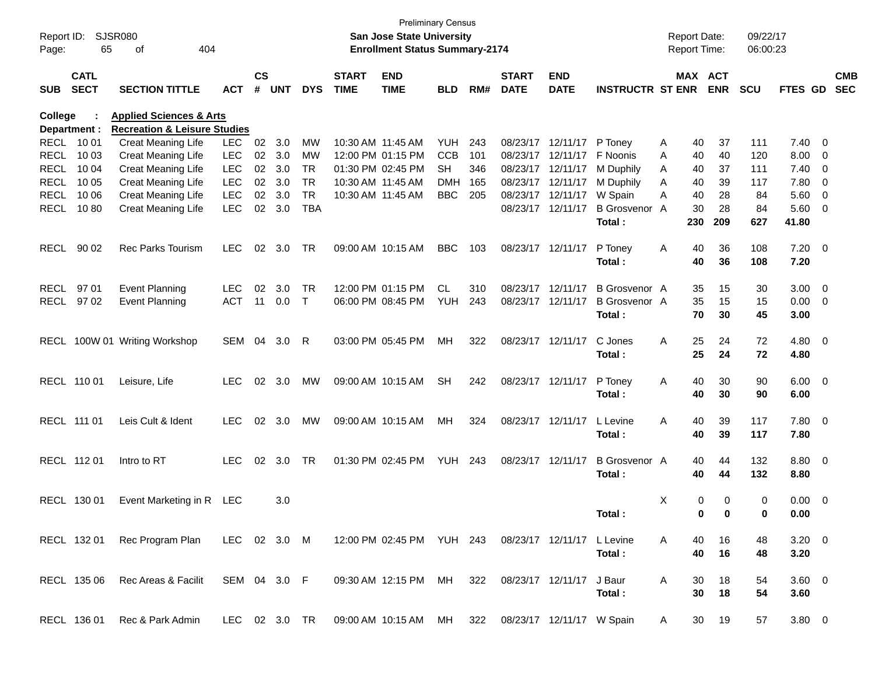| Report ID:<br>Page: | 65                         | <b>SJSR080</b><br>404<br>οf                                                   |              |                    |            |            |                             | San Jose State University<br><b>Enrollment Status Summary-2174</b> | <b>Preliminary Census</b> |     |                             |                           |                         |   | <b>Report Date:</b><br><b>Report Time:</b> |            | 09/22/17<br>06:00:23 |                |                         |            |
|---------------------|----------------------------|-------------------------------------------------------------------------------|--------------|--------------------|------------|------------|-----------------------------|--------------------------------------------------------------------|---------------------------|-----|-----------------------------|---------------------------|-------------------------|---|--------------------------------------------|------------|----------------------|----------------|-------------------------|------------|
| SUB                 | <b>CATL</b><br><b>SECT</b> | <b>SECTION TITTLE</b>                                                         | <b>ACT</b>   | $\mathsf{cs}$<br># | <b>UNT</b> | <b>DYS</b> | <b>START</b><br><b>TIME</b> | <b>END</b><br><b>TIME</b>                                          | <b>BLD</b>                | RM# | <b>START</b><br><b>DATE</b> | <b>END</b><br><b>DATE</b> | <b>INSTRUCTR ST ENR</b> |   | MAX ACT                                    | <b>ENR</b> | <b>SCU</b>           | FTES GD SEC    |                         | <b>CMB</b> |
|                     |                            |                                                                               |              |                    |            |            |                             |                                                                    |                           |     |                             |                           |                         |   |                                            |            |                      |                |                         |            |
| College             |                            | <b>Applied Sciences &amp; Arts</b><br><b>Recreation &amp; Leisure Studies</b> |              |                    |            |            |                             |                                                                    |                           |     |                             |                           |                         |   |                                            |            |                      |                |                         |            |
|                     | Department :<br>RECL 10 01 | Creat Meaning Life                                                            | <b>LEC</b>   | 02                 | 3.0        | MW         |                             | 10:30 AM 11:45 AM                                                  | YUH                       | 243 |                             | 08/23/17 12/11/17         | P Toney                 | A | 40                                         | 37         | 111                  | 7.40           | - 0                     |            |
| RECL                | 10 03                      | Creat Meaning Life                                                            | <b>LEC</b>   | 02                 | 3.0        | MW         |                             | 12:00 PM 01:15 PM                                                  | <b>CCB</b>                | 101 |                             | 08/23/17 12/11/17         | F Noonis                | A | 40                                         | 40         | 120                  | 8.00           | - 0                     |            |
| <b>RECL</b>         | 10 04                      | <b>Creat Meaning Life</b>                                                     | <b>LEC</b>   | 02                 | 3.0        | <b>TR</b>  |                             | 01:30 PM 02:45 PM                                                  | <b>SH</b>                 | 346 |                             | 08/23/17 12/11/17         | M Duphily               | A | 40                                         | 37         | 111                  | 7.40           | $\mathbf 0$             |            |
| RECL                | 10 05                      | Creat Meaning Life                                                            | <b>LEC</b>   | 02 <sub>o</sub>    | 3.0        | <b>TR</b>  |                             | 10:30 AM 11:45 AM                                                  | <b>DMH</b>                | 165 |                             | 08/23/17 12/11/17         | M Duphily               | A | 40                                         | 39         | 117                  | 7.80           | $\overline{0}$          |            |
| RECL                | 10 06                      | Creat Meaning Life                                                            | <b>LEC</b>   | 02                 | 3.0        | <b>TR</b>  |                             | 10:30 AM 11:45 AM                                                  | <b>BBC</b>                | 205 |                             | 08/23/17 12/11/17         | W Spain                 | A | 40                                         | 28         | 84                   | 5.60           | $\overline{0}$          |            |
| RECL                | 1080                       | Creat Meaning Life                                                            | <b>LEC</b>   | 02                 | 3.0        | <b>TBA</b> |                             |                                                                    |                           |     |                             | 08/23/17 12/11/17         | B Grosvenor A           |   | 30                                         | 28         | 84                   | 5.60           | $\overline{\mathbf{0}}$ |            |
|                     |                            |                                                                               |              |                    |            |            |                             |                                                                    |                           |     |                             |                           | Total:                  |   | 230                                        | 209        | 627                  | 41.80          |                         |            |
| RECL                | 90 02                      | Rec Parks Tourism                                                             | <b>LEC</b>   | 02                 | 3.0        | TR         |                             | 09:00 AM 10:15 AM                                                  | <b>BBC</b>                | 103 |                             | 08/23/17 12/11/17         | P Toney                 | A | 40                                         | 36         | 108                  | $7.20 \t 0$    |                         |            |
|                     |                            |                                                                               |              |                    |            |            |                             |                                                                    |                           |     |                             |                           | Total:                  |   | 40                                         | 36         | 108                  | 7.20           |                         |            |
| RECL                | 9701                       | <b>Event Planning</b>                                                         | <b>LEC</b>   | 02                 | 3.0        | TR         |                             | 12:00 PM 01:15 PM                                                  | <b>CL</b>                 | 310 |                             | 08/23/17 12/11/17         | <b>B</b> Grosvenor A    |   | 35                                         | 15         | 30                   | 3.00           | $\overline{\mathbf{0}}$ |            |
|                     | RECL 97 02                 | <b>Event Planning</b>                                                         | <b>ACT</b>   | 11                 | 0.0        | $\top$     |                             | 06:00 PM 08:45 PM                                                  | YUH                       | 243 |                             | 08/23/17 12/11/17         | <b>B</b> Grosvenor A    |   | 35                                         | 15         | 15                   | 0.00           | $\overline{\mathbf{0}}$ |            |
|                     |                            |                                                                               |              |                    |            |            |                             |                                                                    |                           |     |                             |                           | Total:                  |   | 70                                         | 30         | 45                   | 3.00           |                         |            |
|                     |                            | RECL 100W 01 Writing Workshop                                                 | SEM 04       |                    | 3.0        | -R         |                             | 03:00 PM 05:45 PM                                                  | МH                        | 322 |                             | 08/23/17 12/11/17         | C Jones                 | A | 25                                         | 24         | 72                   | 4.80 0         |                         |            |
|                     |                            |                                                                               |              |                    |            |            |                             |                                                                    |                           |     |                             |                           | Total:                  |   | 25                                         | 24         | 72                   | 4.80           |                         |            |
|                     | RECL 110 01                | Leisure, Life                                                                 | <b>LEC</b>   |                    | 02 3.0     | MW         |                             | 09:00 AM 10:15 AM                                                  | <b>SH</b>                 | 242 |                             | 08/23/17 12/11/17         | P Toney                 | A | 40                                         | 30         | 90                   | $6.00 \t 0$    |                         |            |
|                     |                            |                                                                               |              |                    |            |            |                             |                                                                    |                           |     |                             |                           | Total:                  |   | 40                                         | 30         | 90                   | 6.00           |                         |            |
|                     | RECL 111 01                | Leis Cult & Ident                                                             | <b>LEC</b>   |                    | 02 3.0     | MW         |                             | 09:00 AM 10:15 AM                                                  | МH                        | 324 |                             | 08/23/17 12/11/17         | L Levine                | A | 40                                         | 39         | 117                  | 7.80 0         |                         |            |
|                     |                            |                                                                               |              |                    |            |            |                             |                                                                    |                           |     |                             |                           | Total:                  |   | 40                                         | 39         | 117                  | 7.80           |                         |            |
|                     | RECL 112 01                | Intro to RT                                                                   | <b>LEC</b>   |                    | 02 3.0     | TR         |                             | 01:30 PM 02:45 PM                                                  | <b>YUH 243</b>            |     |                             | 08/23/17 12/11/17         | <b>B</b> Grosvenor A    |   | 40                                         | 44         | 132                  | 8.80 0         |                         |            |
|                     |                            |                                                                               |              |                    |            |            |                             |                                                                    |                           |     |                             |                           | Total:                  |   | 40                                         | 44         | 132                  | 8.80           |                         |            |
|                     | RECL 130 01                | Event Marketing in R LEC                                                      |              |                    | 3.0        |            |                             |                                                                    |                           |     |                             |                           |                         | Χ | 0                                          | 0          | 0                    | 0.00           | $\overline{\mathbf{0}}$ |            |
|                     |                            |                                                                               |              |                    |            |            |                             |                                                                    |                           |     |                             |                           | Total:                  |   | 0                                          | 0          | $\bf{0}$             | 0.00           |                         |            |
|                     | RECL 132 01                | Rec Program Plan LEC 02 3.0 M                                                 |              |                    |            |            |                             | 12:00 PM 02:45 PM YUH 243 08/23/17 12/11/17 L Levine               |                           |     |                             |                           |                         | A | 40                                         | 16         | 48                   | $3.20 \ 0$     |                         |            |
|                     |                            |                                                                               |              |                    |            |            |                             |                                                                    |                           |     |                             |                           | Total:                  |   | 40                                         | 16         | 48                   | 3.20           |                         |            |
|                     | RECL 135 06                | Rec Areas & Facilit                                                           | SEM 04 3.0 F |                    |            |            |                             | 09:30 AM 12:15 PM MH                                               |                           | 322 |                             | 08/23/17 12/11/17 J Baur  |                         | A | 30                                         | 18         | 54                   | $3.60 \quad 0$ |                         |            |
|                     |                            |                                                                               |              |                    |            |            |                             |                                                                    |                           |     |                             |                           | Total:                  |   | 30                                         | 18         | 54                   | 3.60           |                         |            |
|                     | RECL 136 01                | Rec & Park Admin                                                              |              |                    |            |            |                             | LEC 02 3.0 TR 09:00 AM 10:15 AM MH 322 08/23/17 12/11/17 W Spain   |                           |     |                             |                           |                         | A |                                            | 30 19      | 57                   | $3.80\ 0$      |                         |            |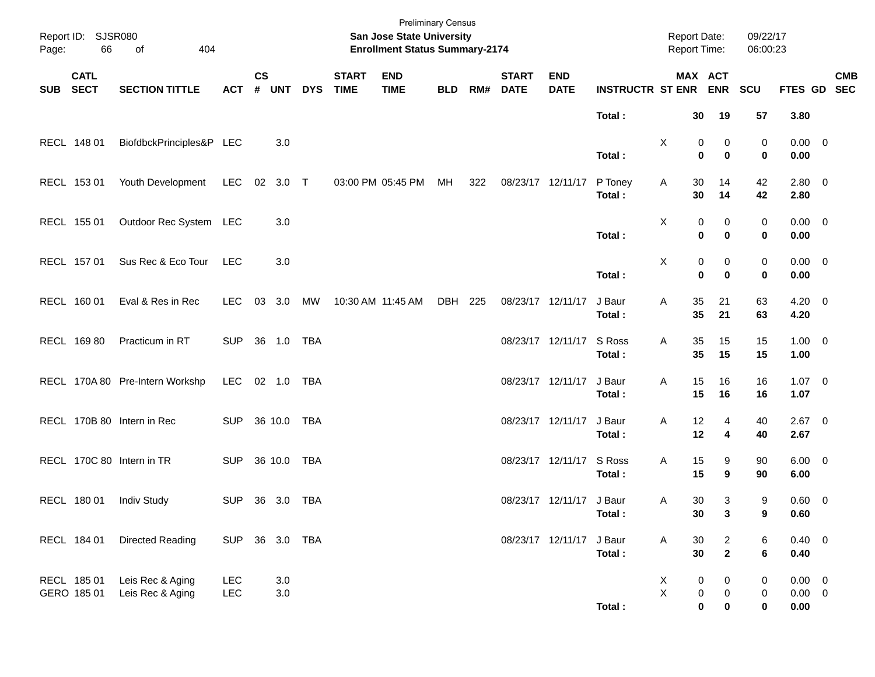| Page:      | Report ID: SJSR080<br>66   | 404<br>of                            |                   |                    |                |            |                             | <b>Preliminary Census</b><br>San Jose State University<br><b>Enrollment Status Summary-2174</b> |            |     |                             |                           |                         | <b>Report Date:</b><br>Report Time: |                                                                            | 09/22/17<br>06:00:23               |                                    |            |
|------------|----------------------------|--------------------------------------|-------------------|--------------------|----------------|------------|-----------------------------|-------------------------------------------------------------------------------------------------|------------|-----|-----------------------------|---------------------------|-------------------------|-------------------------------------|----------------------------------------------------------------------------|------------------------------------|------------------------------------|------------|
| <b>SUB</b> | <b>CATL</b><br><b>SECT</b> | <b>SECTION TITTLE</b>                | <b>ACT</b>        | $\mathsf{cs}$<br># | <b>UNT</b>     | <b>DYS</b> | <b>START</b><br><b>TIME</b> | <b>END</b><br><b>TIME</b>                                                                       | <b>BLD</b> | RM# | <b>START</b><br><b>DATE</b> | <b>END</b><br><b>DATE</b> | <b>INSTRUCTR ST ENR</b> |                                     | MAX ACT<br><b>ENR</b>                                                      | <b>SCU</b>                         | FTES GD SEC                        | <b>CMB</b> |
|            |                            |                                      |                   |                    |                |            |                             |                                                                                                 |            |     |                             |                           | Total:                  | 30                                  | 19                                                                         | 57                                 | 3.80                               |            |
|            | RECL 148 01                | BiofdbckPrinciples&P LEC             |                   |                    | 3.0            |            |                             |                                                                                                 |            |     |                             |                           | Total:                  | Χ                                   | 0<br>0<br>$\bf{0}$<br>$\mathbf 0$                                          | 0<br>$\mathbf 0$                   | $0.00 \t 0$<br>0.00                |            |
|            | RECL 153 01                | Youth Development                    | <b>LEC</b>        | 02                 | $3.0$ T        |            |                             | 03:00 PM 05:45 PM                                                                               | МH         | 322 | 08/23/17 12/11/17           |                           | P Toney<br>Total:       | 30<br>A<br>30                       | 14<br>14                                                                   | 42<br>42                           | 2.80 0<br>2.80                     |            |
|            | RECL 155 01                | Outdoor Rec System                   | LEC               |                    | 3.0            |            |                             |                                                                                                 |            |     |                             |                           | Total:                  | X                                   | 0<br>0<br>$\bf{0}$<br>$\mathbf 0$                                          | 0<br>$\bf{0}$                      | $0.00 \t 0$<br>0.00                |            |
|            | RECL 157 01                | Sus Rec & Eco Tour                   | <b>LEC</b>        |                    | 3.0            |            |                             |                                                                                                 |            |     |                             |                           | Total:                  | X                                   | $\pmb{0}$<br>0<br>$\bf{0}$<br>$\mathbf 0$                                  | 0<br>$\mathbf 0$                   | $0.00 \t 0$<br>0.00                |            |
|            | RECL 160 01                | Eval & Res in Rec                    | LEC.              | 03                 | 3.0            | МW         |                             | 10:30 AM 11:45 AM                                                                               | DBH        | 225 | 08/23/17 12/11/17           |                           | J Baur<br>Total:        | 35<br>Α<br>35                       | 21<br>21                                                                   | 63<br>63                           | $4.20 \ 0$<br>4.20                 |            |
|            | RECL 169 80                | Practicum in RT                      | <b>SUP</b>        |                    | 36 1.0         | TBA        |                             |                                                                                                 |            |     | 08/23/17 12/11/17           |                           | S Ross<br>Total:        | 35<br>Α<br>35                       | 15<br>15                                                                   | 15<br>15                           | $1.00 \t 0$<br>1.00                |            |
|            |                            | RECL 170A 80 Pre-Intern Workshp      | <b>LEC</b>        |                    | 02 1.0         | TBA        |                             |                                                                                                 |            |     | 08/23/17 12/11/17           |                           | J Baur<br>Total:        | 15<br>Α<br>15                       | 16<br>16                                                                   | 16<br>16                           | $1.07 \t 0$<br>1.07                |            |
|            |                            | RECL 170B 80 Intern in Rec           | <b>SUP</b>        |                    | 36 10.0        | TBA        |                             |                                                                                                 |            |     | 08/23/17 12/11/17           |                           | J Baur<br>Total:        | 12<br>Α<br>12                       | 4<br>4                                                                     | 40<br>40                           | $2.67$ 0<br>2.67                   |            |
|            |                            | RECL 170C 80 Intern in TR            | <b>SUP</b>        |                    | 36 10.0        | TBA        |                             |                                                                                                 |            |     | 08/23/17 12/11/17           |                           | S Ross<br>Total:        | 15<br>Α<br>15                       | 9<br>9                                                                     | 90<br>90                           | $6.00 \quad 0$<br>6.00             |            |
|            | RECL 180 01                | <b>Indiv Study</b>                   | <b>SUP</b>        |                    | 36 3.0         | <b>TBA</b> |                             |                                                                                                 |            |     |                             | 08/23/17 12/11/17         | J Baur<br>Total:        | 30<br>Α<br>30                       | 3<br>3                                                                     | 9<br>9                             | $0.60 \t 0$<br>0.60                |            |
|            | RECL 184 01                | Directed Reading                     | SUP 36 3.0 TBA    |                    |                |            |                             |                                                                                                 |            |     | 08/23/17 12/11/17           |                           | J Baur<br>Total:        | A<br>30<br>30                       | $\overline{a}$<br>$\mathbf{2}$                                             | 6<br>6                             | $0.40 \ 0$<br>0.40                 |            |
|            | RECL 185 01<br>GERO 185 01 | Leis Rec & Aging<br>Leis Rec & Aging | <b>LEC</b><br>LEC |                    | 3.0<br>$3.0\,$ |            |                             |                                                                                                 |            |     |                             |                           | Total:                  | X<br>$\pmb{\times}$                 | $\pmb{0}$<br>$\pmb{0}$<br>$\pmb{0}$<br>$\pmb{0}$<br>$\pmb{0}$<br>$\pmb{0}$ | 0<br>$\boldsymbol{0}$<br>$\pmb{0}$ | $0.00 \t 0$<br>$0.00 \t 0$<br>0.00 |            |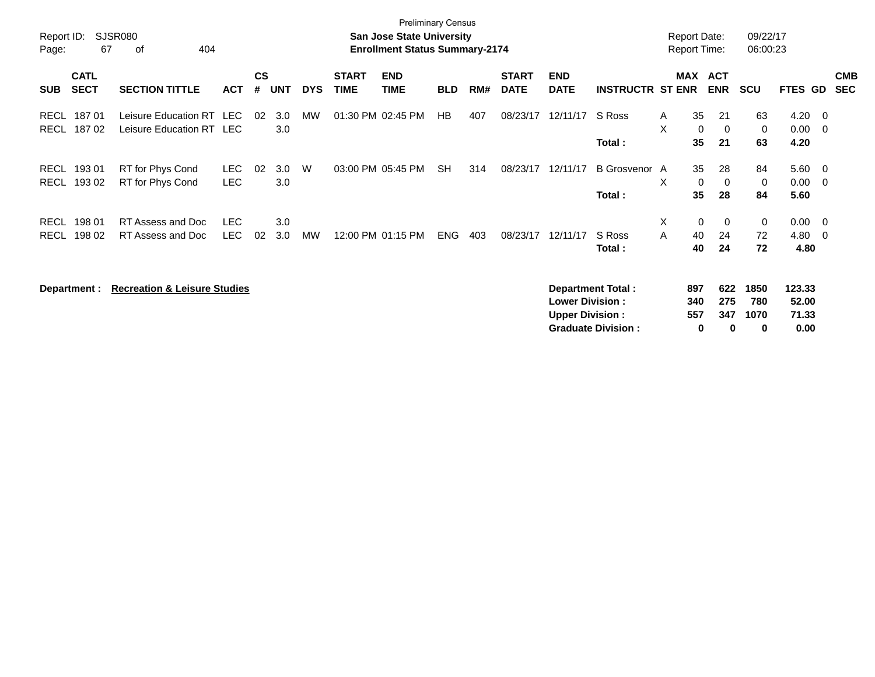| Report ID:          |                            | <b>SJSR080</b>                                       |            |                    |            |            |                             | <b>Preliminary Census</b><br><b>San Jose State University</b> |            |     |                             |                           |                           | <b>Report Date:</b> |                          |                   | 09/22/17    |                 |                          |                          |
|---------------------|----------------------------|------------------------------------------------------|------------|--------------------|------------|------------|-----------------------------|---------------------------------------------------------------|------------|-----|-----------------------------|---------------------------|---------------------------|---------------------|--------------------------|-------------------|-------------|-----------------|--------------------------|--------------------------|
| Page:               | 67                         | 404<br>οf                                            |            |                    |            |            |                             | <b>Enrollment Status Summary-2174</b>                         |            |     |                             |                           |                           | <b>Report Time:</b> |                          |                   | 06:00:23    |                 |                          |                          |
| <b>SUB</b>          | <b>CATL</b><br><b>SECT</b> | <b>SECTION TITTLE</b>                                | <b>ACT</b> | $\mathsf{cs}$<br># | <b>UNT</b> | <b>DYS</b> | <b>START</b><br><b>TIME</b> | <b>END</b><br><b>TIME</b>                                     | <b>BLD</b> | RM# | <b>START</b><br><b>DATE</b> | <b>END</b><br><b>DATE</b> | <b>INSTRUCTR ST ENR</b>   | MAX                 | <b>ACT</b><br><b>ENR</b> |                   | <b>SCU</b>  | FTES GD         |                          | <b>CMB</b><br><b>SEC</b> |
| RECL<br><b>RECL</b> | 18701<br>18702             | Leisure Education RT LEC<br>Leisure Education RT LEC |            | 02                 | 3.0<br>3.0 | <b>MW</b>  |                             | 01:30 PM 02:45 PM                                             | HB         | 407 | 08/23/17                    | 12/11/17                  | S Ross                    | A<br>X              | 35<br>$\mathbf 0$        | 21<br>$\mathbf 0$ | 63<br>0     | 4.20<br>0.00    | - 0<br>- 0               |                          |
|                     |                            |                                                      |            |                    |            |            |                             |                                                               |            |     |                             |                           | Total:                    |                     | 35                       | 21                | 63          | 4.20            |                          |                          |
| <b>RECL</b>         | 193 01                     | RT for Phys Cond                                     | <b>LEC</b> | 02                 | 3.0        | W          |                             | 03:00 PM 05:45 PM                                             | <b>SH</b>  | 314 | 08/23/17                    | 12/11/17                  | B Grosvenor A             |                     | 35                       | 28                | 84          | 5.60            | $\overline{\phantom{0}}$ |                          |
| <b>RECL</b>         | 193 02                     | RT for Phys Cond                                     | <b>LEC</b> |                    | 3.0        |            |                             |                                                               |            |     |                             |                           | Total:                    | X                   | $\mathbf 0$<br>35        | 0<br>28           | 0<br>84     | 0.00<br>5.60    | - 0                      |                          |
| <b>RECL</b>         | 198 01                     | RT Assess and Doc                                    | <b>LEC</b> |                    | 3.0        |            |                             |                                                               |            |     |                             |                           |                           | X                   | $\mathbf 0$              | 0                 | 0           | $0.00 \t 0$     |                          |                          |
| <b>RECL</b>         | 198 02                     | RT Assess and Doc                                    | LEC.       | 02                 | 3.0        | <b>MW</b>  |                             | 12:00 PM 01:15 PM                                             | ENG        | 403 | 08/23/17                    | 12/11/17                  | S Ross<br>Total:          | A                   | 40<br>40                 | 24<br>24          | 72<br>72    | 4.80<br>4.80    | - 0                      |                          |
|                     | Department :               | <b>Recreation &amp; Leisure Studies</b>              |            |                    |            |            |                             |                                                               |            |     |                             | <b>Lower Division:</b>    | <b>Department Total:</b>  | 897                 | 340                      | 622<br>275        | 1850<br>780 | 123.33<br>52.00 |                          |                          |
|                     |                            |                                                      |            |                    |            |            |                             |                                                               |            |     |                             | <b>Upper Division:</b>    | <b>Graduate Division:</b> | 557                 | 0                        | 347<br>0          | 1070<br>0   | 71.33<br>0.00   |                          |                          |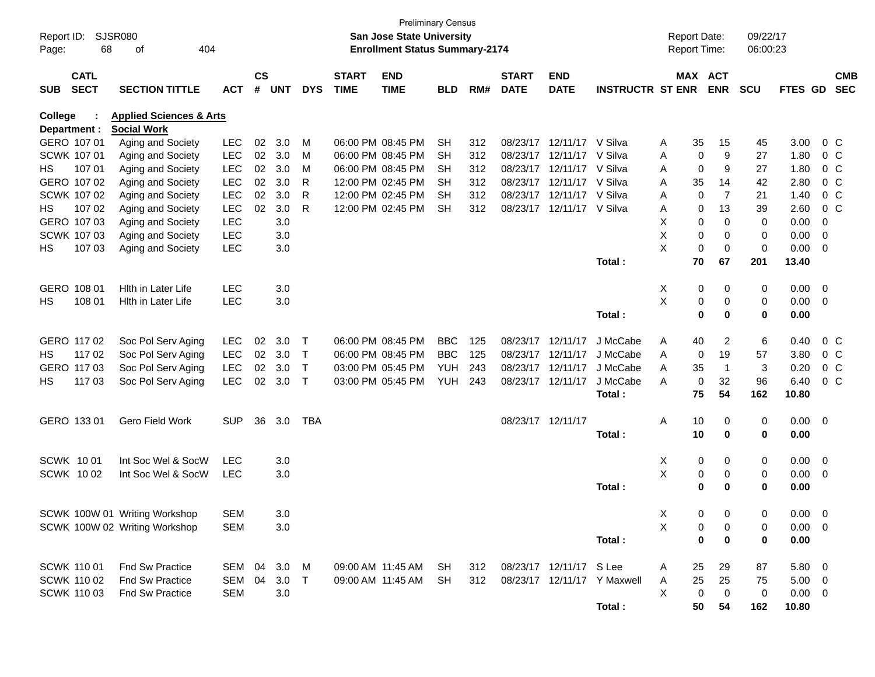| $\mathsf{cs}$<br><b>START</b><br><b>CATL</b><br><b>START</b><br><b>END</b><br><b>END</b><br><b>MAX ACT</b><br><b>CMB</b><br><b>SECT</b><br>#<br><b>TIME</b><br><b>INSTRUCTR ST ENR</b><br><b>ENR</b><br><b>SEC</b><br><b>SUB</b><br><b>SECTION TITTLE</b><br><b>ACT</b><br><b>UNT</b><br><b>DYS</b><br><b>TIME</b><br><b>BLD</b><br>RM#<br><b>DATE</b><br><b>DATE</b><br><b>SCU</b><br>FTES GD<br>College<br><b>Applied Sciences &amp; Arts</b><br>Department :<br><b>Social Work</b><br>GERO 107 01<br>LEC<br>02<br>3.0<br>06:00 PM 08:45 PM<br>312<br>08/23/17<br>12/11/17<br>V Silva<br>35<br>15<br>3.00<br>0 <sup>o</sup><br>Aging and Society<br>м<br><b>SH</b><br>А<br>45<br>LEC<br>02<br>9<br>SCWK 107 01<br>3.0<br>06:00 PM 08:45 PM<br><b>SH</b><br>312<br>08/23/17<br>12/11/17<br>V Silva<br>27<br>1.80<br>0 <sup>o</sup><br>Aging and Society<br>M<br>Α<br>0<br>LEC<br>02<br>107 01<br>3.0<br>M<br>06:00 PM 08:45 PM<br><b>SH</b><br>312<br>08/23/17<br>12/11/17<br>V Silva<br>$\mathbf 0$<br>9<br>27<br>1.80<br>0 <sup>o</sup><br>HS<br>Aging and Society<br>A<br>LEC<br>02<br>3.0<br>GERO 107 02<br>R<br>12:00 PM 02:45 PM<br><b>SH</b><br>312<br>08/23/17<br>12/11/17<br>V Silva<br>35<br>14<br>42<br>2.80<br>0 <sup>o</sup><br>Aging and Society<br>Α<br>LEC<br>02<br>3.0<br>SCWK 107 02<br>R<br>12:00 PM 02:45 PM<br><b>SH</b><br>312<br>08/23/17<br>12/11/17<br>V Silva<br>$\overline{7}$<br>21<br>1.40<br>0 <sup>o</sup><br>Aging and Society<br>0<br>A<br>LEC<br>02<br>3.0<br>R<br>HS<br>107 02<br>12:00 PM 02:45 PM<br><b>SH</b><br>312<br>08/23/17<br>12/11/17<br>V Silva<br>13<br>39<br>2.60<br>0 <sup>o</sup><br>Aging and Society<br>0<br>Α<br>Χ<br>GERO 107 03<br><b>LEC</b><br>3.0<br>0<br>$\mathbf 0$<br>0.00<br>Aging and Society<br>0<br>0<br>X<br>SCWK 107 03<br><b>LEC</b><br>0<br>0.00<br>Aging and Society<br>3.0<br>0<br>0<br>0<br>X<br>107 03<br>LEC<br>3.0<br>0<br>0<br>0<br>0.00<br>HS<br>Aging and Society<br>$\overline{\mathbf{0}}$<br>67<br>Total:<br>70<br>201<br>13.40<br>GERO 108 01<br>Hith in Later Life<br><b>LEC</b><br>3.0<br>Х<br>0.00<br>0<br>0<br>0<br>$\overline{\mathbf{0}}$<br>X<br>108 01<br><b>LEC</b><br>3.0<br>0<br>0<br>0.00<br>HS<br><b>Hith in Later Life</b><br>0<br>$\overline{\mathbf{0}}$<br>Total:<br>$\mathbf 0$<br>0<br>$\mathbf 0$<br>0.00<br>3.0<br>GERO 117 02<br>LEC<br>02<br>06:00 PM 08:45 PM<br><b>BBC</b><br>125<br>08/23/17<br>12/11/17<br>J McCabe<br>2<br>6<br>0.40<br>0 <sup>o</sup><br>Soc Pol Serv Aging<br>$\top$<br>Α<br>40<br>LEC<br>02<br><b>BBC</b><br>HS<br>117 02<br>Soc Pol Serv Aging<br>3.0<br>06:00 PM 08:45 PM<br>125<br>08/23/17<br>12/11/17<br>J McCabe<br>19<br>57<br>3.80<br>0 <sup>o</sup><br>Т<br>Α<br>0<br>02<br>GERO 117 03<br>Soc Pol Serv Aging<br>LEC<br>3.0<br>03:00 PM 05:45 PM<br><b>YUH</b><br>243<br>08/23/17<br>12/11/17<br>J McCabe<br>35<br>3<br>0.20<br>$0\,C$<br>Т<br>A<br>$\mathbf 1$<br>3.0<br>32<br>117 03<br>Soc Pol Serv Aging<br><b>LEC</b><br>02<br>$\top$<br>03:00 PM 05:45 PM<br>YUH<br>243<br>08/23/17 12/11/17<br>J McCabe<br>0<br>96<br>6.40<br>0 <sup>o</sup><br>HS<br>A<br>75<br>54<br>Total:<br>162<br>10.80<br>GERO 133 01<br>Gero Field Work<br><b>SUP</b><br>36<br>3.0<br><b>TBA</b><br>08/23/17 12/11/17<br>Α<br>10<br>0<br>0.00<br>$\overline{\phantom{0}}$<br>0<br>10<br>$\mathbf 0$<br>0<br>0.00<br>Total:<br><b>SCWK 1001</b><br>Int Soc Wel & SocW<br><b>LEC</b><br>3.0<br>Х<br>0<br>0.00<br>0<br>0<br>$\overline{\mathbf{0}}$<br>X<br><b>SCWK 1002</b><br>Int Soc Wel & SocW<br><b>LEC</b><br>3.0<br>0.00<br>0<br>0<br>0<br>$\overline{\phantom{0}}$<br>$\mathbf 0$<br>0<br>0<br>0.00<br>Total:<br><b>SEM</b><br>SCWK 100W 01 Writing Workshop<br>3.0<br>X<br>$0.00 \t 0$<br>$\mathbf{0}$<br>0<br>0<br>X<br>SCWK 100W 02 Writing Workshop<br><b>SEM</b><br>3.0<br>$0.00 \t 0$<br>0<br>0<br>0<br>Total:<br>0<br>$\mathbf 0$<br>0<br>0.00<br>SCWK 110 01<br>Fnd Sw Practice<br>3.0<br>M<br>09:00 AM 11:45 AM<br>08/23/17 12/11/17 S Lee<br>$5.80\ 0$<br>SEM 04<br>SH<br>312<br>29<br>A<br>25<br>87<br><b>SCWK 110 02</b><br><b>Fnd Sw Practice</b><br>SEM<br>04<br>3.0<br>09:00 AM 11:45 AM<br><b>SH</b><br>312<br>08/23/17 12/11/17 Y Maxwell<br>25<br>25<br>75<br>$5.00 \t 0$<br>$\top$<br>A<br>X<br><b>SCWK 11003</b><br><b>Fnd Sw Practice</b><br><b>SEM</b><br>3.0<br>0<br>0<br>$0.00 \t 0$<br>0<br>Total:<br>50<br>54<br>162<br>10.80 | Report ID:<br>Page: | 68 | SJSR080<br>404<br>οf |  |  | <b>Preliminary Census</b><br><b>San Jose State University</b><br><b>Enrollment Status Summary-2174</b> |  |  |  | Report Date:<br>Report Time: | 09/22/17<br>06:00:23 |  |  |
|----------------------------------------------------------------------------------------------------------------------------------------------------------------------------------------------------------------------------------------------------------------------------------------------------------------------------------------------------------------------------------------------------------------------------------------------------------------------------------------------------------------------------------------------------------------------------------------------------------------------------------------------------------------------------------------------------------------------------------------------------------------------------------------------------------------------------------------------------------------------------------------------------------------------------------------------------------------------------------------------------------------------------------------------------------------------------------------------------------------------------------------------------------------------------------------------------------------------------------------------------------------------------------------------------------------------------------------------------------------------------------------------------------------------------------------------------------------------------------------------------------------------------------------------------------------------------------------------------------------------------------------------------------------------------------------------------------------------------------------------------------------------------------------------------------------------------------------------------------------------------------------------------------------------------------------------------------------------------------------------------------------------------------------------------------------------------------------------------------------------------------------------------------------------------------------------------------------------------------------------------------------------------------------------------------------------------------------------------------------------------------------------------------------------------------------------------------------------------------------------------------------------------------------------------------------------------------------------------------------------------------------------------------------------------------------------------------------------------------------------------------------------------------------------------------------------------------------------------------------------------------------------------------------------------------------------------------------------------------------------------------------------------------------------------------------------------------------------------------------------------------------------------------------------------------------------------------------------------------------------------------------------------------------------------------------------------------------------------------------------------------------------------------------------------------------------------------------------------------------------------------------------------------------------------------------------------------------------------------------------------------------------------------------------------------------------------------------------------------------------------------------------------------------------------------------------------------------------------------------------------------------------------------------------------------------------------------------------------------------------------------------------------------------------------------------------------------------------------------------------------------------------------------------------------------------------------------------------------------------------------------------------------------------------------------------------------------------------------------------------------------------|---------------------|----|----------------------|--|--|--------------------------------------------------------------------------------------------------------|--|--|--|------------------------------|----------------------|--|--|
|                                                                                                                                                                                                                                                                                                                                                                                                                                                                                                                                                                                                                                                                                                                                                                                                                                                                                                                                                                                                                                                                                                                                                                                                                                                                                                                                                                                                                                                                                                                                                                                                                                                                                                                                                                                                                                                                                                                                                                                                                                                                                                                                                                                                                                                                                                                                                                                                                                                                                                                                                                                                                                                                                                                                                                                                                                                                                                                                                                                                                                                                                                                                                                                                                                                                                                                                                                                                                                                                                                                                                                                                                                                                                                                                                                                                                                                                                                                                                                                                                                                                                                                                                                                                                                                                                                                                                                                        |                     |    |                      |  |  |                                                                                                        |  |  |  |                              |                      |  |  |
|                                                                                                                                                                                                                                                                                                                                                                                                                                                                                                                                                                                                                                                                                                                                                                                                                                                                                                                                                                                                                                                                                                                                                                                                                                                                                                                                                                                                                                                                                                                                                                                                                                                                                                                                                                                                                                                                                                                                                                                                                                                                                                                                                                                                                                                                                                                                                                                                                                                                                                                                                                                                                                                                                                                                                                                                                                                                                                                                                                                                                                                                                                                                                                                                                                                                                                                                                                                                                                                                                                                                                                                                                                                                                                                                                                                                                                                                                                                                                                                                                                                                                                                                                                                                                                                                                                                                                                                        |                     |    |                      |  |  |                                                                                                        |  |  |  |                              |                      |  |  |
|                                                                                                                                                                                                                                                                                                                                                                                                                                                                                                                                                                                                                                                                                                                                                                                                                                                                                                                                                                                                                                                                                                                                                                                                                                                                                                                                                                                                                                                                                                                                                                                                                                                                                                                                                                                                                                                                                                                                                                                                                                                                                                                                                                                                                                                                                                                                                                                                                                                                                                                                                                                                                                                                                                                                                                                                                                                                                                                                                                                                                                                                                                                                                                                                                                                                                                                                                                                                                                                                                                                                                                                                                                                                                                                                                                                                                                                                                                                                                                                                                                                                                                                                                                                                                                                                                                                                                                                        |                     |    |                      |  |  |                                                                                                        |  |  |  |                              |                      |  |  |
|                                                                                                                                                                                                                                                                                                                                                                                                                                                                                                                                                                                                                                                                                                                                                                                                                                                                                                                                                                                                                                                                                                                                                                                                                                                                                                                                                                                                                                                                                                                                                                                                                                                                                                                                                                                                                                                                                                                                                                                                                                                                                                                                                                                                                                                                                                                                                                                                                                                                                                                                                                                                                                                                                                                                                                                                                                                                                                                                                                                                                                                                                                                                                                                                                                                                                                                                                                                                                                                                                                                                                                                                                                                                                                                                                                                                                                                                                                                                                                                                                                                                                                                                                                                                                                                                                                                                                                                        |                     |    |                      |  |  |                                                                                                        |  |  |  |                              |                      |  |  |
|                                                                                                                                                                                                                                                                                                                                                                                                                                                                                                                                                                                                                                                                                                                                                                                                                                                                                                                                                                                                                                                                                                                                                                                                                                                                                                                                                                                                                                                                                                                                                                                                                                                                                                                                                                                                                                                                                                                                                                                                                                                                                                                                                                                                                                                                                                                                                                                                                                                                                                                                                                                                                                                                                                                                                                                                                                                                                                                                                                                                                                                                                                                                                                                                                                                                                                                                                                                                                                                                                                                                                                                                                                                                                                                                                                                                                                                                                                                                                                                                                                                                                                                                                                                                                                                                                                                                                                                        |                     |    |                      |  |  |                                                                                                        |  |  |  |                              |                      |  |  |
|                                                                                                                                                                                                                                                                                                                                                                                                                                                                                                                                                                                                                                                                                                                                                                                                                                                                                                                                                                                                                                                                                                                                                                                                                                                                                                                                                                                                                                                                                                                                                                                                                                                                                                                                                                                                                                                                                                                                                                                                                                                                                                                                                                                                                                                                                                                                                                                                                                                                                                                                                                                                                                                                                                                                                                                                                                                                                                                                                                                                                                                                                                                                                                                                                                                                                                                                                                                                                                                                                                                                                                                                                                                                                                                                                                                                                                                                                                                                                                                                                                                                                                                                                                                                                                                                                                                                                                                        |                     |    |                      |  |  |                                                                                                        |  |  |  |                              |                      |  |  |
|                                                                                                                                                                                                                                                                                                                                                                                                                                                                                                                                                                                                                                                                                                                                                                                                                                                                                                                                                                                                                                                                                                                                                                                                                                                                                                                                                                                                                                                                                                                                                                                                                                                                                                                                                                                                                                                                                                                                                                                                                                                                                                                                                                                                                                                                                                                                                                                                                                                                                                                                                                                                                                                                                                                                                                                                                                                                                                                                                                                                                                                                                                                                                                                                                                                                                                                                                                                                                                                                                                                                                                                                                                                                                                                                                                                                                                                                                                                                                                                                                                                                                                                                                                                                                                                                                                                                                                                        |                     |    |                      |  |  |                                                                                                        |  |  |  |                              |                      |  |  |
|                                                                                                                                                                                                                                                                                                                                                                                                                                                                                                                                                                                                                                                                                                                                                                                                                                                                                                                                                                                                                                                                                                                                                                                                                                                                                                                                                                                                                                                                                                                                                                                                                                                                                                                                                                                                                                                                                                                                                                                                                                                                                                                                                                                                                                                                                                                                                                                                                                                                                                                                                                                                                                                                                                                                                                                                                                                                                                                                                                                                                                                                                                                                                                                                                                                                                                                                                                                                                                                                                                                                                                                                                                                                                                                                                                                                                                                                                                                                                                                                                                                                                                                                                                                                                                                                                                                                                                                        |                     |    |                      |  |  |                                                                                                        |  |  |  |                              |                      |  |  |
|                                                                                                                                                                                                                                                                                                                                                                                                                                                                                                                                                                                                                                                                                                                                                                                                                                                                                                                                                                                                                                                                                                                                                                                                                                                                                                                                                                                                                                                                                                                                                                                                                                                                                                                                                                                                                                                                                                                                                                                                                                                                                                                                                                                                                                                                                                                                                                                                                                                                                                                                                                                                                                                                                                                                                                                                                                                                                                                                                                                                                                                                                                                                                                                                                                                                                                                                                                                                                                                                                                                                                                                                                                                                                                                                                                                                                                                                                                                                                                                                                                                                                                                                                                                                                                                                                                                                                                                        |                     |    |                      |  |  |                                                                                                        |  |  |  |                              |                      |  |  |
|                                                                                                                                                                                                                                                                                                                                                                                                                                                                                                                                                                                                                                                                                                                                                                                                                                                                                                                                                                                                                                                                                                                                                                                                                                                                                                                                                                                                                                                                                                                                                                                                                                                                                                                                                                                                                                                                                                                                                                                                                                                                                                                                                                                                                                                                                                                                                                                                                                                                                                                                                                                                                                                                                                                                                                                                                                                                                                                                                                                                                                                                                                                                                                                                                                                                                                                                                                                                                                                                                                                                                                                                                                                                                                                                                                                                                                                                                                                                                                                                                                                                                                                                                                                                                                                                                                                                                                                        |                     |    |                      |  |  |                                                                                                        |  |  |  |                              |                      |  |  |
|                                                                                                                                                                                                                                                                                                                                                                                                                                                                                                                                                                                                                                                                                                                                                                                                                                                                                                                                                                                                                                                                                                                                                                                                                                                                                                                                                                                                                                                                                                                                                                                                                                                                                                                                                                                                                                                                                                                                                                                                                                                                                                                                                                                                                                                                                                                                                                                                                                                                                                                                                                                                                                                                                                                                                                                                                                                                                                                                                                                                                                                                                                                                                                                                                                                                                                                                                                                                                                                                                                                                                                                                                                                                                                                                                                                                                                                                                                                                                                                                                                                                                                                                                                                                                                                                                                                                                                                        |                     |    |                      |  |  |                                                                                                        |  |  |  |                              |                      |  |  |
|                                                                                                                                                                                                                                                                                                                                                                                                                                                                                                                                                                                                                                                                                                                                                                                                                                                                                                                                                                                                                                                                                                                                                                                                                                                                                                                                                                                                                                                                                                                                                                                                                                                                                                                                                                                                                                                                                                                                                                                                                                                                                                                                                                                                                                                                                                                                                                                                                                                                                                                                                                                                                                                                                                                                                                                                                                                                                                                                                                                                                                                                                                                                                                                                                                                                                                                                                                                                                                                                                                                                                                                                                                                                                                                                                                                                                                                                                                                                                                                                                                                                                                                                                                                                                                                                                                                                                                                        |                     |    |                      |  |  |                                                                                                        |  |  |  |                              |                      |  |  |
|                                                                                                                                                                                                                                                                                                                                                                                                                                                                                                                                                                                                                                                                                                                                                                                                                                                                                                                                                                                                                                                                                                                                                                                                                                                                                                                                                                                                                                                                                                                                                                                                                                                                                                                                                                                                                                                                                                                                                                                                                                                                                                                                                                                                                                                                                                                                                                                                                                                                                                                                                                                                                                                                                                                                                                                                                                                                                                                                                                                                                                                                                                                                                                                                                                                                                                                                                                                                                                                                                                                                                                                                                                                                                                                                                                                                                                                                                                                                                                                                                                                                                                                                                                                                                                                                                                                                                                                        |                     |    |                      |  |  |                                                                                                        |  |  |  |                              |                      |  |  |
|                                                                                                                                                                                                                                                                                                                                                                                                                                                                                                                                                                                                                                                                                                                                                                                                                                                                                                                                                                                                                                                                                                                                                                                                                                                                                                                                                                                                                                                                                                                                                                                                                                                                                                                                                                                                                                                                                                                                                                                                                                                                                                                                                                                                                                                                                                                                                                                                                                                                                                                                                                                                                                                                                                                                                                                                                                                                                                                                                                                                                                                                                                                                                                                                                                                                                                                                                                                                                                                                                                                                                                                                                                                                                                                                                                                                                                                                                                                                                                                                                                                                                                                                                                                                                                                                                                                                                                                        |                     |    |                      |  |  |                                                                                                        |  |  |  |                              |                      |  |  |
|                                                                                                                                                                                                                                                                                                                                                                                                                                                                                                                                                                                                                                                                                                                                                                                                                                                                                                                                                                                                                                                                                                                                                                                                                                                                                                                                                                                                                                                                                                                                                                                                                                                                                                                                                                                                                                                                                                                                                                                                                                                                                                                                                                                                                                                                                                                                                                                                                                                                                                                                                                                                                                                                                                                                                                                                                                                                                                                                                                                                                                                                                                                                                                                                                                                                                                                                                                                                                                                                                                                                                                                                                                                                                                                                                                                                                                                                                                                                                                                                                                                                                                                                                                                                                                                                                                                                                                                        |                     |    |                      |  |  |                                                                                                        |  |  |  |                              |                      |  |  |
|                                                                                                                                                                                                                                                                                                                                                                                                                                                                                                                                                                                                                                                                                                                                                                                                                                                                                                                                                                                                                                                                                                                                                                                                                                                                                                                                                                                                                                                                                                                                                                                                                                                                                                                                                                                                                                                                                                                                                                                                                                                                                                                                                                                                                                                                                                                                                                                                                                                                                                                                                                                                                                                                                                                                                                                                                                                                                                                                                                                                                                                                                                                                                                                                                                                                                                                                                                                                                                                                                                                                                                                                                                                                                                                                                                                                                                                                                                                                                                                                                                                                                                                                                                                                                                                                                                                                                                                        |                     |    |                      |  |  |                                                                                                        |  |  |  |                              |                      |  |  |
|                                                                                                                                                                                                                                                                                                                                                                                                                                                                                                                                                                                                                                                                                                                                                                                                                                                                                                                                                                                                                                                                                                                                                                                                                                                                                                                                                                                                                                                                                                                                                                                                                                                                                                                                                                                                                                                                                                                                                                                                                                                                                                                                                                                                                                                                                                                                                                                                                                                                                                                                                                                                                                                                                                                                                                                                                                                                                                                                                                                                                                                                                                                                                                                                                                                                                                                                                                                                                                                                                                                                                                                                                                                                                                                                                                                                                                                                                                                                                                                                                                                                                                                                                                                                                                                                                                                                                                                        |                     |    |                      |  |  |                                                                                                        |  |  |  |                              |                      |  |  |
|                                                                                                                                                                                                                                                                                                                                                                                                                                                                                                                                                                                                                                                                                                                                                                                                                                                                                                                                                                                                                                                                                                                                                                                                                                                                                                                                                                                                                                                                                                                                                                                                                                                                                                                                                                                                                                                                                                                                                                                                                                                                                                                                                                                                                                                                                                                                                                                                                                                                                                                                                                                                                                                                                                                                                                                                                                                                                                                                                                                                                                                                                                                                                                                                                                                                                                                                                                                                                                                                                                                                                                                                                                                                                                                                                                                                                                                                                                                                                                                                                                                                                                                                                                                                                                                                                                                                                                                        |                     |    |                      |  |  |                                                                                                        |  |  |  |                              |                      |  |  |
|                                                                                                                                                                                                                                                                                                                                                                                                                                                                                                                                                                                                                                                                                                                                                                                                                                                                                                                                                                                                                                                                                                                                                                                                                                                                                                                                                                                                                                                                                                                                                                                                                                                                                                                                                                                                                                                                                                                                                                                                                                                                                                                                                                                                                                                                                                                                                                                                                                                                                                                                                                                                                                                                                                                                                                                                                                                                                                                                                                                                                                                                                                                                                                                                                                                                                                                                                                                                                                                                                                                                                                                                                                                                                                                                                                                                                                                                                                                                                                                                                                                                                                                                                                                                                                                                                                                                                                                        |                     |    |                      |  |  |                                                                                                        |  |  |  |                              |                      |  |  |
|                                                                                                                                                                                                                                                                                                                                                                                                                                                                                                                                                                                                                                                                                                                                                                                                                                                                                                                                                                                                                                                                                                                                                                                                                                                                                                                                                                                                                                                                                                                                                                                                                                                                                                                                                                                                                                                                                                                                                                                                                                                                                                                                                                                                                                                                                                                                                                                                                                                                                                                                                                                                                                                                                                                                                                                                                                                                                                                                                                                                                                                                                                                                                                                                                                                                                                                                                                                                                                                                                                                                                                                                                                                                                                                                                                                                                                                                                                                                                                                                                                                                                                                                                                                                                                                                                                                                                                                        |                     |    |                      |  |  |                                                                                                        |  |  |  |                              |                      |  |  |
|                                                                                                                                                                                                                                                                                                                                                                                                                                                                                                                                                                                                                                                                                                                                                                                                                                                                                                                                                                                                                                                                                                                                                                                                                                                                                                                                                                                                                                                                                                                                                                                                                                                                                                                                                                                                                                                                                                                                                                                                                                                                                                                                                                                                                                                                                                                                                                                                                                                                                                                                                                                                                                                                                                                                                                                                                                                                                                                                                                                                                                                                                                                                                                                                                                                                                                                                                                                                                                                                                                                                                                                                                                                                                                                                                                                                                                                                                                                                                                                                                                                                                                                                                                                                                                                                                                                                                                                        |                     |    |                      |  |  |                                                                                                        |  |  |  |                              |                      |  |  |
|                                                                                                                                                                                                                                                                                                                                                                                                                                                                                                                                                                                                                                                                                                                                                                                                                                                                                                                                                                                                                                                                                                                                                                                                                                                                                                                                                                                                                                                                                                                                                                                                                                                                                                                                                                                                                                                                                                                                                                                                                                                                                                                                                                                                                                                                                                                                                                                                                                                                                                                                                                                                                                                                                                                                                                                                                                                                                                                                                                                                                                                                                                                                                                                                                                                                                                                                                                                                                                                                                                                                                                                                                                                                                                                                                                                                                                                                                                                                                                                                                                                                                                                                                                                                                                                                                                                                                                                        |                     |    |                      |  |  |                                                                                                        |  |  |  |                              |                      |  |  |
|                                                                                                                                                                                                                                                                                                                                                                                                                                                                                                                                                                                                                                                                                                                                                                                                                                                                                                                                                                                                                                                                                                                                                                                                                                                                                                                                                                                                                                                                                                                                                                                                                                                                                                                                                                                                                                                                                                                                                                                                                                                                                                                                                                                                                                                                                                                                                                                                                                                                                                                                                                                                                                                                                                                                                                                                                                                                                                                                                                                                                                                                                                                                                                                                                                                                                                                                                                                                                                                                                                                                                                                                                                                                                                                                                                                                                                                                                                                                                                                                                                                                                                                                                                                                                                                                                                                                                                                        |                     |    |                      |  |  |                                                                                                        |  |  |  |                              |                      |  |  |
|                                                                                                                                                                                                                                                                                                                                                                                                                                                                                                                                                                                                                                                                                                                                                                                                                                                                                                                                                                                                                                                                                                                                                                                                                                                                                                                                                                                                                                                                                                                                                                                                                                                                                                                                                                                                                                                                                                                                                                                                                                                                                                                                                                                                                                                                                                                                                                                                                                                                                                                                                                                                                                                                                                                                                                                                                                                                                                                                                                                                                                                                                                                                                                                                                                                                                                                                                                                                                                                                                                                                                                                                                                                                                                                                                                                                                                                                                                                                                                                                                                                                                                                                                                                                                                                                                                                                                                                        |                     |    |                      |  |  |                                                                                                        |  |  |  |                              |                      |  |  |
|                                                                                                                                                                                                                                                                                                                                                                                                                                                                                                                                                                                                                                                                                                                                                                                                                                                                                                                                                                                                                                                                                                                                                                                                                                                                                                                                                                                                                                                                                                                                                                                                                                                                                                                                                                                                                                                                                                                                                                                                                                                                                                                                                                                                                                                                                                                                                                                                                                                                                                                                                                                                                                                                                                                                                                                                                                                                                                                                                                                                                                                                                                                                                                                                                                                                                                                                                                                                                                                                                                                                                                                                                                                                                                                                                                                                                                                                                                                                                                                                                                                                                                                                                                                                                                                                                                                                                                                        |                     |    |                      |  |  |                                                                                                        |  |  |  |                              |                      |  |  |
|                                                                                                                                                                                                                                                                                                                                                                                                                                                                                                                                                                                                                                                                                                                                                                                                                                                                                                                                                                                                                                                                                                                                                                                                                                                                                                                                                                                                                                                                                                                                                                                                                                                                                                                                                                                                                                                                                                                                                                                                                                                                                                                                                                                                                                                                                                                                                                                                                                                                                                                                                                                                                                                                                                                                                                                                                                                                                                                                                                                                                                                                                                                                                                                                                                                                                                                                                                                                                                                                                                                                                                                                                                                                                                                                                                                                                                                                                                                                                                                                                                                                                                                                                                                                                                                                                                                                                                                        |                     |    |                      |  |  |                                                                                                        |  |  |  |                              |                      |  |  |
|                                                                                                                                                                                                                                                                                                                                                                                                                                                                                                                                                                                                                                                                                                                                                                                                                                                                                                                                                                                                                                                                                                                                                                                                                                                                                                                                                                                                                                                                                                                                                                                                                                                                                                                                                                                                                                                                                                                                                                                                                                                                                                                                                                                                                                                                                                                                                                                                                                                                                                                                                                                                                                                                                                                                                                                                                                                                                                                                                                                                                                                                                                                                                                                                                                                                                                                                                                                                                                                                                                                                                                                                                                                                                                                                                                                                                                                                                                                                                                                                                                                                                                                                                                                                                                                                                                                                                                                        |                     |    |                      |  |  |                                                                                                        |  |  |  |                              |                      |  |  |
|                                                                                                                                                                                                                                                                                                                                                                                                                                                                                                                                                                                                                                                                                                                                                                                                                                                                                                                                                                                                                                                                                                                                                                                                                                                                                                                                                                                                                                                                                                                                                                                                                                                                                                                                                                                                                                                                                                                                                                                                                                                                                                                                                                                                                                                                                                                                                                                                                                                                                                                                                                                                                                                                                                                                                                                                                                                                                                                                                                                                                                                                                                                                                                                                                                                                                                                                                                                                                                                                                                                                                                                                                                                                                                                                                                                                                                                                                                                                                                                                                                                                                                                                                                                                                                                                                                                                                                                        |                     |    |                      |  |  |                                                                                                        |  |  |  |                              |                      |  |  |
|                                                                                                                                                                                                                                                                                                                                                                                                                                                                                                                                                                                                                                                                                                                                                                                                                                                                                                                                                                                                                                                                                                                                                                                                                                                                                                                                                                                                                                                                                                                                                                                                                                                                                                                                                                                                                                                                                                                                                                                                                                                                                                                                                                                                                                                                                                                                                                                                                                                                                                                                                                                                                                                                                                                                                                                                                                                                                                                                                                                                                                                                                                                                                                                                                                                                                                                                                                                                                                                                                                                                                                                                                                                                                                                                                                                                                                                                                                                                                                                                                                                                                                                                                                                                                                                                                                                                                                                        |                     |    |                      |  |  |                                                                                                        |  |  |  |                              |                      |  |  |
|                                                                                                                                                                                                                                                                                                                                                                                                                                                                                                                                                                                                                                                                                                                                                                                                                                                                                                                                                                                                                                                                                                                                                                                                                                                                                                                                                                                                                                                                                                                                                                                                                                                                                                                                                                                                                                                                                                                                                                                                                                                                                                                                                                                                                                                                                                                                                                                                                                                                                                                                                                                                                                                                                                                                                                                                                                                                                                                                                                                                                                                                                                                                                                                                                                                                                                                                                                                                                                                                                                                                                                                                                                                                                                                                                                                                                                                                                                                                                                                                                                                                                                                                                                                                                                                                                                                                                                                        |                     |    |                      |  |  |                                                                                                        |  |  |  |                              |                      |  |  |
|                                                                                                                                                                                                                                                                                                                                                                                                                                                                                                                                                                                                                                                                                                                                                                                                                                                                                                                                                                                                                                                                                                                                                                                                                                                                                                                                                                                                                                                                                                                                                                                                                                                                                                                                                                                                                                                                                                                                                                                                                                                                                                                                                                                                                                                                                                                                                                                                                                                                                                                                                                                                                                                                                                                                                                                                                                                                                                                                                                                                                                                                                                                                                                                                                                                                                                                                                                                                                                                                                                                                                                                                                                                                                                                                                                                                                                                                                                                                                                                                                                                                                                                                                                                                                                                                                                                                                                                        |                     |    |                      |  |  |                                                                                                        |  |  |  |                              |                      |  |  |
|                                                                                                                                                                                                                                                                                                                                                                                                                                                                                                                                                                                                                                                                                                                                                                                                                                                                                                                                                                                                                                                                                                                                                                                                                                                                                                                                                                                                                                                                                                                                                                                                                                                                                                                                                                                                                                                                                                                                                                                                                                                                                                                                                                                                                                                                                                                                                                                                                                                                                                                                                                                                                                                                                                                                                                                                                                                                                                                                                                                                                                                                                                                                                                                                                                                                                                                                                                                                                                                                                                                                                                                                                                                                                                                                                                                                                                                                                                                                                                                                                                                                                                                                                                                                                                                                                                                                                                                        |                     |    |                      |  |  |                                                                                                        |  |  |  |                              |                      |  |  |
|                                                                                                                                                                                                                                                                                                                                                                                                                                                                                                                                                                                                                                                                                                                                                                                                                                                                                                                                                                                                                                                                                                                                                                                                                                                                                                                                                                                                                                                                                                                                                                                                                                                                                                                                                                                                                                                                                                                                                                                                                                                                                                                                                                                                                                                                                                                                                                                                                                                                                                                                                                                                                                                                                                                                                                                                                                                                                                                                                                                                                                                                                                                                                                                                                                                                                                                                                                                                                                                                                                                                                                                                                                                                                                                                                                                                                                                                                                                                                                                                                                                                                                                                                                                                                                                                                                                                                                                        |                     |    |                      |  |  |                                                                                                        |  |  |  |                              |                      |  |  |
|                                                                                                                                                                                                                                                                                                                                                                                                                                                                                                                                                                                                                                                                                                                                                                                                                                                                                                                                                                                                                                                                                                                                                                                                                                                                                                                                                                                                                                                                                                                                                                                                                                                                                                                                                                                                                                                                                                                                                                                                                                                                                                                                                                                                                                                                                                                                                                                                                                                                                                                                                                                                                                                                                                                                                                                                                                                                                                                                                                                                                                                                                                                                                                                                                                                                                                                                                                                                                                                                                                                                                                                                                                                                                                                                                                                                                                                                                                                                                                                                                                                                                                                                                                                                                                                                                                                                                                                        |                     |    |                      |  |  |                                                                                                        |  |  |  |                              |                      |  |  |
|                                                                                                                                                                                                                                                                                                                                                                                                                                                                                                                                                                                                                                                                                                                                                                                                                                                                                                                                                                                                                                                                                                                                                                                                                                                                                                                                                                                                                                                                                                                                                                                                                                                                                                                                                                                                                                                                                                                                                                                                                                                                                                                                                                                                                                                                                                                                                                                                                                                                                                                                                                                                                                                                                                                                                                                                                                                                                                                                                                                                                                                                                                                                                                                                                                                                                                                                                                                                                                                                                                                                                                                                                                                                                                                                                                                                                                                                                                                                                                                                                                                                                                                                                                                                                                                                                                                                                                                        |                     |    |                      |  |  |                                                                                                        |  |  |  |                              |                      |  |  |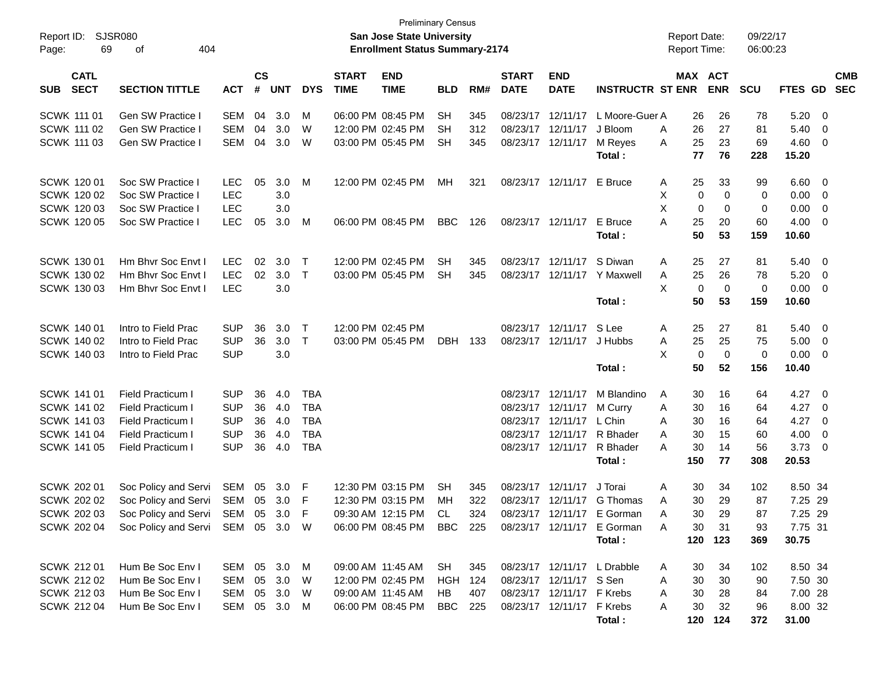| Report ID:<br>69<br>Page:                | SJSR080<br>404<br>оf                          |            |                             |            |              |                             | <b>Preliminary Census</b><br>San Jose State University<br><b>Enrollment Status Summary-2174</b> |                |     |                             |                           |                             | <b>Report Date:</b><br>Report Time: |                       | 09/22/17<br>06:00:23 |                |                          |                          |
|------------------------------------------|-----------------------------------------------|------------|-----------------------------|------------|--------------|-----------------------------|-------------------------------------------------------------------------------------------------|----------------|-----|-----------------------------|---------------------------|-----------------------------|-------------------------------------|-----------------------|----------------------|----------------|--------------------------|--------------------------|
| <b>CATL</b><br><b>SECT</b><br><b>SUB</b> | <b>SECTION TITTLE</b>                         | <b>ACT</b> | $\mathbf{c}\mathbf{s}$<br># | <b>UNT</b> | <b>DYS</b>   | <b>START</b><br><b>TIME</b> | <b>END</b><br><b>TIME</b>                                                                       | <b>BLD</b>     | RM# | <b>START</b><br><b>DATE</b> | <b>END</b><br><b>DATE</b> | <b>INSTRUCTR ST ENR</b>     |                                     | MAX ACT<br><b>ENR</b> | <b>SCU</b>           | <b>FTES GD</b> |                          | <b>CMB</b><br><b>SEC</b> |
| <b>SCWK 111 01</b>                       | Gen SW Practice I                             | <b>SEM</b> | 04                          | 3.0        | М            |                             | 06:00 PM 08:45 PM                                                                               | <b>SH</b>      | 345 | 08/23/17                    | 12/11/17                  | L Moore-Guer A              | 26                                  | 26                    | 78                   | 5.20           | $\overline{\mathbf{0}}$  |                          |
| <b>SCWK 111 02</b>                       | Gen SW Practice I                             | <b>SEM</b> | 04                          | 3.0        | W            |                             | 12:00 PM 02:45 PM                                                                               | SН             | 312 | 08/23/17                    | 12/11/17                  | J Bloom                     | 26<br>Α                             | 27                    | 81                   | 5.40           | 0                        |                          |
| <b>SCWK 111 03</b>                       | Gen SW Practice                               | <b>SEM</b> | 04                          | 3.0        | W            |                             | 03:00 PM 05:45 PM                                                                               | <b>SH</b>      | 345 |                             | 08/23/17 12/11/17         | M Reyes                     | 25<br>A                             | 23                    | 69                   | 4.60           | $\overline{0}$           |                          |
|                                          |                                               |            |                             |            |              |                             |                                                                                                 |                |     |                             |                           | Total:                      | 77                                  | 76                    | 228                  | 15.20          |                          |                          |
| SCWK 120 01                              | Soc SW Practice I                             | <b>LEC</b> | 05                          | 3.0        | M            |                             | 12:00 PM 02:45 PM                                                                               | MН             | 321 |                             | 08/23/17 12/11/17         | E Bruce                     | 25<br>A                             | 33                    | 99                   | 6.60           | - 0                      |                          |
| SCWK 120 02                              | Soc SW Practice I                             | <b>LEC</b> |                             | 3.0        |              |                             |                                                                                                 |                |     |                             |                           |                             | Х                                   | 0                     | 0<br>0               | 0.00           | 0                        |                          |
| SCWK 120 03                              | Soc SW Practice I                             | <b>LEC</b> |                             | 3.0        |              |                             |                                                                                                 |                |     |                             |                           |                             | X                                   | 0                     | 0<br>0               | 0.00           | 0                        |                          |
| <b>SCWK 120 05</b>                       | Soc SW Practice I                             | <b>LEC</b> | 05                          | 3.0        | M            |                             | 06:00 PM 08:45 PM                                                                               | <b>BBC</b>     | 126 |                             | 08/23/17 12/11/17         | E Bruce                     | A<br>25                             | 20                    | 60                   | 4.00           | 0                        |                          |
|                                          |                                               |            |                             |            |              |                             |                                                                                                 |                |     |                             |                           | Total:                      |                                     | 50<br>53              | 159                  | 10.60          |                          |                          |
| SCWK 130 01                              | Hm Bhvr Soc Envt I                            | <b>LEC</b> | 02                          | 3.0        | Τ            |                             | 12:00 PM 02:45 PM                                                                               | <b>SH</b>      | 345 | 08/23/17                    | 12/11/17                  | S Diwan                     | 25<br>A                             | 27                    | 81                   | 5.40           | - 0                      |                          |
| SCWK 130 02                              | Hm Bhvr Soc Envt I                            | <b>LEC</b> | 02                          | 3.0        | $\mathsf{T}$ |                             | 03:00 PM 05:45 PM                                                                               | <b>SH</b>      | 345 | 08/23/17                    | 12/11/17                  | Y Maxwell                   | Α<br>25                             | 26                    | 78                   | 5.20           | $\overline{0}$           |                          |
| SCWK 130 03                              | Hm Bhyr Soc Envt I                            | <b>LEC</b> |                             | 3.0        |              |                             |                                                                                                 |                |     |                             |                           |                             | X                                   | 0                     | 0<br>0               | 0.00           | 0                        |                          |
|                                          |                                               |            |                             |            |              |                             |                                                                                                 |                |     |                             |                           | Total:                      |                                     | 50<br>53              | 159                  | 10.60          |                          |                          |
| SCWK 140 01                              | Intro to Field Prac                           | <b>SUP</b> | 36                          | 3.0        | T            |                             | 12:00 PM 02:45 PM                                                                               |                |     |                             | 08/23/17 12/11/17         | S Lee                       | 25<br>A                             | 27                    | 81                   | 5.40           | - 0                      |                          |
| SCWK 140 02                              | Intro to Field Prac                           | <b>SUP</b> | 36                          | 3.0        | $\top$       |                             | 03:00 PM 05:45 PM                                                                               | DBH            | 133 | 08/23/17                    | 12/11/17                  | J Hubbs                     | 25<br>Α                             | 25                    | 75                   | 5.00           | $\mathbf 0$              |                          |
| SCWK 140 03                              | Intro to Field Prac                           | <b>SUP</b> |                             | 3.0        |              |                             |                                                                                                 |                |     |                             |                           |                             | X                                   | $\mathbf 0$           | $\mathbf 0$<br>0     | 0.00           | 0                        |                          |
|                                          |                                               |            |                             |            |              |                             |                                                                                                 |                |     |                             |                           | Total:                      |                                     | 50<br>52              | 156                  | 10.40          |                          |                          |
| <b>SCWK 141 01</b>                       | Field Practicum I                             | <b>SUP</b> | 36                          | 4.0        | TBA          |                             |                                                                                                 |                |     | 08/23/17                    | 12/11/17                  | M Blandino                  | 30<br>A                             | 16                    | 64                   | 4.27           | $\overline{\phantom{0}}$ |                          |
| SCWK 141 02                              | Field Practicum I                             | <b>SUP</b> | 36                          | 4.0        | <b>TBA</b>   |                             |                                                                                                 |                |     |                             | 08/23/17 12/11/17         | M Curry                     | Α<br>30                             | 16                    | 64                   | 4.27           | $\overline{\mathbf{0}}$  |                          |
| SCWK 141 03                              | Field Practicum I                             | <b>SUP</b> | 36                          | 4.0        | <b>TBA</b>   |                             |                                                                                                 |                |     | 08/23/17                    | 12/11/17                  | L Chin                      | 30<br>A                             | 16                    | 64                   | 4.27           | 0                        |                          |
| <b>SCWK 141 04</b>                       | Field Practicum I                             | <b>SUP</b> | 36                          | 4.0        | <b>TBA</b>   |                             |                                                                                                 |                |     | 08/23/17                    | 12/11/17                  | R Bhader                    | Α<br>30                             | 15                    | 60                   | 4.00           | 0                        |                          |
| SCWK 141 05                              | Field Practicum I                             | <b>SUP</b> | 36                          | 4.0        | <b>TBA</b>   |                             |                                                                                                 |                |     |                             | 08/23/17 12/11/17         | R Bhader                    | 30<br>А                             | 14                    | 56                   | 3.73           | 0                        |                          |
|                                          |                                               |            |                             |            |              |                             |                                                                                                 |                |     |                             |                           | Total:                      | 150                                 | 77                    | 308                  | 20.53          |                          |                          |
| SCWK 202 01                              | Soc Policy and Servi                          | <b>SEM</b> | 05                          | 3.0        | F            |                             | 12:30 PM 03:15 PM                                                                               | <b>SH</b>      | 345 | 08/23/17                    | 12/11/17                  | J Torai                     | 30<br>Α                             | 34                    | 102                  | 8.50 34        |                          |                          |
| <b>SCWK 202 02</b>                       | Soc Policy and Servi                          | SEM        | 05                          | 3.0        | F            |                             | 12:30 PM 03:15 PM                                                                               | МH             | 322 |                             | 08/23/17 12/11/17         | G Thomas                    | 30<br>Α                             | 29                    | 87                   | 7.25 29        |                          |                          |
| <b>SCWK 202 03</b>                       | Soc Policy and Servi SEM 05 3.0 F             |            |                             |            |              |                             | 09:30 AM 12:15 PM                                                                               | CL.            | 324 |                             |                           | 08/23/17 12/11/17 E Gorman  | A                                   | 30<br>29              | 87                   | 7.25 29        |                          |                          |
|                                          | SCWK 202 04 Soc Policy and Servi SEM 05 3.0 W |            |                             |            |              |                             | 06:00 PM 08:45 PM BBC 225                                                                       |                |     |                             |                           | 08/23/17 12/11/17 E Gorman  | A<br>30                             | 31                    | 93                   | 7.75 31        |                          |                          |
|                                          |                                               |            |                             |            |              |                             |                                                                                                 |                |     |                             |                           | Total:                      | 120                                 | 123                   | 369                  | 30.75          |                          |                          |
| SCWK 212 01                              | Hum Be Soc Env I                              | SEM 05 3.0 |                             |            | M            |                             | 09:00 AM 11:45 AM                                                                               | SH.            | 345 |                             |                           | 08/23/17 12/11/17 L Drabble | 30<br>A                             | 34                    | 102                  | 8.50 34        |                          |                          |
| <b>SCWK 212 02</b>                       | Hum Be Soc Env I                              | <b>SEM</b> | 05                          | 3.0        | W            |                             | 12:00 PM 02:45 PM                                                                               | <b>HGH 124</b> |     |                             | 08/23/17 12/11/17 S Sen   |                             | 30<br>A                             | 30                    | 90                   | 7.50 30        |                          |                          |
| SCWK 212 03                              | Hum Be Soc Env I                              | SEM        |                             | 05 3.0     | W            |                             | 09:00 AM 11:45 AM                                                                               | HB.            | 407 |                             | 08/23/17 12/11/17 F Krebs |                             | 30<br>A                             | 28                    | 84                   | 7.00 28        |                          |                          |
| <b>SCWK 212 04</b>                       | Hum Be Soc Env I                              | SEM        |                             | 05 3.0     | M            |                             | 06:00 PM 08:45 PM                                                                               | BBC            | 225 |                             | 08/23/17 12/11/17 F Krebs |                             | 30<br>A                             | 32                    | 96                   | 8.00 32        |                          |                          |
|                                          |                                               |            |                             |            |              |                             |                                                                                                 |                |     |                             |                           | Total:                      |                                     | 120 124               | 372                  | 31.00          |                          |                          |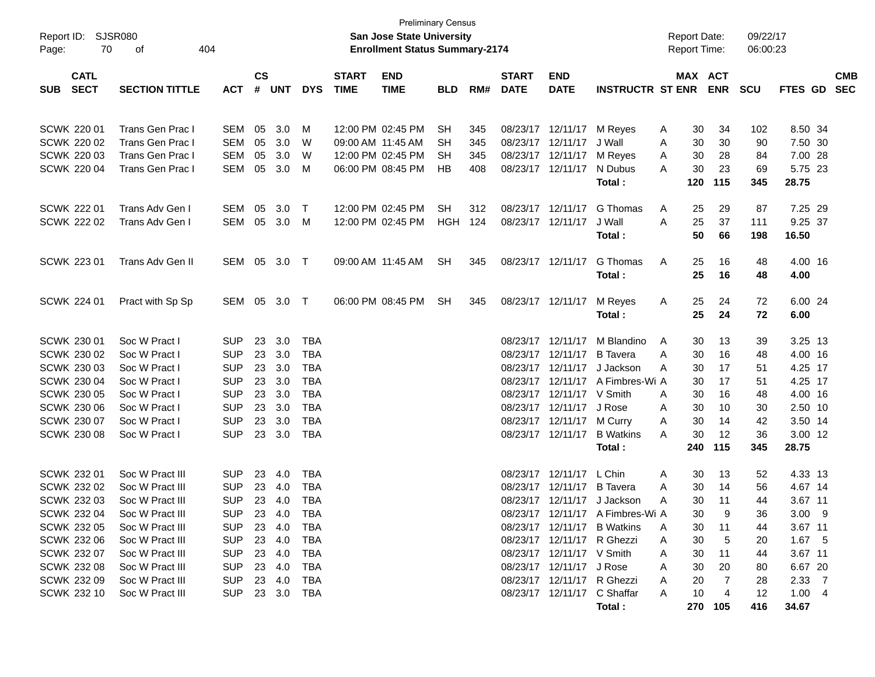| SJSR080<br>Report ID:<br>70<br>Page:                                                                                                               |                                                                                                                                                                                            |                                                                                                                                          |                                              |                                                                                         |                                                                                                              | <b>Preliminary Census</b><br><b>San Jose State University</b><br><b>Enrollment Status Summary-2174</b> |                                                                                  |                             |                          |                                        |                                                                                                                                                                                  | <b>Report Date:</b><br><b>Report Time:</b>                                                                                                         |                                                                                                       | 09/22/17<br>06:00:23                                            |                                                                 |                                                                                                                            |                          |
|----------------------------------------------------------------------------------------------------------------------------------------------------|--------------------------------------------------------------------------------------------------------------------------------------------------------------------------------------------|------------------------------------------------------------------------------------------------------------------------------------------|----------------------------------------------|-----------------------------------------------------------------------------------------|--------------------------------------------------------------------------------------------------------------|--------------------------------------------------------------------------------------------------------|----------------------------------------------------------------------------------|-----------------------------|--------------------------|----------------------------------------|----------------------------------------------------------------------------------------------------------------------------------------------------------------------------------|----------------------------------------------------------------------------------------------------------------------------------------------------|-------------------------------------------------------------------------------------------------------|-----------------------------------------------------------------|-----------------------------------------------------------------|----------------------------------------------------------------------------------------------------------------------------|--------------------------|
| <b>CATL</b><br><b>SECT</b><br><b>SUB</b>                                                                                                           | <b>SECTION TITTLE</b>                                                                                                                                                                      | <b>ACT</b>                                                                                                                               | $\mathsf{cs}$<br>#                           | <b>UNT</b>                                                                              | <b>DYS</b>                                                                                                   | <b>START</b><br><b>TIME</b>                                                                            | <b>END</b><br><b>TIME</b>                                                        | <b>BLD</b>                  | RM#                      | <b>START</b><br><b>DATE</b>            | <b>END</b><br><b>DATE</b>                                                                                                                                                        | <b>INSTRUCTR ST ENR</b>                                                                                                                            |                                                                                                       | MAX ACT<br><b>ENR</b>                                           | <b>SCU</b>                                                      | FTES GD                                                                                                                    | <b>CMB</b><br><b>SEC</b> |
| <b>SCWK 220 01</b><br><b>SCWK 220 02</b><br><b>SCWK 220 03</b><br><b>SCWK 220 04</b>                                                               | Trans Gen Prac I<br>Trans Gen Prac I<br>Trans Gen Prac I<br><b>Trans Gen Prac I</b>                                                                                                        | SEM<br>SEM<br>SEM<br>SEM                                                                                                                 | 05<br>05<br>05<br>05                         | 3.0<br>3.0<br>3.0<br>3.0                                                                | M<br>W<br>W<br>M                                                                                             |                                                                                                        | 12:00 PM 02:45 PM<br>09:00 AM 11:45 AM<br>12:00 PM 02:45 PM<br>06:00 PM 08:45 PM | <b>SH</b><br>SH<br>SH<br>HB | 345<br>345<br>345<br>408 | 08/23/17 12/11/17<br>08/23/17 12/11/17 | 08/23/17 12/11/17<br>08/23/17 12/11/17                                                                                                                                           | M Reyes<br>J Wall<br>M Reyes<br>N Dubus<br>Total:                                                                                                  | 30<br>A<br>30<br>Α<br>30<br>A<br>30<br>A<br>120                                                       | 34<br>30<br>28<br>23<br>115                                     | 102<br>90<br>84<br>69<br>345                                    | 8.50 34<br>7.50 30<br>7.00 28<br>5.75 23<br>28.75                                                                          |                          |
| <b>SCWK 222 01</b><br><b>SCWK 222 02</b>                                                                                                           | Trans Adv Gen I<br>Trans Adv Gen I                                                                                                                                                         | SEM<br>SEM                                                                                                                               | 05<br>05                                     | 3.0<br>3.0                                                                              | $\top$<br>M                                                                                                  |                                                                                                        | 12:00 PM 02:45 PM<br>12:00 PM 02:45 PM                                           | SH.<br><b>HGH 124</b>       | 312                      | 08/23/17 12/11/17                      | 08/23/17 12/11/17                                                                                                                                                                | G Thomas<br>J Wall<br>Total:                                                                                                                       | 25<br>A<br>25<br>A<br>50                                                                              | 29<br>37<br>66                                                  | 87<br>111<br>198                                                | 7.25 29<br>9.25 37<br>16.50                                                                                                |                          |
| SCWK 223 01                                                                                                                                        | Trans Adv Gen II                                                                                                                                                                           | SEM 05                                                                                                                                   |                                              | 3.0 T                                                                                   |                                                                                                              |                                                                                                        | 09:00 AM 11:45 AM                                                                | <b>SH</b>                   | 345                      | 08/23/17 12/11/17                      |                                                                                                                                                                                  | G Thomas<br>Total:                                                                                                                                 | 25<br>A<br>25                                                                                         | 16<br>16                                                        | 48<br>48                                                        | 4.00 16<br>4.00                                                                                                            |                          |
| <b>SCWK 224 01</b>                                                                                                                                 | Pract with Sp Sp                                                                                                                                                                           | SEM 05                                                                                                                                   |                                              | 3.0 T                                                                                   |                                                                                                              |                                                                                                        | 06:00 PM 08:45 PM                                                                | <b>SH</b>                   | 345                      | 08/23/17 12/11/17                      |                                                                                                                                                                                  | M Reyes<br>Total:                                                                                                                                  | 25<br>Α<br>25                                                                                         | 24<br>24                                                        | 72<br>72                                                        | 6.00 24<br>6.00                                                                                                            |                          |
| SCWK 230 01<br>SCWK 230 02<br>SCWK 230 03<br>SCWK 230 04<br>SCWK 230 05<br>SCWK 230 06<br>SCWK 230 07<br><b>SCWK 230 08</b>                        | Soc W Pract I<br>Soc W Pract I<br>Soc W Pract I<br>Soc W Pract I<br>Soc W Pract I<br>Soc W Pract I<br>Soc W Pract I<br>Soc W Pract I                                                       | <b>SUP</b><br><b>SUP</b><br><b>SUP</b><br><b>SUP</b><br><b>SUP</b><br><b>SUP</b><br><b>SUP</b><br><b>SUP</b>                             | 23<br>23<br>23<br>23<br>23<br>23<br>23<br>23 | 3.0<br>3.0<br>3.0<br>3.0<br>3.0<br>3.0<br>3.0<br>3.0                                    | <b>TBA</b><br><b>TBA</b><br><b>TBA</b><br><b>TBA</b><br><b>TBA</b><br><b>TBA</b><br><b>TBA</b><br><b>TBA</b> |                                                                                                        |                                                                                  |                             |                          |                                        | 08/23/17 12/11/17<br>08/23/17 12/11/17<br>08/23/17 12/11/17<br>08/23/17 12/11/17<br>08/23/17 12/11/17<br>08/23/17 12/11/17<br>08/23/17 12/11/17<br>08/23/17 12/11/17             | M Blandino<br><b>B</b> Tavera<br>J Jackson<br>A Fimbres-Wi A<br>V Smith<br>J Rose<br>M Curry<br><b>B</b> Watkins<br>Total:                         | A<br>30<br>Α<br>30<br>30<br>A<br>30<br>30<br>A<br>30<br>A<br>30<br>Α<br>30<br>A<br>240                | 13<br>16<br>17<br>17<br>16<br>10<br>14<br>12<br>115             | 39<br>48<br>51<br>51<br>48<br>30<br>42<br>36<br>345             | 3.25 13<br>4.00 16<br>4.25 17<br>4.25 17<br>4.00 16<br>2.50 10<br>3.50 14<br>3.00 12<br>28.75                              |                          |
| SCWK 232 01<br>SCWK 232 02<br>SCWK 232 03<br>SCWK 232 04<br>SCWK 232 05<br>SCWK 232 06<br>SCWK 232 07<br>SCWK 232 08<br>SCWK 232 09<br>SCWK 232 10 | Soc W Pract III<br>Soc W Pract III<br>Soc W Pract III<br>Soc W Pract III<br>Soc W Pract III<br>Soc W Pract III<br>Soc W Pract III<br>Soc W Pract III<br>Soc W Pract III<br>Soc W Pract III | <b>SUP</b><br><b>SUP</b><br><b>SUP</b><br><b>SUP</b><br><b>SUP</b><br><b>SUP</b><br><b>SUP</b><br><b>SUP</b><br><b>SUP</b><br><b>SUP</b> | 23<br>23<br>23                               | 4.0<br>4.0<br>4.0<br>23 4.0<br>23 4.0<br>23 4.0<br>23 4.0<br>23 4.0<br>23 4.0<br>23 3.0 | <b>TBA</b><br><b>TBA</b><br><b>TBA</b><br><b>TBA</b><br>TBA<br><b>TBA</b><br>TBA<br>TBA<br>TBA<br>TBA        |                                                                                                        |                                                                                  |                             |                          |                                        | 08/23/17 12/11/17<br>08/23/17 12/11/17<br>08/23/17 12/11/17<br>08/23/17 12/11/17 R Ghezzi<br>08/23/17 12/11/17 V Smith<br>08/23/17 12/11/17 J Rose<br>08/23/17 12/11/17 R Ghezzi | L Chin<br><b>B</b> Tavera<br>J Jackson<br>08/23/17 12/11/17 A Fimbres-Wi A<br>08/23/17 12/11/17 B Watkins<br>08/23/17 12/11/17 C Shaffar<br>Total: | 30<br>A<br>30<br>A<br>30<br>A<br>30<br>A<br>30<br>30<br>Α<br>30<br>Α<br>30<br>Α<br>20<br>Α<br>10<br>A | 13<br>14<br>11<br>9<br>11<br>5<br>11<br>20<br>7<br>4<br>270 105 | 52<br>56<br>44<br>36<br>44<br>20<br>44<br>80<br>28<br>12<br>416 | 4.33 13<br>4.67 14<br>3.67 11<br>$3.00$ 9<br>3.67 11<br>$1.67$ 5<br>3.67 11<br>6.67 20<br>$2.33 \quad 7$<br>1.004<br>34.67 |                          |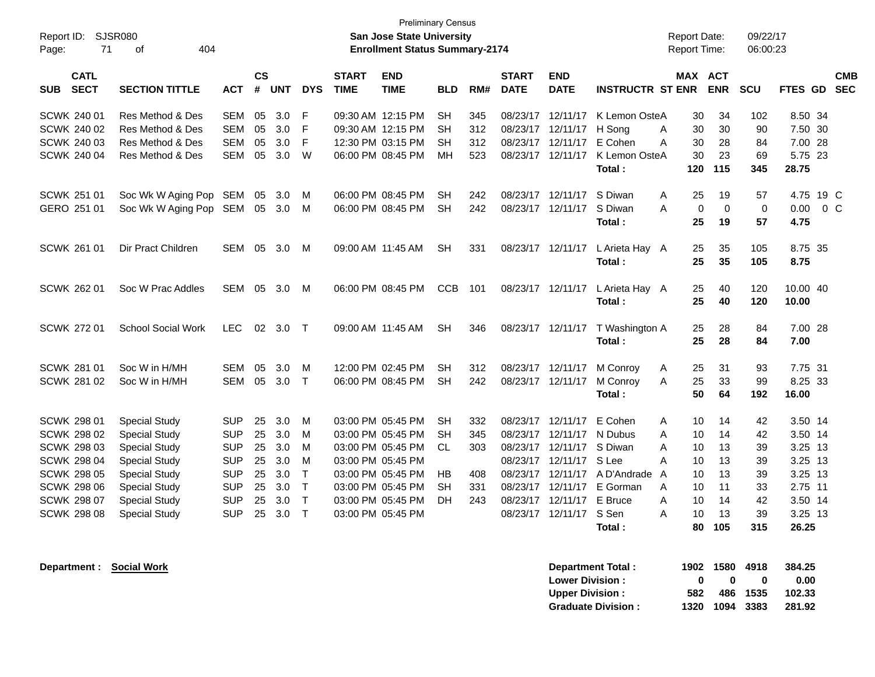| Report ID:<br>Page:                                                                  | <b>SJSR080</b><br>71       | 404<br>0f                                                                                    |                                                      |                      |                          |                                                      |                             | <b>Preliminary Census</b><br><b>San Jose State University</b><br><b>Enrollment Status Summary-2174</b> |                                           |                          |                                              |                                                                              |                                                               | <b>Report Date:</b><br>Report Time: |                             |                             | 09/22/17<br>06:00:23         |                                                   |        |                          |
|--------------------------------------------------------------------------------------|----------------------------|----------------------------------------------------------------------------------------------|------------------------------------------------------|----------------------|--------------------------|------------------------------------------------------|-----------------------------|--------------------------------------------------------------------------------------------------------|-------------------------------------------|--------------------------|----------------------------------------------|------------------------------------------------------------------------------|---------------------------------------------------------------|-------------------------------------|-----------------------------|-----------------------------|------------------------------|---------------------------------------------------|--------|--------------------------|
| <b>SUB</b>                                                                           | <b>CATL</b><br><b>SECT</b> | <b>SECTION TITTLE</b>                                                                        | <b>ACT</b>                                           | $\mathsf{cs}$<br>#   | <b>UNT</b>               | <b>DYS</b>                                           | <b>START</b><br><b>TIME</b> | <b>END</b><br><b>TIME</b>                                                                              | <b>BLD</b>                                | RM#                      | <b>START</b><br><b>DATE</b>                  | <b>END</b><br><b>DATE</b>                                                    | <b>INSTRUCTR ST ENR</b>                                       | <b>MAX</b>                          |                             | <b>ACT</b><br><b>ENR</b>    | <b>SCU</b>                   | <b>FTES GD</b>                                    |        | <b>CMB</b><br><b>SEC</b> |
| SCWK 240 01<br>SCWK 240 02<br><b>SCWK 240 03</b><br>SCWK 240 04                      |                            | Res Method & Des<br>Res Method & Des<br>Res Method & Des<br>Res Method & Des                 | <b>SEM</b><br><b>SEM</b><br><b>SEM</b><br><b>SEM</b> | 05<br>05<br>05<br>05 | 3.0<br>3.0<br>3.0<br>3.0 | F<br>F<br>F<br>W                                     |                             | 09:30 AM 12:15 PM<br>09:30 AM 12:15 PM<br>12:30 PM 03:15 PM<br>06:00 PM 08:45 PM                       | <b>SH</b><br><b>SH</b><br><b>SH</b><br>MН | 345<br>312<br>312<br>523 | 08/23/17<br>08/23/17<br>08/23/17<br>08/23/17 | 12/11/17<br>12/11/17<br>12/11/17<br>12/11/17                                 | K Lemon OsteA<br>H Song<br>E Cohen<br>K Lemon OsteA<br>Total: | A<br>A                              | 30<br>30<br>30<br>30<br>120 | 34<br>30<br>28<br>23<br>115 | 102<br>90<br>84<br>69<br>345 | 8.50 34<br>7.50 30<br>7.00 28<br>5.75 23<br>28.75 |        |                          |
| SCWK 251 01<br>GERO 251 01                                                           |                            | Soc Wk W Aging Pop SEM<br>Soc Wk W Aging Pop SEM                                             |                                                      | 05<br>05             | 3.0<br>3.0               | м<br>м                                               |                             | 06:00 PM 08:45 PM<br>06:00 PM 08:45 PM                                                                 | <b>SH</b><br><b>SH</b>                    | 242<br>242               | 08/23/17                                     | 08/23/17 12/11/17<br>12/11/17                                                | S Diwan<br>S Diwan<br>Total:                                  | A<br>A                              | 25<br>$\Omega$<br>25        | 19<br>$\mathbf 0$<br>19     | 57<br>$\mathbf 0$<br>57      | 4.75 19 C<br>0.00<br>4.75                         | $0\,C$ |                          |
| SCWK 261 01                                                                          |                            | Dir Pract Children                                                                           | SEM                                                  | 05                   | 3.0                      | M                                                    | 09:00 AM 11:45 AM           |                                                                                                        | <b>SH</b>                                 | 331                      |                                              | 08/23/17 12/11/17                                                            | L Arieta Hay A<br>Total:                                      |                                     | 25<br>25                    | 35<br>35                    | 105<br>105                   | 8.75 35<br>8.75                                   |        |                          |
| SCWK 262 01                                                                          |                            | Soc W Prac Addles                                                                            | SEM 05                                               |                      | 3.0                      | M                                                    |                             | 06:00 PM 08:45 PM                                                                                      | <b>CCB</b>                                | 101                      |                                              | 08/23/17 12/11/17                                                            | L Arieta Hay A<br>Total:                                      |                                     | 25<br>25                    | 40<br>40                    | 120<br>120                   | 10.00 40<br>10.00                                 |        |                          |
| SCWK 272 01                                                                          |                            | <b>School Social Work</b>                                                                    | <b>LEC</b>                                           |                      | 02 3.0                   | $\top$                                               | 09:00 AM 11:45 AM           |                                                                                                        | <b>SH</b>                                 | 346                      | 08/23/17 12/11/17                            |                                                                              | T Washington A<br>Total:                                      |                                     | 25<br>25                    | 28<br>28                    | 84<br>84                     | 7.00 28<br>7.00                                   |        |                          |
| <b>SCWK 281 01</b><br>SCWK 281 02                                                    |                            | Soc W in H/MH<br>Soc W in H/MH                                                               | <b>SEM</b><br><b>SEM</b>                             | 05<br>05             | 3.0<br>3.0               | м<br>$\top$                                          |                             | 12:00 PM 02:45 PM<br>06:00 PM 08:45 PM                                                                 | <b>SH</b><br><b>SH</b>                    | 312<br>242               | 08/23/17 12/11/17                            | 08/23/17 12/11/17                                                            | M Conroy<br>M Conroy<br>Total:                                | Α<br>A                              | 25<br>25<br>50              | 31<br>33<br>64              | 93<br>99<br>192              | 7.75 31<br>8.25 33<br>16.00                       |        |                          |
| <b>SCWK 298 01</b><br><b>SCWK 298 02</b><br><b>SCWK 298 03</b><br><b>SCWK 298 04</b> |                            | <b>Special Study</b><br><b>Special Study</b><br><b>Special Study</b><br><b>Special Study</b> | <b>SUP</b><br><b>SUP</b><br><b>SUP</b><br><b>SUP</b> | 25<br>25<br>25<br>25 | 3.0<br>3.0<br>3.0<br>3.0 | м<br>M<br>M<br>M                                     |                             | 03:00 PM 05:45 PM<br>03:00 PM 05:45 PM<br>03:00 PM 05:45 PM<br>03:00 PM 05:45 PM                       | <b>SH</b><br><b>SH</b><br><b>CL</b>       | 332<br>345<br>303        | 08/23/17<br>08/23/17                         | 12/11/17<br>12/11/17<br>08/23/17 12/11/17 S Diwan<br>08/23/17 12/11/17 S Lee | E Cohen<br>N Dubus                                            | A<br>A<br>A<br>A                    | 10<br>10<br>10<br>10        | 14<br>14<br>13<br>13        | 42<br>42<br>39<br>39         | 3.50 14<br>3.50 14<br>3.25 13<br>3.25 13          |        |                          |
| <b>SCWK 298 05</b><br><b>SCWK 298 06</b><br><b>SCWK 298 07</b><br><b>SCWK 298 08</b> |                            | <b>Special Study</b><br><b>Special Study</b><br><b>Special Study</b><br><b>Special Study</b> | <b>SUP</b><br><b>SUP</b><br><b>SUP</b><br>SUP        | 25<br>25<br>25<br>25 | 3.0<br>3.0<br>3.0<br>3.0 | $\top$<br>$\mathsf T$<br>$\mathsf{T}$<br>$\mathsf T$ | 03:00 PM 05:45 PM           | 03:00 PM 05:45 PM<br>03:00 PM 05:45 PM<br>03:00 PM 05:45 PM                                            | HB<br><b>SH</b><br>DH                     | 408<br>331<br>243        | 08/23/17<br>08/23/17<br>08/23/17             | 08/23/17 12/11/17<br>12/11/17<br>12/11/17<br>12/11/17                        | A D'Andrade<br>E Gorman<br>E Bruce<br>S Sen<br>Total:         | A<br>A<br>A<br>A                    | 10<br>10<br>10<br>10<br>80  | 13<br>11<br>14<br>13<br>105 | 39<br>33<br>42<br>39<br>315  | 3.25 13<br>2.75 11<br>3.50 14<br>3.25 13<br>26.25 |        |                          |

**Department : Social Work** 

| Department Total:         |     | 1902 1580 4918 |          | 384.25 |
|---------------------------|-----|----------------|----------|--------|
| <b>Lower Division:</b>    | n   | n              | o        | 0.00   |
| <b>Upper Division:</b>    | 582 |                | 486 1535 | 102.33 |
| <b>Graduate Division:</b> |     | 1320 1094 3383 |          | 281.92 |